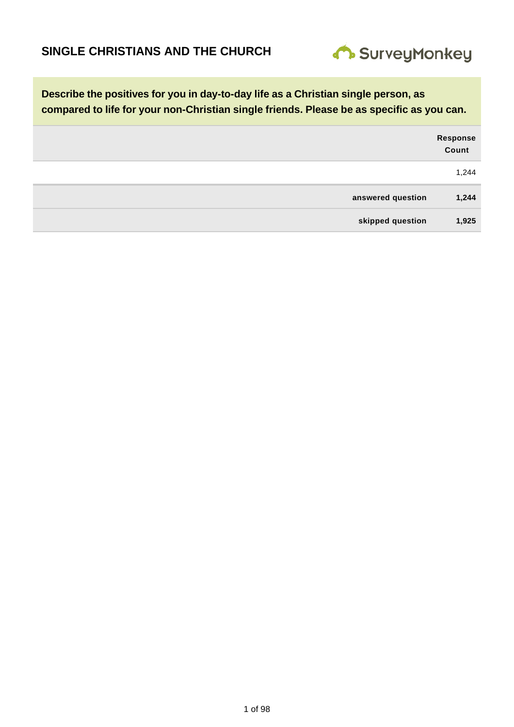

|                   | Response<br>Count |
|-------------------|-------------------|
|                   | 1,244             |
| answered question | 1,244             |
| skipped question  | 1,925             |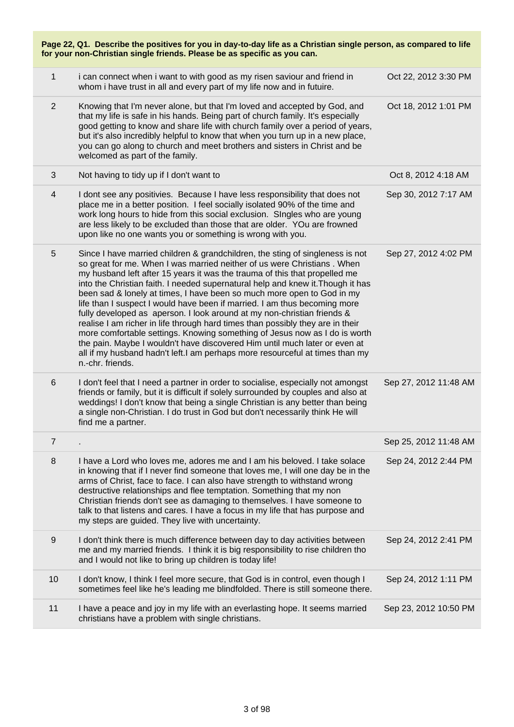|                | Page 22, Q1. Describe the positives for you in day-to-day life as a Christian single person, as compared to life<br>for your non-Christian single friends. Please be as specific as you can.                                                                                                                                                                                                                                                                                                                                                                                                                                                                                                                                                                                                                                                                                                                  |                       |  |
|----------------|---------------------------------------------------------------------------------------------------------------------------------------------------------------------------------------------------------------------------------------------------------------------------------------------------------------------------------------------------------------------------------------------------------------------------------------------------------------------------------------------------------------------------------------------------------------------------------------------------------------------------------------------------------------------------------------------------------------------------------------------------------------------------------------------------------------------------------------------------------------------------------------------------------------|-----------------------|--|
| $\mathbf{1}$   | i can connect when i want to with good as my risen saviour and friend in<br>whom i have trust in all and every part of my life now and in futuire.                                                                                                                                                                                                                                                                                                                                                                                                                                                                                                                                                                                                                                                                                                                                                            | Oct 22, 2012 3:30 PM  |  |
| $\overline{2}$ | Knowing that I'm never alone, but that I'm loved and accepted by God, and<br>that my life is safe in his hands. Being part of church family. It's especially<br>good getting to know and share life with church family over a period of years,<br>but it's also incredibly helpful to know that when you turn up in a new place,<br>you can go along to church and meet brothers and sisters in Christ and be<br>welcomed as part of the family.                                                                                                                                                                                                                                                                                                                                                                                                                                                              | Oct 18, 2012 1:01 PM  |  |
| 3              | Not having to tidy up if I don't want to                                                                                                                                                                                                                                                                                                                                                                                                                                                                                                                                                                                                                                                                                                                                                                                                                                                                      | Oct 8, 2012 4:18 AM   |  |
| 4              | I dont see any positivies. Because I have less responsibility that does not<br>place me in a better position. I feel socially isolated 90% of the time and<br>work long hours to hide from this social exclusion. Singles who are young<br>are less likely to be excluded than those that are older. YOu are frowned<br>upon like no one wants you or something is wrong with you.                                                                                                                                                                                                                                                                                                                                                                                                                                                                                                                            | Sep 30, 2012 7:17 AM  |  |
| 5              | Since I have married children & grandchildren, the sting of singleness is not<br>so great for me. When I was married neither of us were Christians. When<br>my husband left after 15 years it was the trauma of this that propelled me<br>into the Christian faith. I needed supernatural help and knew it. Though it has<br>been sad & lonely at times, I have been so much more open to God in my<br>life than I suspect I would have been if married. I am thus becoming more<br>fully developed as aperson. I look around at my non-christian friends &<br>realise I am richer in life through hard times than possibly they are in their<br>more comfortable settings. Knowing something of Jesus now as I do is worth<br>the pain. Maybe I wouldn't have discovered Him until much later or even at<br>all if my husband hadn't left.I am perhaps more resourceful at times than my<br>n.-chr. friends. | Sep 27, 2012 4:02 PM  |  |
| 6              | I don't feel that I need a partner in order to socialise, especially not amongst<br>friends or family, but it is difficult if solely surrounded by couples and also at<br>weddings! I don't know that being a single Christian is any better than being<br>a single non-Christian. I do trust in God but don't necessarily think He will<br>find me a partner.                                                                                                                                                                                                                                                                                                                                                                                                                                                                                                                                                | Sep 27, 2012 11:48 AM |  |
| $\overline{7}$ |                                                                                                                                                                                                                                                                                                                                                                                                                                                                                                                                                                                                                                                                                                                                                                                                                                                                                                               | Sep 25, 2012 11:48 AM |  |
| 8              | I have a Lord who loves me, adores me and I am his beloved. I take solace<br>in knowing that if I never find someone that loves me, I will one day be in the<br>arms of Christ, face to face. I can also have strength to withstand wrong<br>destructive relationships and flee temptation. Something that my non<br>Christian friends don't see as damaging to themselves. I have someone to<br>talk to that listens and cares. I have a focus in my life that has purpose and<br>my steps are guided. They live with uncertainty.                                                                                                                                                                                                                                                                                                                                                                           | Sep 24, 2012 2:44 PM  |  |
| $9\,$          | I don't think there is much difference between day to day activities between<br>me and my married friends. I think it is big responsibility to rise children tho<br>and I would not like to bring up children is today life!                                                                                                                                                                                                                                                                                                                                                                                                                                                                                                                                                                                                                                                                                  | Sep 24, 2012 2:41 PM  |  |
| 10             | I don't know, I think I feel more secure, that God is in control, even though I<br>sometimes feel like he's leading me blindfolded. There is still someone there.                                                                                                                                                                                                                                                                                                                                                                                                                                                                                                                                                                                                                                                                                                                                             | Sep 24, 2012 1:11 PM  |  |
| 11             | I have a peace and joy in my life with an everlasting hope. It seems married<br>christians have a problem with single christians.                                                                                                                                                                                                                                                                                                                                                                                                                                                                                                                                                                                                                                                                                                                                                                             | Sep 23, 2012 10:50 PM |  |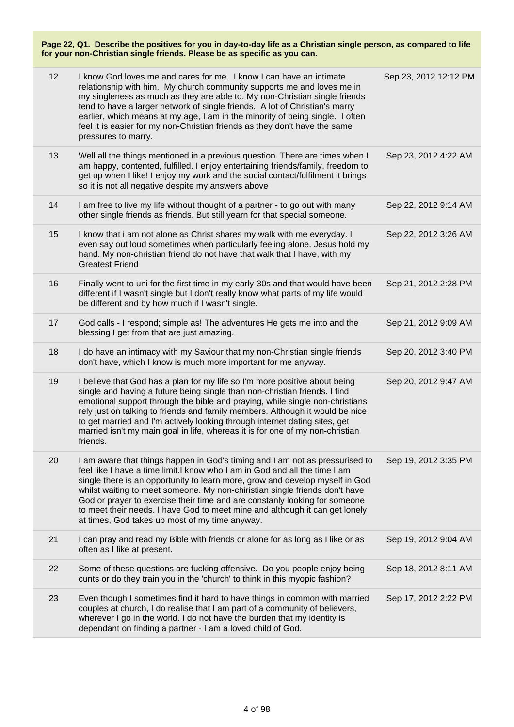| 12 | I know God loves me and cares for me. I know I can have an intimate<br>relationship with him. My church community supports me and loves me in<br>my singleness as much as they are able to. My non-Christian single friends<br>tend to have a larger network of single friends. A lot of Christian's marry<br>earlier, which means at my age, I am in the minority of being single. I often<br>feel it is easier for my non-Christian friends as they don't have the same<br>pressures to marry.                                          | Sep 23, 2012 12:12 PM |
|----|-------------------------------------------------------------------------------------------------------------------------------------------------------------------------------------------------------------------------------------------------------------------------------------------------------------------------------------------------------------------------------------------------------------------------------------------------------------------------------------------------------------------------------------------|-----------------------|
| 13 | Well all the things mentioned in a previous question. There are times when I<br>am happy, contented, fulfilled. I enjoy entertaining friends/family, freedom to<br>get up when I like! I enjoy my work and the social contact/fulfilment it brings<br>so it is not all negative despite my answers above                                                                                                                                                                                                                                  | Sep 23, 2012 4:22 AM  |
| 14 | I am free to live my life without thought of a partner - to go out with many<br>other single friends as friends. But still yearn for that special someone.                                                                                                                                                                                                                                                                                                                                                                                | Sep 22, 2012 9:14 AM  |
| 15 | I know that i am not alone as Christ shares my walk with me everyday. I<br>even say out loud sometimes when particularly feeling alone. Jesus hold my<br>hand. My non-christian friend do not have that walk that I have, with my<br><b>Greatest Friend</b>                                                                                                                                                                                                                                                                               | Sep 22, 2012 3:26 AM  |
| 16 | Finally went to uni for the first time in my early-30s and that would have been<br>different if I wasn't single but I don't really know what parts of my life would<br>be different and by how much if I wasn't single.                                                                                                                                                                                                                                                                                                                   | Sep 21, 2012 2:28 PM  |
| 17 | God calls - I respond; simple as! The adventures He gets me into and the<br>blessing I get from that are just amazing.                                                                                                                                                                                                                                                                                                                                                                                                                    | Sep 21, 2012 9:09 AM  |
| 18 | I do have an intimacy with my Saviour that my non-Christian single friends<br>don't have, which I know is much more important for me anyway.                                                                                                                                                                                                                                                                                                                                                                                              | Sep 20, 2012 3:40 PM  |
| 19 | I believe that God has a plan for my life so I'm more positive about being<br>single and having a future being single than non-christian friends. I find<br>emotional support through the bible and praying, while single non-christians<br>rely just on talking to friends and family members. Although it would be nice<br>to get married and I'm actively looking through internet dating sites, get<br>married isn't my main goal in life, whereas it is for one of my non-christian<br>friends.                                      | Sep 20, 2012 9:47 AM  |
| 20 | I am aware that things happen in God's timing and I am not as pressurised to<br>feel like I have a time limit. I know who I am in God and all the time I am<br>single there is an opportunity to learn more, grow and develop myself in God<br>whilst waiting to meet someone. My non-chiristian single friends don't have<br>God or prayer to exercise their time and are constanly looking for someone<br>to meet their needs. I have God to meet mine and although it can get lonely<br>at times, God takes up most of my time anyway. | Sep 19, 2012 3:35 PM  |
| 21 | I can pray and read my Bible with friends or alone for as long as I like or as<br>often as I like at present.                                                                                                                                                                                                                                                                                                                                                                                                                             | Sep 19, 2012 9:04 AM  |
| 22 | Some of these questions are fucking offensive. Do you people enjoy being<br>cunts or do they train you in the 'church' to think in this myopic fashion?                                                                                                                                                                                                                                                                                                                                                                                   | Sep 18, 2012 8:11 AM  |
| 23 | Even though I sometimes find it hard to have things in common with married<br>couples at church, I do realise that I am part of a community of believers,<br>wherever I go in the world. I do not have the burden that my identity is<br>dependant on finding a partner - I am a loved child of God.                                                                                                                                                                                                                                      | Sep 17, 2012 2:22 PM  |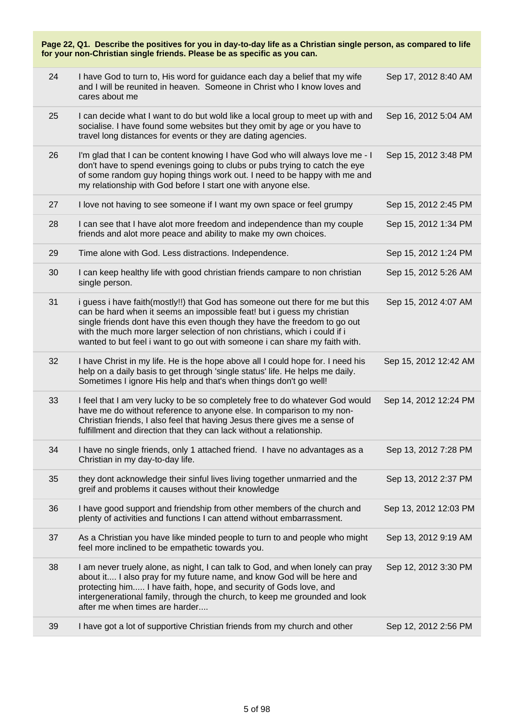| Page 22, Q1. Describe the positives for you in day-to-day life as a Christian single person, as compared to life<br>for your non-Christian single friends. Please be as specific as you can. |                                                                                                                                                                                                                                                                                                                                                                                                  |                       |
|----------------------------------------------------------------------------------------------------------------------------------------------------------------------------------------------|--------------------------------------------------------------------------------------------------------------------------------------------------------------------------------------------------------------------------------------------------------------------------------------------------------------------------------------------------------------------------------------------------|-----------------------|
| 24                                                                                                                                                                                           | I have God to turn to, His word for guidance each day a belief that my wife<br>and I will be reunited in heaven. Someone in Christ who I know loves and<br>cares about me                                                                                                                                                                                                                        | Sep 17, 2012 8:40 AM  |
| 25                                                                                                                                                                                           | I can decide what I want to do but wold like a local group to meet up with and<br>socialise. I have found some websites but they omit by age or you have to<br>travel long distances for events or they are dating agencies.                                                                                                                                                                     | Sep 16, 2012 5:04 AM  |
| 26                                                                                                                                                                                           | I'm glad that I can be content knowing I have God who will always love me - I<br>don't have to spend evenings going to clubs or pubs trying to catch the eye<br>of some random guy hoping things work out. I need to be happy with me and<br>my relationship with God before I start one with anyone else.                                                                                       | Sep 15, 2012 3:48 PM  |
| 27                                                                                                                                                                                           | I love not having to see someone if I want my own space or feel grumpy                                                                                                                                                                                                                                                                                                                           | Sep 15, 2012 2:45 PM  |
| 28                                                                                                                                                                                           | I can see that I have alot more freedom and independence than my couple<br>friends and alot more peace and ability to make my own choices.                                                                                                                                                                                                                                                       | Sep 15, 2012 1:34 PM  |
| 29                                                                                                                                                                                           | Time alone with God. Less distractions. Independence.                                                                                                                                                                                                                                                                                                                                            | Sep 15, 2012 1:24 PM  |
| 30                                                                                                                                                                                           | I can keep healthy life with good christian friends campare to non christian<br>single person.                                                                                                                                                                                                                                                                                                   | Sep 15, 2012 5:26 AM  |
| 31                                                                                                                                                                                           | i guess i have faith(mostly!!) that God has someone out there for me but this<br>can be hard when it seems an impossible feat! but i guess my christian<br>single friends dont have this even though they have the freedom to go out<br>with the much more larger selection of non christians, which i could if i<br>wanted to but feel i want to go out with someone i can share my faith with. | Sep 15, 2012 4:07 AM  |
| 32                                                                                                                                                                                           | I have Christ in my life. He is the hope above all I could hope for. I need his<br>help on a daily basis to get through 'single status' life. He helps me daily.<br>Sometimes I ignore His help and that's when things don't go well!                                                                                                                                                            | Sep 15, 2012 12:42 AM |
| 33                                                                                                                                                                                           | I feel that I am very lucky to be so completely free to do whatever God would<br>have me do without reference to anyone else. In comparison to my non-<br>Christian friends, I also feel that having Jesus there gives me a sense of<br>fulfillment and direction that they can lack without a relationship.                                                                                     | Sep 14, 2012 12:24 PM |
| 34                                                                                                                                                                                           | I have no single friends, only 1 attached friend. I have no advantages as a<br>Christian in my day-to-day life.                                                                                                                                                                                                                                                                                  | Sep 13, 2012 7:28 PM  |
| 35                                                                                                                                                                                           | they dont acknowledge their sinful lives living together unmarried and the<br>greif and problems it causes without their knowledge                                                                                                                                                                                                                                                               | Sep 13, 2012 2:37 PM  |
| 36                                                                                                                                                                                           | I have good support and friendship from other members of the church and<br>plenty of activities and functions I can attend without embarrassment.                                                                                                                                                                                                                                                | Sep 13, 2012 12:03 PM |
| 37                                                                                                                                                                                           | As a Christian you have like minded people to turn to and people who might<br>feel more inclined to be empathetic towards you.                                                                                                                                                                                                                                                                   | Sep 13, 2012 9:19 AM  |
| 38                                                                                                                                                                                           | I am never truely alone, as night, I can talk to God, and when lonely can pray<br>about it I also pray for my future name, and know God will be here and<br>protecting him I have faith, hope, and security of Gods love, and<br>intergenerational family, through the church, to keep me grounded and look<br>after me when times are harder                                                    | Sep 12, 2012 3:30 PM  |
| 39                                                                                                                                                                                           | I have got a lot of supportive Christian friends from my church and other                                                                                                                                                                                                                                                                                                                        | Sep 12, 2012 2:56 PM  |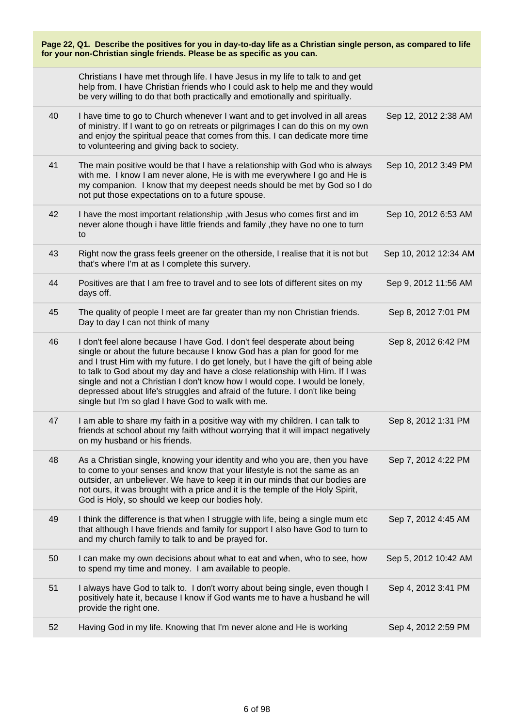| Page 22, Q1. Describe the positives for you in day-to-day life as a Christian single person, as compared to life<br>for your non-Christian single friends. Please be as specific as you can. |                                                                                                                                                                                                                                                                                                                                                                                                                                                                                                                                                    |                       |
|----------------------------------------------------------------------------------------------------------------------------------------------------------------------------------------------|----------------------------------------------------------------------------------------------------------------------------------------------------------------------------------------------------------------------------------------------------------------------------------------------------------------------------------------------------------------------------------------------------------------------------------------------------------------------------------------------------------------------------------------------------|-----------------------|
|                                                                                                                                                                                              | Christians I have met through life. I have Jesus in my life to talk to and get<br>help from. I have Christian friends who I could ask to help me and they would<br>be very willing to do that both practically and emotionally and spiritually.                                                                                                                                                                                                                                                                                                    |                       |
| 40                                                                                                                                                                                           | I have time to go to Church whenever I want and to get involved in all areas<br>of ministry. If I want to go on retreats or pilgrimages I can do this on my own<br>and enjoy the spiritual peace that comes from this. I can dedicate more time<br>to volunteering and giving back to society.                                                                                                                                                                                                                                                     | Sep 12, 2012 2:38 AM  |
| 41                                                                                                                                                                                           | The main positive would be that I have a relationship with God who is always<br>with me. I know I am never alone, He is with me everywhere I go and He is<br>my companion. I know that my deepest needs should be met by God so I do<br>not put those expectations on to a future spouse.                                                                                                                                                                                                                                                          | Sep 10, 2012 3:49 PM  |
| 42                                                                                                                                                                                           | I have the most important relationship, with Jesus who comes first and im<br>never alone though i have little friends and family, they have no one to turn<br>to                                                                                                                                                                                                                                                                                                                                                                                   | Sep 10, 2012 6:53 AM  |
| 43                                                                                                                                                                                           | Right now the grass feels greener on the otherside, I realise that it is not but<br>that's where I'm at as I complete this survery.                                                                                                                                                                                                                                                                                                                                                                                                                | Sep 10, 2012 12:34 AM |
| 44                                                                                                                                                                                           | Positives are that I am free to travel and to see lots of different sites on my<br>days off.                                                                                                                                                                                                                                                                                                                                                                                                                                                       | Sep 9, 2012 11:56 AM  |
| 45                                                                                                                                                                                           | The quality of people I meet are far greater than my non Christian friends.<br>Day to day I can not think of many                                                                                                                                                                                                                                                                                                                                                                                                                                  | Sep 8, 2012 7:01 PM   |
| 46                                                                                                                                                                                           | I don't feel alone because I have God. I don't feel desperate about being<br>single or about the future because I know God has a plan for good for me<br>and I trust Him with my future. I do get lonely, but I have the gift of being able<br>to talk to God about my day and have a close relationship with Him. If I was<br>single and not a Christian I don't know how I would cope. I would be lonely,<br>depressed about life's struggles and afraid of the future. I don't like being<br>single but I'm so glad I have God to walk with me. | Sep 8, 2012 6:42 PM   |
| 47                                                                                                                                                                                           | I am able to share my faith in a positive way with my children. I can talk to<br>friends at school about my faith without worrying that it will impact negatively<br>on my husband or his friends.                                                                                                                                                                                                                                                                                                                                                 | Sep 8, 2012 1:31 PM   |
| 48                                                                                                                                                                                           | As a Christian single, knowing your identity and who you are, then you have<br>to come to your senses and know that your lifestyle is not the same as an<br>outsider, an unbeliever. We have to keep it in our minds that our bodies are<br>not ours, it was brought with a price and it is the temple of the Holy Spirit,<br>God is Holy, so should we keep our bodies holy.                                                                                                                                                                      | Sep 7, 2012 4:22 PM   |
| 49                                                                                                                                                                                           | I think the difference is that when I struggle with life, being a single mum etc<br>that although I have friends and family for support I also have God to turn to<br>and my church family to talk to and be prayed for.                                                                                                                                                                                                                                                                                                                           | Sep 7, 2012 4:45 AM   |
| 50                                                                                                                                                                                           | I can make my own decisions about what to eat and when, who to see, how<br>to spend my time and money. I am available to people.                                                                                                                                                                                                                                                                                                                                                                                                                   | Sep 5, 2012 10:42 AM  |
| 51                                                                                                                                                                                           | I always have God to talk to. I don't worry about being single, even though I<br>positively hate it, because I know if God wants me to have a husband he will<br>provide the right one.                                                                                                                                                                                                                                                                                                                                                            | Sep 4, 2012 3:41 PM   |
| 52                                                                                                                                                                                           | Having God in my life. Knowing that I'm never alone and He is working                                                                                                                                                                                                                                                                                                                                                                                                                                                                              | Sep 4, 2012 2:59 PM   |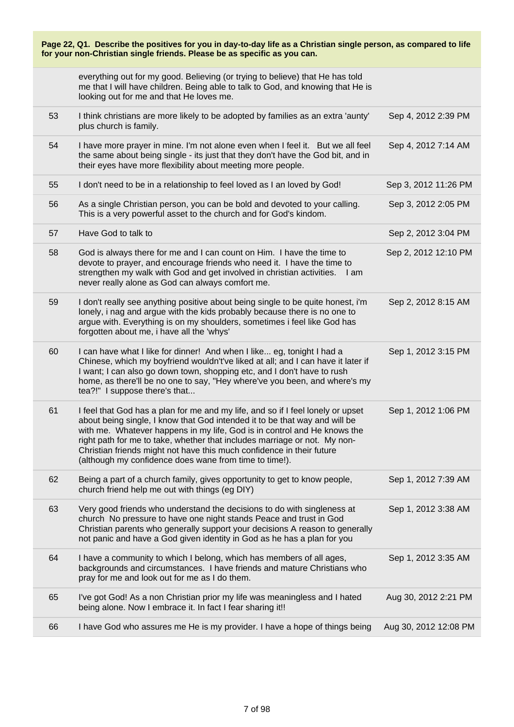| Page 22, Q1. Describe the positives for you in day-to-day life as a Christian single person, as compared to life<br>for your non-Christian single friends. Please be as specific as you can. |                                                                                                                                                                                                                                                                                                                                                                                                                                                           |                       |
|----------------------------------------------------------------------------------------------------------------------------------------------------------------------------------------------|-----------------------------------------------------------------------------------------------------------------------------------------------------------------------------------------------------------------------------------------------------------------------------------------------------------------------------------------------------------------------------------------------------------------------------------------------------------|-----------------------|
|                                                                                                                                                                                              | everything out for my good. Believing (or trying to believe) that He has told<br>me that I will have children. Being able to talk to God, and knowing that He is<br>looking out for me and that He loves me.                                                                                                                                                                                                                                              |                       |
| 53                                                                                                                                                                                           | I think christians are more likely to be adopted by families as an extra 'aunty'<br>plus church is family.                                                                                                                                                                                                                                                                                                                                                | Sep 4, 2012 2:39 PM   |
| 54                                                                                                                                                                                           | I have more prayer in mine. I'm not alone even when I feel it. But we all feel<br>the same about being single - its just that they don't have the God bit, and in<br>their eyes have more flexibility about meeting more people.                                                                                                                                                                                                                          | Sep 4, 2012 7:14 AM   |
| 55                                                                                                                                                                                           | I don't need to be in a relationship to feel loved as I an loved by God!                                                                                                                                                                                                                                                                                                                                                                                  | Sep 3, 2012 11:26 PM  |
| 56                                                                                                                                                                                           | As a single Christian person, you can be bold and devoted to your calling.<br>This is a very powerful asset to the church and for God's kindom.                                                                                                                                                                                                                                                                                                           | Sep 3, 2012 2:05 PM   |
| 57                                                                                                                                                                                           | Have God to talk to                                                                                                                                                                                                                                                                                                                                                                                                                                       | Sep 2, 2012 3:04 PM   |
| 58                                                                                                                                                                                           | God is always there for me and I can count on Him. I have the time to<br>devote to prayer, and encourage friends who need it. I have the time to<br>strengthen my walk with God and get involved in christian activities.<br>l am<br>never really alone as God can always comfort me.                                                                                                                                                                     | Sep 2, 2012 12:10 PM  |
| 59                                                                                                                                                                                           | I don't really see anything positive about being single to be quite honest, i'm<br>lonely, i nag and argue with the kids probably because there is no one to<br>argue with. Everything is on my shoulders, sometimes i feel like God has<br>forgotten about me, i have all the 'whys'                                                                                                                                                                     | Sep 2, 2012 8:15 AM   |
| 60                                                                                                                                                                                           | I can have what I like for dinner! And when I like eg, tonight I had a<br>Chinese, which my boyfriend wouldn't've liked at all; and I can have it later if<br>I want; I can also go down town, shopping etc, and I don't have to rush<br>home, as there'll be no one to say, "Hey where've you been, and where's my<br>tea?!" I suppose there's that                                                                                                      | Sep 1, 2012 3:15 PM   |
| 61                                                                                                                                                                                           | I feel that God has a plan for me and my life, and so if I feel lonely or upset<br>about being single, I know that God intended it to be that way and will be<br>with me. Whatever happens in my life, God is in control and He knows the<br>right path for me to take, whether that includes marriage or not. My non-<br>Christian friends might not have this much confidence in their future<br>(although my confidence does wane from time to time!). | Sep 1, 2012 1:06 PM   |
| 62                                                                                                                                                                                           | Being a part of a church family, gives opportunity to get to know people,<br>church friend help me out with things (eg DIY)                                                                                                                                                                                                                                                                                                                               | Sep 1, 2012 7:39 AM   |
| 63                                                                                                                                                                                           | Very good friends who understand the decisions to do with singleness at<br>church No pressure to have one night stands Peace and trust in God<br>Christian parents who generally support your decisions A reason to generally<br>not panic and have a God given identity in God as he has a plan for you                                                                                                                                                  | Sep 1, 2012 3:38 AM   |
| 64                                                                                                                                                                                           | I have a community to which I belong, which has members of all ages,<br>backgrounds and circumstances. I have friends and mature Christians who<br>pray for me and look out for me as I do them.                                                                                                                                                                                                                                                          | Sep 1, 2012 3:35 AM   |
| 65                                                                                                                                                                                           | I've got God! As a non Christian prior my life was meaningless and I hated<br>being alone. Now I embrace it. In fact I fear sharing it!!                                                                                                                                                                                                                                                                                                                  | Aug 30, 2012 2:21 PM  |
| 66                                                                                                                                                                                           | I have God who assures me He is my provider. I have a hope of things being                                                                                                                                                                                                                                                                                                                                                                                | Aug 30, 2012 12:08 PM |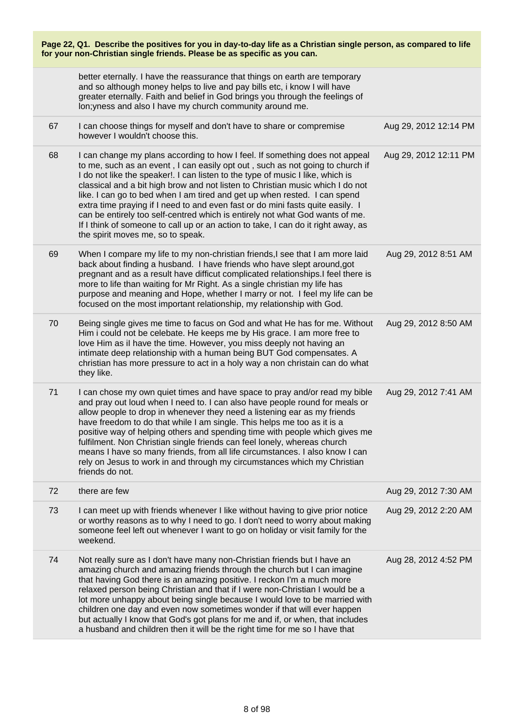| Page 22, Q1. Describe the positives for you in day-to-day life as a Christian single person, as compared to life<br>for your non-Christian single friends. Please be as specific as you can. |                                                                                                                                                                                                                                                                                                                                                                                                                                                                                                                                                                                                                                                                                                           |                       |
|----------------------------------------------------------------------------------------------------------------------------------------------------------------------------------------------|-----------------------------------------------------------------------------------------------------------------------------------------------------------------------------------------------------------------------------------------------------------------------------------------------------------------------------------------------------------------------------------------------------------------------------------------------------------------------------------------------------------------------------------------------------------------------------------------------------------------------------------------------------------------------------------------------------------|-----------------------|
|                                                                                                                                                                                              | better eternally. I have the reassurance that things on earth are temporary<br>and so although money helps to live and pay bills etc, i know I will have<br>greater eternally. Faith and belief in God brings you through the feelings of<br>lon; yness and also I have my church community around me.                                                                                                                                                                                                                                                                                                                                                                                                    |                       |
| 67                                                                                                                                                                                           | I can choose things for myself and don't have to share or compremise<br>however I wouldn't choose this.                                                                                                                                                                                                                                                                                                                                                                                                                                                                                                                                                                                                   | Aug 29, 2012 12:14 PM |
| 68                                                                                                                                                                                           | I can change my plans according to how I feel. If something does not appeal<br>to me, such as an event, I can easily opt out, such as not going to church if<br>I do not like the speaker!. I can listen to the type of music I like, which is<br>classical and a bit high brow and not listen to Christian music which I do not<br>like. I can go to bed when I am tired and get up when rested. I can spend<br>extra time praying if I need to and even fast or do mini fasts quite easily. I<br>can be entirely too self-centred which is entirely not what God wants of me.<br>If I think of someone to call up or an action to take, I can do it right away, as<br>the spirit moves me, so to speak. | Aug 29, 2012 12:11 PM |
| 69                                                                                                                                                                                           | When I compare my life to my non-christian friends, I see that I am more laid<br>back about finding a husband. I have friends who have slept around, got<br>pregnant and as a result have difficut complicated relationships.I feel there is<br>more to life than waiting for Mr Right. As a single christian my life has<br>purpose and meaning and Hope, whether I marry or not. I feel my life can be<br>focused on the most important relationship, my relationship with God.                                                                                                                                                                                                                         | Aug 29, 2012 8:51 AM  |
| 70                                                                                                                                                                                           | Being single gives me time to facus on God and what He has for me. Without<br>Him i could not be celebate. He keeps me by His grace. I am more free to<br>love Him as il have the time. However, you miss deeply not having an<br>intimate deep relationship with a human being BUT God compensates. A<br>christian has more pressure to act in a holy way a non christain can do what<br>they like.                                                                                                                                                                                                                                                                                                      | Aug 29, 2012 8:50 AM  |
| 71                                                                                                                                                                                           | I can chose my own quiet times and have space to pray and/or read my bible<br>and pray out loud when I need to. I can also have people round for meals or<br>allow people to drop in whenever they need a listening ear as my friends<br>have freedom to do that while I am single. This helps me too as it is a<br>positive way of helping others and spending time with people which gives me<br>fulfilment. Non Christian single friends can feel lonely, whereas church<br>means I have so many friends, from all life circumstances. I also know I can<br>rely on Jesus to work in and through my circumstances which my Christian<br>friends do not.                                                | Aug 29, 2012 7:41 AM  |
| 72                                                                                                                                                                                           | there are few                                                                                                                                                                                                                                                                                                                                                                                                                                                                                                                                                                                                                                                                                             | Aug 29, 2012 7:30 AM  |
| 73                                                                                                                                                                                           | I can meet up with friends whenever I like without having to give prior notice<br>or worthy reasons as to why I need to go. I don't need to worry about making<br>someone feel left out whenever I want to go on holiday or visit family for the<br>weekend.                                                                                                                                                                                                                                                                                                                                                                                                                                              | Aug 29, 2012 2:20 AM  |
| 74                                                                                                                                                                                           | Not really sure as I don't have many non-Christian friends but I have an<br>amazing church and amazing friends through the church but I can imagine<br>that having God there is an amazing positive. I reckon I'm a much more<br>relaxed person being Christian and that if I were non-Christian I would be a<br>lot more unhappy about being single because I would love to be married with<br>children one day and even now sometimes wonder if that will ever happen<br>but actually I know that God's got plans for me and if, or when, that includes<br>a husband and children then it will be the right time for me so I have that                                                                  | Aug 28, 2012 4:52 PM  |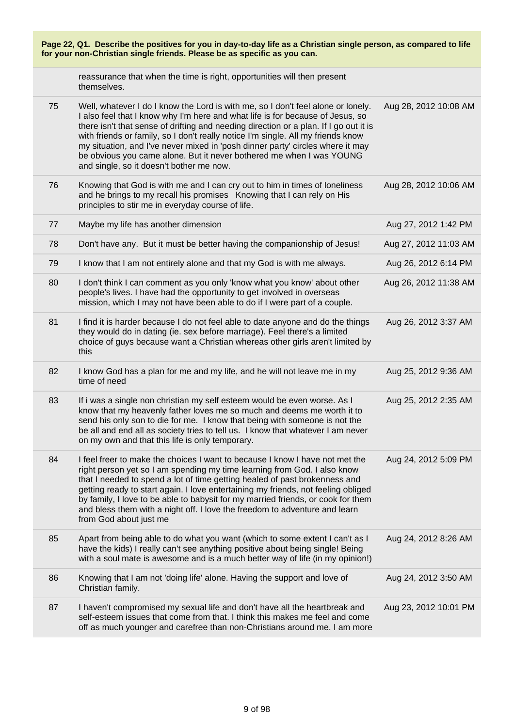| Page 22, Q1. Describe the positives for you in day-to-day life as a Christian single person, as compared to life<br>for your non-Christian single friends. Please be as specific as you can. |                                                                                                                                                                                                                                                                                                                                                                                                                                                                                                                                                       |                       |
|----------------------------------------------------------------------------------------------------------------------------------------------------------------------------------------------|-------------------------------------------------------------------------------------------------------------------------------------------------------------------------------------------------------------------------------------------------------------------------------------------------------------------------------------------------------------------------------------------------------------------------------------------------------------------------------------------------------------------------------------------------------|-----------------------|
|                                                                                                                                                                                              | reassurance that when the time is right, opportunities will then present<br>themselves.                                                                                                                                                                                                                                                                                                                                                                                                                                                               |                       |
| 75                                                                                                                                                                                           | Well, whatever I do I know the Lord is with me, so I don't feel alone or lonely.<br>I also feel that I know why I'm here and what life is for because of Jesus, so<br>there isn't that sense of drifting and needing direction or a plan. If I go out it is<br>with friends or family, so I don't really notice I'm single. All my friends know<br>my situation, and I've never mixed in 'posh dinner party' circles where it may<br>be obvious you came alone. But it never bothered me when I was YOUNG<br>and single, so it doesn't bother me now. | Aug 28, 2012 10:08 AM |
| 76                                                                                                                                                                                           | Knowing that God is with me and I can cry out to him in times of loneliness<br>and he brings to my recall his promises Knowing that I can rely on His<br>principles to stir me in everyday course of life.                                                                                                                                                                                                                                                                                                                                            | Aug 28, 2012 10:06 AM |
| 77                                                                                                                                                                                           | Maybe my life has another dimension                                                                                                                                                                                                                                                                                                                                                                                                                                                                                                                   | Aug 27, 2012 1:42 PM  |
| 78                                                                                                                                                                                           | Don't have any. But it must be better having the companionship of Jesus!                                                                                                                                                                                                                                                                                                                                                                                                                                                                              | Aug 27, 2012 11:03 AM |
| 79                                                                                                                                                                                           | I know that I am not entirely alone and that my God is with me always.                                                                                                                                                                                                                                                                                                                                                                                                                                                                                | Aug 26, 2012 6:14 PM  |
| 80                                                                                                                                                                                           | I don't think I can comment as you only 'know what you know' about other<br>people's lives. I have had the opportunity to get involved in overseas<br>mission, which I may not have been able to do if I were part of a couple.                                                                                                                                                                                                                                                                                                                       | Aug 26, 2012 11:38 AM |
| 81                                                                                                                                                                                           | I find it is harder because I do not feel able to date anyone and do the things<br>they would do in dating (ie. sex before marriage). Feel there's a limited<br>choice of guys because want a Christian whereas other girls aren't limited by<br>this                                                                                                                                                                                                                                                                                                 | Aug 26, 2012 3:37 AM  |
| 82                                                                                                                                                                                           | I know God has a plan for me and my life, and he will not leave me in my<br>time of need                                                                                                                                                                                                                                                                                                                                                                                                                                                              | Aug 25, 2012 9:36 AM  |
| 83                                                                                                                                                                                           | If i was a single non christian my self esteem would be even worse. As I<br>know that my heavenly father loves me so much and deems me worth it to<br>send his only son to die for me. I know that being with someone is not the<br>be all and end all as society tries to tell us. I know that whatever I am never<br>on my own and that this life is only temporary.                                                                                                                                                                                | Aug 25, 2012 2:35 AM  |
| 84                                                                                                                                                                                           | I feel freer to make the choices I want to because I know I have not met the<br>right person yet so I am spending my time learning from God. I also know<br>that I needed to spend a lot of time getting healed of past brokenness and<br>getting ready to start again. I love entertaining my friends, not feeling obliged<br>by family, I love to be able to babysit for my married friends, or cook for them<br>and bless them with a night off. I love the freedom to adventure and learn<br>from God about just me                               | Aug 24, 2012 5:09 PM  |
| 85                                                                                                                                                                                           | Apart from being able to do what you want (which to some extent I can't as I<br>have the kids) I really can't see anything positive about being single! Being<br>with a soul mate is awesome and is a much better way of life (in my opinion!)                                                                                                                                                                                                                                                                                                        | Aug 24, 2012 8:26 AM  |
| 86                                                                                                                                                                                           | Knowing that I am not 'doing life' alone. Having the support and love of<br>Christian family.                                                                                                                                                                                                                                                                                                                                                                                                                                                         | Aug 24, 2012 3:50 AM  |
| 87                                                                                                                                                                                           | I haven't compromised my sexual life and don't have all the heartbreak and<br>self-esteem issues that come from that. I think this makes me feel and come<br>off as much younger and carefree than non-Christians around me. I am more                                                                                                                                                                                                                                                                                                                | Aug 23, 2012 10:01 PM |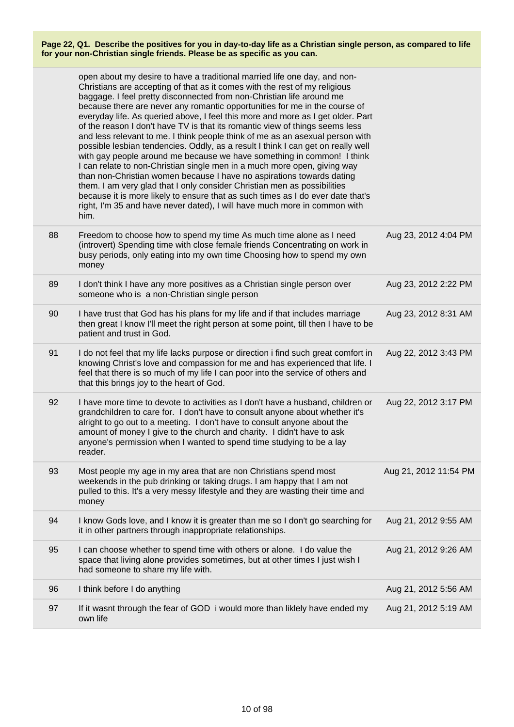|    | open about my desire to have a traditional married life one day, and non-<br>Christians are accepting of that as it comes with the rest of my religious<br>baggage. I feel pretty disconnected from non-Christian life around me<br>because there are never any romantic opportunities for me in the course of<br>everyday life. As queried above, I feel this more and more as I get older. Part<br>of the reason I don't have TV is that its romantic view of things seems less<br>and less relevant to me. I think people think of me as an asexual person with<br>possible lesbian tendencies. Oddly, as a result I think I can get on really well<br>with gay people around me because we have something in common! I think<br>I can relate to non-Christian single men in a much more open, giving way<br>than non-Christian women because I have no aspirations towards dating<br>them. I am very glad that I only consider Christian men as possibilities<br>because it is more likely to ensure that as such times as I do ever date that's<br>right, I'm 35 and have never dated), I will have much more in common with<br>him. |                       |
|----|-------------------------------------------------------------------------------------------------------------------------------------------------------------------------------------------------------------------------------------------------------------------------------------------------------------------------------------------------------------------------------------------------------------------------------------------------------------------------------------------------------------------------------------------------------------------------------------------------------------------------------------------------------------------------------------------------------------------------------------------------------------------------------------------------------------------------------------------------------------------------------------------------------------------------------------------------------------------------------------------------------------------------------------------------------------------------------------------------------------------------------------------|-----------------------|
| 88 | Freedom to choose how to spend my time As much time alone as I need<br>(introvert) Spending time with close female friends Concentrating on work in<br>busy periods, only eating into my own time Choosing how to spend my own<br>money                                                                                                                                                                                                                                                                                                                                                                                                                                                                                                                                                                                                                                                                                                                                                                                                                                                                                                   | Aug 23, 2012 4:04 PM  |
| 89 | I don't think I have any more positives as a Christian single person over<br>someone who is a non-Christian single person                                                                                                                                                                                                                                                                                                                                                                                                                                                                                                                                                                                                                                                                                                                                                                                                                                                                                                                                                                                                                 | Aug 23, 2012 2:22 PM  |
| 90 | I have trust that God has his plans for my life and if that includes marriage<br>then great I know I'll meet the right person at some point, till then I have to be<br>patient and trust in God.                                                                                                                                                                                                                                                                                                                                                                                                                                                                                                                                                                                                                                                                                                                                                                                                                                                                                                                                          | Aug 23, 2012 8:31 AM  |
| 91 | I do not feel that my life lacks purpose or direction i find such great comfort in<br>knowing Christ's love and compassion for me and has experienced that life. I<br>feel that there is so much of my life I can poor into the service of others and<br>that this brings joy to the heart of God.                                                                                                                                                                                                                                                                                                                                                                                                                                                                                                                                                                                                                                                                                                                                                                                                                                        | Aug 22, 2012 3:43 PM  |
| 92 | I have more time to devote to activities as I don't have a husband, children or<br>grandchildren to care for. I don't have to consult anyone about whether it's<br>alright to go out to a meeting. I don't have to consult anyone about the<br>amount of money I give to the church and charity. I didn't have to ask<br>anyone's permission when I wanted to spend time studying to be a lay<br>reader.                                                                                                                                                                                                                                                                                                                                                                                                                                                                                                                                                                                                                                                                                                                                  | Aug 22, 2012 3:17 PM  |
| 93 | Most people my age in my area that are non Christians spend most<br>weekends in the pub drinking or taking drugs. I am happy that I am not<br>pulled to this. It's a very messy lifestyle and they are wasting their time and<br>money                                                                                                                                                                                                                                                                                                                                                                                                                                                                                                                                                                                                                                                                                                                                                                                                                                                                                                    | Aug 21, 2012 11:54 PM |
| 94 | I know Gods love, and I know it is greater than me so I don't go searching for<br>it in other partners through inappropriate relationships.                                                                                                                                                                                                                                                                                                                                                                                                                                                                                                                                                                                                                                                                                                                                                                                                                                                                                                                                                                                               | Aug 21, 2012 9:55 AM  |
| 95 | I can choose whether to spend time with others or alone. I do value the<br>space that living alone provides sometimes, but at other times I just wish I<br>had someone to share my life with.                                                                                                                                                                                                                                                                                                                                                                                                                                                                                                                                                                                                                                                                                                                                                                                                                                                                                                                                             | Aug 21, 2012 9:26 AM  |
| 96 | I think before I do anything                                                                                                                                                                                                                                                                                                                                                                                                                                                                                                                                                                                                                                                                                                                                                                                                                                                                                                                                                                                                                                                                                                              | Aug 21, 2012 5:56 AM  |
| 97 | If it wasnt through the fear of GOD i would more than liklely have ended my<br>own life                                                                                                                                                                                                                                                                                                                                                                                                                                                                                                                                                                                                                                                                                                                                                                                                                                                                                                                                                                                                                                                   | Aug 21, 2012 5:19 AM  |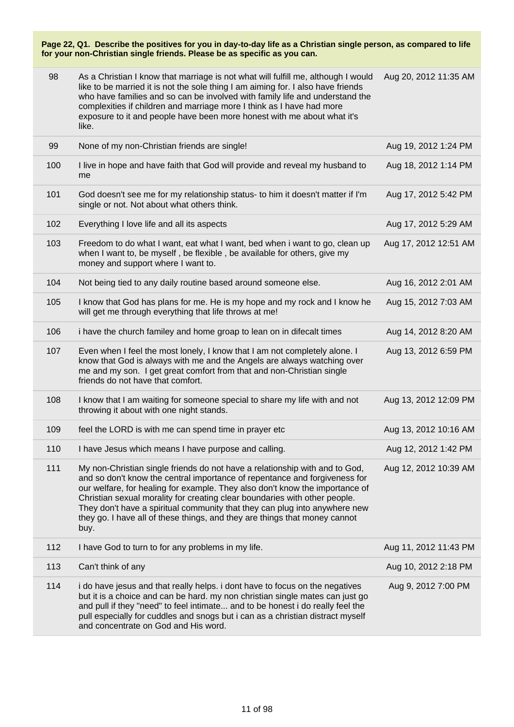| 98  | As a Christian I know that marriage is not what will fulfill me, although I would<br>like to be married it is not the sole thing I am aiming for. I also have friends<br>who have families and so can be involved with family life and understand the<br>complexities if children and marriage more I think as I have had more<br>exposure to it and people have been more honest with me about what it's<br>like.                                                                          | Aug 20, 2012 11:35 AM |
|-----|---------------------------------------------------------------------------------------------------------------------------------------------------------------------------------------------------------------------------------------------------------------------------------------------------------------------------------------------------------------------------------------------------------------------------------------------------------------------------------------------|-----------------------|
| 99  | None of my non-Christian friends are single!                                                                                                                                                                                                                                                                                                                                                                                                                                                | Aug 19, 2012 1:24 PM  |
| 100 | I live in hope and have faith that God will provide and reveal my husband to<br>me                                                                                                                                                                                                                                                                                                                                                                                                          | Aug 18, 2012 1:14 PM  |
| 101 | God doesn't see me for my relationship status- to him it doesn't matter if I'm<br>single or not. Not about what others think.                                                                                                                                                                                                                                                                                                                                                               | Aug 17, 2012 5:42 PM  |
| 102 | Everything I love life and all its aspects                                                                                                                                                                                                                                                                                                                                                                                                                                                  | Aug 17, 2012 5:29 AM  |
| 103 | Freedom to do what I want, eat what I want, bed when i want to go, clean up<br>when I want to, be myself, be flexible, be available for others, give my<br>money and support where I want to.                                                                                                                                                                                                                                                                                               | Aug 17, 2012 12:51 AM |
| 104 | Not being tied to any daily routine based around someone else.                                                                                                                                                                                                                                                                                                                                                                                                                              | Aug 16, 2012 2:01 AM  |
| 105 | I know that God has plans for me. He is my hope and my rock and I know he<br>will get me through everything that life throws at me!                                                                                                                                                                                                                                                                                                                                                         | Aug 15, 2012 7:03 AM  |
| 106 | i have the church familey and home groap to lean on in difecalt times                                                                                                                                                                                                                                                                                                                                                                                                                       | Aug 14, 2012 8:20 AM  |
| 107 | Even when I feel the most lonely, I know that I am not completely alone. I<br>know that God is always with me and the Angels are always watching over<br>me and my son. I get great comfort from that and non-Christian single<br>friends do not have that comfort.                                                                                                                                                                                                                         | Aug 13, 2012 6:59 PM  |
| 108 | I know that I am waiting for someone special to share my life with and not<br>throwing it about with one night stands.                                                                                                                                                                                                                                                                                                                                                                      | Aug 13, 2012 12:09 PM |
| 109 | feel the LORD is with me can spend time in prayer etc                                                                                                                                                                                                                                                                                                                                                                                                                                       | Aug 13, 2012 10:16 AM |
| 110 | I have Jesus which means I have purpose and calling.                                                                                                                                                                                                                                                                                                                                                                                                                                        | Aug 12, 2012 1:42 PM  |
| 111 | My non-Christian single friends do not have a relationship with and to God,<br>and so don't know the central importance of repentance and forgiveness for<br>our welfare, for healing for example. They also don't know the importance of<br>Christian sexual morality for creating clear boundaries with other people.<br>They don't have a spiritual community that they can plug into anywhere new<br>they go. I have all of these things, and they are things that money cannot<br>buy. | Aug 12, 2012 10:39 AM |
| 112 | I have God to turn to for any problems in my life.                                                                                                                                                                                                                                                                                                                                                                                                                                          | Aug 11, 2012 11:43 PM |
| 113 | Can't think of any                                                                                                                                                                                                                                                                                                                                                                                                                                                                          | Aug 10, 2012 2:18 PM  |
| 114 | i do have jesus and that really helps. i dont have to focus on the negatives<br>but it is a choice and can be hard. my non christian single mates can just go<br>and pull if they "need" to feel intimate and to be honest i do really feel the<br>pull especially for cuddles and snogs but i can as a christian distract myself<br>and concentrate on God and His word.                                                                                                                   | Aug 9, 2012 7:00 PM   |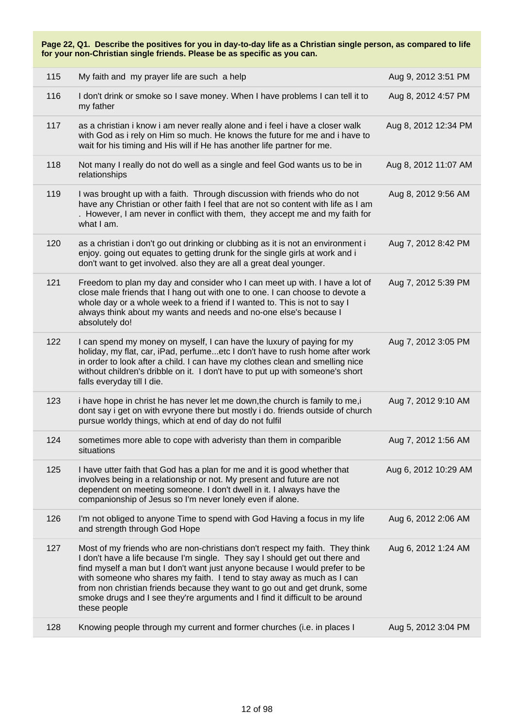| 115 | My faith and my prayer life are such a help                                                                                                                                                                                                                                                                                                                                                                                                                                                        | Aug 9, 2012 3:51 PM  |
|-----|----------------------------------------------------------------------------------------------------------------------------------------------------------------------------------------------------------------------------------------------------------------------------------------------------------------------------------------------------------------------------------------------------------------------------------------------------------------------------------------------------|----------------------|
| 116 | I don't drink or smoke so I save money. When I have problems I can tell it to<br>my father                                                                                                                                                                                                                                                                                                                                                                                                         | Aug 8, 2012 4:57 PM  |
| 117 | as a christian i know i am never really alone and i feel i have a closer walk<br>with God as i rely on Him so much. He knows the future for me and i have to<br>wait for his timing and His will if He has another life partner for me.                                                                                                                                                                                                                                                            | Aug 8, 2012 12:34 PM |
| 118 | Not many I really do not do well as a single and feel God wants us to be in<br>relationships                                                                                                                                                                                                                                                                                                                                                                                                       | Aug 8, 2012 11:07 AM |
| 119 | I was brought up with a faith. Through discussion with friends who do not<br>have any Christian or other faith I feel that are not so content with life as I am<br>. However, I am never in conflict with them, they accept me and my faith for<br>what I am.                                                                                                                                                                                                                                      | Aug 8, 2012 9:56 AM  |
| 120 | as a christian i don't go out drinking or clubbing as it is not an environment i<br>enjoy. going out equates to getting drunk for the single girls at work and i<br>don't want to get involved. also they are all a great deal younger.                                                                                                                                                                                                                                                            | Aug 7, 2012 8:42 PM  |
| 121 | Freedom to plan my day and consider who I can meet up with. I have a lot of<br>close male friends that I hang out with one to one. I can choose to devote a<br>whole day or a whole week to a friend if I wanted to. This is not to say I<br>always think about my wants and needs and no-one else's because I<br>absolutely do!                                                                                                                                                                   | Aug 7, 2012 5:39 PM  |
| 122 | I can spend my money on myself, I can have the luxury of paying for my<br>holiday, my flat, car, iPad, perfumeetc I don't have to rush home after work<br>in order to look after a child. I can have my clothes clean and smelling nice<br>without children's dribble on it. I don't have to put up with someone's short<br>falls everyday till I die.                                                                                                                                             | Aug 7, 2012 3:05 PM  |
| 123 | i have hope in christ he has never let me down, the church is family to me, i<br>dont say i get on with evryone there but mostly i do. friends outside of church<br>pursue worldy things, which at end of day do not fulfil                                                                                                                                                                                                                                                                        | Aug 7, 2012 9:10 AM  |
| 124 | sometimes more able to cope with adveristy than them in comparible<br>situations                                                                                                                                                                                                                                                                                                                                                                                                                   | Aug 7, 2012 1:56 AM  |
| 125 | I have utter faith that God has a plan for me and it is good whether that<br>involves being in a relationship or not. My present and future are not<br>dependent on meeting someone. I don't dwell in it. I always have the<br>companionship of Jesus so I'm never lonely even if alone.                                                                                                                                                                                                           | Aug 6, 2012 10:29 AM |
| 126 | I'm not obliged to anyone Time to spend with God Having a focus in my life<br>and strength through God Hope                                                                                                                                                                                                                                                                                                                                                                                        | Aug 6, 2012 2:06 AM  |
| 127 | Most of my friends who are non-christians don't respect my faith. They think<br>I don't have a life because I'm single. They say I should get out there and<br>find myself a man but I don't want just anyone because I would prefer to be<br>with someone who shares my faith. I tend to stay away as much as I can<br>from non christian friends because they want to go out and get drunk, some<br>smoke drugs and I see they're arguments and I find it difficult to be around<br>these people | Aug 6, 2012 1:24 AM  |
| 128 | Knowing people through my current and former churches (i.e. in places I                                                                                                                                                                                                                                                                                                                                                                                                                            | Aug 5, 2012 3:04 PM  |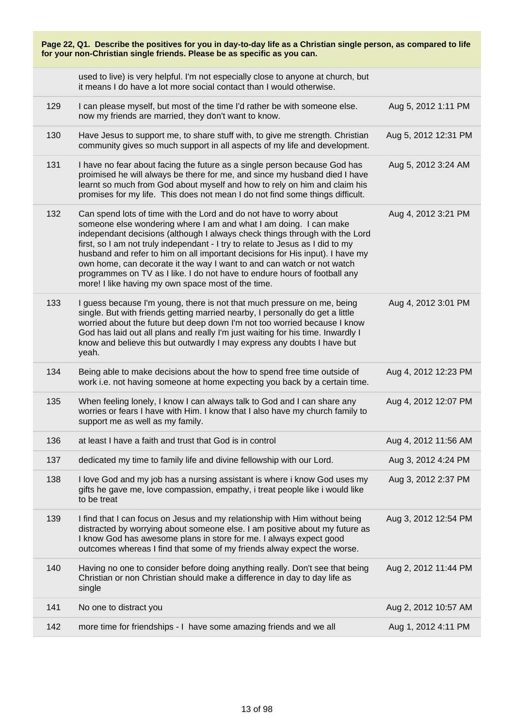| Page 22, Q1. Describe the positives for you in day-to-day life as a Christian single person, as compared to life<br>for your non-Christian single friends. Please be as specific as you can. |                                                                                                                                                                                                                                                                                                                                                                                                                                                                                                                                                                                                         |                      |
|----------------------------------------------------------------------------------------------------------------------------------------------------------------------------------------------|---------------------------------------------------------------------------------------------------------------------------------------------------------------------------------------------------------------------------------------------------------------------------------------------------------------------------------------------------------------------------------------------------------------------------------------------------------------------------------------------------------------------------------------------------------------------------------------------------------|----------------------|
|                                                                                                                                                                                              | used to live) is very helpful. I'm not especially close to anyone at church, but<br>it means I do have a lot more social contact than I would otherwise.                                                                                                                                                                                                                                                                                                                                                                                                                                                |                      |
| 129                                                                                                                                                                                          | I can please myself, but most of the time I'd rather be with someone else.<br>now my friends are married, they don't want to know.                                                                                                                                                                                                                                                                                                                                                                                                                                                                      | Aug 5, 2012 1:11 PM  |
| 130                                                                                                                                                                                          | Have Jesus to support me, to share stuff with, to give me strength. Christian<br>community gives so much support in all aspects of my life and development.                                                                                                                                                                                                                                                                                                                                                                                                                                             | Aug 5, 2012 12:31 PM |
| 131                                                                                                                                                                                          | I have no fear about facing the future as a single person because God has<br>proimised he will always be there for me, and since my husband died I have<br>learnt so much from God about myself and how to rely on him and claim his<br>promises for my life. This does not mean I do not find some things difficult.                                                                                                                                                                                                                                                                                   | Aug 5, 2012 3:24 AM  |
| 132                                                                                                                                                                                          | Can spend lots of time with the Lord and do not have to worry about<br>someone else wondering where I am and what I am doing. I can make<br>independant decisions (although I always check things through with the Lord<br>first, so I am not truly independant - I try to relate to Jesus as I did to my<br>husband and refer to him on all important decisions for His input). I have my<br>own home, can decorate it the way I want to and can watch or not watch<br>programmes on TV as I like. I do not have to endure hours of football any<br>more! I like having my own space most of the time. | Aug 4, 2012 3:21 PM  |
| 133                                                                                                                                                                                          | I guess because I'm young, there is not that much pressure on me, being<br>single. But with friends getting married nearby, I personally do get a little<br>worried about the future but deep down I'm not too worried because I know<br>God has laid out all plans and really I'm just waiting for his time. Inwardly I<br>know and believe this but outwardly I may express any doubts I have but<br>yeah.                                                                                                                                                                                            | Aug 4, 2012 3:01 PM  |
| 134                                                                                                                                                                                          | Being able to make decisions about the how to spend free time outside of<br>work i.e. not having someone at home expecting you back by a certain time.                                                                                                                                                                                                                                                                                                                                                                                                                                                  | Aug 4, 2012 12:23 PM |
| 135                                                                                                                                                                                          | When feeling lonely, I know I can always talk to God and I can share any<br>worries or fears I have with Him. I know that I also have my church family to<br>support me as well as my family.                                                                                                                                                                                                                                                                                                                                                                                                           | Aug 4, 2012 12:07 PM |
| 136                                                                                                                                                                                          | at least I have a faith and trust that God is in control                                                                                                                                                                                                                                                                                                                                                                                                                                                                                                                                                | Aug 4, 2012 11:56 AM |
| 137                                                                                                                                                                                          | dedicated my time to family life and divine fellowship with our Lord.                                                                                                                                                                                                                                                                                                                                                                                                                                                                                                                                   | Aug 3, 2012 4:24 PM  |
| 138                                                                                                                                                                                          | I love God and my job has a nursing assistant is where i know God uses my<br>gifts he gave me, love compassion, empathy, i treat people like i would like<br>to be treat                                                                                                                                                                                                                                                                                                                                                                                                                                | Aug 3, 2012 2:37 PM  |
| 139                                                                                                                                                                                          | I find that I can focus on Jesus and my relationship with Him without being<br>distracted by worrying about someone else. I am positive about my future as<br>I know God has awesome plans in store for me. I always expect good<br>outcomes whereas I find that some of my friends alway expect the worse.                                                                                                                                                                                                                                                                                             | Aug 3, 2012 12:54 PM |
| 140                                                                                                                                                                                          | Having no one to consider before doing anything really. Don't see that being<br>Christian or non Christian should make a difference in day to day life as<br>single                                                                                                                                                                                                                                                                                                                                                                                                                                     | Aug 2, 2012 11:44 PM |
| 141                                                                                                                                                                                          | No one to distract you                                                                                                                                                                                                                                                                                                                                                                                                                                                                                                                                                                                  | Aug 2, 2012 10:57 AM |
| 142                                                                                                                                                                                          | more time for friendships - I have some amazing friends and we all                                                                                                                                                                                                                                                                                                                                                                                                                                                                                                                                      | Aug 1, 2012 4:11 PM  |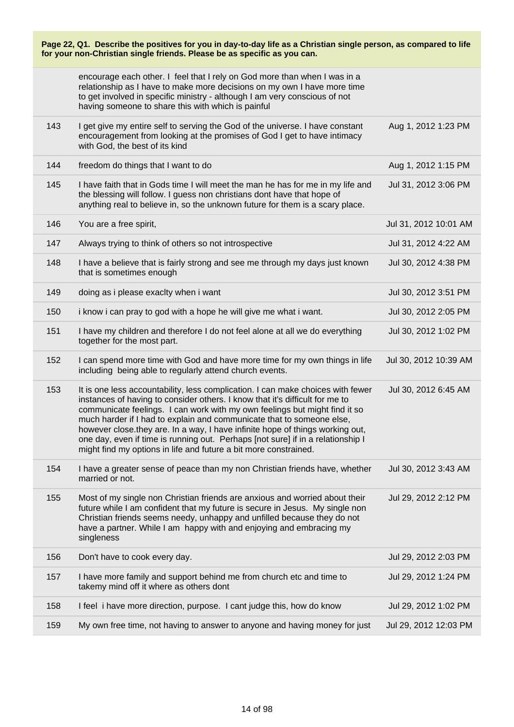| Page 22, Q1. Describe the positives for you in day-to-day life as a Christian single person, as compared to life<br>for your non-Christian single friends. Please be as specific as you can. |                                                                                                                                                                                                                                                                                                                                                                                                                                                                                                                                                                |                       |
|----------------------------------------------------------------------------------------------------------------------------------------------------------------------------------------------|----------------------------------------------------------------------------------------------------------------------------------------------------------------------------------------------------------------------------------------------------------------------------------------------------------------------------------------------------------------------------------------------------------------------------------------------------------------------------------------------------------------------------------------------------------------|-----------------------|
|                                                                                                                                                                                              | encourage each other. I feel that I rely on God more than when I was in a<br>relationship as I have to make more decisions on my own I have more time<br>to get involved in specific ministry - although I am very conscious of not<br>having someone to share this with which is painful                                                                                                                                                                                                                                                                      |                       |
| 143                                                                                                                                                                                          | I get give my entire self to serving the God of the universe. I have constant<br>encouragement from looking at the promises of God I get to have intimacy<br>with God, the best of its kind                                                                                                                                                                                                                                                                                                                                                                    | Aug 1, 2012 1:23 PM   |
| 144                                                                                                                                                                                          | freedom do things that I want to do                                                                                                                                                                                                                                                                                                                                                                                                                                                                                                                            | Aug 1, 2012 1:15 PM   |
| 145                                                                                                                                                                                          | I have faith that in Gods time I will meet the man he has for me in my life and<br>the blessing will follow. I guess non christians dont have that hope of<br>anything real to believe in, so the unknown future for them is a scary place.                                                                                                                                                                                                                                                                                                                    | Jul 31, 2012 3:06 PM  |
| 146                                                                                                                                                                                          | You are a free spirit,                                                                                                                                                                                                                                                                                                                                                                                                                                                                                                                                         | Jul 31, 2012 10:01 AM |
| 147                                                                                                                                                                                          | Always trying to think of others so not introspective                                                                                                                                                                                                                                                                                                                                                                                                                                                                                                          | Jul 31, 2012 4:22 AM  |
| 148                                                                                                                                                                                          | I have a believe that is fairly strong and see me through my days just known<br>that is sometimes enough                                                                                                                                                                                                                                                                                                                                                                                                                                                       | Jul 30, 2012 4:38 PM  |
| 149                                                                                                                                                                                          | doing as i please exaclty when i want                                                                                                                                                                                                                                                                                                                                                                                                                                                                                                                          | Jul 30, 2012 3:51 PM  |
| 150                                                                                                                                                                                          | i know i can pray to god with a hope he will give me what i want.                                                                                                                                                                                                                                                                                                                                                                                                                                                                                              | Jul 30, 2012 2:05 PM  |
| 151                                                                                                                                                                                          | I have my children and therefore I do not feel alone at all we do everything<br>together for the most part.                                                                                                                                                                                                                                                                                                                                                                                                                                                    | Jul 30, 2012 1:02 PM  |
| 152                                                                                                                                                                                          | I can spend more time with God and have more time for my own things in life<br>including being able to regularly attend church events.                                                                                                                                                                                                                                                                                                                                                                                                                         | Jul 30, 2012 10:39 AM |
| 153                                                                                                                                                                                          | It is one less accountability, less complication. I can make choices with fewer<br>instances of having to consider others. I know that it's difficult for me to<br>communicate feelings. I can work with my own feelings but might find it so<br>much harder if I had to explain and communicate that to someone else,<br>however close.they are. In a way, I have infinite hope of things working out,<br>one day, even if time is running out. Perhaps [not sure] if in a relationship I<br>might find my options in life and future a bit more constrained. | Jul 30, 2012 6:45 AM  |
| 154                                                                                                                                                                                          | I have a greater sense of peace than my non Christian friends have, whether<br>married or not.                                                                                                                                                                                                                                                                                                                                                                                                                                                                 | Jul 30, 2012 3:43 AM  |
| 155                                                                                                                                                                                          | Most of my single non Christian friends are anxious and worried about their<br>future while I am confident that my future is secure in Jesus. My single non<br>Christian friends seems needy, unhappy and unfilled because they do not<br>have a partner. While I am happy with and enjoying and embracing my<br>singleness                                                                                                                                                                                                                                    | Jul 29, 2012 2:12 PM  |
| 156                                                                                                                                                                                          | Don't have to cook every day.                                                                                                                                                                                                                                                                                                                                                                                                                                                                                                                                  | Jul 29, 2012 2:03 PM  |
| 157                                                                                                                                                                                          | I have more family and support behind me from church etc and time to<br>takemy mind off it where as others dont                                                                                                                                                                                                                                                                                                                                                                                                                                                | Jul 29, 2012 1:24 PM  |
| 158                                                                                                                                                                                          | I feel i have more direction, purpose. I cant judge this, how do know                                                                                                                                                                                                                                                                                                                                                                                                                                                                                          | Jul 29, 2012 1:02 PM  |
| 159                                                                                                                                                                                          | My own free time, not having to answer to anyone and having money for just                                                                                                                                                                                                                                                                                                                                                                                                                                                                                     | Jul 29, 2012 12:03 PM |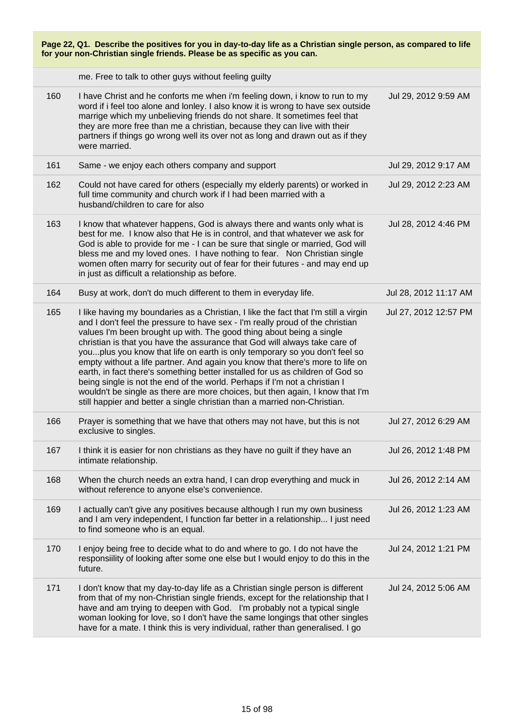| Page 22, Q1. Describe the positives for you in day-to-day life as a Christian single person, as compared to life<br>for your non-Christian single friends. Please be as specific as you can. |                                                                                                                                                                                                                                                                                                                                                                                                                                                                                                                                                                                                                                                                                                                                                                                                                         |                       |
|----------------------------------------------------------------------------------------------------------------------------------------------------------------------------------------------|-------------------------------------------------------------------------------------------------------------------------------------------------------------------------------------------------------------------------------------------------------------------------------------------------------------------------------------------------------------------------------------------------------------------------------------------------------------------------------------------------------------------------------------------------------------------------------------------------------------------------------------------------------------------------------------------------------------------------------------------------------------------------------------------------------------------------|-----------------------|
|                                                                                                                                                                                              | me. Free to talk to other guys without feeling guilty                                                                                                                                                                                                                                                                                                                                                                                                                                                                                                                                                                                                                                                                                                                                                                   |                       |
| 160                                                                                                                                                                                          | I have Christ and he conforts me when i'm feeling down, i know to run to my<br>word if i feel too alone and lonley. I also know it is wrong to have sex outside<br>marrige which my unbelieving friends do not share. It sometimes feel that<br>they are more free than me a christian, because they can live with their<br>partners if things go wrong well its over not as long and drawn out as if they<br>were married.                                                                                                                                                                                                                                                                                                                                                                                             | Jul 29, 2012 9:59 AM  |
| 161                                                                                                                                                                                          | Same - we enjoy each others company and support                                                                                                                                                                                                                                                                                                                                                                                                                                                                                                                                                                                                                                                                                                                                                                         | Jul 29, 2012 9:17 AM  |
| 162                                                                                                                                                                                          | Could not have cared for others (especially my elderly parents) or worked in<br>full time community and church work if I had been married with a<br>husband/children to care for also                                                                                                                                                                                                                                                                                                                                                                                                                                                                                                                                                                                                                                   | Jul 29, 2012 2:23 AM  |
| 163                                                                                                                                                                                          | I know that whatever happens, God is always there and wants only what is<br>best for me. I know also that He is in control, and that whatever we ask for<br>God is able to provide for me - I can be sure that single or married, God will<br>bless me and my loved ones. I have nothing to fear. Non Christian single<br>women often marry for security out of fear for their futures - and may end up<br>in just as difficult a relationship as before.                                                                                                                                                                                                                                                                                                                                                               | Jul 28, 2012 4:46 PM  |
| 164                                                                                                                                                                                          | Busy at work, don't do much different to them in everyday life.                                                                                                                                                                                                                                                                                                                                                                                                                                                                                                                                                                                                                                                                                                                                                         | Jul 28, 2012 11:17 AM |
| 165                                                                                                                                                                                          | I like having my boundaries as a Christian, I like the fact that I'm still a virgin<br>and I don't feel the pressure to have sex - I'm really proud of the christian<br>values I'm been brought up with. The good thing about being a single<br>christian is that you have the assurance that God will always take care of<br>youplus you know that life on earth is only temporary so you don't feel so<br>empty without a life partner. And again you know that there's more to life on<br>earth, in fact there's something better installed for us as children of God so<br>being single is not the end of the world. Perhaps if I'm not a christian I<br>wouldn't be single as there are more choices, but then again, I know that I'm<br>still happier and better a single christian than a married non-Christian. | Jul 27, 2012 12:57 PM |
| 166                                                                                                                                                                                          | Prayer is something that we have that others may not have, but this is not<br>exclusive to singles.                                                                                                                                                                                                                                                                                                                                                                                                                                                                                                                                                                                                                                                                                                                     | Jul 27, 2012 6:29 AM  |
| 167                                                                                                                                                                                          | I think it is easier for non christians as they have no guilt if they have an<br>intimate relationship.                                                                                                                                                                                                                                                                                                                                                                                                                                                                                                                                                                                                                                                                                                                 | Jul 26, 2012 1:48 PM  |
| 168                                                                                                                                                                                          | When the church needs an extra hand, I can drop everything and muck in<br>without reference to anyone else's convenience.                                                                                                                                                                                                                                                                                                                                                                                                                                                                                                                                                                                                                                                                                               | Jul 26, 2012 2:14 AM  |
| 169                                                                                                                                                                                          | I actually can't give any positives because although I run my own business<br>and I am very independent, I function far better in a relationship I just need<br>to find someone who is an equal.                                                                                                                                                                                                                                                                                                                                                                                                                                                                                                                                                                                                                        | Jul 26, 2012 1:23 AM  |
| 170                                                                                                                                                                                          | I enjoy being free to decide what to do and where to go. I do not have the<br>responsiility of looking after some one else but I would enjoy to do this in the<br>future.                                                                                                                                                                                                                                                                                                                                                                                                                                                                                                                                                                                                                                               | Jul 24, 2012 1:21 PM  |
| 171                                                                                                                                                                                          | I don't know that my day-to-day life as a Christian single person is different<br>from that of my non-Christian single friends, except for the relationship that I<br>have and am trying to deepen with God. I'm probably not a typical single<br>woman looking for love, so I don't have the same longings that other singles<br>have for a mate. I think this is very individual, rather than generalised. I go                                                                                                                                                                                                                                                                                                                                                                                                       | Jul 24, 2012 5:06 AM  |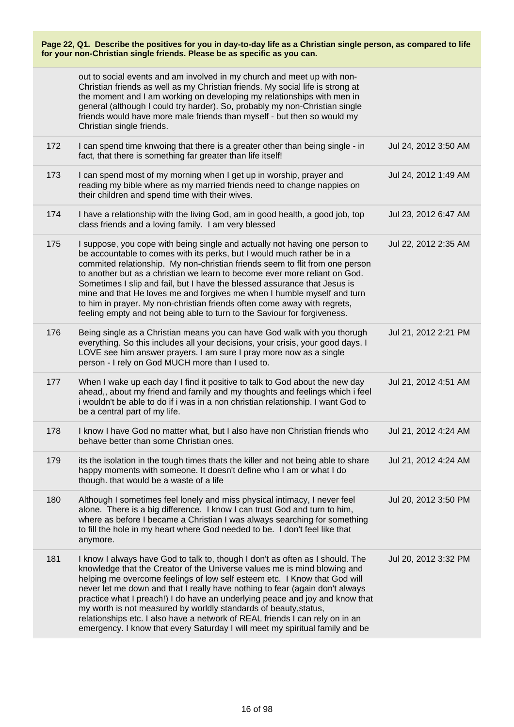|     | out to social events and am involved in my church and meet up with non-<br>Christian friends as well as my Christian friends. My social life is strong at<br>the moment and I am working on developing my relationships with men in<br>general (although I could try harder). So, probably my non-Christian single<br>friends would have more male friends than myself - but then so would my<br>Christian single friends.                                                                                                                                                                                                                 |                      |
|-----|--------------------------------------------------------------------------------------------------------------------------------------------------------------------------------------------------------------------------------------------------------------------------------------------------------------------------------------------------------------------------------------------------------------------------------------------------------------------------------------------------------------------------------------------------------------------------------------------------------------------------------------------|----------------------|
| 172 | I can spend time knwoing that there is a greater other than being single - in<br>fact, that there is something far greater than life itself!                                                                                                                                                                                                                                                                                                                                                                                                                                                                                               | Jul 24, 2012 3:50 AM |
| 173 | I can spend most of my morning when I get up in worship, prayer and<br>reading my bible where as my married friends need to change nappies on<br>their children and spend time with their wives.                                                                                                                                                                                                                                                                                                                                                                                                                                           | Jul 24, 2012 1:49 AM |
| 174 | I have a relationship with the living God, am in good health, a good job, top<br>class friends and a loving family. I am very blessed                                                                                                                                                                                                                                                                                                                                                                                                                                                                                                      | Jul 23, 2012 6:47 AM |
| 175 | I suppose, you cope with being single and actually not having one person to<br>be accountable to comes with its perks, but I would much rather be in a<br>commited relationship. My non-christian friends seem to flit from one person<br>to another but as a christian we learn to become ever more reliant on God.<br>Sometimes I slip and fail, but I have the blessed assurance that Jesus is<br>mine and that He loves me and forgives me when I humble myself and turn<br>to him in prayer. My non-christian friends often come away with regrets,<br>feeling empty and not being able to turn to the Saviour for forgiveness.       | Jul 22, 2012 2:35 AM |
| 176 | Being single as a Christian means you can have God walk with you thorugh<br>everything. So this includes all your decisions, your crisis, your good days. I<br>LOVE see him answer prayers. I am sure I pray more now as a single<br>person - I rely on God MUCH more than I used to.                                                                                                                                                                                                                                                                                                                                                      | Jul 21, 2012 2:21 PM |
| 177 | When I wake up each day I find it positive to talk to God about the new day<br>ahead,, about my friend and family and my thoughts and feelings which i feel<br>i wouldn't be able to do if i was in a non christian relationship. I want God to<br>be a central part of my life.                                                                                                                                                                                                                                                                                                                                                           | Jul 21, 2012 4:51 AM |
| 178 | I know I have God no matter what, but I also have non Christian friends who<br>behave better than some Christian ones.                                                                                                                                                                                                                                                                                                                                                                                                                                                                                                                     | Jul 21, 2012 4:24 AM |
| 179 | its the isolation in the tough times thats the killer and not being able to share<br>happy moments with someone. It doesn't define who I am or what I do<br>though. that would be a waste of a life                                                                                                                                                                                                                                                                                                                                                                                                                                        | Jul 21, 2012 4:24 AM |
| 180 | Although I sometimes feel lonely and miss physical intimacy, I never feel<br>alone. There is a big difference. I know I can trust God and turn to him,<br>where as before I became a Christian I was always searching for something<br>to fill the hole in my heart where God needed to be. I don't feel like that<br>anymore.                                                                                                                                                                                                                                                                                                             | Jul 20, 2012 3:50 PM |
| 181 | I know I always have God to talk to, though I don't as often as I should. The<br>knowledge that the Creator of the Universe values me is mind blowing and<br>helping me overcome feelings of low self esteem etc. I Know that God will<br>never let me down and that I really have nothing to fear (again don't always<br>practice what I preach!) I do have an underlying peace and joy and know that<br>my worth is not measured by worldly standards of beauty, status,<br>relationships etc. I also have a network of REAL friends I can rely on in an<br>emergency. I know that every Saturday I will meet my spiritual family and be | Jul 20, 2012 3:32 PM |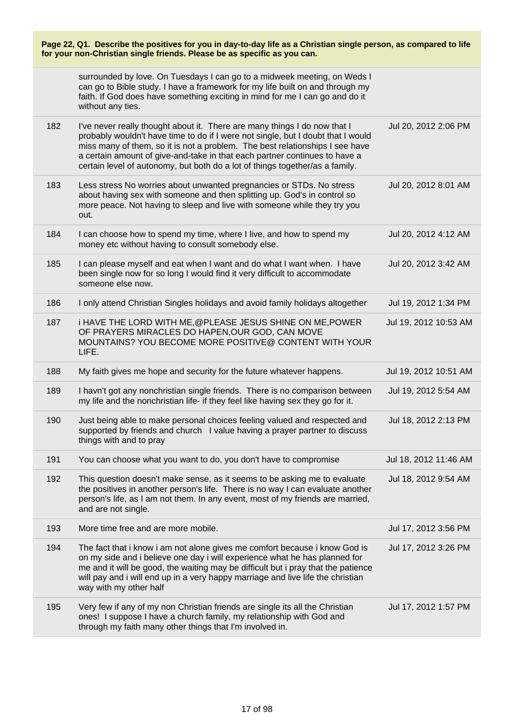| Page 22, Q1. Describe the positives for you in day-to-day life as a Christian single person, as compared to life<br>for your non-Christian single friends. Please be as specific as you can. |                                                                                                                                                                                                                                                                                                                                                                                                             |                       |
|----------------------------------------------------------------------------------------------------------------------------------------------------------------------------------------------|-------------------------------------------------------------------------------------------------------------------------------------------------------------------------------------------------------------------------------------------------------------------------------------------------------------------------------------------------------------------------------------------------------------|-----------------------|
|                                                                                                                                                                                              | surrounded by love. On Tuesdays I can go to a midweek meeting, on Weds I<br>can go to Bible study. I have a framework for my life built on and through my<br>faith. If God does have something exciting in mind for me I can go and do it<br>without any ties.                                                                                                                                              |                       |
| 182                                                                                                                                                                                          | I've never really thought about it. There are many things I do now that I<br>probably wouldn't have time to do if I were not single, but I doubt that I would<br>miss many of them, so it is not a problem. The best relationships I see have<br>a certain amount of give-and-take in that each partner continues to have a<br>certain level of autonomy, but both do a lot of things together/as a family. | Jul 20, 2012 2:06 PM  |
| 183                                                                                                                                                                                          | Less stress No worries about unwanted pregnancies or STDs. No stress<br>about having sex with someone and then splitting up. God's in control so<br>more peace. Not having to sleep and live with someone while they try you<br>out.                                                                                                                                                                        | Jul 20, 2012 8:01 AM  |
| 184                                                                                                                                                                                          | I can choose how to spend my time, where I live, and how to spend my<br>money etc without having to consult somebody else.                                                                                                                                                                                                                                                                                  | Jul 20, 2012 4:12 AM  |
| 185                                                                                                                                                                                          | I can please myself and eat when I want and do what I want when. I have<br>been single now for so long I would find it very difficult to accommodate<br>someone else now.                                                                                                                                                                                                                                   | Jul 20, 2012 3:42 AM  |
| 186                                                                                                                                                                                          | I only attend Christian Singles holidays and avoid family holidays altogether                                                                                                                                                                                                                                                                                                                               | Jul 19, 2012 1:34 PM  |
| 187                                                                                                                                                                                          | i HAVE THE LORD WITH ME, @PLEASE JESUS SHINE ON ME, POWER<br>OF PRAYERS MIRACLES DO HAPEN, OUR GOD, CAN MOVE<br>MOUNTAINS? YOU BECOME MORE POSITIVE@ CONTENT WITH YOUR<br>LIFE.                                                                                                                                                                                                                             | Jul 19, 2012 10:53 AM |
| 188                                                                                                                                                                                          | My faith gives me hope and security for the future whatever happens.                                                                                                                                                                                                                                                                                                                                        | Jul 19, 2012 10:51 AM |
| 189                                                                                                                                                                                          | I havn't got any nonchristian single friends. There is no comparison between<br>my life and the nonchristian life- if they feel like having sex they go for it.                                                                                                                                                                                                                                             | Jul 19, 2012 5:54 AM  |
| 190                                                                                                                                                                                          | Just being able to make personal choices feeling valued and respected and<br>supported by friends and church I value having a prayer partner to discuss<br>things with and to pray                                                                                                                                                                                                                          | Jul 18, 2012 2:13 PM  |
| 191                                                                                                                                                                                          | You can choose what you want to do, you don't have to compromise                                                                                                                                                                                                                                                                                                                                            | Jul 18, 2012 11:46 AM |
| 192                                                                                                                                                                                          | This question doesn't make sense, as it seems to be asking me to evaluate<br>the positives in another person's life. There is no way I can evaluate another<br>person's life, as I am not them. In any event, most of my friends are married,<br>and are not single.                                                                                                                                        | Jul 18, 2012 9:54 AM  |
| 193                                                                                                                                                                                          | More time free and are more mobile.                                                                                                                                                                                                                                                                                                                                                                         | Jul 17, 2012 3:56 PM  |
| 194                                                                                                                                                                                          | The fact that i know i am not alone gives me comfort because i know God is<br>on my side and i believe one day i will experience what he has planned for<br>me and it will be good, the waiting may be difficult but i pray that the patience<br>will pay and i will end up in a very happy marriage and live life the christian<br>way with my other half                                                  | Jul 17, 2012 3:26 PM  |
| 195                                                                                                                                                                                          | Very few if any of my non Christian friends are single its all the Christian<br>ones! I suppose I have a church family, my relationship with God and<br>through my faith many other things that I'm involved in.                                                                                                                                                                                            | Jul 17, 2012 1:57 PM  |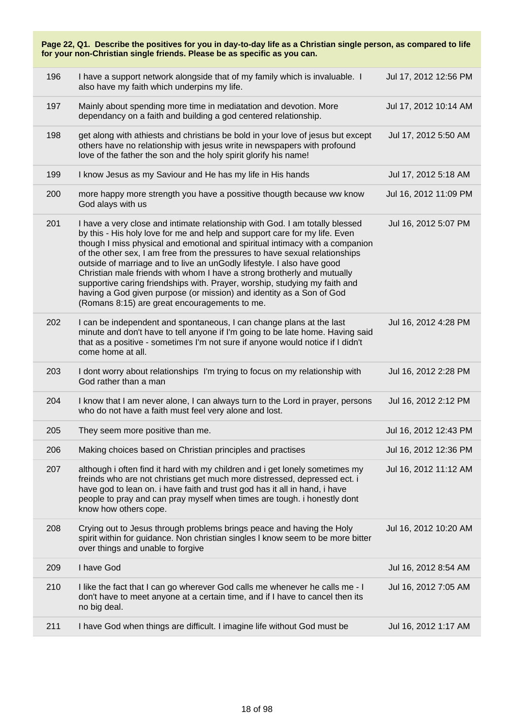| Page 22, Q1. Describe the positives for you in day-to-day life as a Christian single person, as compared to life<br>for your non-Christian single friends. Please be as specific as you can. |                                                                                                                                                                                                                                                                                                                                                                                                                                                                                                                                                                                                                                                                                       |                       |  |
|----------------------------------------------------------------------------------------------------------------------------------------------------------------------------------------------|---------------------------------------------------------------------------------------------------------------------------------------------------------------------------------------------------------------------------------------------------------------------------------------------------------------------------------------------------------------------------------------------------------------------------------------------------------------------------------------------------------------------------------------------------------------------------------------------------------------------------------------------------------------------------------------|-----------------------|--|
| 196                                                                                                                                                                                          | I have a support network alongside that of my family which is invaluable. I<br>also have my faith which underpins my life.                                                                                                                                                                                                                                                                                                                                                                                                                                                                                                                                                            | Jul 17, 2012 12:56 PM |  |
| 197                                                                                                                                                                                          | Mainly about spending more time in mediatation and devotion. More<br>dependancy on a faith and building a god centered relationship.                                                                                                                                                                                                                                                                                                                                                                                                                                                                                                                                                  | Jul 17, 2012 10:14 AM |  |
| 198                                                                                                                                                                                          | get along with athiests and christians be bold in your love of jesus but except<br>others have no relationship with jesus write in newspapers with profound<br>love of the father the son and the holy spirit glorify his name!                                                                                                                                                                                                                                                                                                                                                                                                                                                       | Jul 17, 2012 5:50 AM  |  |
| 199                                                                                                                                                                                          | I know Jesus as my Saviour and He has my life in His hands                                                                                                                                                                                                                                                                                                                                                                                                                                                                                                                                                                                                                            | Jul 17, 2012 5:18 AM  |  |
| 200                                                                                                                                                                                          | more happy more strength you have a possitive thougth because ww know<br>God alays with us                                                                                                                                                                                                                                                                                                                                                                                                                                                                                                                                                                                            | Jul 16, 2012 11:09 PM |  |
| 201                                                                                                                                                                                          | I have a very close and intimate relationship with God. I am totally blessed<br>by this - His holy love for me and help and support care for my life. Even<br>though I miss physical and emotional and spiritual intimacy with a companion<br>of the other sex, I am free from the pressures to have sexual relationships<br>outside of marriage and to live an unGodly lifestyle. I also have good<br>Christian male friends with whom I have a strong brotherly and mutually<br>supportive caring friendships with. Prayer, worship, studying my faith and<br>having a God given purpose (or mission) and identity as a Son of God<br>(Romans 8:15) are great encouragements to me. | Jul 16, 2012 5:07 PM  |  |
| 202                                                                                                                                                                                          | I can be independent and spontaneous, I can change plans at the last<br>minute and don't have to tell anyone if I'm going to be late home. Having said<br>that as a positive - sometimes I'm not sure if anyone would notice if I didn't<br>come home at all.                                                                                                                                                                                                                                                                                                                                                                                                                         | Jul 16, 2012 4:28 PM  |  |
| 203                                                                                                                                                                                          | I dont worry about relationships I'm trying to focus on my relationship with<br>God rather than a man                                                                                                                                                                                                                                                                                                                                                                                                                                                                                                                                                                                 | Jul 16, 2012 2:28 PM  |  |
| 204                                                                                                                                                                                          | I know that I am never alone, I can always turn to the Lord in prayer, persons<br>who do not have a faith must feel very alone and lost.                                                                                                                                                                                                                                                                                                                                                                                                                                                                                                                                              | Jul 16, 2012 2:12 PM  |  |
| 205                                                                                                                                                                                          | They seem more positive than me.                                                                                                                                                                                                                                                                                                                                                                                                                                                                                                                                                                                                                                                      | Jul 16, 2012 12:43 PM |  |
| 206                                                                                                                                                                                          | Making choices based on Christian principles and practises                                                                                                                                                                                                                                                                                                                                                                                                                                                                                                                                                                                                                            | Jul 16, 2012 12:36 PM |  |
| 207                                                                                                                                                                                          | although i often find it hard with my children and i get lonely sometimes my<br>freinds who are not christians get much more distressed, depressed ect. i<br>have god to lean on. i have faith and trust god has it all in hand, i have<br>people to pray and can pray myself when times are tough. i honestly dont<br>know how others cope.                                                                                                                                                                                                                                                                                                                                          | Jul 16, 2012 11:12 AM |  |
| 208                                                                                                                                                                                          | Crying out to Jesus through problems brings peace and having the Holy<br>spirit within for guidance. Non christian singles I know seem to be more bitter<br>over things and unable to forgive                                                                                                                                                                                                                                                                                                                                                                                                                                                                                         | Jul 16, 2012 10:20 AM |  |
| 209                                                                                                                                                                                          | I have God                                                                                                                                                                                                                                                                                                                                                                                                                                                                                                                                                                                                                                                                            | Jul 16, 2012 8:54 AM  |  |
| 210                                                                                                                                                                                          | I like the fact that I can go wherever God calls me whenever he calls me - I<br>don't have to meet anyone at a certain time, and if I have to cancel then its<br>no big deal.                                                                                                                                                                                                                                                                                                                                                                                                                                                                                                         | Jul 16, 2012 7:05 AM  |  |
| 211                                                                                                                                                                                          | I have God when things are difficult. I imagine life without God must be                                                                                                                                                                                                                                                                                                                                                                                                                                                                                                                                                                                                              | Jul 16, 2012 1:17 AM  |  |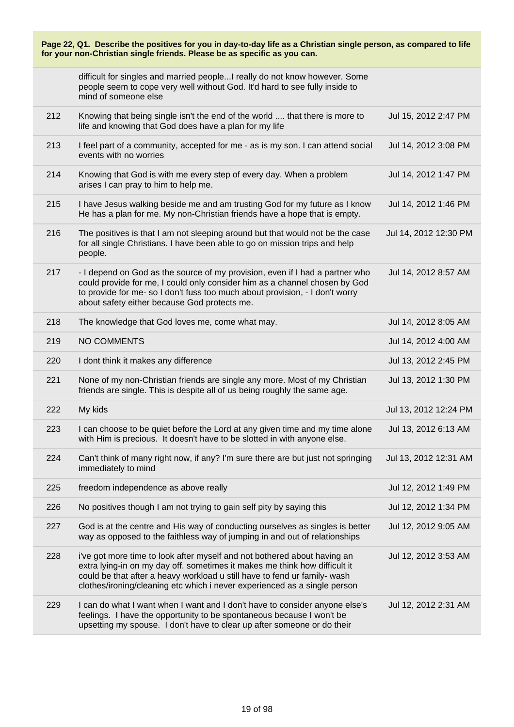| Page 22, Q1. Describe the positives for you in day-to-day life as a Christian single person, as compared to life<br>for your non-Christian single friends. Please be as specific as you can. |                                                                                                                                                                                                                                                                                                                  |                       |  |
|----------------------------------------------------------------------------------------------------------------------------------------------------------------------------------------------|------------------------------------------------------------------------------------------------------------------------------------------------------------------------------------------------------------------------------------------------------------------------------------------------------------------|-----------------------|--|
|                                                                                                                                                                                              | difficult for singles and married peopleI really do not know however. Some<br>people seem to cope very well without God. It'd hard to see fully inside to<br>mind of someone else                                                                                                                                |                       |  |
| 212                                                                                                                                                                                          | Knowing that being single isn't the end of the world  that there is more to<br>life and knowing that God does have a plan for my life                                                                                                                                                                            | Jul 15, 2012 2:47 PM  |  |
| 213                                                                                                                                                                                          | I feel part of a community, accepted for me - as is my son. I can attend social<br>events with no worries                                                                                                                                                                                                        | Jul 14, 2012 3:08 PM  |  |
| 214                                                                                                                                                                                          | Knowing that God is with me every step of every day. When a problem<br>arises I can pray to him to help me.                                                                                                                                                                                                      | Jul 14, 2012 1:47 PM  |  |
| 215                                                                                                                                                                                          | I have Jesus walking beside me and am trusting God for my future as I know<br>He has a plan for me. My non-Christian friends have a hope that is empty.                                                                                                                                                          | Jul 14, 2012 1:46 PM  |  |
| 216                                                                                                                                                                                          | The positives is that I am not sleeping around but that would not be the case<br>for all single Christians. I have been able to go on mission trips and help<br>people.                                                                                                                                          | Jul 14, 2012 12:30 PM |  |
| 217                                                                                                                                                                                          | - I depend on God as the source of my provision, even if I had a partner who<br>could provide for me, I could only consider him as a channel chosen by God<br>to provide for me-so I don't fuss too much about provision, - I don't worry<br>about safety either because God protects me.                        | Jul 14, 2012 8:57 AM  |  |
| 218                                                                                                                                                                                          | The knowledge that God loves me, come what may.                                                                                                                                                                                                                                                                  | Jul 14, 2012 8:05 AM  |  |
| 219                                                                                                                                                                                          | NO COMMENTS                                                                                                                                                                                                                                                                                                      | Jul 14, 2012 4:00 AM  |  |
| 220                                                                                                                                                                                          | I dont think it makes any difference                                                                                                                                                                                                                                                                             | Jul 13, 2012 2:45 PM  |  |
| 221                                                                                                                                                                                          | None of my non-Christian friends are single any more. Most of my Christian<br>friends are single. This is despite all of us being roughly the same age.                                                                                                                                                          | Jul 13, 2012 1:30 PM  |  |
| 222                                                                                                                                                                                          | My kids                                                                                                                                                                                                                                                                                                          | Jul 13, 2012 12:24 PM |  |
| 223                                                                                                                                                                                          | I can choose to be quiet before the Lord at any given time and my time alone<br>with Him is precious. It doesn't have to be slotted in with anyone else.                                                                                                                                                         | Jul 13, 2012 6:13 AM  |  |
| 224                                                                                                                                                                                          | Can't think of many right now, if any? I'm sure there are but just not springing<br>immediately to mind                                                                                                                                                                                                          | Jul 13, 2012 12:31 AM |  |
| 225                                                                                                                                                                                          | freedom independence as above really                                                                                                                                                                                                                                                                             | Jul 12, 2012 1:49 PM  |  |
| 226                                                                                                                                                                                          | No positives though I am not trying to gain self pity by saying this                                                                                                                                                                                                                                             | Jul 12, 2012 1:34 PM  |  |
| 227                                                                                                                                                                                          | God is at the centre and His way of conducting ourselves as singles is better<br>way as opposed to the faithless way of jumping in and out of relationships                                                                                                                                                      | Jul 12, 2012 9:05 AM  |  |
| 228                                                                                                                                                                                          | i've got more time to look after myself and not bothered about having an<br>extra lying-in on my day off. sometimes it makes me think how difficult it<br>could be that after a heavy workload u still have to fend ur family- wash<br>clothes/ironing/cleaning etc which i never experienced as a single person | Jul 12, 2012 3:53 AM  |  |
| 229                                                                                                                                                                                          | I can do what I want when I want and I don't have to consider anyone else's<br>feelings. I have the opportunity to be spontaneous because I won't be<br>upsetting my spouse. I don't have to clear up after someone or do their                                                                                  | Jul 12, 2012 2:31 AM  |  |

L.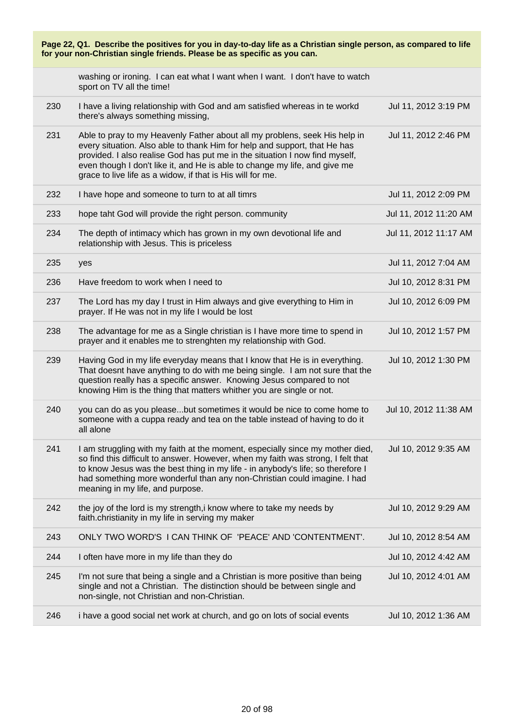| Page 22, Q1. Describe the positives for you in day-to-day life as a Christian single person, as compared to life<br>for your non-Christian single friends. Please be as specific as you can. |                                                                                                                                                                                                                                                                                                                                                                                    |                       |
|----------------------------------------------------------------------------------------------------------------------------------------------------------------------------------------------|------------------------------------------------------------------------------------------------------------------------------------------------------------------------------------------------------------------------------------------------------------------------------------------------------------------------------------------------------------------------------------|-----------------------|
|                                                                                                                                                                                              | washing or ironing. I can eat what I want when I want. I don't have to watch<br>sport on TV all the time!                                                                                                                                                                                                                                                                          |                       |
| 230                                                                                                                                                                                          | I have a living relationship with God and am satisfied whereas in te workd<br>there's always something missing,                                                                                                                                                                                                                                                                    | Jul 11, 2012 3:19 PM  |
| 231                                                                                                                                                                                          | Able to pray to my Heavenly Father about all my problens, seek His help in<br>every situation. Also able to thank Him for help and support, that He has<br>provided. I also realise God has put me in the situation I now find myself,<br>even though I don't like it, and He is able to change my life, and give me<br>grace to live life as a widow, if that is His will for me. | Jul 11, 2012 2:46 PM  |
| 232                                                                                                                                                                                          | I have hope and someone to turn to at all timrs                                                                                                                                                                                                                                                                                                                                    | Jul 11, 2012 2:09 PM  |
| 233                                                                                                                                                                                          | hope taht God will provide the right person. community                                                                                                                                                                                                                                                                                                                             | Jul 11, 2012 11:20 AM |
| 234                                                                                                                                                                                          | The depth of intimacy which has grown in my own devotional life and<br>relationship with Jesus. This is priceless                                                                                                                                                                                                                                                                  | Jul 11, 2012 11:17 AM |
| 235                                                                                                                                                                                          | yes                                                                                                                                                                                                                                                                                                                                                                                | Jul 11, 2012 7:04 AM  |
| 236                                                                                                                                                                                          | Have freedom to work when I need to                                                                                                                                                                                                                                                                                                                                                | Jul 10, 2012 8:31 PM  |
| 237                                                                                                                                                                                          | The Lord has my day I trust in Him always and give everything to Him in<br>prayer. If He was not in my life I would be lost                                                                                                                                                                                                                                                        | Jul 10, 2012 6:09 PM  |
| 238                                                                                                                                                                                          | The advantage for me as a Single christian is I have more time to spend in<br>prayer and it enables me to strenghten my relationship with God.                                                                                                                                                                                                                                     | Jul 10, 2012 1:57 PM  |
| 239                                                                                                                                                                                          | Having God in my life everyday means that I know that He is in everything.<br>That doesnt have anything to do with me being single. I am not sure that the<br>question really has a specific answer. Knowing Jesus compared to not<br>knowing Him is the thing that matters whither you are single or not.                                                                         | Jul 10, 2012 1:30 PM  |
| 240                                                                                                                                                                                          | you can do as you pleasebut sometimes it would be nice to come home to<br>someone with a cuppa ready and tea on the table instead of having to do it<br>all alone                                                                                                                                                                                                                  | Jul 10, 2012 11:38 AM |
| 241                                                                                                                                                                                          | I am struggling with my faith at the moment, especially since my mother died,<br>so find this difficult to answer. However, when my faith was strong, I felt that<br>to know Jesus was the best thing in my life - in anybody's life; so therefore I<br>had something more wonderful than any non-Christian could imagine. I had<br>meaning in my life, and purpose.               | Jul 10, 2012 9:35 AM  |
| 242                                                                                                                                                                                          | the joy of the lord is my strength, i know where to take my needs by<br>faith.christianity in my life in serving my maker                                                                                                                                                                                                                                                          | Jul 10, 2012 9:29 AM  |
| 243                                                                                                                                                                                          | ONLY TWO WORD'S I CAN THINK OF 'PEACE' AND 'CONTENTMENT'.                                                                                                                                                                                                                                                                                                                          | Jul 10, 2012 8:54 AM  |
| 244                                                                                                                                                                                          | I often have more in my life than they do                                                                                                                                                                                                                                                                                                                                          | Jul 10, 2012 4:42 AM  |
| 245                                                                                                                                                                                          | I'm not sure that being a single and a Christian is more positive than being<br>single and not a Christian. The distinction should be between single and<br>non-single, not Christian and non-Christian.                                                                                                                                                                           | Jul 10, 2012 4:01 AM  |
| 246                                                                                                                                                                                          | i have a good social net work at church, and go on lots of social events                                                                                                                                                                                                                                                                                                           | Jul 10, 2012 1:36 AM  |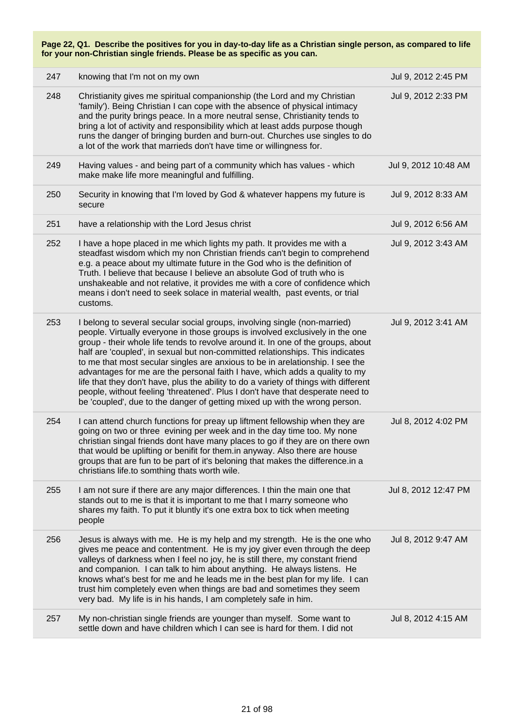| 247 | knowing that I'm not on my own                                                                                                                                                                                                                                                                                                                                                                                                                                                                                                                                                                                                                                                                                                                          | Jul 9, 2012 2:45 PM  |
|-----|---------------------------------------------------------------------------------------------------------------------------------------------------------------------------------------------------------------------------------------------------------------------------------------------------------------------------------------------------------------------------------------------------------------------------------------------------------------------------------------------------------------------------------------------------------------------------------------------------------------------------------------------------------------------------------------------------------------------------------------------------------|----------------------|
| 248 | Christianity gives me spiritual companionship (the Lord and my Christian<br>'family'). Being Christian I can cope with the absence of physical intimacy<br>and the purity brings peace. In a more neutral sense, Christianity tends to<br>bring a lot of activity and responsibility which at least adds purpose though<br>runs the danger of bringing burden and burn-out. Churches use singles to do<br>a lot of the work that marrieds don't have time or willingness for.                                                                                                                                                                                                                                                                           | Jul 9, 2012 2:33 PM  |
| 249 | Having values - and being part of a community which has values - which<br>make make life more meaningful and fulfilling.                                                                                                                                                                                                                                                                                                                                                                                                                                                                                                                                                                                                                                | Jul 9, 2012 10:48 AM |
| 250 | Security in knowing that I'm loved by God & whatever happens my future is<br>secure                                                                                                                                                                                                                                                                                                                                                                                                                                                                                                                                                                                                                                                                     | Jul 9, 2012 8:33 AM  |
| 251 | have a relationship with the Lord Jesus christ                                                                                                                                                                                                                                                                                                                                                                                                                                                                                                                                                                                                                                                                                                          | Jul 9, 2012 6:56 AM  |
| 252 | I have a hope placed in me which lights my path. It provides me with a<br>steadfast wisdom which my non Christian friends can't begin to comprehend<br>e.g. a peace about my ultimate future in the God who is the definition of<br>Truth. I believe that because I believe an absolute God of truth who is<br>unshakeable and not relative, it provides me with a core of confidence which<br>means i don't need to seek solace in material wealth, past events, or trial<br>customs.                                                                                                                                                                                                                                                                  | Jul 9, 2012 3:43 AM  |
| 253 | I belong to several secular social groups, involving single (non-married)<br>people. Virtually everyone in those groups is involved exclusively in the one<br>group - their whole life tends to revolve around it. In one of the groups, about<br>half are 'coupled', in sexual but non-committed relationships. This indicates<br>to me that most secular singles are anxious to be in arelationship. I see the<br>advantages for me are the personal faith I have, which adds a quality to my<br>life that they don't have, plus the ability to do a variety of things with different<br>people, without feeling 'threatened'. Plus I don't have that desperate need to<br>be 'coupled', due to the danger of getting mixed up with the wrong person. | Jul 9, 2012 3:41 AM  |
| 254 | I can attend church functions for preay up liftment fellowship when they are<br>going on two or three evining per week and in the day time too. My none<br>christian singal friends dont have many places to go if they are on there own<br>that would be uplifting or benifit for them. in anyway. Also there are house<br>groups that are fun to be part of it's beloning that makes the difference.in a<br>christians life.to somthing thats worth wile.                                                                                                                                                                                                                                                                                             | Jul 8, 2012 4:02 PM  |
| 255 | I am not sure if there are any major differences. I thin the main one that<br>stands out to me is that it is important to me that I marry someone who<br>shares my faith. To put it bluntly it's one extra box to tick when meeting<br>people                                                                                                                                                                                                                                                                                                                                                                                                                                                                                                           | Jul 8, 2012 12:47 PM |
| 256 | Jesus is always with me. He is my help and my strength. He is the one who<br>gives me peace and contentment. He is my joy giver even through the deep<br>valleys of darkness when I feel no joy, he is still there, my constant friend<br>and companion. I can talk to him about anything. He always listens. He<br>knows what's best for me and he leads me in the best plan for my life. I can<br>trust him completely even when things are bad and sometimes they seem<br>very bad. My life is in his hands, I am completely safe in him.                                                                                                                                                                                                            | Jul 8, 2012 9:47 AM  |
| 257 | My non-christian single friends are younger than myself. Some want to<br>settle down and have children which I can see is hard for them. I did not                                                                                                                                                                                                                                                                                                                                                                                                                                                                                                                                                                                                      | Jul 8, 2012 4:15 AM  |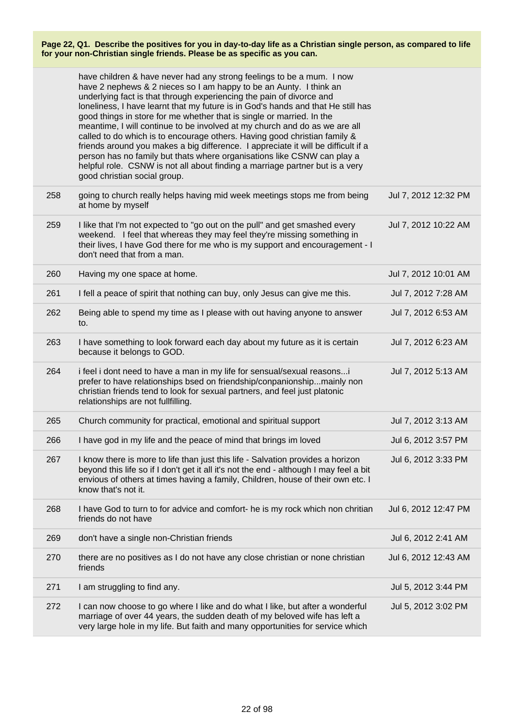|     | have children & have never had any strong feelings to be a mum. I now<br>have 2 nephews & 2 nieces so I am happy to be an Aunty. I think an<br>underlying fact is that through experiencing the pain of divorce and<br>loneliness, I have learnt that my future is in God's hands and that He still has<br>good things in store for me whether that is single or married. In the<br>meantime, I will continue to be involved at my church and do as we are all<br>called to do which is to encourage others. Having good christian family &<br>friends around you makes a big difference. I appreciate it will be difficult if a<br>person has no family but thats where organisations like CSNW can play a<br>helpful role. CSNW is not all about finding a marriage partner but is a very<br>good christian social group. |                      |
|-----|-----------------------------------------------------------------------------------------------------------------------------------------------------------------------------------------------------------------------------------------------------------------------------------------------------------------------------------------------------------------------------------------------------------------------------------------------------------------------------------------------------------------------------------------------------------------------------------------------------------------------------------------------------------------------------------------------------------------------------------------------------------------------------------------------------------------------------|----------------------|
| 258 | going to church really helps having mid week meetings stops me from being<br>at home by myself                                                                                                                                                                                                                                                                                                                                                                                                                                                                                                                                                                                                                                                                                                                              | Jul 7, 2012 12:32 PM |
| 259 | I like that I'm not expected to "go out on the pull" and get smashed every<br>weekend. I feel that whereas they may feel they're missing something in<br>their lives, I have God there for me who is my support and encouragement - I<br>don't need that from a man.                                                                                                                                                                                                                                                                                                                                                                                                                                                                                                                                                        | Jul 7, 2012 10:22 AM |
| 260 | Having my one space at home.                                                                                                                                                                                                                                                                                                                                                                                                                                                                                                                                                                                                                                                                                                                                                                                                | Jul 7, 2012 10:01 AM |
| 261 | I fell a peace of spirit that nothing can buy, only Jesus can give me this.                                                                                                                                                                                                                                                                                                                                                                                                                                                                                                                                                                                                                                                                                                                                                 | Jul 7, 2012 7:28 AM  |
| 262 | Being able to spend my time as I please with out having anyone to answer<br>to.                                                                                                                                                                                                                                                                                                                                                                                                                                                                                                                                                                                                                                                                                                                                             | Jul 7, 2012 6:53 AM  |
| 263 | I have something to look forward each day about my future as it is certain<br>because it belongs to GOD.                                                                                                                                                                                                                                                                                                                                                                                                                                                                                                                                                                                                                                                                                                                    | Jul 7, 2012 6:23 AM  |
| 264 | i feel i dont need to have a man in my life for sensual/sexual reasons<br>prefer to have relationships bsed on friendship/conpanionshipmainly non<br>christian friends tend to look for sexual partners, and feel just platonic<br>relationships are not fullfilling.                                                                                                                                                                                                                                                                                                                                                                                                                                                                                                                                                       | Jul 7, 2012 5:13 AM  |
| 265 | Church community for practical, emotional and spiritual support                                                                                                                                                                                                                                                                                                                                                                                                                                                                                                                                                                                                                                                                                                                                                             | Jul 7, 2012 3:13 AM  |
| 266 | I have god in my life and the peace of mind that brings im loved                                                                                                                                                                                                                                                                                                                                                                                                                                                                                                                                                                                                                                                                                                                                                            | Jul 6, 2012 3:57 PM  |
| 267 | I know there is more to life than just this life - Salvation provides a horizon<br>beyond this life so if I don't get it all it's not the end - although I may feel a bit<br>envious of others at times having a family, Children, house of their own etc. I<br>know that's not it.                                                                                                                                                                                                                                                                                                                                                                                                                                                                                                                                         | Jul 6, 2012 3:33 PM  |
| 268 | I have God to turn to for advice and comfort- he is my rock which non chritian<br>friends do not have                                                                                                                                                                                                                                                                                                                                                                                                                                                                                                                                                                                                                                                                                                                       | Jul 6, 2012 12:47 PM |
| 269 | don't have a single non-Christian friends                                                                                                                                                                                                                                                                                                                                                                                                                                                                                                                                                                                                                                                                                                                                                                                   | Jul 6, 2012 2:41 AM  |
| 270 | there are no positives as I do not have any close christian or none christian<br>friends                                                                                                                                                                                                                                                                                                                                                                                                                                                                                                                                                                                                                                                                                                                                    | Jul 6, 2012 12:43 AM |
| 271 | I am struggling to find any.                                                                                                                                                                                                                                                                                                                                                                                                                                                                                                                                                                                                                                                                                                                                                                                                | Jul 5, 2012 3:44 PM  |
| 272 | I can now choose to go where I like and do what I like, but after a wonderful<br>marriage of over 44 years, the sudden death of my beloved wife has left a<br>very large hole in my life. But faith and many opportunities for service which                                                                                                                                                                                                                                                                                                                                                                                                                                                                                                                                                                                | Jul 5, 2012 3:02 PM  |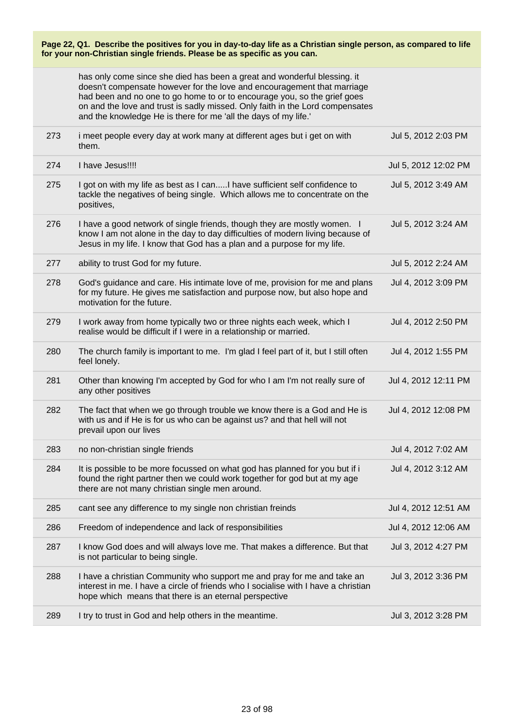|     | for your non-Christian single friends. Please be as specific as you can.                                                                                                                                                                                                                                                                                                            |                      |
|-----|-------------------------------------------------------------------------------------------------------------------------------------------------------------------------------------------------------------------------------------------------------------------------------------------------------------------------------------------------------------------------------------|----------------------|
|     | has only come since she died has been a great and wonderful blessing. it<br>doesn't compensate however for the love and encouragement that marriage<br>had been and no one to go home to or to encourage you, so the grief goes<br>on and the love and trust is sadly missed. Only faith in the Lord compensates<br>and the knowledge He is there for me 'all the days of my life.' |                      |
| 273 | i meet people every day at work many at different ages but i get on with<br>them.                                                                                                                                                                                                                                                                                                   | Jul 5, 2012 2:03 PM  |
| 274 | I have Jesus!!!!                                                                                                                                                                                                                                                                                                                                                                    | Jul 5, 2012 12:02 PM |
| 275 | I got on with my life as best as I canI have sufficient self confidence to<br>tackle the negatives of being single. Which allows me to concentrate on the<br>positives,                                                                                                                                                                                                             | Jul 5, 2012 3:49 AM  |
| 276 | I have a good network of single friends, though they are mostly women. I<br>know I am not alone in the day to day difficulties of modern living because of<br>Jesus in my life. I know that God has a plan and a purpose for my life.                                                                                                                                               | Jul 5, 2012 3:24 AM  |
| 277 | ability to trust God for my future.                                                                                                                                                                                                                                                                                                                                                 | Jul 5, 2012 2:24 AM  |
| 278 | God's guidance and care. His intimate love of me, provision for me and plans<br>for my future. He gives me satisfaction and purpose now, but also hope and<br>motivation for the future.                                                                                                                                                                                            | Jul 4, 2012 3:09 PM  |
| 279 | I work away from home typically two or three nights each week, which I<br>realise would be difficult if I were in a relationship or married.                                                                                                                                                                                                                                        | Jul 4, 2012 2:50 PM  |
| 280 | The church family is important to me. I'm glad I feel part of it, but I still often<br>feel lonely.                                                                                                                                                                                                                                                                                 | Jul 4, 2012 1:55 PM  |
| 281 | Other than knowing I'm accepted by God for who I am I'm not really sure of<br>any other positives                                                                                                                                                                                                                                                                                   | Jul 4, 2012 12:11 PM |
| 282 | The fact that when we go through trouble we know there is a God and He is<br>with us and if He is for us who can be against us? and that hell will not<br>prevail upon our lives                                                                                                                                                                                                    | Jul 4, 2012 12:08 PM |
| 283 | no non-christian single friends                                                                                                                                                                                                                                                                                                                                                     | Jul 4, 2012 7:02 AM  |
| 284 | It is possible to be more focussed on what god has planned for you but if i<br>found the right partner then we could work together for god but at my age<br>there are not many christian single men around.                                                                                                                                                                         | Jul 4, 2012 3:12 AM  |
| 285 | cant see any difference to my single non christian freinds                                                                                                                                                                                                                                                                                                                          | Jul 4, 2012 12:51 AM |
| 286 | Freedom of independence and lack of responsibilities                                                                                                                                                                                                                                                                                                                                | Jul 4, 2012 12:06 AM |
| 287 | I know God does and will always love me. That makes a difference. But that<br>is not particular to being single.                                                                                                                                                                                                                                                                    | Jul 3, 2012 4:27 PM  |
| 288 | I have a christian Community who support me and pray for me and take an<br>interest in me. I have a circle of friends who I socialise with I have a christian<br>hope which means that there is an eternal perspective                                                                                                                                                              | Jul 3, 2012 3:36 PM  |
|     |                                                                                                                                                                                                                                                                                                                                                                                     |                      |

**Page 22, Q1. Describe the positives for you in day-to-day life as a Christian single person, as compared to life**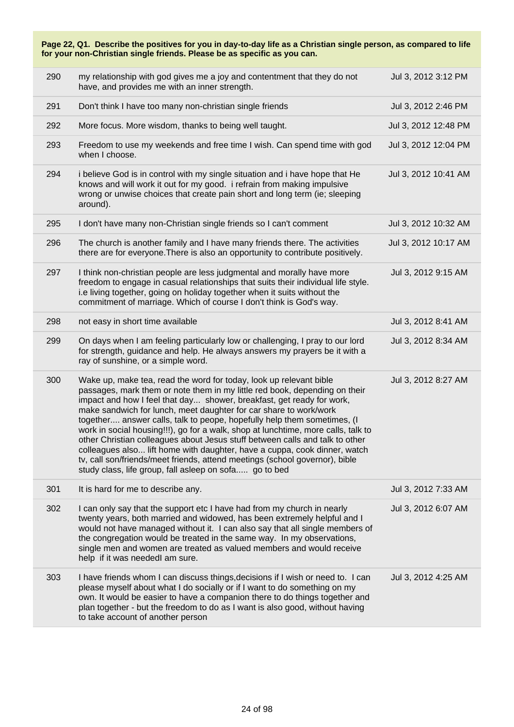| Page 22, Q1. Describe the positives for you in day-to-day life as a Christian single person, as compared to life<br>for your non-Christian single friends. Please be as specific as you can. |                                                                                                                                                                                                                                                                                                                                                                                                                                                                                                                                                                                                                                                                                                                                                                      |                      |
|----------------------------------------------------------------------------------------------------------------------------------------------------------------------------------------------|----------------------------------------------------------------------------------------------------------------------------------------------------------------------------------------------------------------------------------------------------------------------------------------------------------------------------------------------------------------------------------------------------------------------------------------------------------------------------------------------------------------------------------------------------------------------------------------------------------------------------------------------------------------------------------------------------------------------------------------------------------------------|----------------------|
| 290                                                                                                                                                                                          | my relationship with god gives me a joy and contentment that they do not<br>have, and provides me with an inner strength.                                                                                                                                                                                                                                                                                                                                                                                                                                                                                                                                                                                                                                            | Jul 3, 2012 3:12 PM  |
| 291                                                                                                                                                                                          | Don't think I have too many non-christian single friends                                                                                                                                                                                                                                                                                                                                                                                                                                                                                                                                                                                                                                                                                                             | Jul 3, 2012 2:46 PM  |
| 292                                                                                                                                                                                          | More focus. More wisdom, thanks to being well taught.                                                                                                                                                                                                                                                                                                                                                                                                                                                                                                                                                                                                                                                                                                                | Jul 3, 2012 12:48 PM |
| 293                                                                                                                                                                                          | Freedom to use my weekends and free time I wish. Can spend time with god<br>when I choose.                                                                                                                                                                                                                                                                                                                                                                                                                                                                                                                                                                                                                                                                           | Jul 3, 2012 12:04 PM |
| 294                                                                                                                                                                                          | i believe God is in control with my single situation and i have hope that He<br>knows and will work it out for my good. i refrain from making impulsive<br>wrong or unwise choices that create pain short and long term (ie; sleeping<br>around).                                                                                                                                                                                                                                                                                                                                                                                                                                                                                                                    | Jul 3, 2012 10:41 AM |
| 295                                                                                                                                                                                          | I don't have many non-Christian single friends so I can't comment                                                                                                                                                                                                                                                                                                                                                                                                                                                                                                                                                                                                                                                                                                    | Jul 3, 2012 10:32 AM |
| 296                                                                                                                                                                                          | The church is another family and I have many friends there. The activities<br>there are for everyone. There is also an opportunity to contribute positively.                                                                                                                                                                                                                                                                                                                                                                                                                                                                                                                                                                                                         | Jul 3, 2012 10:17 AM |
| 297                                                                                                                                                                                          | I think non-christian people are less judgmental and morally have more<br>freedom to engage in casual relationships that suits their individual life style.<br>i.e living together, going on holiday together when it suits without the<br>commitment of marriage. Which of course I don't think is God's way.                                                                                                                                                                                                                                                                                                                                                                                                                                                       | Jul 3, 2012 9:15 AM  |
| 298                                                                                                                                                                                          | not easy in short time available                                                                                                                                                                                                                                                                                                                                                                                                                                                                                                                                                                                                                                                                                                                                     | Jul 3, 2012 8:41 AM  |
| 299                                                                                                                                                                                          | On days when I am feeling particularly low or challenging, I pray to our lord<br>for strength, guidance and help. He always answers my prayers be it with a<br>ray of sunshine, or a simple word.                                                                                                                                                                                                                                                                                                                                                                                                                                                                                                                                                                    | Jul 3, 2012 8:34 AM  |
| 300                                                                                                                                                                                          | Wake up, make tea, read the word for today, look up relevant bible<br>passages, mark them or note them in my little red book, depending on their<br>impact and how I feel that day shower, breakfast, get ready for work,<br>make sandwich for lunch, meet daughter for car share to work/work<br>together answer calls, talk to peope, hopefully help them sometimes, (I<br>work in social housing!!!), go for a walk, shop at lunchtime, more calls, talk to<br>other Christian colleagues about Jesus stuff between calls and talk to other<br>colleagues also lift home with daughter, have a cuppa, cook dinner, watch<br>tv, call son/friends/meet friends, attend meetings (school governor), bible<br>study class, life group, fall asleep on sofa go to bed | Jul 3, 2012 8:27 AM  |
| 301                                                                                                                                                                                          | It is hard for me to describe any.                                                                                                                                                                                                                                                                                                                                                                                                                                                                                                                                                                                                                                                                                                                                   | Jul 3, 2012 7:33 AM  |
| 302                                                                                                                                                                                          | I can only say that the support etc I have had from my church in nearly<br>twenty years, both married and widowed, has been extremely helpful and I<br>would not have managed without it. I can also say that all single members of<br>the congregation would be treated in the same way. In my observations,<br>single men and women are treated as valued members and would receive<br>help if it was neededl am sure.                                                                                                                                                                                                                                                                                                                                             | Jul 3, 2012 6:07 AM  |
| 303                                                                                                                                                                                          | I have friends whom I can discuss things, decisions if I wish or need to. I can<br>please myself about what I do socially or if I want to do something on my<br>own. It would be easier to have a companion there to do things together and<br>plan together - but the freedom to do as I want is also good, without having<br>to take account of another person                                                                                                                                                                                                                                                                                                                                                                                                     | Jul 3, 2012 4:25 AM  |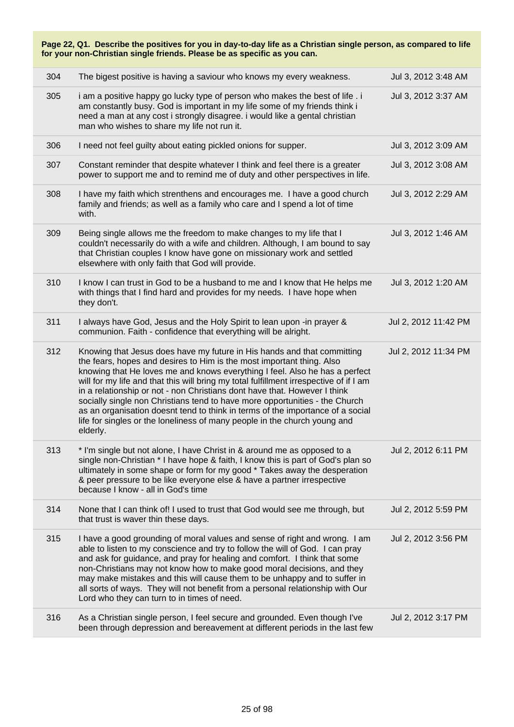| Page 22, Q1. Describe the positives for you in day-to-day life as a Christian single person, as compared to life<br>for your non-Christian single friends. Please be as specific as you can. |                                                                                                                                                                                                                                                                                                                                                                                                                                                                                                                                                                                                                                                                  |                      |  |
|----------------------------------------------------------------------------------------------------------------------------------------------------------------------------------------------|------------------------------------------------------------------------------------------------------------------------------------------------------------------------------------------------------------------------------------------------------------------------------------------------------------------------------------------------------------------------------------------------------------------------------------------------------------------------------------------------------------------------------------------------------------------------------------------------------------------------------------------------------------------|----------------------|--|
| 304                                                                                                                                                                                          | The bigest positive is having a saviour who knows my every weakness.                                                                                                                                                                                                                                                                                                                                                                                                                                                                                                                                                                                             | Jul 3, 2012 3:48 AM  |  |
| 305                                                                                                                                                                                          | i am a positive happy go lucky type of person who makes the best of life. i<br>am constantly busy. God is important in my life some of my friends think i<br>need a man at any cost i strongly disagree. i would like a gental christian<br>man who wishes to share my life not run it.                                                                                                                                                                                                                                                                                                                                                                          | Jul 3, 2012 3:37 AM  |  |
| 306                                                                                                                                                                                          | I need not feel guilty about eating pickled onions for supper.                                                                                                                                                                                                                                                                                                                                                                                                                                                                                                                                                                                                   | Jul 3, 2012 3:09 AM  |  |
| 307                                                                                                                                                                                          | Constant reminder that despite whatever I think and feel there is a greater<br>power to support me and to remind me of duty and other perspectives in life.                                                                                                                                                                                                                                                                                                                                                                                                                                                                                                      | Jul 3, 2012 3:08 AM  |  |
| 308                                                                                                                                                                                          | I have my faith which strenthens and encourages me. I have a good church<br>family and friends; as well as a family who care and I spend a lot of time<br>with.                                                                                                                                                                                                                                                                                                                                                                                                                                                                                                  | Jul 3, 2012 2:29 AM  |  |
| 309                                                                                                                                                                                          | Being single allows me the freedom to make changes to my life that I<br>couldn't necessarily do with a wife and children. Although, I am bound to say<br>that Christian couples I know have gone on missionary work and settled<br>elsewhere with only faith that God will provide.                                                                                                                                                                                                                                                                                                                                                                              | Jul 3, 2012 1:46 AM  |  |
| 310                                                                                                                                                                                          | I know I can trust in God to be a husband to me and I know that He helps me<br>with things that I find hard and provides for my needs. I have hope when<br>they don't.                                                                                                                                                                                                                                                                                                                                                                                                                                                                                           | Jul 3, 2012 1:20 AM  |  |
| 311                                                                                                                                                                                          | I always have God, Jesus and the Holy Spirit to lean upon -in prayer &<br>communion. Faith - confidence that everything will be alright.                                                                                                                                                                                                                                                                                                                                                                                                                                                                                                                         | Jul 2, 2012 11:42 PM |  |
| 312                                                                                                                                                                                          | Knowing that Jesus does have my future in His hands and that committing<br>the fears, hopes and desires to Him is the most important thing. Also<br>knowing that He loves me and knows everything I feel. Also he has a perfect<br>will for my life and that this will bring my total fulfillment irrespective of if I am<br>in a relationship or not - non Christians dont have that. However I think<br>socially single non Christians tend to have more opportunities - the Church<br>as an organisation doesnt tend to think in terms of the importance of a social<br>life for singles or the loneliness of many people in the church young and<br>elderly. | Jul 2, 2012 11:34 PM |  |
| 313                                                                                                                                                                                          | * I'm single but not alone, I have Christ in & around me as opposed to a<br>single non-Christian * I have hope & faith, I know this is part of God's plan so<br>ultimately in some shape or form for my good * Takes away the desperation<br>& peer pressure to be like everyone else & have a partner irrespective<br>because I know - all in God's time                                                                                                                                                                                                                                                                                                        | Jul 2, 2012 6:11 PM  |  |
| 314                                                                                                                                                                                          | None that I can think of! I used to trust that God would see me through, but<br>that trust is waver thin these days.                                                                                                                                                                                                                                                                                                                                                                                                                                                                                                                                             | Jul 2, 2012 5:59 PM  |  |
| 315                                                                                                                                                                                          | I have a good grounding of moral values and sense of right and wrong. I am<br>able to listen to my conscience and try to follow the will of God. I can pray<br>and ask for guidance, and pray for healing and comfort. I think that some<br>non-Christians may not know how to make good moral decisions, and they<br>may make mistakes and this will cause them to be unhappy and to suffer in<br>all sorts of ways. They will not benefit from a personal relationship with Our<br>Lord who they can turn to in times of need.                                                                                                                                 | Jul 2, 2012 3:56 PM  |  |
| 316                                                                                                                                                                                          | As a Christian single person, I feel secure and grounded. Even though I've<br>been through depression and bereavement at different periods in the last few                                                                                                                                                                                                                                                                                                                                                                                                                                                                                                       | Jul 2, 2012 3:17 PM  |  |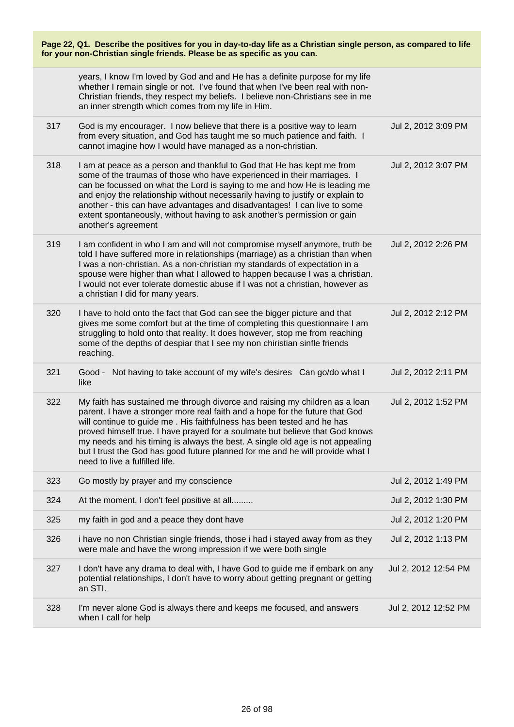| Page 22, Q1. Describe the positives for you in day-to-day life as a Christian single person, as compared to life<br>for your non-Christian single friends. Please be as specific as you can. |                                                                                                                                                                                                                                                                                                                                                                                                                                                                                                                           |                      |
|----------------------------------------------------------------------------------------------------------------------------------------------------------------------------------------------|---------------------------------------------------------------------------------------------------------------------------------------------------------------------------------------------------------------------------------------------------------------------------------------------------------------------------------------------------------------------------------------------------------------------------------------------------------------------------------------------------------------------------|----------------------|
|                                                                                                                                                                                              | years, I know I'm loved by God and and He has a definite purpose for my life<br>whether I remain single or not. I've found that when I've been real with non-<br>Christian friends, they respect my beliefs. I believe non-Christians see in me<br>an inner strength which comes from my life in Him.                                                                                                                                                                                                                     |                      |
| 317                                                                                                                                                                                          | God is my encourager. I now believe that there is a positive way to learn<br>from every situation, and God has taught me so much patience and faith. I<br>cannot imagine how I would have managed as a non-christian.                                                                                                                                                                                                                                                                                                     | Jul 2, 2012 3:09 PM  |
| 318                                                                                                                                                                                          | I am at peace as a person and thankful to God that He has kept me from<br>some of the traumas of those who have experienced in their marriages. I<br>can be focussed on what the Lord is saying to me and how He is leading me<br>and enjoy the relationship without necessarily having to justify or explain to<br>another - this can have advantages and disadvantages! I can live to some<br>extent spontaneously, without having to ask another's permission or gain<br>another's agreement                           | Jul 2, 2012 3:07 PM  |
| 319                                                                                                                                                                                          | I am confident in who I am and will not compromise myself anymore, truth be<br>told I have suffered more in relationships (marriage) as a christian than when<br>I was a non-christian. As a non-christian my standards of expectation in a<br>spouse were higher than what I allowed to happen because I was a christian.<br>I would not ever tolerate domestic abuse if I was not a christian, however as<br>a christian I did for many years.                                                                          | Jul 2, 2012 2:26 PM  |
| 320                                                                                                                                                                                          | I have to hold onto the fact that God can see the bigger picture and that<br>gives me some comfort but at the time of completing this questionnaire I am<br>struggling to hold onto that reality. It does however, stop me from reaching<br>some of the depths of despiar that I see my non chiristian sinfle friends<br>reaching.                                                                                                                                                                                        | Jul 2, 2012 2:12 PM  |
| 321                                                                                                                                                                                          | Good - Not having to take account of my wife's desires Can go/do what I<br>like                                                                                                                                                                                                                                                                                                                                                                                                                                           | Jul 2, 2012 2:11 PM  |
| 322                                                                                                                                                                                          | My faith has sustained me through divorce and raising my children as a loan<br>parent. I have a stronger more real faith and a hope for the future that God<br>will continue to guide me. His faithfulness has been tested and he has<br>proved himself true. I have prayed for a soulmate but believe that God knows<br>my needs and his timing is always the best. A single old age is not appealing<br>but I trust the God has good future planned for me and he will provide what I<br>need to live a fulfilled life. | Jul 2, 2012 1:52 PM  |
| 323                                                                                                                                                                                          | Go mostly by prayer and my conscience                                                                                                                                                                                                                                                                                                                                                                                                                                                                                     | Jul 2, 2012 1:49 PM  |
| 324                                                                                                                                                                                          | At the moment, I don't feel positive at all                                                                                                                                                                                                                                                                                                                                                                                                                                                                               | Jul 2, 2012 1:30 PM  |
| 325                                                                                                                                                                                          | my faith in god and a peace they dont have                                                                                                                                                                                                                                                                                                                                                                                                                                                                                | Jul 2, 2012 1:20 PM  |
| 326                                                                                                                                                                                          | i have no non Christian single friends, those i had i stayed away from as they<br>were male and have the wrong impression if we were both single                                                                                                                                                                                                                                                                                                                                                                          | Jul 2, 2012 1:13 PM  |
| 327                                                                                                                                                                                          | I don't have any drama to deal with, I have God to guide me if embark on any<br>potential relationships, I don't have to worry about getting pregnant or getting<br>an STI.                                                                                                                                                                                                                                                                                                                                               | Jul 2, 2012 12:54 PM |
| 328                                                                                                                                                                                          | I'm never alone God is always there and keeps me focused, and answers<br>when I call for help                                                                                                                                                                                                                                                                                                                                                                                                                             | Jul 2, 2012 12:52 PM |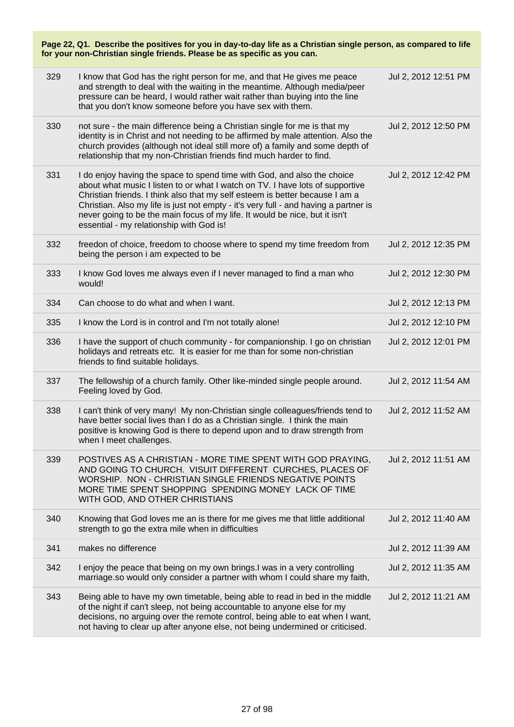| Page 22, Q1. Describe the positives for you in day-to-day life as a Christian single person, as compared to life<br>for your non-Christian single friends. Please be as specific as you can. |                                                                                                                                                                                                                                                                                                                                                                                                                                                             |                      |  |  |
|----------------------------------------------------------------------------------------------------------------------------------------------------------------------------------------------|-------------------------------------------------------------------------------------------------------------------------------------------------------------------------------------------------------------------------------------------------------------------------------------------------------------------------------------------------------------------------------------------------------------------------------------------------------------|----------------------|--|--|
| 329                                                                                                                                                                                          | I know that God has the right person for me, and that He gives me peace<br>and strength to deal with the waiting in the meantime. Although media/peer<br>pressure can be heard, I would rather wait rather than buying into the line<br>that you don't know someone before you have sex with them.                                                                                                                                                          | Jul 2, 2012 12:51 PM |  |  |
| 330                                                                                                                                                                                          | not sure - the main difference being a Christian single for me is that my<br>identity is in Christ and not needing to be affirmed by male attention. Also the<br>church provides (although not ideal still more of) a family and some depth of<br>relationship that my non-Christian friends find much harder to find.                                                                                                                                      | Jul 2, 2012 12:50 PM |  |  |
| 331                                                                                                                                                                                          | I do enjoy having the space to spend time with God, and also the choice<br>about what music I listen to or what I watch on TV. I have lots of supportive<br>Christian friends. I think also that my self esteem is better because I am a<br>Christian. Also my life is just not empty - it's very full - and having a partner is<br>never going to be the main focus of my life. It would be nice, but it isn't<br>essential - my relationship with God is! | Jul 2, 2012 12:42 PM |  |  |
| 332                                                                                                                                                                                          | freedon of choice, freedom to choose where to spend my time freedom from<br>being the person i am expected to be                                                                                                                                                                                                                                                                                                                                            | Jul 2, 2012 12:35 PM |  |  |
| 333                                                                                                                                                                                          | I know God loves me always even if I never managed to find a man who<br>would!                                                                                                                                                                                                                                                                                                                                                                              | Jul 2, 2012 12:30 PM |  |  |
| 334                                                                                                                                                                                          | Can choose to do what and when I want.                                                                                                                                                                                                                                                                                                                                                                                                                      | Jul 2, 2012 12:13 PM |  |  |
| 335                                                                                                                                                                                          | I know the Lord is in control and I'm not totally alone!                                                                                                                                                                                                                                                                                                                                                                                                    | Jul 2, 2012 12:10 PM |  |  |
| 336                                                                                                                                                                                          | I have the support of chuch community - for companionship. I go on christian<br>holidays and retreats etc. It is easier for me than for some non-christian<br>friends to find suitable holidays.                                                                                                                                                                                                                                                            | Jul 2, 2012 12:01 PM |  |  |
| 337                                                                                                                                                                                          | The fellowship of a church family. Other like-minded single people around.<br>Feeling loved by God.                                                                                                                                                                                                                                                                                                                                                         | Jul 2, 2012 11:54 AM |  |  |
| 338                                                                                                                                                                                          | I can't think of very many! My non-Christian single colleagues/friends tend to<br>have better social lives than I do as a Christian single. I think the main<br>positive is knowing God is there to depend upon and to draw strength from<br>when I meet challenges.                                                                                                                                                                                        | Jul 2, 2012 11:52 AM |  |  |
| 339                                                                                                                                                                                          | POSTIVES AS A CHRISTIAN - MORE TIME SPENT WITH GOD PRAYING,<br>AND GOING TO CHURCH. VISUIT DIFFERENT CURCHES, PLACES OF<br>WORSHIP. NON - CHRISTIAN SINGLE FRIENDS NEGATIVE POINTS<br>MORE TIME SPENT SHOPPING SPENDING MONEY LACK OF TIME<br>WITH GOD, AND OTHER CHRISTIANS                                                                                                                                                                                | Jul 2, 2012 11:51 AM |  |  |
| 340                                                                                                                                                                                          | Knowing that God loves me an is there for me gives me that little additional<br>strength to go the extra mile when in difficulties                                                                                                                                                                                                                                                                                                                          | Jul 2, 2012 11:40 AM |  |  |
| 341                                                                                                                                                                                          | makes no difference                                                                                                                                                                                                                                                                                                                                                                                                                                         | Jul 2, 2012 11:39 AM |  |  |
| 342                                                                                                                                                                                          | I enjoy the peace that being on my own brings. I was in a very controlling<br>marriage.so would only consider a partner with whom I could share my faith,                                                                                                                                                                                                                                                                                                   | Jul 2, 2012 11:35 AM |  |  |
| 343                                                                                                                                                                                          | Being able to have my own timetable, being able to read in bed in the middle<br>of the night if can't sleep, not being accountable to anyone else for my<br>decisions, no arguing over the remote control, being able to eat when I want,<br>not having to clear up after anyone else, not being undermined or criticised.                                                                                                                                  | Jul 2, 2012 11:21 AM |  |  |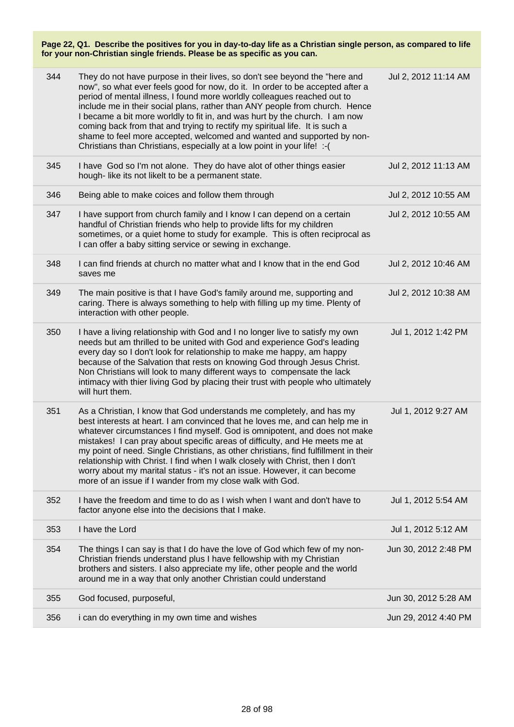| 344 | They do not have purpose in their lives, so don't see beyond the "here and<br>now", so what ever feels good for now, do it. In order to be accepted after a<br>period of mental illness, I found more worldly colleagues reached out to<br>include me in their social plans, rather than ANY people from church. Hence<br>I became a bit more worldly to fit in, and was hurt by the church. I am now<br>coming back from that and trying to rectify my spiritual life. It is such a<br>shame to feel more accepted, welcomed and wanted and supported by non-<br>Christians than Christians, especially at a low point in your life! :- ( | Jul 2, 2012 11:14 AM |
|-----|--------------------------------------------------------------------------------------------------------------------------------------------------------------------------------------------------------------------------------------------------------------------------------------------------------------------------------------------------------------------------------------------------------------------------------------------------------------------------------------------------------------------------------------------------------------------------------------------------------------------------------------------|----------------------|
| 345 | I have God so I'm not alone. They do have alot of other things easier<br>hough- like its not likelt to be a permanent state.                                                                                                                                                                                                                                                                                                                                                                                                                                                                                                               | Jul 2, 2012 11:13 AM |
| 346 | Being able to make coices and follow them through                                                                                                                                                                                                                                                                                                                                                                                                                                                                                                                                                                                          | Jul 2, 2012 10:55 AM |
| 347 | I have support from church family and I know I can depend on a certain<br>handful of Christian friends who help to provide lifts for my children<br>sometimes, or a quiet home to study for example. This is often reciprocal as<br>I can offer a baby sitting service or sewing in exchange.                                                                                                                                                                                                                                                                                                                                              | Jul 2, 2012 10:55 AM |
| 348 | I can find friends at church no matter what and I know that in the end God<br>saves me                                                                                                                                                                                                                                                                                                                                                                                                                                                                                                                                                     | Jul 2, 2012 10:46 AM |
| 349 | The main positive is that I have God's family around me, supporting and<br>caring. There is always something to help with filling up my time. Plenty of<br>interaction with other people.                                                                                                                                                                                                                                                                                                                                                                                                                                                  | Jul 2, 2012 10:38 AM |
| 350 | I have a living relationship with God and I no longer live to satisfy my own<br>needs but am thrilled to be united with God and experience God's leading<br>every day so I don't look for relationship to make me happy, am happy<br>because of the Salvation that rests on knowing God through Jesus Christ.<br>Non Christians will look to many different ways to compensate the lack<br>intimacy with thier living God by placing their trust with people who ultimately<br>will hurt them.                                                                                                                                             | Jul 1, 2012 1:42 PM  |
| 351 | As a Christian, I know that God understands me completely, and has my<br>best interests at heart. I am convinced that he loves me, and can help me in<br>whatever circumstances I find myself. God is omnipotent, and does not make<br>mistakes! I can pray about specific areas of difficulty, and He meets me at<br>my point of need. Single Christians, as other christians, find fulfillment in their<br>relationship with Christ. I find when I walk closely with Christ, then I don't<br>worry about my marital status - it's not an issue. However, it can become<br>more of an issue if I wander from my close walk with God.      | Jul 1, 2012 9:27 AM  |
| 352 | I have the freedom and time to do as I wish when I want and don't have to<br>factor anyone else into the decisions that I make.                                                                                                                                                                                                                                                                                                                                                                                                                                                                                                            | Jul 1, 2012 5:54 AM  |
| 353 | I have the Lord                                                                                                                                                                                                                                                                                                                                                                                                                                                                                                                                                                                                                            | Jul 1, 2012 5:12 AM  |
| 354 | The things I can say is that I do have the love of God which few of my non-<br>Christian friends understand plus I have fellowship with my Christian<br>brothers and sisters. I also appreciate my life, other people and the world<br>around me in a way that only another Christian could understand                                                                                                                                                                                                                                                                                                                                     | Jun 30, 2012 2:48 PM |
| 355 | God focused, purposeful,                                                                                                                                                                                                                                                                                                                                                                                                                                                                                                                                                                                                                   | Jun 30, 2012 5:28 AM |
| 356 | i can do everything in my own time and wishes                                                                                                                                                                                                                                                                                                                                                                                                                                                                                                                                                                                              | Jun 29, 2012 4:40 PM |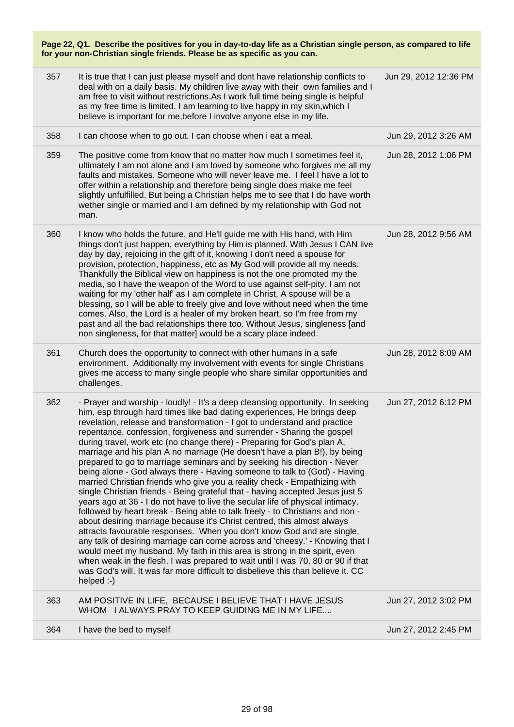| Page 22, Q1. Describe the positives for you in day-to-day life as a Christian single person, as compared to life<br>for your non-Christian single friends. Please be as specific as you can. |                                                                                                                                                                                                                                                                                                                                                                                                                                                                                             |                       |
|----------------------------------------------------------------------------------------------------------------------------------------------------------------------------------------------|---------------------------------------------------------------------------------------------------------------------------------------------------------------------------------------------------------------------------------------------------------------------------------------------------------------------------------------------------------------------------------------------------------------------------------------------------------------------------------------------|-----------------------|
| 357                                                                                                                                                                                          | It is true that I can just please myself and dont have relationship conflicts to<br>deal with on a daily basis. My children live away with their own families and I<br>am free to visit without restrictions. As I work full time being single is helpful<br>as my free time is limited. I am learning to live happy in my skin, which I<br>believe is important for me, before I involve anyone else in my life.                                                                           | Jun 29, 2012 12:36 PM |
| 358                                                                                                                                                                                          | I can choose when to go out. I can choose when i eat a meal.                                                                                                                                                                                                                                                                                                                                                                                                                                | Jun 29, 2012 3:26 AM  |
| 359                                                                                                                                                                                          | The positive come from know that no matter how much I sometimes feel it,<br>ultimately I am not alone and I am loved by someone who forgives me all my<br>faults and mistakes. Someone who will never leave me. I feel I have a lot to<br>offer within a relationship and therefore being single does make me feel<br>slightly unfulfilled. But being a Christian helps me to see that I do have worth<br>wether single or married and I am defined by my relationship with God not<br>man. | Jun 28, 2012 1:06 PM  |
| 360                                                                                                                                                                                          | I know who holds the future, and He'll guide me with His hand, with Him<br>things don't just happen, everything by Him is planned. With Jesus I CAN live<br>day by day, rejoicing in the gift of it, knowing I don't need a spouse for                                                                                                                                                                                                                                                      | Jun 28, 2012 9:56 AM  |

provision, protection, happiness, etc as My God will provide all my needs. Thankfully the Biblical view on happiness is not the one promoted my the media, so I have the weapon of the Word to use against self-pity. I am not waiting for my 'other half' as I am complete in Christ. A spouse will be a blessing, so I will be able to freely give and love without need when the time comes. Also, the Lord is a healer of my broken heart, so I'm free from my past and all the bad relationships there too. Without Jesus, singleness [and

environment. Additionally my involvement with events for single Christians gives me access to many single people who share similar opportunities and

362 - Prayer and worship - loudly! - It's a deep cleansing opportunity. In seeking him, esp through hard times like bad dating experiences, He brings deep revelation, release and transformation - I got to understand and practice repentance, confession, forgiveness and surrender - Sharing the gospel during travel, work etc (no change there) - Preparing for God's plan A, marriage and his plan A no marriage (He doesn't have a plan B!), by being prepared to go to marriage seminars and by seeking his direction - Never being alone - God always there - Having someone to talk to (God) - Having married Christian friends who give you a reality check - Empathizing with single Christian friends - Being grateful that - having accepted Jesus just 5 years ago at 36 - I do not have to live the secular life of physical intimacy, followed by heart break - Being able to talk freely - to Christians and non about desiring marriage because it's Christ centred, this almost always attracts favourable responses. When you don't know God and are single, any talk of desiring marriage can come across and 'cheesy.' - Knowing that I would meet my husband. My faith in this area is strong in the spirit, even when weak in the flesh. I was prepared to wait until I was 70, 80 or 90 if that was God's will. It was far more difficult to disbelieve this than believe it. CC

non singleness, for that matter] would be a scary place indeed.

361 Church does the opportunity to connect with other humans in a safe

363 AM POSITIVE IN LIFE, BECAUSE I BELIEVE THAT I HAVE JESUS WHOM I ALWAYS PRAY TO KEEP GUIDING ME IN MY LIFE....

364 I have the bed to myself Jun 27, 2012 2:45 PM

helped :-)

challenges.

Jun 27, 2012 3:02 PM

Jun 28, 2012 8:09 AM

Jun 27, 2012 6:12 PM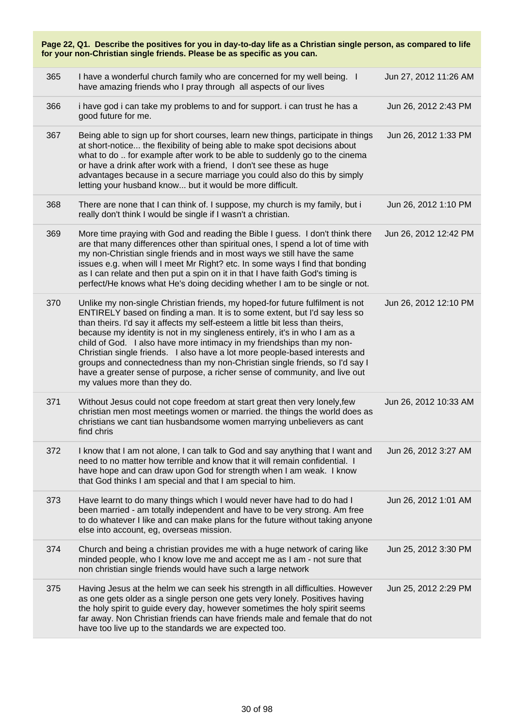| Page 22, Q1. Describe the positives for you in day-to-day life as a Christian single person, as compared to life<br>for your non-Christian single friends. Please be as specific as you can. |                                                                                                                                                                                                                                                                                                                                                                                                                                                                                                                                                                                                                                                                                   |                       |  |
|----------------------------------------------------------------------------------------------------------------------------------------------------------------------------------------------|-----------------------------------------------------------------------------------------------------------------------------------------------------------------------------------------------------------------------------------------------------------------------------------------------------------------------------------------------------------------------------------------------------------------------------------------------------------------------------------------------------------------------------------------------------------------------------------------------------------------------------------------------------------------------------------|-----------------------|--|
| 365                                                                                                                                                                                          | I have a wonderful church family who are concerned for my well being. I<br>have amazing friends who I pray through all aspects of our lives                                                                                                                                                                                                                                                                                                                                                                                                                                                                                                                                       | Jun 27, 2012 11:26 AM |  |
| 366                                                                                                                                                                                          | i have god i can take my problems to and for support. i can trust he has a<br>good future for me.                                                                                                                                                                                                                                                                                                                                                                                                                                                                                                                                                                                 | Jun 26, 2012 2:43 PM  |  |
| 367                                                                                                                                                                                          | Being able to sign up for short courses, learn new things, participate in things<br>at short-notice the flexibility of being able to make spot decisions about<br>what to do  for example after work to be able to suddenly go to the cinema<br>or have a drink after work with a friend, I don't see these as huge<br>advantages because in a secure marriage you could also do this by simply<br>letting your husband know but it would be more difficult.                                                                                                                                                                                                                      | Jun 26, 2012 1:33 PM  |  |
| 368                                                                                                                                                                                          | There are none that I can think of. I suppose, my church is my family, but i<br>really don't think I would be single if I wasn't a christian.                                                                                                                                                                                                                                                                                                                                                                                                                                                                                                                                     | Jun 26, 2012 1:10 PM  |  |
| 369                                                                                                                                                                                          | More time praying with God and reading the Bible I guess. I don't think there<br>are that many differences other than spiritual ones, I spend a lot of time with<br>my non-Christian single friends and in most ways we still have the same<br>issues e.g. when will I meet Mr Right? etc. In some ways I find that bonding<br>as I can relate and then put a spin on it in that I have faith God's timing is<br>perfect/He knows what He's doing deciding whether I am to be single or not.                                                                                                                                                                                      | Jun 26, 2012 12:42 PM |  |
| 370                                                                                                                                                                                          | Unlike my non-single Christian friends, my hoped-for future fulfilment is not<br>ENTIRELY based on finding a man. It is to some extent, but I'd say less so<br>than theirs. I'd say it affects my self-esteem a little bit less than theirs,<br>because my identity is not in my singleness entirely, it's in who I am as a<br>child of God. I also have more intimacy in my friendships than my non-<br>Christian single friends. I also have a lot more people-based interests and<br>groups and connectedness than my non-Christian single friends, so I'd say I<br>have a greater sense of purpose, a richer sense of community, and live out<br>my values more than they do. | Jun 26, 2012 12:10 PM |  |
| 371                                                                                                                                                                                          | Without Jesus could not cope freedom at start great then very lonely, few<br>christian men most meetings women or married. the things the world does as<br>christians we cant tian husbandsome women marrying unbelievers as cant<br>find chris                                                                                                                                                                                                                                                                                                                                                                                                                                   | Jun 26, 2012 10:33 AM |  |
| 372                                                                                                                                                                                          | I know that I am not alone, I can talk to God and say anything that I want and<br>need to no matter how terrible and know that it will remain confidential. I<br>have hope and can draw upon God for strength when I am weak. I know<br>that God thinks I am special and that I am special to him.                                                                                                                                                                                                                                                                                                                                                                                | Jun 26, 2012 3:27 AM  |  |
| 373                                                                                                                                                                                          | Have learnt to do many things which I would never have had to do had I<br>been married - am totally independent and have to be very strong. Am free<br>to do whatever I like and can make plans for the future without taking anyone<br>else into account, eg, overseas mission.                                                                                                                                                                                                                                                                                                                                                                                                  | Jun 26, 2012 1:01 AM  |  |
| 374                                                                                                                                                                                          | Church and being a christian provides me with a huge network of caring like<br>minded people, who I know love me and accept me as I am - not sure that<br>non christian single friends would have such a large network                                                                                                                                                                                                                                                                                                                                                                                                                                                            | Jun 25, 2012 3:30 PM  |  |
| 375                                                                                                                                                                                          | Having Jesus at the helm we can seek his strength in all difficulties. However<br>as one gets older as a single person one gets very lonely. Positives having<br>the holy spirit to guide every day, however sometimes the holy spirit seems<br>far away. Non Christian friends can have friends male and female that do not<br>have too live up to the standards we are expected too.                                                                                                                                                                                                                                                                                            | Jun 25, 2012 2:29 PM  |  |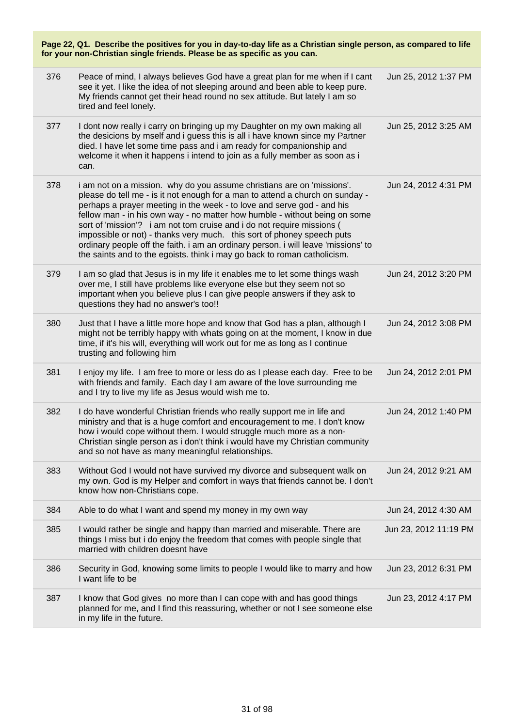| Page 22, Q1. Describe the positives for you in day-to-day life as a Christian single person, as compared to life<br>for your non-Christian single friends. Please be as specific as you can. |                                                                                                                                                                                                                                                                                                                                                                                                                                                                                                                                                                                                                                       |                       |  |  |
|----------------------------------------------------------------------------------------------------------------------------------------------------------------------------------------------|---------------------------------------------------------------------------------------------------------------------------------------------------------------------------------------------------------------------------------------------------------------------------------------------------------------------------------------------------------------------------------------------------------------------------------------------------------------------------------------------------------------------------------------------------------------------------------------------------------------------------------------|-----------------------|--|--|
| 376                                                                                                                                                                                          | Peace of mind, I always believes God have a great plan for me when if I cant<br>see it yet. I like the idea of not sleeping around and been able to keep pure.<br>My friends cannot get their head round no sex attitude. But lately I am so<br>tired and feel lonely.                                                                                                                                                                                                                                                                                                                                                                | Jun 25, 2012 1:37 PM  |  |  |
| 377                                                                                                                                                                                          | I dont now really i carry on bringing up my Daughter on my own making all<br>the desicions by mself and i guess this is all i have known since my Partner<br>died. I have let some time pass and i am ready for companionship and<br>welcome it when it happens i intend to join as a fully member as soon as i<br>can.                                                                                                                                                                                                                                                                                                               | Jun 25, 2012 3:25 AM  |  |  |
| 378                                                                                                                                                                                          | i am not on a mission. why do you assume christians are on 'missions'.<br>please do tell me - is it not enough for a man to attend a church on sunday -<br>perhaps a prayer meeting in the week - to love and serve god - and his<br>fellow man - in his own way - no matter how humble - without being on some<br>sort of 'mission'? i am not tom cruise and i do not require missions (<br>impossible or not) - thanks very much. this sort of phoney speech puts<br>ordinary people off the faith. i am an ordinary person. i will leave 'missions' to<br>the saints and to the egoists. think i may go back to roman catholicism. | Jun 24, 2012 4:31 PM  |  |  |
| 379                                                                                                                                                                                          | I am so glad that Jesus is in my life it enables me to let some things wash<br>over me, I still have problems like everyone else but they seem not so<br>important when you believe plus I can give people answers if they ask to<br>questions they had no answer's too!!                                                                                                                                                                                                                                                                                                                                                             | Jun 24, 2012 3:20 PM  |  |  |
| 380                                                                                                                                                                                          | Just that I have a little more hope and know that God has a plan, although I<br>might not be terribly happy with whats going on at the moment, I know in due<br>time, if it's his will, everything will work out for me as long as I continue<br>trusting and following him                                                                                                                                                                                                                                                                                                                                                           | Jun 24, 2012 3:08 PM  |  |  |
| 381                                                                                                                                                                                          | I enjoy my life. I am free to more or less do as I please each day. Free to be<br>with friends and family. Each day I am aware of the love surrounding me<br>and I try to live my life as Jesus would wish me to.                                                                                                                                                                                                                                                                                                                                                                                                                     | Jun 24, 2012 2:01 PM  |  |  |
| 382                                                                                                                                                                                          | I do have wonderful Christian friends who really support me in life and<br>ministry and that is a huge comfort and encouragement to me. I don't know<br>how i would cope without them. I would struggle much more as a non-<br>Christian single person as i don't think i would have my Christian community<br>and so not have as many meaningful relationships.                                                                                                                                                                                                                                                                      | Jun 24, 2012 1:40 PM  |  |  |
| 383                                                                                                                                                                                          | Without God I would not have survived my divorce and subsequent walk on<br>my own. God is my Helper and comfort in ways that friends cannot be. I don't<br>know how non-Christians cope.                                                                                                                                                                                                                                                                                                                                                                                                                                              | Jun 24, 2012 9:21 AM  |  |  |
| 384                                                                                                                                                                                          | Able to do what I want and spend my money in my own way                                                                                                                                                                                                                                                                                                                                                                                                                                                                                                                                                                               | Jun 24, 2012 4:30 AM  |  |  |
| 385                                                                                                                                                                                          | I would rather be single and happy than married and miserable. There are<br>things I miss but i do enjoy the freedom that comes with people single that<br>married with children doesnt have                                                                                                                                                                                                                                                                                                                                                                                                                                          | Jun 23, 2012 11:19 PM |  |  |
| 386                                                                                                                                                                                          | Security in God, knowing some limits to people I would like to marry and how<br>I want life to be                                                                                                                                                                                                                                                                                                                                                                                                                                                                                                                                     | Jun 23, 2012 6:31 PM  |  |  |
| 387                                                                                                                                                                                          | I know that God gives no more than I can cope with and has good things<br>planned for me, and I find this reassuring, whether or not I see someone else<br>in my life in the future.                                                                                                                                                                                                                                                                                                                                                                                                                                                  | Jun 23, 2012 4:17 PM  |  |  |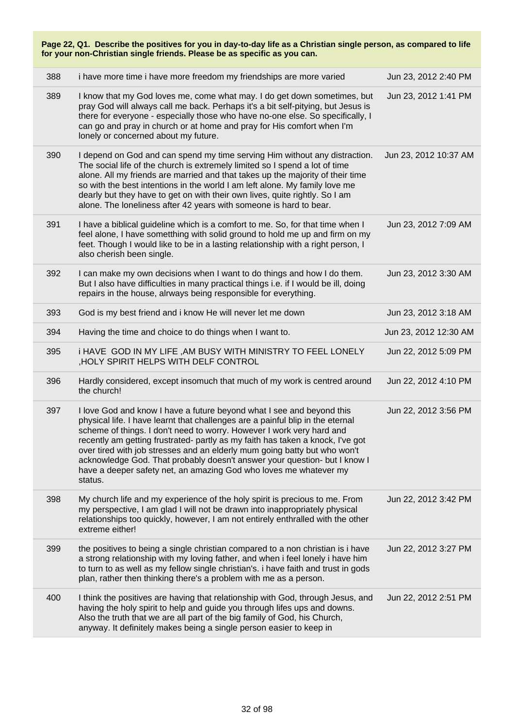| Page 22, Q1. Describe the positives for you in day-to-day life as a Christian single person, as compared to life<br>for your non-Christian single friends. Please be as specific as you can. |                                                                                                                                                                                                                                                                                                                                                                                                                                                                                                                                                              |                       |  |  |
|----------------------------------------------------------------------------------------------------------------------------------------------------------------------------------------------|--------------------------------------------------------------------------------------------------------------------------------------------------------------------------------------------------------------------------------------------------------------------------------------------------------------------------------------------------------------------------------------------------------------------------------------------------------------------------------------------------------------------------------------------------------------|-----------------------|--|--|
| 388                                                                                                                                                                                          | i have more time i have more freedom my friendships are more varied                                                                                                                                                                                                                                                                                                                                                                                                                                                                                          | Jun 23, 2012 2:40 PM  |  |  |
| 389                                                                                                                                                                                          | I know that my God loves me, come what may. I do get down sometimes, but<br>pray God will always call me back. Perhaps it's a bit self-pitying, but Jesus is<br>there for everyone - especially those who have no-one else. So specifically, I<br>can go and pray in church or at home and pray for His comfort when I'm<br>lonely or concerned about my future.                                                                                                                                                                                             | Jun 23, 2012 1:41 PM  |  |  |
| 390                                                                                                                                                                                          | I depend on God and can spend my time serving Him without any distraction.<br>The social life of the church is extremely limited so I spend a lot of time<br>alone. All my friends are married and that takes up the majority of their time<br>so with the best intentions in the world I am left alone. My family love me<br>dearly but they have to get on with their own lives, quite rightly. So I am<br>alone. The loneliness after 42 years with someone is hard to bear.                                                                              | Jun 23, 2012 10:37 AM |  |  |
| 391                                                                                                                                                                                          | I have a biblical guideline which is a comfort to me. So, for that time when I<br>feel alone, I have sometthing with solid ground to hold me up and firm on my<br>feet. Though I would like to be in a lasting relationship with a right person, I<br>also cherish been single.                                                                                                                                                                                                                                                                              | Jun 23, 2012 7:09 AM  |  |  |
| 392                                                                                                                                                                                          | I can make my own decisions when I want to do things and how I do them.<br>But I also have difficulties in many practical things i.e. if I would be ill, doing<br>repairs in the house, alrways being responsible for everything.                                                                                                                                                                                                                                                                                                                            | Jun 23, 2012 3:30 AM  |  |  |
| 393                                                                                                                                                                                          | God is my best friend and i know He will never let me down                                                                                                                                                                                                                                                                                                                                                                                                                                                                                                   | Jun 23, 2012 3:18 AM  |  |  |
| 394                                                                                                                                                                                          | Having the time and choice to do things when I want to.                                                                                                                                                                                                                                                                                                                                                                                                                                                                                                      | Jun 23, 2012 12:30 AM |  |  |
| 395                                                                                                                                                                                          | <b>I HAVE GOD IN MY LIFE, AM BUSY WITH MINISTRY TO FEEL LONELY</b><br>HOLY SPIRIT HELPS WITH DELF CONTROL                                                                                                                                                                                                                                                                                                                                                                                                                                                    | Jun 22, 2012 5:09 PM  |  |  |
| 396                                                                                                                                                                                          | Hardly considered, except insomuch that much of my work is centred around<br>the church!                                                                                                                                                                                                                                                                                                                                                                                                                                                                     | Jun 22, 2012 4:10 PM  |  |  |
| 397                                                                                                                                                                                          | I love God and know I have a future beyond what I see and beyond this<br>physical life. I have learnt that challenges are a painful blip in the eternal<br>scheme of things. I don't need to worry. However I work very hard and<br>recently am getting frustrated- partly as my faith has taken a knock, I've got<br>over tired with job stresses and an elderly mum going batty but who won't<br>acknowledge God. That probably doesn't answer your question- but I know I<br>have a deeper safety net, an amazing God who loves me whatever my<br>status. | Jun 22, 2012 3:56 PM  |  |  |
| 398                                                                                                                                                                                          | My church life and my experience of the holy spirit is precious to me. From<br>my perspective, I am glad I will not be drawn into inappropriately physical<br>relationships too quickly, however, I am not entirely enthralled with the other<br>extreme either!                                                                                                                                                                                                                                                                                             | Jun 22, 2012 3:42 PM  |  |  |
| 399                                                                                                                                                                                          | the positives to being a single christian compared to a non christian is i have<br>a strong relationship with my loving father, and when i feel lonely i have him<br>to turn to as well as my fellow single christian's. i have faith and trust in gods<br>plan, rather then thinking there's a problem with me as a person.                                                                                                                                                                                                                                 | Jun 22, 2012 3:27 PM  |  |  |
| 400                                                                                                                                                                                          | I think the positives are having that relationship with God, through Jesus, and<br>having the holy spirit to help and guide you through lifes ups and downs.<br>Also the truth that we are all part of the big family of God, his Church,<br>anyway. It definitely makes being a single person easier to keep in                                                                                                                                                                                                                                             | Jun 22, 2012 2:51 PM  |  |  |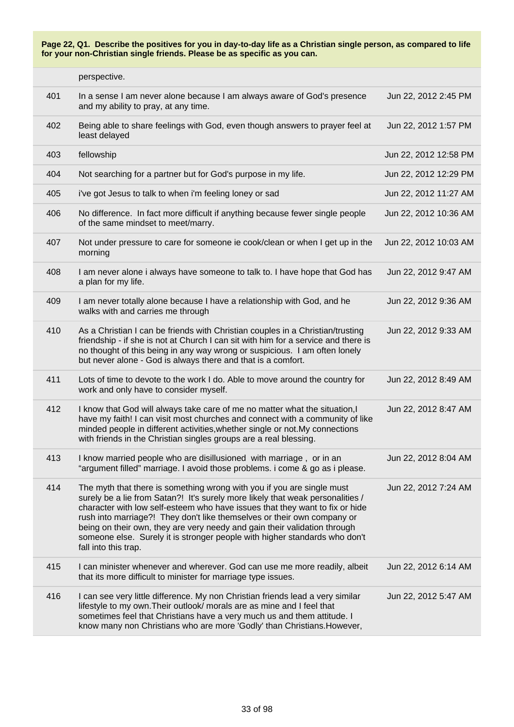|     | perspective.                                                                                                                                                                                                                                                                                                                                                                                                                                                                                           |                       |
|-----|--------------------------------------------------------------------------------------------------------------------------------------------------------------------------------------------------------------------------------------------------------------------------------------------------------------------------------------------------------------------------------------------------------------------------------------------------------------------------------------------------------|-----------------------|
| 401 | In a sense I am never alone because I am always aware of God's presence<br>and my ability to pray, at any time.                                                                                                                                                                                                                                                                                                                                                                                        | Jun 22, 2012 2:45 PM  |
| 402 | Being able to share feelings with God, even though answers to prayer feel at<br>least delayed                                                                                                                                                                                                                                                                                                                                                                                                          | Jun 22, 2012 1:57 PM  |
| 403 | fellowship                                                                                                                                                                                                                                                                                                                                                                                                                                                                                             | Jun 22, 2012 12:58 PM |
| 404 | Not searching for a partner but for God's purpose in my life.                                                                                                                                                                                                                                                                                                                                                                                                                                          | Jun 22, 2012 12:29 PM |
| 405 | i've got Jesus to talk to when i'm feeling loney or sad                                                                                                                                                                                                                                                                                                                                                                                                                                                | Jun 22, 2012 11:27 AM |
| 406 | No difference. In fact more difficult if anything because fewer single people<br>of the same mindset to meet/marry.                                                                                                                                                                                                                                                                                                                                                                                    | Jun 22, 2012 10:36 AM |
| 407 | Not under pressure to care for someone ie cook/clean or when I get up in the<br>morning                                                                                                                                                                                                                                                                                                                                                                                                                | Jun 22, 2012 10:03 AM |
| 408 | I am never alone i always have someone to talk to. I have hope that God has<br>a plan for my life.                                                                                                                                                                                                                                                                                                                                                                                                     | Jun 22, 2012 9:47 AM  |
| 409 | I am never totally alone because I have a relationship with God, and he<br>walks with and carries me through                                                                                                                                                                                                                                                                                                                                                                                           | Jun 22, 2012 9:36 AM  |
| 410 | As a Christian I can be friends with Christian couples in a Christian/trusting<br>friendship - if she is not at Church I can sit with him for a service and there is<br>no thought of this being in any way wrong or suspicious. I am often lonely<br>but never alone - God is always there and that is a comfort.                                                                                                                                                                                     | Jun 22, 2012 9:33 AM  |
| 411 | Lots of time to devote to the work I do. Able to move around the country for<br>work and only have to consider myself.                                                                                                                                                                                                                                                                                                                                                                                 | Jun 22, 2012 8:49 AM  |
| 412 | I know that God will always take care of me no matter what the situation, I<br>have my faith! I can visit most churches and connect with a community of like<br>minded people in different activities, whether single or not. My connections<br>with friends in the Christian singles groups are a real blessing.                                                                                                                                                                                      | Jun 22, 2012 8:47 AM  |
| 413 | I know married people who are disillusioned with marriage, or in an<br>"argument filled" marriage. I avoid those problems. i come & go as i please.                                                                                                                                                                                                                                                                                                                                                    | Jun 22, 2012 8:04 AM  |
| 414 | The myth that there is something wrong with you if you are single must<br>surely be a lie from Satan?! It's surely more likely that weak personalities /<br>character with low self-esteem who have issues that they want to fix or hide<br>rush into marriage?! They don't like themselves or their own company or<br>being on their own, they are very needy and gain their validation through<br>someone else. Surely it is stronger people with higher standards who don't<br>fall into this trap. | Jun 22, 2012 7:24 AM  |
| 415 | I can minister whenever and wherever. God can use me more readily, albeit<br>that its more difficult to minister for marriage type issues.                                                                                                                                                                                                                                                                                                                                                             | Jun 22, 2012 6:14 AM  |
| 416 | I can see very little difference. My non Christian friends lead a very similar<br>lifestyle to my own. Their outlook/ morals are as mine and I feel that<br>sometimes feel that Christians have a very much us and them attitude. I<br>know many non Christians who are more 'Godly' than Christians. However,                                                                                                                                                                                         | Jun 22, 2012 5:47 AM  |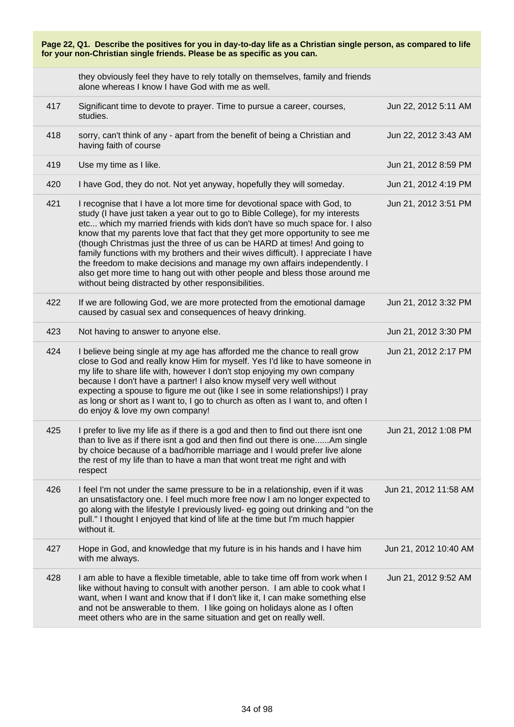| Page 22, Q1. Describe the positives for you in day-to-day life as a Christian single person, as compared to life<br>for your non-Christian single friends. Please be as specific as you can. |                                                                                                                                                                                                                                                                                                                                                                                                                                                                                                                                                                                                                                                                                                              |                       |
|----------------------------------------------------------------------------------------------------------------------------------------------------------------------------------------------|--------------------------------------------------------------------------------------------------------------------------------------------------------------------------------------------------------------------------------------------------------------------------------------------------------------------------------------------------------------------------------------------------------------------------------------------------------------------------------------------------------------------------------------------------------------------------------------------------------------------------------------------------------------------------------------------------------------|-----------------------|
|                                                                                                                                                                                              | they obviously feel they have to rely totally on themselves, family and friends<br>alone whereas I know I have God with me as well.                                                                                                                                                                                                                                                                                                                                                                                                                                                                                                                                                                          |                       |
| 417                                                                                                                                                                                          | Significant time to devote to prayer. Time to pursue a career, courses,<br>studies.                                                                                                                                                                                                                                                                                                                                                                                                                                                                                                                                                                                                                          | Jun 22, 2012 5:11 AM  |
| 418                                                                                                                                                                                          | sorry, can't think of any - apart from the benefit of being a Christian and<br>having faith of course                                                                                                                                                                                                                                                                                                                                                                                                                                                                                                                                                                                                        | Jun 22, 2012 3:43 AM  |
| 419                                                                                                                                                                                          | Use my time as I like.                                                                                                                                                                                                                                                                                                                                                                                                                                                                                                                                                                                                                                                                                       | Jun 21, 2012 8:59 PM  |
| 420                                                                                                                                                                                          | I have God, they do not. Not yet anyway, hopefully they will someday.                                                                                                                                                                                                                                                                                                                                                                                                                                                                                                                                                                                                                                        | Jun 21, 2012 4:19 PM  |
| 421                                                                                                                                                                                          | I recognise that I have a lot more time for devotional space with God, to<br>study (I have just taken a year out to go to Bible College), for my interests<br>etc which my married friends with kids don't have so much space for. I also<br>know that my parents love that fact that they get more opportunity to see me<br>(though Christmas just the three of us can be HARD at times! And going to<br>family functions with my brothers and their wives difficult). I appreciate I have<br>the freedom to make decisions and manage my own affairs independently. I<br>also get more time to hang out with other people and bless those around me<br>without being distracted by other responsibilities. | Jun 21, 2012 3:51 PM  |
| 422                                                                                                                                                                                          | If we are following God, we are more protected from the emotional damage<br>caused by casual sex and consequences of heavy drinking.                                                                                                                                                                                                                                                                                                                                                                                                                                                                                                                                                                         | Jun 21, 2012 3:32 PM  |
| 423                                                                                                                                                                                          | Not having to answer to anyone else.                                                                                                                                                                                                                                                                                                                                                                                                                                                                                                                                                                                                                                                                         | Jun 21, 2012 3:30 PM  |
| 424                                                                                                                                                                                          | I believe being single at my age has afforded me the chance to reall grow<br>close to God and really know Him for myself. Yes I'd like to have someone in<br>my life to share life with, however I don't stop enjoying my own company<br>because I don't have a partner! I also know myself very well without<br>expecting a spouse to figure me out (like I see in some relationships!) I pray<br>as long or short as I want to, I go to church as often as I want to, and often I<br>do enjoy & love my own company!                                                                                                                                                                                       | Jun 21, 2012 2:17 PM  |
| 425                                                                                                                                                                                          | I prefer to live my life as if there is a god and then to find out there isnt one<br>than to live as if there isnt a god and then find out there is oneAm single<br>by choice because of a bad/horrible marriage and I would prefer live alone<br>the rest of my life than to have a man that wont treat me right and with<br>respect                                                                                                                                                                                                                                                                                                                                                                        | Jun 21, 2012 1:08 PM  |
| 426                                                                                                                                                                                          | I feel I'm not under the same pressure to be in a relationship, even if it was<br>an unsatisfactory one. I feel much more free now I am no longer expected to<br>go along with the lifestyle I previously lived- eg going out drinking and "on the<br>pull." I thought I enjoyed that kind of life at the time but I'm much happier<br>without it.                                                                                                                                                                                                                                                                                                                                                           | Jun 21, 2012 11:58 AM |
| 427                                                                                                                                                                                          | Hope in God, and knowledge that my future is in his hands and I have him<br>with me always.                                                                                                                                                                                                                                                                                                                                                                                                                                                                                                                                                                                                                  | Jun 21, 2012 10:40 AM |
| 428                                                                                                                                                                                          | I am able to have a flexible timetable, able to take time off from work when I<br>like without having to consult with another person. I am able to cook what I<br>want, when I want and know that if I don't like it, I can make something else<br>and not be answerable to them. I like going on holidays alone as I often<br>meet others who are in the same situation and get on really well.                                                                                                                                                                                                                                                                                                             | Jun 21, 2012 9:52 AM  |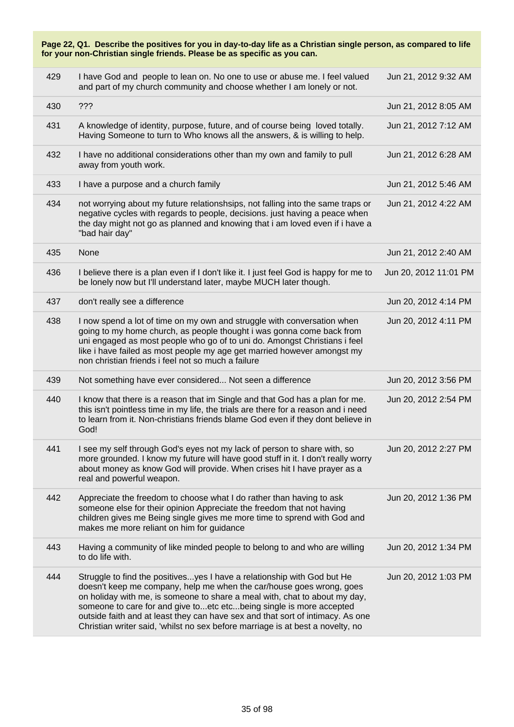| Page 22, Q1. Describe the positives for you in day-to-day life as a Christian single person, as compared to life<br>for your non-Christian single friends. Please be as specific as you can. |                                                                                                                                                                                                                                                                                                                                                                                                                                                                          |                       |  |
|----------------------------------------------------------------------------------------------------------------------------------------------------------------------------------------------|--------------------------------------------------------------------------------------------------------------------------------------------------------------------------------------------------------------------------------------------------------------------------------------------------------------------------------------------------------------------------------------------------------------------------------------------------------------------------|-----------------------|--|
| 429                                                                                                                                                                                          | I have God and people to lean on. No one to use or abuse me. I feel valued<br>and part of my church community and choose whether I am lonely or not.                                                                                                                                                                                                                                                                                                                     | Jun 21, 2012 9:32 AM  |  |
| 430                                                                                                                                                                                          | ???                                                                                                                                                                                                                                                                                                                                                                                                                                                                      | Jun 21, 2012 8:05 AM  |  |
| 431                                                                                                                                                                                          | A knowledge of identity, purpose, future, and of course being loved totally.<br>Having Someone to turn to Who knows all the answers, & is willing to help.                                                                                                                                                                                                                                                                                                               | Jun 21, 2012 7:12 AM  |  |
| 432                                                                                                                                                                                          | I have no additional considerations other than my own and family to pull<br>away from youth work.                                                                                                                                                                                                                                                                                                                                                                        | Jun 21, 2012 6:28 AM  |  |
| 433                                                                                                                                                                                          | I have a purpose and a church family                                                                                                                                                                                                                                                                                                                                                                                                                                     | Jun 21, 2012 5:46 AM  |  |
| 434                                                                                                                                                                                          | not worrying about my future relationshsips, not falling into the same traps or<br>negative cycles with regards to people, decisions. just having a peace when<br>the day might not go as planned and knowing that i am loved even if i have a<br>"bad hair day"                                                                                                                                                                                                         | Jun 21, 2012 4:22 AM  |  |
| 435                                                                                                                                                                                          | None                                                                                                                                                                                                                                                                                                                                                                                                                                                                     | Jun 21, 2012 2:40 AM  |  |
| 436                                                                                                                                                                                          | I believe there is a plan even if I don't like it. I just feel God is happy for me to<br>be lonely now but I'll understand later, maybe MUCH later though.                                                                                                                                                                                                                                                                                                               | Jun 20, 2012 11:01 PM |  |
| 437                                                                                                                                                                                          | don't really see a difference                                                                                                                                                                                                                                                                                                                                                                                                                                            | Jun 20, 2012 4:14 PM  |  |
| 438                                                                                                                                                                                          | I now spend a lot of time on my own and struggle with conversation when<br>going to my home church, as people thought i was gonna come back from<br>uni engaged as most people who go of to uni do. Amongst Christians i feel<br>like i have failed as most people my age get married however amongst my<br>non christian friends i feel not so much a failure                                                                                                           | Jun 20, 2012 4:11 PM  |  |
| 439                                                                                                                                                                                          | Not something have ever considered Not seen a difference                                                                                                                                                                                                                                                                                                                                                                                                                 | Jun 20, 2012 3:56 PM  |  |
| 440                                                                                                                                                                                          | I know that there is a reason that im Single and that God has a plan for me.<br>this isn't pointless time in my life, the trials are there for a reason and i need<br>to learn from it. Non-christians friends blame God even if they dont believe in<br>God!                                                                                                                                                                                                            | Jun 20, 2012 2:54 PM  |  |
| 441                                                                                                                                                                                          | I see my self through God's eyes not my lack of person to share with, so<br>more grounded. I know my future will have good stuff in it. I don't really worry<br>about money as know God will provide. When crises hit I have prayer as a<br>real and powerful weapon.                                                                                                                                                                                                    | Jun 20, 2012 2:27 PM  |  |
| 442                                                                                                                                                                                          | Appreciate the freedom to choose what I do rather than having to ask<br>someone else for their opinion Appreciate the freedom that not having<br>children gives me Being single gives me more time to sprend with God and<br>makes me more reliant on him for guidance                                                                                                                                                                                                   | Jun 20, 2012 1:36 PM  |  |
| 443                                                                                                                                                                                          | Having a community of like minded people to belong to and who are willing<br>to do life with.                                                                                                                                                                                                                                                                                                                                                                            | Jun 20, 2012 1:34 PM  |  |
| 444                                                                                                                                                                                          | Struggle to find the positivesyes I have a relationship with God but He<br>doesn't keep me company, help me when the car/house goes wrong, goes<br>on holiday with me, is someone to share a meal with, chat to about my day,<br>someone to care for and give toetc etcbeing single is more accepted<br>outside faith and at least they can have sex and that sort of intimacy. As one<br>Christian writer said, 'whilst no sex before marriage is at best a novelty, no | Jun 20, 2012 1:03 PM  |  |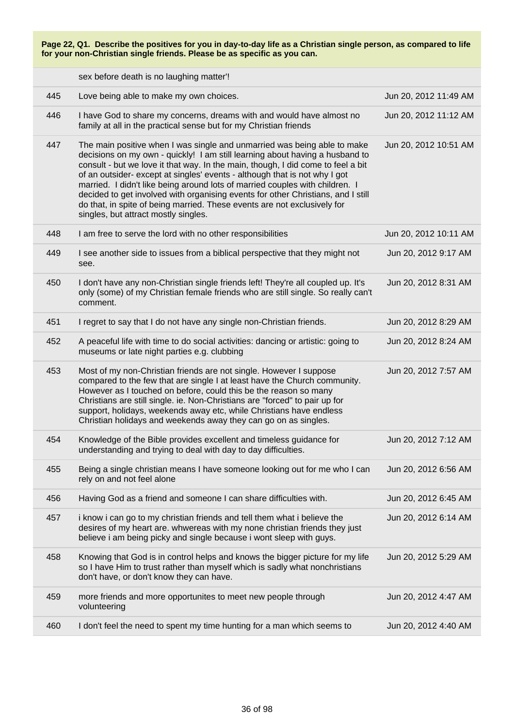sex before death is no laughing matter'!

| 445 | Love being able to make my own choices.                                                                                                                                                                                                                                                                                                                                                                                                                                                                                                                                                                            | Jun 20, 2012 11:49 AM |
|-----|--------------------------------------------------------------------------------------------------------------------------------------------------------------------------------------------------------------------------------------------------------------------------------------------------------------------------------------------------------------------------------------------------------------------------------------------------------------------------------------------------------------------------------------------------------------------------------------------------------------------|-----------------------|
| 446 | I have God to share my concerns, dreams with and would have almost no<br>family at all in the practical sense but for my Christian friends                                                                                                                                                                                                                                                                                                                                                                                                                                                                         | Jun 20, 2012 11:12 AM |
| 447 | The main positive when I was single and unmarried was being able to make<br>decisions on my own - quickly! I am still learning about having a husband to<br>consult - but we love it that way. In the main, though, I did come to feel a bit<br>of an outsider- except at singles' events - although that is not why I got<br>married. I didn't like being around lots of married couples with children. I<br>decided to get involved with organising events for other Christians, and I still<br>do that, in spite of being married. These events are not exclusively for<br>singles, but attract mostly singles. | Jun 20, 2012 10:51 AM |
| 448 | I am free to serve the lord with no other responsibilities                                                                                                                                                                                                                                                                                                                                                                                                                                                                                                                                                         | Jun 20, 2012 10:11 AM |
| 449 | I see another side to issues from a biblical perspective that they might not<br>see.                                                                                                                                                                                                                                                                                                                                                                                                                                                                                                                               | Jun 20, 2012 9:17 AM  |
| 450 | I don't have any non-Christian single friends left! They're all coupled up. It's<br>only (some) of my Christian female friends who are still single. So really can't<br>comment.                                                                                                                                                                                                                                                                                                                                                                                                                                   | Jun 20, 2012 8:31 AM  |
| 451 | I regret to say that I do not have any single non-Christian friends.                                                                                                                                                                                                                                                                                                                                                                                                                                                                                                                                               | Jun 20, 2012 8:29 AM  |
| 452 | A peaceful life with time to do social activities: dancing or artistic: going to<br>museums or late night parties e.g. clubbing                                                                                                                                                                                                                                                                                                                                                                                                                                                                                    | Jun 20, 2012 8:24 AM  |
| 453 | Most of my non-Christian friends are not single. However I suppose<br>compared to the few that are single I at least have the Church community.<br>However as I touched on before, could this be the reason so many<br>Christians are still single. ie. Non-Christians are "forced" to pair up for<br>support, holidays, weekends away etc, while Christians have endless<br>Christian holidays and weekends away they can go on as singles.                                                                                                                                                                       | Jun 20, 2012 7:57 AM  |
| 454 | Knowledge of the Bible provides excellent and timeless guidance for<br>understanding and trying to deal with day to day difficulties.                                                                                                                                                                                                                                                                                                                                                                                                                                                                              | Jun 20, 2012 7:12 AM  |
| 455 | Being a single christian means I have someone looking out for me who I can<br>rely on and not feel alone                                                                                                                                                                                                                                                                                                                                                                                                                                                                                                           | Jun 20, 2012 6:56 AM  |
| 456 | Having God as a friend and someone I can share difficulties with.                                                                                                                                                                                                                                                                                                                                                                                                                                                                                                                                                  | Jun 20, 2012 6:45 AM  |
| 457 | i know i can go to my christian friends and tell them what i believe the<br>desires of my heart are. whwereas with my none christian friends they just<br>believe i am being picky and single because i wont sleep with guys.                                                                                                                                                                                                                                                                                                                                                                                      | Jun 20, 2012 6:14 AM  |
| 458 | Knowing that God is in control helps and knows the bigger picture for my life<br>so I have Him to trust rather than myself which is sadly what nonchristians<br>don't have, or don't know they can have.                                                                                                                                                                                                                                                                                                                                                                                                           | Jun 20, 2012 5:29 AM  |
| 459 | more friends and more opportunites to meet new people through<br>volunteering                                                                                                                                                                                                                                                                                                                                                                                                                                                                                                                                      | Jun 20, 2012 4:47 AM  |
| 460 | I don't feel the need to spent my time hunting for a man which seems to                                                                                                                                                                                                                                                                                                                                                                                                                                                                                                                                            | Jun 20, 2012 4:40 AM  |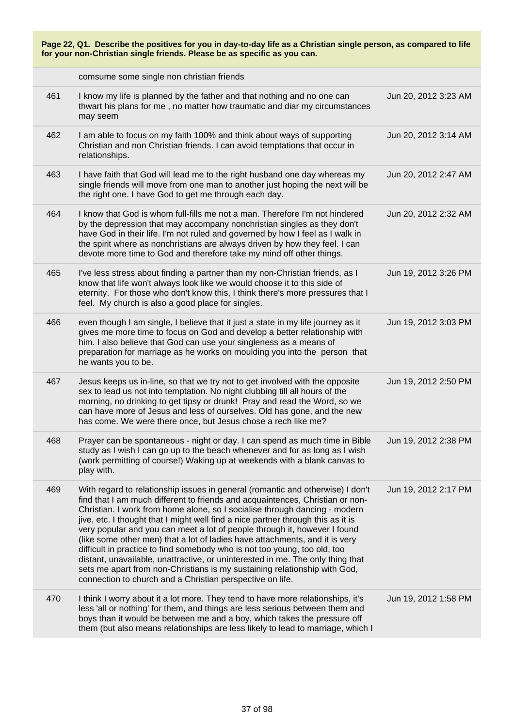**Page 22, Q1. Describe the positives for you in day-to-day life as a Christian single person, as compared to life for your non-Christian single friends. Please be as specific as you can.** comsume some single non christian friends 461 I know my life is planned by the father and that nothing and no one can thwart his plans for me , no matter how traumatic and diar my circumstances may seem Jun 20, 2012 3:23 AM 462 I am able to focus on my faith 100% and think about ways of supporting Christian and non Christian friends. I can avoid temptations that occur in relationships. Jun 20, 2012 3:14 AM 463 I have faith that God will lead me to the right husband one day whereas my single friends will move from one man to another just hoping the next will be the right one. I have God to get me through each day. Jun 20, 2012 2:47 AM 464 I know that God is whom full-fills me not a man. Therefore I'm not hindered by the depression that may accompany nonchristian singles as they don't have God in their life. I'm not ruled and governed by how I feel as I walk in the spirit where as nonchristians are always driven by how they feel. I can devote more time to God and therefore take my mind off other things. Jun 20, 2012 2:32 AM 465 I've less stress about finding a partner than my non-Christian friends, as I know that life won't always look like we would choose it to this side of eternity. For those who don't know this, I think there's more pressures that I feel. My church is also a good place for singles. Jun 19, 2012 3:26 PM 466 even though I am single, I believe that it just a state in my life journey as it gives me more time to focus on God and develop a better relationship with him. I also believe that God can use your singleness as a means of preparation for marriage as he works on moulding you into the person that he wants you to be. Jun 19, 2012 3:03 PM 467 Jesus keeps us in-line, so that we try not to get involved with the opposite sex to lead us not into temptation. No night clubbing till all hours of the morning, no drinking to get tipsy or drunk! Pray and read the Word, so we can have more of Jesus and less of ourselves. Old has gone, and the new has come. We were there once, but Jesus chose a rech like me? Jun 19, 2012 2:50 PM 468 Prayer can be spontaneous - night or day. I can spend as much time in Bible study as I wish I can go up to the beach whenever and for as long as I wish (work permitting of course!) Waking up at weekends with a blank canvas to play with. Jun 19, 2012 2:38 PM 469 With regard to relationship issues in general (romantic and otherwise) I don't find that I am much different to friends and acquaintences, Christian or non-Christian. I work from home alone, so I socialise through dancing - modern jive, etc. I thought that I might well find a nice partner through this as it is very popular and you can meet a lot of people through it, however I found (like some other men) that a lot of ladies have attachments, and it is very difficult in practice to find somebody who is not too young, too old, too distant, unavailable, unattractive, or uninterested in me. The only thing that sets me apart from non-Christians is my sustaining relationship with God, connection to church and a Christian perspective on life. Jun 19, 2012 2:17 PM 470 I think I worry about it a lot more. They tend to have more relationships, it's less 'all or nothing' for them, and things are less serious between them and boys than it would be between me and a boy, which takes the pressure off them (but also means relationships are less likely to lead to marriage, which I Jun 19, 2012 1:58 PM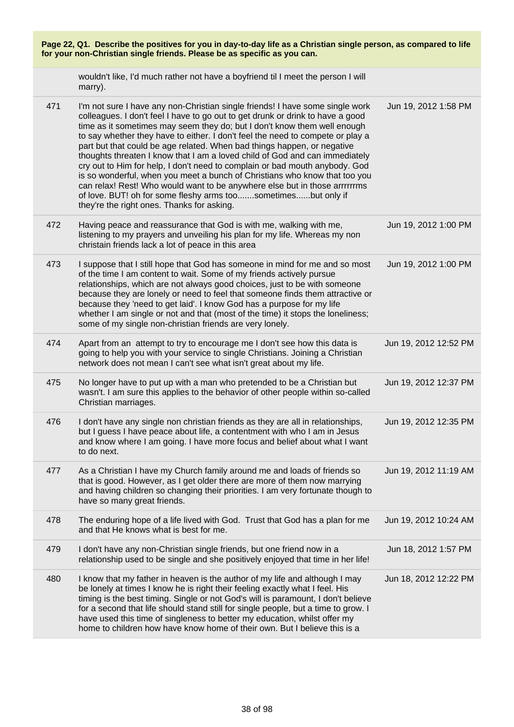| Page 22, Q1. Describe the positives for you in day-to-day life as a Christian single person, as compared to life<br>for your non-Christian single friends. Please be as specific as you can. |                                                                                                                                                                                                                                                                                                                                                                                                                                                                                                                                                                                                                                                                                                                                                                                                                                                   |                       |
|----------------------------------------------------------------------------------------------------------------------------------------------------------------------------------------------|---------------------------------------------------------------------------------------------------------------------------------------------------------------------------------------------------------------------------------------------------------------------------------------------------------------------------------------------------------------------------------------------------------------------------------------------------------------------------------------------------------------------------------------------------------------------------------------------------------------------------------------------------------------------------------------------------------------------------------------------------------------------------------------------------------------------------------------------------|-----------------------|
|                                                                                                                                                                                              | wouldn't like, I'd much rather not have a boyfriend til I meet the person I will<br>marry).                                                                                                                                                                                                                                                                                                                                                                                                                                                                                                                                                                                                                                                                                                                                                       |                       |
| 471                                                                                                                                                                                          | I'm not sure I have any non-Christian single friends! I have some single work<br>colleagues. I don't feel I have to go out to get drunk or drink to have a good<br>time as it sometimes may seem they do; but I don't know them well enough<br>to say whether they have to either. I don't feel the need to compete or play a<br>part but that could be age related. When bad things happen, or negative<br>thoughts threaten I know that I am a loved child of God and can immediately<br>cry out to Him for help, I don't need to complain or bad mouth anybody. God<br>is so wonderful, when you meet a bunch of Christians who know that too you<br>can relax! Rest! Who would want to be anywhere else but in those arrrrrrms<br>of love. BUT! oh for some fleshy arms toosometimesbut only if<br>they're the right ones. Thanks for asking. | Jun 19, 2012 1:58 PM  |
| 472                                                                                                                                                                                          | Having peace and reassurance that God is with me, walking with me,<br>listening to my prayers and unveiling his plan for my life. Whereas my non<br>christain friends lack a lot of peace in this area                                                                                                                                                                                                                                                                                                                                                                                                                                                                                                                                                                                                                                            | Jun 19, 2012 1:00 PM  |
| 473                                                                                                                                                                                          | I suppose that I still hope that God has someone in mind for me and so most<br>of the time I am content to wait. Some of my friends actively pursue<br>relationships, which are not always good choices, just to be with someone<br>because they are lonely or need to feel that someone finds them attractive or<br>because they 'need to get laid'. I know God has a purpose for my life<br>whether I am single or not and that (most of the time) it stops the loneliness;<br>some of my single non-christian friends are very lonely.                                                                                                                                                                                                                                                                                                         | Jun 19, 2012 1:00 PM  |
| 474                                                                                                                                                                                          | Apart from an attempt to try to encourage me I don't see how this data is<br>going to help you with your service to single Christians. Joining a Christian<br>network does not mean I can't see what isn't great about my life.                                                                                                                                                                                                                                                                                                                                                                                                                                                                                                                                                                                                                   | Jun 19, 2012 12:52 PM |
| 475                                                                                                                                                                                          | No longer have to put up with a man who pretended to be a Christian but<br>wasn't. I am sure this applies to the behavior of other people within so-called<br>Christian marriages.                                                                                                                                                                                                                                                                                                                                                                                                                                                                                                                                                                                                                                                                | Jun 19, 2012 12:37 PM |
| 476                                                                                                                                                                                          | I don't have any single non christian friends as they are all in relationships,<br>but I guess I have peace about life, a contentment with who I am in Jesus<br>and know where I am going. I have more focus and belief about what I want<br>to do next.                                                                                                                                                                                                                                                                                                                                                                                                                                                                                                                                                                                          | Jun 19, 2012 12:35 PM |
| 477                                                                                                                                                                                          | As a Christian I have my Church family around me and loads of friends so<br>that is good. However, as I get older there are more of them now marrying<br>and having children so changing their priorities. I am very fortunate though to<br>have so many great friends.                                                                                                                                                                                                                                                                                                                                                                                                                                                                                                                                                                           | Jun 19, 2012 11:19 AM |
| 478                                                                                                                                                                                          | The enduring hope of a life lived with God. Trust that God has a plan for me<br>and that He knows what is best for me.                                                                                                                                                                                                                                                                                                                                                                                                                                                                                                                                                                                                                                                                                                                            | Jun 19, 2012 10:24 AM |
| 479                                                                                                                                                                                          | I don't have any non-Christian single friends, but one friend now in a<br>relationship used to be single and she positively enjoyed that time in her life!                                                                                                                                                                                                                                                                                                                                                                                                                                                                                                                                                                                                                                                                                        | Jun 18, 2012 1:57 PM  |
| 480                                                                                                                                                                                          | I know that my father in heaven is the author of my life and although I may<br>be lonely at times I know he is right their feeling exactly what I feel. His<br>timing is the best timing. Single or not God's will is paramount, I don't believe<br>for a second that life should stand still for single people, but a time to grow. I<br>have used this time of singleness to better my education, whilst offer my<br>home to children how have know home of their own. But I believe this is a                                                                                                                                                                                                                                                                                                                                                  | Jun 18, 2012 12:22 PM |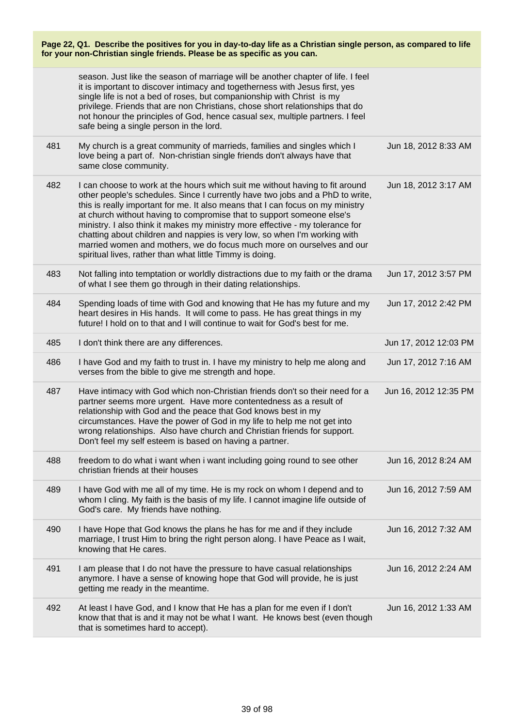|     | season. Just like the season of marriage will be another chapter of life. I feel<br>it is important to discover intimacy and togetherness with Jesus first, yes<br>single life is not a bed of roses, but companionship with Christ is my<br>privilege. Friends that are non Christians, chose short relationships that do<br>not honour the principles of God, hence casual sex, multiple partners. I feel<br>safe being a single person in the lord.                                                                                                                                                                      |                       |
|-----|-----------------------------------------------------------------------------------------------------------------------------------------------------------------------------------------------------------------------------------------------------------------------------------------------------------------------------------------------------------------------------------------------------------------------------------------------------------------------------------------------------------------------------------------------------------------------------------------------------------------------------|-----------------------|
| 481 | My church is a great community of marrieds, families and singles which I<br>love being a part of. Non-christian single friends don't always have that<br>same close community.                                                                                                                                                                                                                                                                                                                                                                                                                                              | Jun 18, 2012 8:33 AM  |
| 482 | I can choose to work at the hours which suit me without having to fit around<br>other people's schedules. Since I currently have two jobs and a PhD to write,<br>this is really important for me. It also means that I can focus on my ministry<br>at church without having to compromise that to support someone else's<br>ministry. I also think it makes my ministry more effective - my tolerance for<br>chatting about children and nappies is very low, so when I'm working with<br>married women and mothers, we do focus much more on ourselves and our<br>spiritual lives, rather than what little Timmy is doing. | Jun 18, 2012 3:17 AM  |
| 483 | Not falling into temptation or worldly distractions due to my faith or the drama<br>of what I see them go through in their dating relationships.                                                                                                                                                                                                                                                                                                                                                                                                                                                                            | Jun 17, 2012 3:57 PM  |
| 484 | Spending loads of time with God and knowing that He has my future and my<br>heart desires in His hands. It will come to pass. He has great things in my<br>future! I hold on to that and I will continue to wait for God's best for me.                                                                                                                                                                                                                                                                                                                                                                                     | Jun 17, 2012 2:42 PM  |
| 485 | I don't think there are any differences.                                                                                                                                                                                                                                                                                                                                                                                                                                                                                                                                                                                    | Jun 17, 2012 12:03 PM |
| 486 | I have God and my faith to trust in. I have my ministry to help me along and<br>verses from the bible to give me strength and hope.                                                                                                                                                                                                                                                                                                                                                                                                                                                                                         | Jun 17, 2012 7:16 AM  |
| 487 | Have intimacy with God which non-Christian friends don't so their need for a<br>partner seems more urgent. Have more contentedness as a result of<br>relationship with God and the peace that God knows best in my<br>circumstances. Have the power of God in my life to help me not get into<br>wrong relationships. Also have church and Christian friends for support.<br>Don't feel my self esteem is based on having a partner.                                                                                                                                                                                        | Jun 16, 2012 12:35 PM |
| 488 | freedom to do what i want when i want including going round to see other<br>christian friends at their houses                                                                                                                                                                                                                                                                                                                                                                                                                                                                                                               | Jun 16, 2012 8:24 AM  |
| 489 | I have God with me all of my time. He is my rock on whom I depend and to<br>whom I cling. My faith is the basis of my life. I cannot imagine life outside of<br>God's care. My friends have nothing.                                                                                                                                                                                                                                                                                                                                                                                                                        | Jun 16, 2012 7:59 AM  |
| 490 | I have Hope that God knows the plans he has for me and if they include<br>marriage, I trust Him to bring the right person along. I have Peace as I wait,<br>knowing that He cares.                                                                                                                                                                                                                                                                                                                                                                                                                                          | Jun 16, 2012 7:32 AM  |
| 491 | I am please that I do not have the pressure to have casual relationships<br>anymore. I have a sense of knowing hope that God will provide, he is just<br>getting me ready in the meantime.                                                                                                                                                                                                                                                                                                                                                                                                                                  | Jun 16, 2012 2:24 AM  |
| 492 | At least I have God, and I know that He has a plan for me even if I don't<br>know that that is and it may not be what I want. He knows best (even though<br>that is sometimes hard to accept).                                                                                                                                                                                                                                                                                                                                                                                                                              | Jun 16, 2012 1:33 AM  |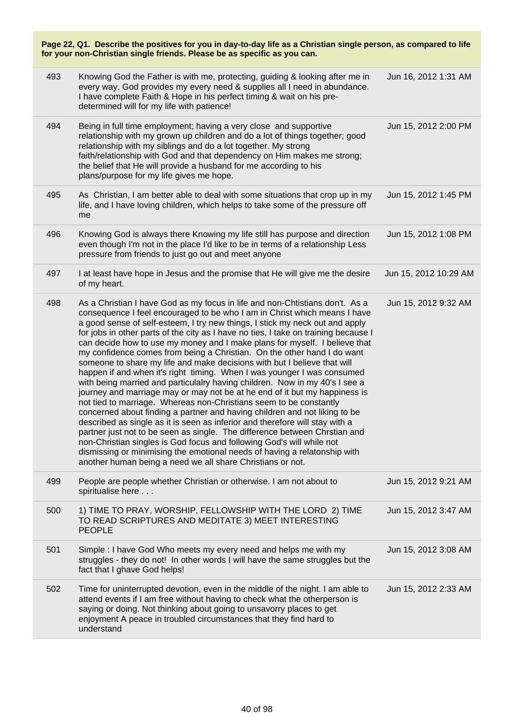| Page 22, Q1. Describe the positives for you in day-to-day life as a Christian single person, as compared to life<br>for your non-Christian single friends. Please be as specific as you can. |                                                                                                                                                                                                                                                                                                                                                                                                                                                                                                                                                                                                                                                                                                                                                                                                                                                                                                                                                                                                                                                                                                                                                                                                                                                                                                                                                     |                       |
|----------------------------------------------------------------------------------------------------------------------------------------------------------------------------------------------|-----------------------------------------------------------------------------------------------------------------------------------------------------------------------------------------------------------------------------------------------------------------------------------------------------------------------------------------------------------------------------------------------------------------------------------------------------------------------------------------------------------------------------------------------------------------------------------------------------------------------------------------------------------------------------------------------------------------------------------------------------------------------------------------------------------------------------------------------------------------------------------------------------------------------------------------------------------------------------------------------------------------------------------------------------------------------------------------------------------------------------------------------------------------------------------------------------------------------------------------------------------------------------------------------------------------------------------------------------|-----------------------|
| 493                                                                                                                                                                                          | Knowing God the Father is with me, protecting, guiding & looking after me in<br>every way. God provides my every need & supplies all I need in abundance.<br>I have complete Faith & Hope in his perfect timing & wait on his pre-<br>determined will for my life with patience!                                                                                                                                                                                                                                                                                                                                                                                                                                                                                                                                                                                                                                                                                                                                                                                                                                                                                                                                                                                                                                                                    | Jun 16, 2012 1:31 AM  |
| 494                                                                                                                                                                                          | Being in full time employment; having a very close and supportive<br>relationship with my grown up children and do a lot of things together; good<br>relationship with my siblings and do a lot together. My strong<br>faith/relationship with God and that dependency on Him makes me strong;<br>the belief that He will provide a husband for me according to his<br>plans/purpose for my life gives me hope.                                                                                                                                                                                                                                                                                                                                                                                                                                                                                                                                                                                                                                                                                                                                                                                                                                                                                                                                     | Jun 15, 2012 2:00 PM  |
| 495                                                                                                                                                                                          | As Christian, I am better able to deal with some situations that crop up in my<br>life, and I have loving children, which helps to take some of the pressure off<br>me                                                                                                                                                                                                                                                                                                                                                                                                                                                                                                                                                                                                                                                                                                                                                                                                                                                                                                                                                                                                                                                                                                                                                                              | Jun 15, 2012 1:45 PM  |
| 496                                                                                                                                                                                          | Knowing God is always there Knowing my life still has purpose and direction<br>even though I'm not in the place I'd like to be in terms of a relationship Less<br>pressure from friends to just go out and meet anyone                                                                                                                                                                                                                                                                                                                                                                                                                                                                                                                                                                                                                                                                                                                                                                                                                                                                                                                                                                                                                                                                                                                              | Jun 15, 2012 1:08 PM  |
| 497                                                                                                                                                                                          | I at least have hope in Jesus and the promise that He will give me the desire<br>of my heart.                                                                                                                                                                                                                                                                                                                                                                                                                                                                                                                                                                                                                                                                                                                                                                                                                                                                                                                                                                                                                                                                                                                                                                                                                                                       | Jun 15, 2012 10:29 AM |
| 498                                                                                                                                                                                          | As a Christian I have God as my focus in life and non-Chtistians don't. As a<br>consequence I feel encouraged to be who I am in Christ which means I have<br>a good sense of self-esteem, I try new things, I stick my neck out and apply<br>for jobs in other parts of the city as I have no ties, I take on training because I<br>can decide how to use my money and I make plans for myself. I believe that<br>my confidence comes from being a Christian. On the other hand I do want<br>someone to share my life and make decisions with but I believe that will<br>happen if and when it's right timing. When I was younger I was consumed<br>with being married and particulalry having children. Now in my 40's I see a<br>journey and marriage may or may not be at he end of it but my happiness is<br>not tied to marriage. Whereas non-Christians seem to be constantly<br>concerned about finding a partner and having children and not liking to be<br>described as single as it is seen as inferior and therefore will stay with a<br>partner just not to be seen as single. The difference between Chrstian and<br>non-Christian singles is God focus and following God's will while not<br>dismissing or minimising the emotional needs of having a relatonship with<br>another human being a need we all share Christians or not. | Jun 15, 2012 9:32 AM  |
| 499                                                                                                                                                                                          | People are people whether Christian or otherwise. I am not about to<br>spiritualise here                                                                                                                                                                                                                                                                                                                                                                                                                                                                                                                                                                                                                                                                                                                                                                                                                                                                                                                                                                                                                                                                                                                                                                                                                                                            | Jun 15, 2012 9:21 AM  |
| 500                                                                                                                                                                                          | 1) TIME TO PRAY, WORSHIP, FELLOWSHIP WITH THE LORD 2) TIME<br>TO READ SCRIPTURES AND MEDITATE 3) MEET INTERESTING<br><b>PEOPLE</b>                                                                                                                                                                                                                                                                                                                                                                                                                                                                                                                                                                                                                                                                                                                                                                                                                                                                                                                                                                                                                                                                                                                                                                                                                  | Jun 15, 2012 3:47 AM  |
| 501                                                                                                                                                                                          | Simple : I have God Who meets my every need and helps me with my<br>struggles - they do not! In other words I will have the same struggles but the<br>fact that I ghave God helps!                                                                                                                                                                                                                                                                                                                                                                                                                                                                                                                                                                                                                                                                                                                                                                                                                                                                                                                                                                                                                                                                                                                                                                  | Jun 15, 2012 3:08 AM  |
| 502                                                                                                                                                                                          | Time for uninterrupted devotion, even in the middle of the night. I am able to<br>attend events if I am free without having to check what the otherperson is<br>saying or doing. Not thinking about going to unsavorry places to get<br>enjoyment A peace in troubled circumstances that they find hard to<br>understand                                                                                                                                                                                                                                                                                                                                                                                                                                                                                                                                                                                                                                                                                                                                                                                                                                                                                                                                                                                                                            | Jun 15, 2012 2:33 AM  |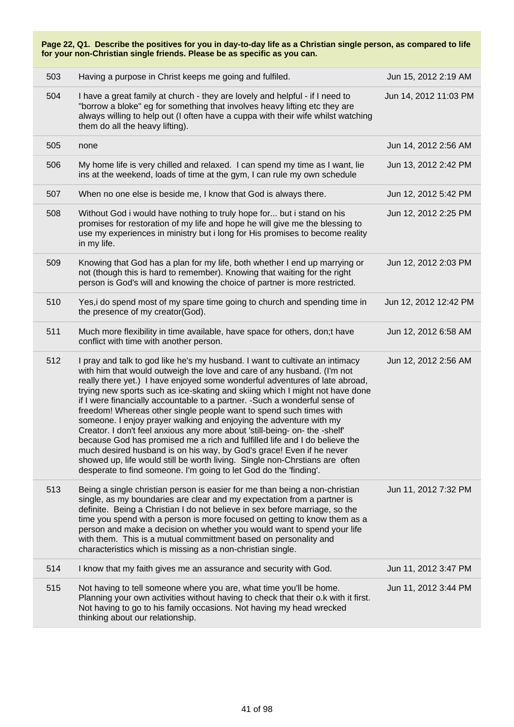| Page 22, Q1. Describe the positives for you in day-to-day life as a Christian single person, as compared to life<br>for your non-Christian single friends. Please be as specific as you can. |                                                                                                                                                                                                                                                                                                                                                                                                                                                                                                                                                                                                                                                                                                                                                                                                                                                                                                                                           |                       |
|----------------------------------------------------------------------------------------------------------------------------------------------------------------------------------------------|-------------------------------------------------------------------------------------------------------------------------------------------------------------------------------------------------------------------------------------------------------------------------------------------------------------------------------------------------------------------------------------------------------------------------------------------------------------------------------------------------------------------------------------------------------------------------------------------------------------------------------------------------------------------------------------------------------------------------------------------------------------------------------------------------------------------------------------------------------------------------------------------------------------------------------------------|-----------------------|
| 503                                                                                                                                                                                          | Having a purpose in Christ keeps me going and fulfiled.                                                                                                                                                                                                                                                                                                                                                                                                                                                                                                                                                                                                                                                                                                                                                                                                                                                                                   | Jun 15, 2012 2:19 AM  |
| 504                                                                                                                                                                                          | I have a great family at church - they are lovely and helpful - if I need to<br>"borrow a bloke" eg for something that involves heavy lifting etc they are<br>always willing to help out (I often have a cuppa with their wife whilst watching<br>them do all the heavy lifting).                                                                                                                                                                                                                                                                                                                                                                                                                                                                                                                                                                                                                                                         | Jun 14, 2012 11:03 PM |
| 505                                                                                                                                                                                          | none                                                                                                                                                                                                                                                                                                                                                                                                                                                                                                                                                                                                                                                                                                                                                                                                                                                                                                                                      | Jun 14, 2012 2:56 AM  |
| 506                                                                                                                                                                                          | My home life is very chilled and relaxed. I can spend my time as I want, lie<br>ins at the weekend, loads of time at the gym, I can rule my own schedule                                                                                                                                                                                                                                                                                                                                                                                                                                                                                                                                                                                                                                                                                                                                                                                  | Jun 13, 2012 2:42 PM  |
| 507                                                                                                                                                                                          | When no one else is beside me, I know that God is always there.                                                                                                                                                                                                                                                                                                                                                                                                                                                                                                                                                                                                                                                                                                                                                                                                                                                                           | Jun 12, 2012 5:42 PM  |
| 508                                                                                                                                                                                          | Without God i would have nothing to truly hope for but i stand on his<br>promises for restoration of my life and hope he will give me the blessing to<br>use my experiences in ministry but i long for His promises to become reality<br>in my life.                                                                                                                                                                                                                                                                                                                                                                                                                                                                                                                                                                                                                                                                                      | Jun 12, 2012 2:25 PM  |
| 509                                                                                                                                                                                          | Knowing that God has a plan for my life, both whether I end up marrying or<br>not (though this is hard to remember). Knowing that waiting for the right<br>person is God's will and knowing the choice of partner is more restricted.                                                                                                                                                                                                                                                                                                                                                                                                                                                                                                                                                                                                                                                                                                     | Jun 12, 2012 2:03 PM  |
| 510                                                                                                                                                                                          | Yes, i do spend most of my spare time going to church and spending time in<br>the presence of my creator(God).                                                                                                                                                                                                                                                                                                                                                                                                                                                                                                                                                                                                                                                                                                                                                                                                                            | Jun 12, 2012 12:42 PM |
| 511                                                                                                                                                                                          | Much more flexibility in time available, have space for others, don;t have<br>conflict with time with another person.                                                                                                                                                                                                                                                                                                                                                                                                                                                                                                                                                                                                                                                                                                                                                                                                                     | Jun 12, 2012 6:58 AM  |
| 512                                                                                                                                                                                          | I pray and talk to god like he's my husband. I want to cultivate an intimacy<br>with him that would outweigh the love and care of any husband. (I'm not<br>really there yet.) I have enjoyed some wonderful adventures of late abroad,<br>trying new sports such as ice-skating and skiing which I might not have done<br>if I were financially accountable to a partner. - Such a wonderful sense of<br>freedom! Whereas other single people want to spend such times with<br>someone. I enjoy prayer walking and enjoying the adventure with my<br>Creator. I don't feel anxious any more about 'still-being- on- the -shelf'<br>because God has promised me a rich and fulfilled life and I do believe the<br>much desired husband is on his way, by God's grace! Even if he never<br>showed up, life would still be worth living. Single non-Chrstians are often<br>desperate to find someone. I'm going to let God do the 'finding'. | Jun 12, 2012 2:56 AM  |
| 513                                                                                                                                                                                          | Being a single christian person is easier for me than being a non-christian<br>single, as my boundaries are clear and my expectation from a partner is<br>definite. Being a Christian I do not believe in sex before marriage, so the<br>time you spend with a person is more focused on getting to know them as a<br>person and make a decision on whether you would want to spend your life<br>with them. This is a mutual committment based on personality and<br>characteristics which is missing as a non-christian single.                                                                                                                                                                                                                                                                                                                                                                                                          | Jun 11, 2012 7:32 PM  |
| 514                                                                                                                                                                                          | I know that my faith gives me an assurance and security with God.                                                                                                                                                                                                                                                                                                                                                                                                                                                                                                                                                                                                                                                                                                                                                                                                                                                                         | Jun 11, 2012 3:47 PM  |
| 515                                                                                                                                                                                          | Not having to tell someone where you are, what time you'll be home.<br>Planning your own activities without having to check that their o.k with it first.<br>Not having to go to his family occasions. Not having my head wrecked<br>thinking about our relationship.                                                                                                                                                                                                                                                                                                                                                                                                                                                                                                                                                                                                                                                                     | Jun 11, 2012 3:44 PM  |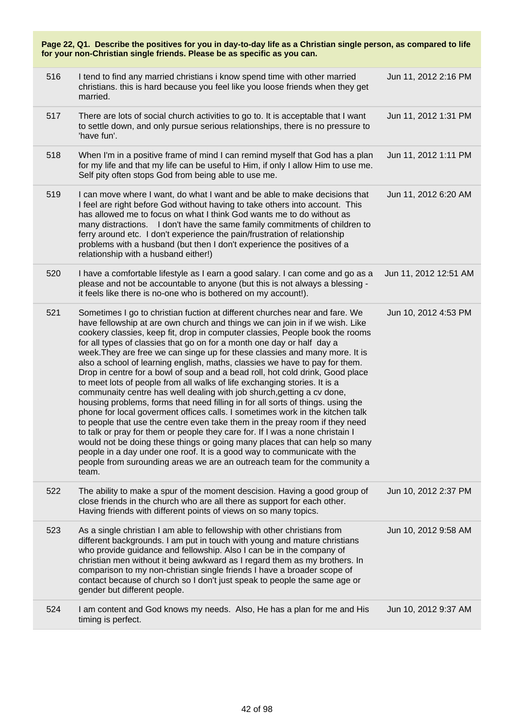| Page 22, Q1. Describe the positives for you in day-to-day life as a Christian single person, as compared to life<br>for your non-Christian single friends. Please be as specific as you can. |                                                                                                                                                                                                                                                                                                                                                                                                                                                                                                                                                                                                                                                                                                                                                                                                                                                                                                                                                                                                                                                                                                                                                                                                                                                                                                                |                       |
|----------------------------------------------------------------------------------------------------------------------------------------------------------------------------------------------|----------------------------------------------------------------------------------------------------------------------------------------------------------------------------------------------------------------------------------------------------------------------------------------------------------------------------------------------------------------------------------------------------------------------------------------------------------------------------------------------------------------------------------------------------------------------------------------------------------------------------------------------------------------------------------------------------------------------------------------------------------------------------------------------------------------------------------------------------------------------------------------------------------------------------------------------------------------------------------------------------------------------------------------------------------------------------------------------------------------------------------------------------------------------------------------------------------------------------------------------------------------------------------------------------------------|-----------------------|
| 516                                                                                                                                                                                          | I tend to find any married christians i know spend time with other married<br>christians. this is hard because you feel like you loose friends when they get<br>married.                                                                                                                                                                                                                                                                                                                                                                                                                                                                                                                                                                                                                                                                                                                                                                                                                                                                                                                                                                                                                                                                                                                                       | Jun 11, 2012 2:16 PM  |
| 517                                                                                                                                                                                          | There are lots of social church activities to go to. It is acceptable that I want<br>to settle down, and only pursue serious relationships, there is no pressure to<br>'have fun'.                                                                                                                                                                                                                                                                                                                                                                                                                                                                                                                                                                                                                                                                                                                                                                                                                                                                                                                                                                                                                                                                                                                             | Jun 11, 2012 1:31 PM  |
| 518                                                                                                                                                                                          | When I'm in a positive frame of mind I can remind myself that God has a plan<br>for my life and that my life can be useful to Him, if only I allow Him to use me.<br>Self pity often stops God from being able to use me.                                                                                                                                                                                                                                                                                                                                                                                                                                                                                                                                                                                                                                                                                                                                                                                                                                                                                                                                                                                                                                                                                      | Jun 11, 2012 1:11 PM  |
| 519                                                                                                                                                                                          | I can move where I want, do what I want and be able to make decisions that<br>I feel are right before God without having to take others into account. This<br>has allowed me to focus on what I think God wants me to do without as<br>many distractions. I don't have the same family commitments of children to<br>ferry around etc. I don't experience the pain/frustration of relationship<br>problems with a husband (but then I don't experience the positives of a<br>relationship with a husband either!)                                                                                                                                                                                                                                                                                                                                                                                                                                                                                                                                                                                                                                                                                                                                                                                              | Jun 11, 2012 6:20 AM  |
| 520                                                                                                                                                                                          | I have a comfortable lifestyle as I earn a good salary. I can come and go as a<br>please and not be accountable to anyone (but this is not always a blessing -<br>it feels like there is no-one who is bothered on my account!).                                                                                                                                                                                                                                                                                                                                                                                                                                                                                                                                                                                                                                                                                                                                                                                                                                                                                                                                                                                                                                                                               | Jun 11, 2012 12:51 AM |
| 521                                                                                                                                                                                          | Sometimes I go to christian fuction at different churches near and fare. We<br>have fellowship at are own church and things we can join in if we wish. Like<br>cookery classies, keep fit, drop in computer classies, People book the rooms<br>for all types of classies that go on for a month one day or half day a<br>week. They are free we can singe up for these classies and many more. It is<br>also a school of learning english, maths, classies we have to pay for them.<br>Drop in centre for a bowl of soup and a bead roll, hot cold drink, Good place<br>to meet lots of people from all walks of life exchanging stories. It is a<br>communaity centre has well dealing with job shurch, getting a cv done,<br>housing problems, forms that need filling in for all sorts of things. using the<br>phone for local goverment offices calls. I sometimes work in the kitchen talk<br>to people that use the centre even take them in the preay room if they need<br>to talk or pray for them or people they care for. If I was a none christain I<br>would not be doing these things or going many places that can help so many<br>people in a day under one roof. It is a good way to communicate with the<br>people from surounding areas we are an outreach team for the community a<br>team. | Jun 10, 2012 4:53 PM  |
| 522                                                                                                                                                                                          | The ability to make a spur of the moment descision. Having a good group of<br>close friends in the church who are all there as support for each other.<br>Having friends with different points of views on so many topics.                                                                                                                                                                                                                                                                                                                                                                                                                                                                                                                                                                                                                                                                                                                                                                                                                                                                                                                                                                                                                                                                                     | Jun 10, 2012 2:37 PM  |
| 523                                                                                                                                                                                          | As a single christian I am able to fellowship with other christians from<br>different backgrounds. I am put in touch with young and mature christians<br>who provide guidance and fellowship. Also I can be in the company of<br>christian men without it being awkward as I regard them as my brothers. In<br>comparison to my non-christian single friends I have a broader scope of<br>contact because of church so I don't just speak to people the same age or<br>gender but different people.                                                                                                                                                                                                                                                                                                                                                                                                                                                                                                                                                                                                                                                                                                                                                                                                            | Jun 10, 2012 9:58 AM  |
| 524                                                                                                                                                                                          | I am content and God knows my needs. Also, He has a plan for me and His<br>timing is perfect.                                                                                                                                                                                                                                                                                                                                                                                                                                                                                                                                                                                                                                                                                                                                                                                                                                                                                                                                                                                                                                                                                                                                                                                                                  | Jun 10, 2012 9:37 AM  |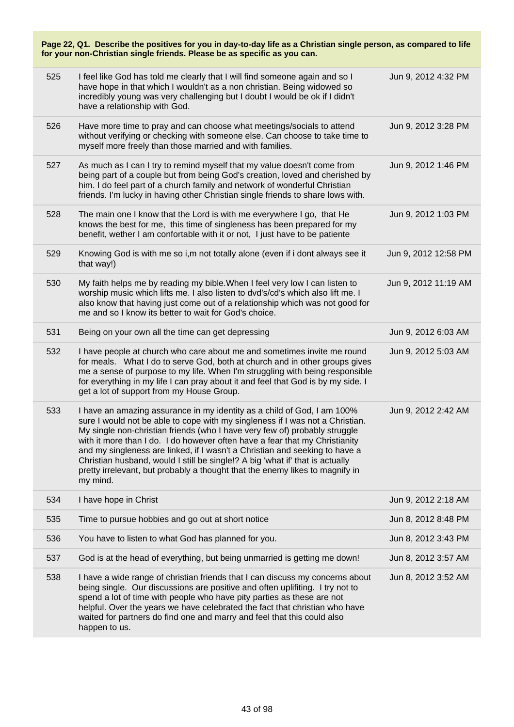| Page 22, Q1. Describe the positives for you in day-to-day life as a Christian single person, as compared to life<br>for your non-Christian single friends. Please be as specific as you can. |     |                                                                                                                                                                                                                                                                                                                                                                                                                                                                                                                                                                                   |                      |
|----------------------------------------------------------------------------------------------------------------------------------------------------------------------------------------------|-----|-----------------------------------------------------------------------------------------------------------------------------------------------------------------------------------------------------------------------------------------------------------------------------------------------------------------------------------------------------------------------------------------------------------------------------------------------------------------------------------------------------------------------------------------------------------------------------------|----------------------|
|                                                                                                                                                                                              | 525 | I feel like God has told me clearly that I will find someone again and so I<br>have hope in that which I wouldn't as a non christian. Being widowed so<br>incredibly young was very challenging but I doubt I would be ok if I didn't<br>have a relationship with God.                                                                                                                                                                                                                                                                                                            | Jun 9, 2012 4:32 PM  |
|                                                                                                                                                                                              | 526 | Have more time to pray and can choose what meetings/socials to attend<br>without verifying or checking with someone else. Can choose to take time to<br>myself more freely than those married and with families.                                                                                                                                                                                                                                                                                                                                                                  | Jun 9, 2012 3:28 PM  |
|                                                                                                                                                                                              | 527 | As much as I can I try to remind myself that my value doesn't come from<br>being part of a couple but from being God's creation, loved and cherished by<br>him. I do feel part of a church family and network of wonderful Christian<br>friends. I'm lucky in having other Christian single friends to share lows with.                                                                                                                                                                                                                                                           | Jun 9, 2012 1:46 PM  |
|                                                                                                                                                                                              | 528 | The main one I know that the Lord is with me everywhere I go, that He<br>knows the best for me, this time of singleness has been prepared for my<br>benefit, wether I am confortable with it or not, I just have to be patiente                                                                                                                                                                                                                                                                                                                                                   | Jun 9, 2012 1:03 PM  |
|                                                                                                                                                                                              | 529 | Knowing God is with me so i, m not totally alone (even if i dont always see it<br>that way!)                                                                                                                                                                                                                                                                                                                                                                                                                                                                                      | Jun 9, 2012 12:58 PM |
|                                                                                                                                                                                              | 530 | My faith helps me by reading my bible. When I feel very low I can listen to<br>worship music which lifts me. I also listen to dvd's/cd's which also lift me. I<br>also know that having just come out of a relationship which was not good for<br>me and so I know its better to wait for God's choice.                                                                                                                                                                                                                                                                           | Jun 9, 2012 11:19 AM |
|                                                                                                                                                                                              | 531 | Being on your own all the time can get depressing                                                                                                                                                                                                                                                                                                                                                                                                                                                                                                                                 | Jun 9, 2012 6:03 AM  |
|                                                                                                                                                                                              | 532 | I have people at church who care about me and sometimes invite me round<br>for meals. What I do to serve God, both at church and in other groups gives<br>me a sense of purpose to my life. When I'm struggling with being responsible<br>for everything in my life I can pray about it and feel that God is by my side. I<br>get a lot of support from my House Group.                                                                                                                                                                                                           | Jun 9, 2012 5:03 AM  |
|                                                                                                                                                                                              | 533 | I have an amazing assurance in my identity as a child of God, I am 100%<br>sure I would not be able to cope with my singleness if I was not a Christian.<br>My single non-christian friends (who I have very few of) probably struggle<br>with it more than I do. I do however often have a fear that my Christianity<br>and my singleness are linked, if I wasn't a Christian and seeking to have a<br>Christian husband, would I still be single!? A big 'what if' that is actually<br>pretty irrelevant, but probably a thought that the enemy likes to magnify in<br>my mind. | Jun 9, 2012 2:42 AM  |
|                                                                                                                                                                                              | 534 | I have hope in Christ                                                                                                                                                                                                                                                                                                                                                                                                                                                                                                                                                             | Jun 9, 2012 2:18 AM  |
|                                                                                                                                                                                              | 535 | Time to pursue hobbies and go out at short notice                                                                                                                                                                                                                                                                                                                                                                                                                                                                                                                                 | Jun 8, 2012 8:48 PM  |
|                                                                                                                                                                                              | 536 | You have to listen to what God has planned for you.                                                                                                                                                                                                                                                                                                                                                                                                                                                                                                                               | Jun 8, 2012 3:43 PM  |
|                                                                                                                                                                                              | 537 | God is at the head of everything, but being unmarried is getting me down!                                                                                                                                                                                                                                                                                                                                                                                                                                                                                                         | Jun 8, 2012 3:57 AM  |
|                                                                                                                                                                                              | 538 | I have a wide range of christian friends that I can discuss my concerns about<br>being single. Our discussions are positive and often uplifiting. I try not to<br>spend a lot of time with people who have pity parties as these are not<br>helpful. Over the years we have celebrated the fact that christian who have<br>waited for partners do find one and marry and feel that this could also<br>happen to us.                                                                                                                                                               | Jun 8, 2012 3:52 AM  |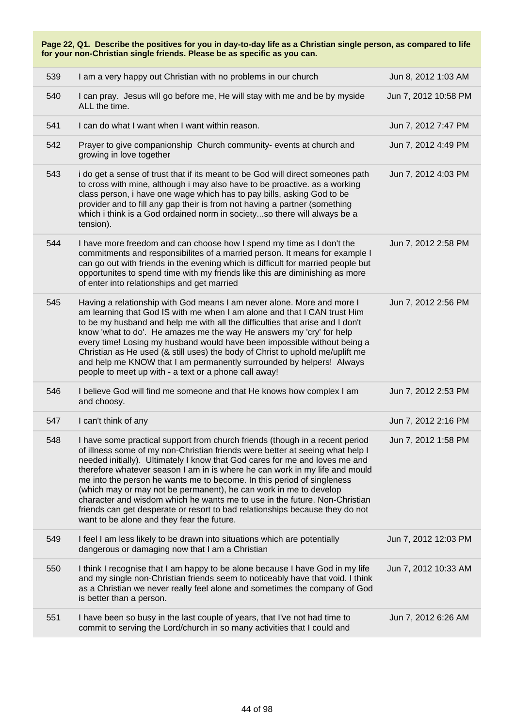| Page 22, Q1. Describe the positives for you in day-to-day life as a Christian single person, as compared to life<br>for your non-Christian single friends. Please be as specific as you can. |                                                                                                                                                                                                                                                                                                                                                                                                                                                                                                                                                                                                                                                                                        |                      |
|----------------------------------------------------------------------------------------------------------------------------------------------------------------------------------------------|----------------------------------------------------------------------------------------------------------------------------------------------------------------------------------------------------------------------------------------------------------------------------------------------------------------------------------------------------------------------------------------------------------------------------------------------------------------------------------------------------------------------------------------------------------------------------------------------------------------------------------------------------------------------------------------|----------------------|
| 539                                                                                                                                                                                          | I am a very happy out Christian with no problems in our church                                                                                                                                                                                                                                                                                                                                                                                                                                                                                                                                                                                                                         | Jun 8, 2012 1:03 AM  |
| 540                                                                                                                                                                                          | I can pray. Jesus will go before me, He will stay with me and be by myside<br>ALL the time.                                                                                                                                                                                                                                                                                                                                                                                                                                                                                                                                                                                            | Jun 7, 2012 10:58 PM |
| 541                                                                                                                                                                                          | I can do what I want when I want within reason.                                                                                                                                                                                                                                                                                                                                                                                                                                                                                                                                                                                                                                        | Jun 7, 2012 7:47 PM  |
| 542                                                                                                                                                                                          | Prayer to give companionship Church community- events at church and<br>growing in love together                                                                                                                                                                                                                                                                                                                                                                                                                                                                                                                                                                                        | Jun 7, 2012 4:49 PM  |
| 543                                                                                                                                                                                          | i do get a sense of trust that if its meant to be God will direct someones path<br>to cross with mine, although i may also have to be proactive. as a working<br>class person, i have one wage which has to pay bills, asking God to be<br>provider and to fill any gap their is from not having a partner (something<br>which i think is a God ordained norm in societyso there will always be a<br>tension).                                                                                                                                                                                                                                                                         | Jun 7, 2012 4:03 PM  |
| 544                                                                                                                                                                                          | I have more freedom and can choose how I spend my time as I don't the<br>commitments and responsibilites of a married person. It means for example I<br>can go out with friends in the evening which is difficult for married people but<br>opportunites to spend time with my friends like this are diminishing as more<br>of enter into relationships and get married                                                                                                                                                                                                                                                                                                                | Jun 7, 2012 2:58 PM  |
| 545                                                                                                                                                                                          | Having a relationship with God means I am never alone. More and more I<br>am learning that God IS with me when I am alone and that I CAN trust Him<br>to be my husband and help me with all the difficulties that arise and I don't<br>know 'what to do'. He amazes me the way He answers my 'cry' for help<br>every time! Losing my husband would have been impossible without being a<br>Christian as He used (& still uses) the body of Christ to uphold me/uplift me<br>and help me KNOW that I am permanently surrounded by helpers! Always<br>people to meet up with - a text or a phone call away!                                                                              | Jun 7, 2012 2:56 PM  |
| 546                                                                                                                                                                                          | I believe God will find me someone and that He knows how complex I am<br>and choosy.                                                                                                                                                                                                                                                                                                                                                                                                                                                                                                                                                                                                   | Jun 7, 2012 2:53 PM  |
| 547                                                                                                                                                                                          | I can't think of any                                                                                                                                                                                                                                                                                                                                                                                                                                                                                                                                                                                                                                                                   | Jun 7, 2012 2:16 PM  |
| 548                                                                                                                                                                                          | I have some practical support from church friends (though in a recent period<br>of illness some of my non-Christian friends were better at seeing what help I<br>needed initially). Ultimately I know that God cares for me and loves me and<br>therefore whatever season I am in is where he can work in my life and mould<br>me into the person he wants me to become. In this period of singleness<br>(which may or may not be permanent), he can work in me to develop<br>character and wisdom which he wants me to use in the future. Non-Christian<br>friends can get desperate or resort to bad relationships because they do not<br>want to be alone and they fear the future. | Jun 7, 2012 1:58 PM  |
| 549                                                                                                                                                                                          | I feel I am less likely to be drawn into situations which are potentially<br>dangerous or damaging now that I am a Christian                                                                                                                                                                                                                                                                                                                                                                                                                                                                                                                                                           | Jun 7, 2012 12:03 PM |
| 550                                                                                                                                                                                          | I think I recognise that I am happy to be alone because I have God in my life<br>and my single non-Christian friends seem to noticeably have that void. I think<br>as a Christian we never really feel alone and sometimes the company of God<br>is better than a person.                                                                                                                                                                                                                                                                                                                                                                                                              | Jun 7, 2012 10:33 AM |
| 551                                                                                                                                                                                          | I have been so busy in the last couple of years, that I've not had time to<br>commit to serving the Lord/church in so many activities that I could and                                                                                                                                                                                                                                                                                                                                                                                                                                                                                                                                 | Jun 7, 2012 6:26 AM  |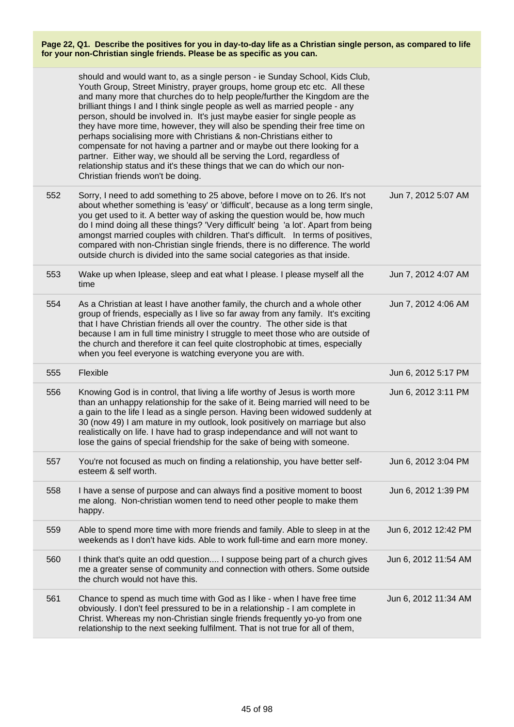|     | should and would want to, as a single person - ie Sunday School, Kids Club,<br>Youth Group, Street Ministry, prayer groups, home group etc etc. All these<br>and many more that churches do to help people/further the Kingdom are the<br>brilliant things I and I think single people as well as married people - any<br>person, should be involved in. It's just maybe easier for single people as<br>they have more time, however, they will also be spending their free time on<br>perhaps socialising more with Christians & non-Christians either to<br>compensate for not having a partner and or maybe out there looking for a<br>partner. Either way, we should all be serving the Lord, regardless of<br>relationship status and it's these things that we can do which our non-<br>Christian friends won't be doing. |                      |
|-----|---------------------------------------------------------------------------------------------------------------------------------------------------------------------------------------------------------------------------------------------------------------------------------------------------------------------------------------------------------------------------------------------------------------------------------------------------------------------------------------------------------------------------------------------------------------------------------------------------------------------------------------------------------------------------------------------------------------------------------------------------------------------------------------------------------------------------------|----------------------|
| 552 | Sorry, I need to add something to 25 above, before I move on to 26. It's not<br>about whether something is 'easy' or 'difficult', because as a long term single,<br>you get used to it. A better way of asking the question would be, how much<br>do I mind doing all these things? 'Very difficult' being 'a lot'. Apart from being<br>amongst married couples with children. That's difficult. In terms of positives,<br>compared with non-Christian single friends, there is no difference. The world<br>outside church is divided into the same social categories as that inside.                                                                                                                                                                                                                                           | Jun 7, 2012 5:07 AM  |
| 553 | Wake up when Iplease, sleep and eat what I please. I please myself all the<br>time                                                                                                                                                                                                                                                                                                                                                                                                                                                                                                                                                                                                                                                                                                                                              | Jun 7, 2012 4:07 AM  |
| 554 | As a Christian at least I have another family, the church and a whole other<br>group of friends, especially as I live so far away from any family. It's exciting<br>that I have Christian friends all over the country. The other side is that<br>because I am in full time ministry I struggle to meet those who are outside of<br>the church and therefore it can feel quite clostrophobic at times, especially<br>when you feel everyone is watching everyone you are with.                                                                                                                                                                                                                                                                                                                                                  | Jun 7, 2012 4:06 AM  |
| 555 | Flexible                                                                                                                                                                                                                                                                                                                                                                                                                                                                                                                                                                                                                                                                                                                                                                                                                        | Jun 6, 2012 5:17 PM  |
| 556 | Knowing God is in control, that living a life worthy of Jesus is worth more<br>than an unhappy relationship for the sake of it. Being married will need to be<br>a gain to the life I lead as a single person. Having been widowed suddenly at<br>30 (now 49) I am mature in my outlook, look positively on marriage but also<br>realistically on life. I have had to grasp independance and will not want to<br>lose the gains of special friendship for the sake of being with someone.                                                                                                                                                                                                                                                                                                                                       | Jun 6, 2012 3:11 PM  |
| 557 | You're not focused as much on finding a relationship, you have better self-<br>esteem & self worth.                                                                                                                                                                                                                                                                                                                                                                                                                                                                                                                                                                                                                                                                                                                             | Jun 6, 2012 3:04 PM  |
| 558 | I have a sense of purpose and can always find a positive moment to boost<br>me along. Non-christian women tend to need other people to make them<br>happy.                                                                                                                                                                                                                                                                                                                                                                                                                                                                                                                                                                                                                                                                      | Jun 6, 2012 1:39 PM  |
| 559 | Able to spend more time with more friends and family. Able to sleep in at the<br>weekends as I don't have kids. Able to work full-time and earn more money.                                                                                                                                                                                                                                                                                                                                                                                                                                                                                                                                                                                                                                                                     | Jun 6, 2012 12:42 PM |
| 560 | I think that's quite an odd question I suppose being part of a church gives<br>me a greater sense of community and connection with others. Some outside<br>the church would not have this.                                                                                                                                                                                                                                                                                                                                                                                                                                                                                                                                                                                                                                      | Jun 6, 2012 11:54 AM |
| 561 | Chance to spend as much time with God as I like - when I have free time<br>obviously. I don't feel pressured to be in a relationship - I am complete in<br>Christ. Whereas my non-Christian single friends frequently yo-yo from one<br>relationship to the next seeking fulfilment. That is not true for all of them,                                                                                                                                                                                                                                                                                                                                                                                                                                                                                                          | Jun 6, 2012 11:34 AM |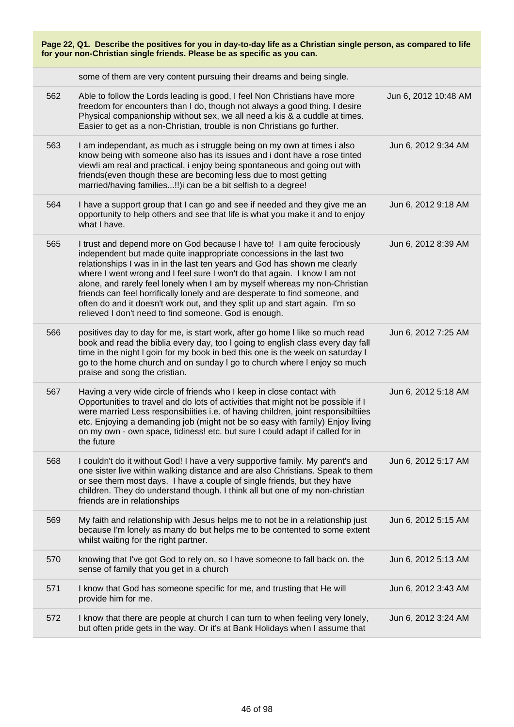| Page 22, Q1. Describe the positives for you in day-to-day life as a Christian single person, as compared to life<br>for your non-Christian single friends. Please be as specific as you can. |                                                                                                                                                                                                                                                                                                                                                                                                                                                                                                                                                                                                                 |                      |
|----------------------------------------------------------------------------------------------------------------------------------------------------------------------------------------------|-----------------------------------------------------------------------------------------------------------------------------------------------------------------------------------------------------------------------------------------------------------------------------------------------------------------------------------------------------------------------------------------------------------------------------------------------------------------------------------------------------------------------------------------------------------------------------------------------------------------|----------------------|
|                                                                                                                                                                                              | some of them are very content pursuing their dreams and being single.                                                                                                                                                                                                                                                                                                                                                                                                                                                                                                                                           |                      |
| 562                                                                                                                                                                                          | Able to follow the Lords leading is good, I feel Non Christians have more<br>freedom for encounters than I do, though not always a good thing. I desire<br>Physical companionship without sex, we all need a kis & a cuddle at times.<br>Easier to get as a non-Christian, trouble is non Christians go further.                                                                                                                                                                                                                                                                                                | Jun 6, 2012 10:48 AM |
| 563                                                                                                                                                                                          | I am independant, as much as i struggle being on my own at times i also<br>know being with someone also has its issues and i dont have a rose tinted<br>view!i am real and practical, i enjoy being spontaneous and going out with<br>friends(even though these are becoming less due to most getting<br>married/having families!!) can be a bit selfish to a degree!                                                                                                                                                                                                                                           | Jun 6, 2012 9:34 AM  |
| 564                                                                                                                                                                                          | I have a support group that I can go and see if needed and they give me an<br>opportunity to help others and see that life is what you make it and to enjoy<br>what I have.                                                                                                                                                                                                                                                                                                                                                                                                                                     | Jun 6, 2012 9:18 AM  |
| 565                                                                                                                                                                                          | I trust and depend more on God because I have to! I am quite ferociously<br>independent but made quite inappropriate concessions in the last two<br>relationships I was in in the last ten years and God has shown me clearly<br>where I went wrong and I feel sure I won't do that again. I know I am not<br>alone, and rarely feel lonely when I am by myself whereas my non-Christian<br>friends can feel horrifically lonely and are desperate to find someone, and<br>often do and it doesn't work out, and they split up and start again. I'm so<br>relieved I don't need to find someone. God is enough. | Jun 6, 2012 8:39 AM  |
| 566                                                                                                                                                                                          | positives day to day for me, is start work, after go home I like so much read<br>book and read the biblia every day, too I going to english class every day fall<br>time in the night I goin for my book in bed this one is the week on saturday I<br>go to the home church and on sunday I go to church where I enjoy so much<br>praise and song the cristian.                                                                                                                                                                                                                                                 | Jun 6, 2012 7:25 AM  |
| 567                                                                                                                                                                                          | Having a very wide circle of friends who I keep in close contact with<br>Opportunities to travel and do lots of activities that might not be possible if I<br>were married Less responsibilities i.e. of having children, joint responsibilities<br>etc. Enjoying a demanding job (might not be so easy with family) Enjoy living<br>on my own - own space, tidiness! etc. but sure I could adapt if called for in<br>the future                                                                                                                                                                                | Jun 6, 2012 5:18 AM  |
| 568                                                                                                                                                                                          | I couldn't do it without God! I have a very supportive family. My parent's and<br>one sister live within walking distance and are also Christians. Speak to them<br>or see them most days. I have a couple of single friends, but they have<br>children. They do understand though. I think all but one of my non-christian<br>friends are in relationships                                                                                                                                                                                                                                                     | Jun 6, 2012 5:17 AM  |
| 569                                                                                                                                                                                          | My faith and relationship with Jesus helps me to not be in a relationship just<br>because I'm lonely as many do but helps me to be contented to some extent<br>whilst waiting for the right partner.                                                                                                                                                                                                                                                                                                                                                                                                            | Jun 6, 2012 5:15 AM  |
| 570                                                                                                                                                                                          | knowing that I've got God to rely on, so I have someone to fall back on. the<br>sense of family that you get in a church                                                                                                                                                                                                                                                                                                                                                                                                                                                                                        | Jun 6, 2012 5:13 AM  |
| 571                                                                                                                                                                                          | I know that God has someone specific for me, and trusting that He will<br>provide him for me.                                                                                                                                                                                                                                                                                                                                                                                                                                                                                                                   | Jun 6, 2012 3:43 AM  |
| 572                                                                                                                                                                                          | I know that there are people at church I can turn to when feeling very lonely,<br>but often pride gets in the way. Or it's at Bank Holidays when I assume that                                                                                                                                                                                                                                                                                                                                                                                                                                                  | Jun 6, 2012 3:24 AM  |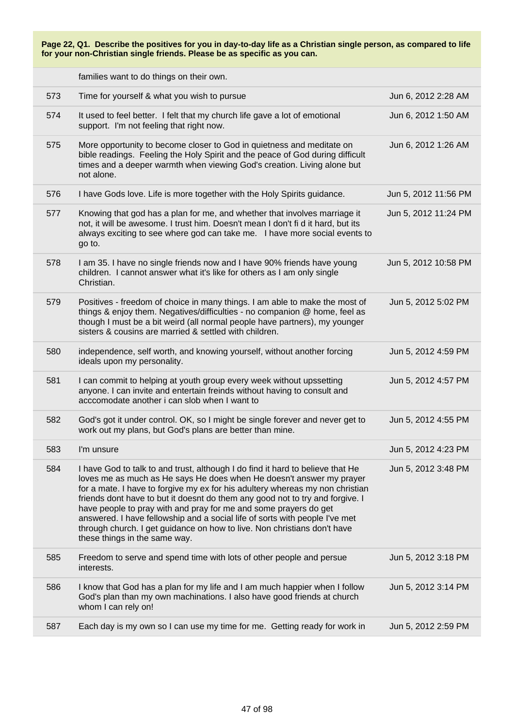families want to do things on their own.

| 573 | Time for yourself & what you wish to pursue                                                                                                                                                                                                                                                                                                                                                                                                                                                                                                                                              | Jun 6, 2012 2:28 AM  |
|-----|------------------------------------------------------------------------------------------------------------------------------------------------------------------------------------------------------------------------------------------------------------------------------------------------------------------------------------------------------------------------------------------------------------------------------------------------------------------------------------------------------------------------------------------------------------------------------------------|----------------------|
| 574 | It used to feel better. I felt that my church life gave a lot of emotional<br>support. I'm not feeling that right now.                                                                                                                                                                                                                                                                                                                                                                                                                                                                   | Jun 6, 2012 1:50 AM  |
| 575 | More opportunity to become closer to God in quietness and meditate on<br>bible readings. Feeling the Holy Spirit and the peace of God during difficult<br>times and a deeper warmth when viewing God's creation. Living alone but<br>not alone.                                                                                                                                                                                                                                                                                                                                          | Jun 6, 2012 1:26 AM  |
| 576 | I have Gods love. Life is more together with the Holy Spirits guidance.                                                                                                                                                                                                                                                                                                                                                                                                                                                                                                                  | Jun 5, 2012 11:56 PM |
| 577 | Knowing that god has a plan for me, and whether that involves marriage it<br>not, it will be awesome. I trust him. Doesn't mean I don't fi d it hard, but its<br>always exciting to see where god can take me. I have more social events to<br>go to.                                                                                                                                                                                                                                                                                                                                    | Jun 5, 2012 11:24 PM |
| 578 | I am 35. I have no single friends now and I have 90% friends have young<br>children. I cannot answer what it's like for others as I am only single<br>Christian.                                                                                                                                                                                                                                                                                                                                                                                                                         | Jun 5, 2012 10:58 PM |
| 579 | Positives - freedom of choice in many things. I am able to make the most of<br>things & enjoy them. Negatives/difficulties - no companion @ home, feel as<br>though I must be a bit weird (all normal people have partners), my younger<br>sisters & cousins are married & settled with children.                                                                                                                                                                                                                                                                                        | Jun 5, 2012 5:02 PM  |
| 580 | independence, self worth, and knowing yourself, without another forcing<br>ideals upon my personality.                                                                                                                                                                                                                                                                                                                                                                                                                                                                                   | Jun 5, 2012 4:59 PM  |
| 581 | I can commit to helping at youth group every week without upssetting<br>anyone. I can invite and entertain freinds without having to consult and<br>acccomodate another i can slob when I want to                                                                                                                                                                                                                                                                                                                                                                                        | Jun 5, 2012 4:57 PM  |
| 582 | God's got it under control. OK, so I might be single forever and never get to<br>work out my plans, but God's plans are better than mine.                                                                                                                                                                                                                                                                                                                                                                                                                                                | Jun 5, 2012 4:55 PM  |
| 583 | I'm unsure                                                                                                                                                                                                                                                                                                                                                                                                                                                                                                                                                                               | Jun 5, 2012 4:23 PM  |
| 584 | I have God to talk to and trust, although I do find it hard to believe that He<br>loves me as much as He says He does when He doesn't answer my prayer<br>for a mate. I have to forgive my ex for his adultery whereas my non christian<br>friends dont have to but it doesnt do them any good not to try and forgive. I<br>have people to pray with and pray for me and some prayers do get<br>answered. I have fellowship and a social life of sorts with people I've met<br>through church. I get guidance on how to live. Non christians don't have<br>these things in the same way. | Jun 5, 2012 3:48 PM  |
| 585 | Freedom to serve and spend time with lots of other people and persue<br>interests.                                                                                                                                                                                                                                                                                                                                                                                                                                                                                                       | Jun 5, 2012 3:18 PM  |
| 586 | I know that God has a plan for my life and I am much happier when I follow<br>God's plan than my own machinations. I also have good friends at church<br>whom I can rely on!                                                                                                                                                                                                                                                                                                                                                                                                             | Jun 5, 2012 3:14 PM  |
| 587 | Each day is my own so I can use my time for me. Getting ready for work in                                                                                                                                                                                                                                                                                                                                                                                                                                                                                                                | Jun 5, 2012 2:59 PM  |
|     |                                                                                                                                                                                                                                                                                                                                                                                                                                                                                                                                                                                          |                      |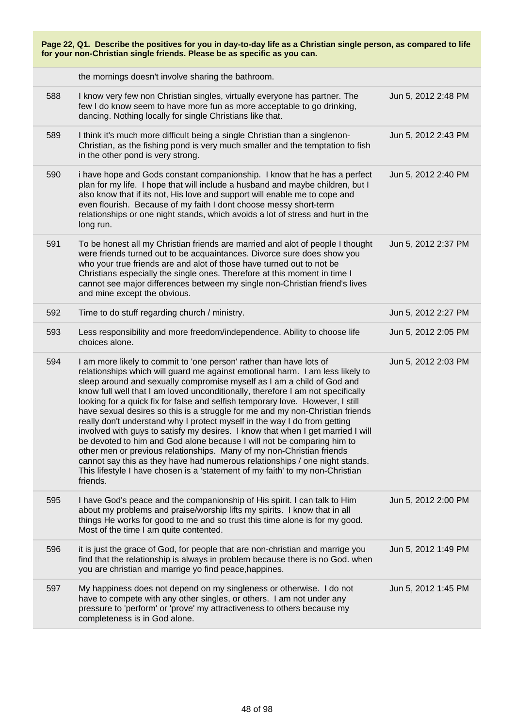| Page 22, Q1. Describe the positives for you in day-to-day life as a Christian single person, as compared to life<br>for your non-Christian single friends. Please be as specific as you can. |                                                                                                                                                                                                                                                                                                                                                                                                                                                                                                                                                                                                                                                                                                                                                                                                                                                                                                                                                                                     |                     |
|----------------------------------------------------------------------------------------------------------------------------------------------------------------------------------------------|-------------------------------------------------------------------------------------------------------------------------------------------------------------------------------------------------------------------------------------------------------------------------------------------------------------------------------------------------------------------------------------------------------------------------------------------------------------------------------------------------------------------------------------------------------------------------------------------------------------------------------------------------------------------------------------------------------------------------------------------------------------------------------------------------------------------------------------------------------------------------------------------------------------------------------------------------------------------------------------|---------------------|
|                                                                                                                                                                                              | the mornings doesn't involve sharing the bathroom.                                                                                                                                                                                                                                                                                                                                                                                                                                                                                                                                                                                                                                                                                                                                                                                                                                                                                                                                  |                     |
| 588                                                                                                                                                                                          | I know very few non Christian singles, virtually everyone has partner. The<br>few I do know seem to have more fun as more acceptable to go drinking,<br>dancing. Nothing locally for single Christians like that.                                                                                                                                                                                                                                                                                                                                                                                                                                                                                                                                                                                                                                                                                                                                                                   | Jun 5, 2012 2:48 PM |
| 589                                                                                                                                                                                          | I think it's much more difficult being a single Christian than a singlenon-<br>Christian, as the fishing pond is very much smaller and the temptation to fish<br>in the other pond is very strong.                                                                                                                                                                                                                                                                                                                                                                                                                                                                                                                                                                                                                                                                                                                                                                                  | Jun 5, 2012 2:43 PM |
| 590                                                                                                                                                                                          | i have hope and Gods constant companionship. I know that he has a perfect<br>plan for my life. I hope that will include a husband and maybe children, but I<br>also know that if its not, His love and support will enable me to cope and<br>even flourish. Because of my faith I dont choose messy short-term<br>relationships or one night stands, which avoids a lot of stress and hurt in the<br>long run.                                                                                                                                                                                                                                                                                                                                                                                                                                                                                                                                                                      | Jun 5, 2012 2:40 PM |
| 591                                                                                                                                                                                          | To be honest all my Christian friends are married and alot of people I thought<br>were friends turned out to be acquaintances. Divorce sure does show you<br>who your true friends are and alot of those have turned out to not be<br>Christians especially the single ones. Therefore at this moment in time I<br>cannot see major differences between my single non-Christian friend's lives<br>and mine except the obvious.                                                                                                                                                                                                                                                                                                                                                                                                                                                                                                                                                      | Jun 5, 2012 2:37 PM |
| 592                                                                                                                                                                                          | Time to do stuff regarding church / ministry.                                                                                                                                                                                                                                                                                                                                                                                                                                                                                                                                                                                                                                                                                                                                                                                                                                                                                                                                       | Jun 5, 2012 2:27 PM |
| 593                                                                                                                                                                                          | Less responsibility and more freedom/independence. Ability to choose life<br>choices alone.                                                                                                                                                                                                                                                                                                                                                                                                                                                                                                                                                                                                                                                                                                                                                                                                                                                                                         | Jun 5, 2012 2:05 PM |
| 594                                                                                                                                                                                          | I am more likely to commit to 'one person' rather than have lots of<br>relationships which will guard me against emotional harm. I am less likely to<br>sleep around and sexually compromise myself as I am a child of God and<br>know full well that I am loved unconditionally, therefore I am not specifically<br>looking for a quick fix for false and selfish temporary love. However, I still<br>have sexual desires so this is a struggle for me and my non-Christian friends<br>really don't understand why I protect myself in the way I do from getting<br>involved with guys to satisfy my desires. I know that when I get married I will<br>be devoted to him and God alone because I will not be comparing him to<br>other men or previous relationships. Many of my non-Christian friends<br>cannot say this as they have had numerous relationships / one night stands.<br>This lifestyle I have chosen is a 'statement of my faith' to my non-Christian<br>friends. | Jun 5, 2012 2:03 PM |
| 595                                                                                                                                                                                          | I have God's peace and the companionship of His spirit. I can talk to Him<br>about my problems and praise/worship lifts my spirits. I know that in all<br>things He works for good to me and so trust this time alone is for my good.<br>Most of the time I am quite contented.                                                                                                                                                                                                                                                                                                                                                                                                                                                                                                                                                                                                                                                                                                     | Jun 5, 2012 2:00 PM |
| 596                                                                                                                                                                                          | it is just the grace of God, for people that are non-christian and marrige you<br>find that the relationship is always in problem because there is no God. when<br>you are christian and marrige yo find peace, happines.                                                                                                                                                                                                                                                                                                                                                                                                                                                                                                                                                                                                                                                                                                                                                           | Jun 5, 2012 1:49 PM |
| 597                                                                                                                                                                                          | My happiness does not depend on my singleness or otherwise. I do not<br>have to compete with any other singles, or others. I am not under any<br>pressure to 'perform' or 'prove' my attractiveness to others because my<br>completeness is in God alone.                                                                                                                                                                                                                                                                                                                                                                                                                                                                                                                                                                                                                                                                                                                           | Jun 5, 2012 1:45 PM |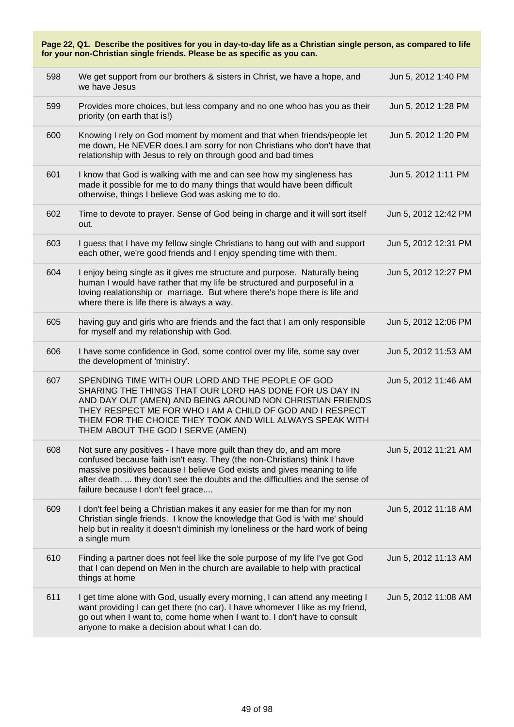| Page 22, Q1. Describe the positives for you in day-to-day life as a Christian single person, as compared to life<br>for your non-Christian single friends. Please be as specific as you can. |                                                                                                                                                                                                                                                                                                                                                      |                      |
|----------------------------------------------------------------------------------------------------------------------------------------------------------------------------------------------|------------------------------------------------------------------------------------------------------------------------------------------------------------------------------------------------------------------------------------------------------------------------------------------------------------------------------------------------------|----------------------|
| 598                                                                                                                                                                                          | We get support from our brothers & sisters in Christ, we have a hope, and<br>we have Jesus                                                                                                                                                                                                                                                           | Jun 5, 2012 1:40 PM  |
| 599                                                                                                                                                                                          | Provides more choices, but less company and no one whoo has you as their<br>priority (on earth that is!)                                                                                                                                                                                                                                             | Jun 5, 2012 1:28 PM  |
| 600                                                                                                                                                                                          | Knowing I rely on God moment by moment and that when friends/people let<br>me down, He NEVER does.I am sorry for non Christians who don't have that<br>relationship with Jesus to rely on through good and bad times                                                                                                                                 | Jun 5, 2012 1:20 PM  |
| 601                                                                                                                                                                                          | I know that God is walking with me and can see how my singleness has<br>made it possible for me to do many things that would have been difficult<br>otherwise, things I believe God was asking me to do.                                                                                                                                             | Jun 5, 2012 1:11 PM  |
| 602                                                                                                                                                                                          | Time to devote to prayer. Sense of God being in charge and it will sort itself<br>out.                                                                                                                                                                                                                                                               | Jun 5, 2012 12:42 PM |
| 603                                                                                                                                                                                          | I guess that I have my fellow single Christians to hang out with and support<br>each other, we're good friends and I enjoy spending time with them.                                                                                                                                                                                                  | Jun 5, 2012 12:31 PM |
| 604                                                                                                                                                                                          | I enjoy being single as it gives me structure and purpose. Naturally being<br>human I would have rather that my life be structured and purposeful in a<br>loving realationship or marriage. But where there's hope there is life and<br>where there is life there is always a way.                                                                   | Jun 5, 2012 12:27 PM |
| 605                                                                                                                                                                                          | having guy and girls who are friends and the fact that I am only responsible<br>for myself and my relationship with God.                                                                                                                                                                                                                             | Jun 5, 2012 12:06 PM |
| 606                                                                                                                                                                                          | I have some confidence in God, some control over my life, some say over<br>the development of 'ministry'.                                                                                                                                                                                                                                            | Jun 5, 2012 11:53 AM |
| 607                                                                                                                                                                                          | SPENDING TIME WITH OUR LORD AND THE PEOPLE OF GOD<br>SHARING THE THINGS THAT OUR LORD HAS DONE FOR US DAY IN<br>AND DAY OUT (AMEN) AND BEING AROUND NON CHRISTIAN FRIENDS<br>THEY RESPECT ME FOR WHO I AM A CHILD OF GOD AND I RESPECT<br>THEM FOR THE CHOICE THEY TOOK AND WILL ALWAYS SPEAK WITH<br>THEM ABOUT THE GOD I SERVE (AMEN)              | Jun 5, 2012 11:46 AM |
| 608                                                                                                                                                                                          | Not sure any positives - I have more guilt than they do, and am more<br>confused because faith isn't easy. They (the non-Christians) think I have<br>massive positives because I believe God exists and gives meaning to life<br>after death.  they don't see the doubts and the difficulties and the sense of<br>failure because I don't feel grace | Jun 5, 2012 11:21 AM |
| 609                                                                                                                                                                                          | I don't feel being a Christian makes it any easier for me than for my non<br>Christian single friends. I know the knowledge that God is 'with me' should<br>help but in reality it doesn't diminish my loneliness or the hard work of being<br>a single mum                                                                                          | Jun 5, 2012 11:18 AM |
| 610                                                                                                                                                                                          | Finding a partner does not feel like the sole purpose of my life I've got God<br>that I can depend on Men in the church are available to help with practical<br>things at home                                                                                                                                                                       | Jun 5, 2012 11:13 AM |
| 611                                                                                                                                                                                          | I get time alone with God, usually every morning, I can attend any meeting I<br>want providing I can get there (no car). I have whomever I like as my friend,<br>go out when I want to, come home when I want to. I don't have to consult<br>anyone to make a decision about what I can do.                                                          | Jun 5, 2012 11:08 AM |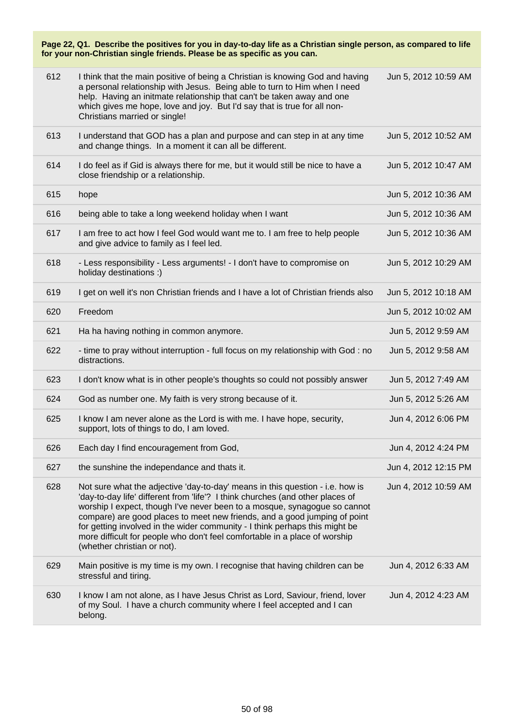| 612 | I think that the main positive of being a Christian is knowing God and having<br>a personal relationship with Jesus. Being able to turn to Him when I need<br>help. Having an initmate relationship that can't be taken away and one<br>which gives me hope, love and joy. But I'd say that is true for all non-<br>Christians married or single!                                                                                                                                                                     | Jun 5, 2012 10:59 AM |
|-----|-----------------------------------------------------------------------------------------------------------------------------------------------------------------------------------------------------------------------------------------------------------------------------------------------------------------------------------------------------------------------------------------------------------------------------------------------------------------------------------------------------------------------|----------------------|
| 613 | I understand that GOD has a plan and purpose and can step in at any time<br>and change things. In a moment it can all be different.                                                                                                                                                                                                                                                                                                                                                                                   | Jun 5, 2012 10:52 AM |
| 614 | I do feel as if Gid is always there for me, but it would still be nice to have a<br>close friendship or a relationship.                                                                                                                                                                                                                                                                                                                                                                                               | Jun 5, 2012 10:47 AM |
| 615 | hope                                                                                                                                                                                                                                                                                                                                                                                                                                                                                                                  | Jun 5, 2012 10:36 AM |
| 616 | being able to take a long weekend holiday when I want                                                                                                                                                                                                                                                                                                                                                                                                                                                                 | Jun 5, 2012 10:36 AM |
| 617 | I am free to act how I feel God would want me to. I am free to help people<br>and give advice to family as I feel led.                                                                                                                                                                                                                                                                                                                                                                                                | Jun 5, 2012 10:36 AM |
| 618 | - Less responsibility - Less arguments! - I don't have to compromise on<br>holiday destinations :)                                                                                                                                                                                                                                                                                                                                                                                                                    | Jun 5, 2012 10:29 AM |
| 619 | I get on well it's non Christian friends and I have a lot of Christian friends also                                                                                                                                                                                                                                                                                                                                                                                                                                   | Jun 5, 2012 10:18 AM |
| 620 | Freedom                                                                                                                                                                                                                                                                                                                                                                                                                                                                                                               | Jun 5, 2012 10:02 AM |
| 621 | Ha ha having nothing in common anymore.                                                                                                                                                                                                                                                                                                                                                                                                                                                                               | Jun 5, 2012 9:59 AM  |
| 622 | - time to pray without interruption - full focus on my relationship with God : no<br>distractions.                                                                                                                                                                                                                                                                                                                                                                                                                    | Jun 5, 2012 9:58 AM  |
| 623 | I don't know what is in other people's thoughts so could not possibly answer                                                                                                                                                                                                                                                                                                                                                                                                                                          | Jun 5, 2012 7:49 AM  |
| 624 | God as number one. My faith is very strong because of it.                                                                                                                                                                                                                                                                                                                                                                                                                                                             | Jun 5, 2012 5:26 AM  |
| 625 | I know I am never alone as the Lord is with me. I have hope, security,<br>support, lots of things to do, I am loved.                                                                                                                                                                                                                                                                                                                                                                                                  | Jun 4, 2012 6:06 PM  |
| 626 | Each day I find encouragement from God,                                                                                                                                                                                                                                                                                                                                                                                                                                                                               | Jun 4, 2012 4:24 PM  |
| 627 | the sunshine the independance and thats it.                                                                                                                                                                                                                                                                                                                                                                                                                                                                           | Jun 4, 2012 12:15 PM |
| 628 | Not sure what the adjective 'day-to-day' means in this question - i.e. how is<br>'day-to-day life' different from 'life'? I think churches (and other places of<br>worship I expect, though I've never been to a mosque, synagogue so cannot<br>compare) are good places to meet new friends, and a good jumping of point<br>for getting involved in the wider community - I think perhaps this might be<br>more difficult for people who don't feel comfortable in a place of worship<br>(whether christian or not). | Jun 4, 2012 10:59 AM |
| 629 | Main positive is my time is my own. I recognise that having children can be<br>stressful and tiring.                                                                                                                                                                                                                                                                                                                                                                                                                  | Jun 4, 2012 6:33 AM  |
| 630 | I know I am not alone, as I have Jesus Christ as Lord, Saviour, friend, lover<br>of my Soul. I have a church community where I feel accepted and I can<br>belong.                                                                                                                                                                                                                                                                                                                                                     | Jun 4, 2012 4:23 AM  |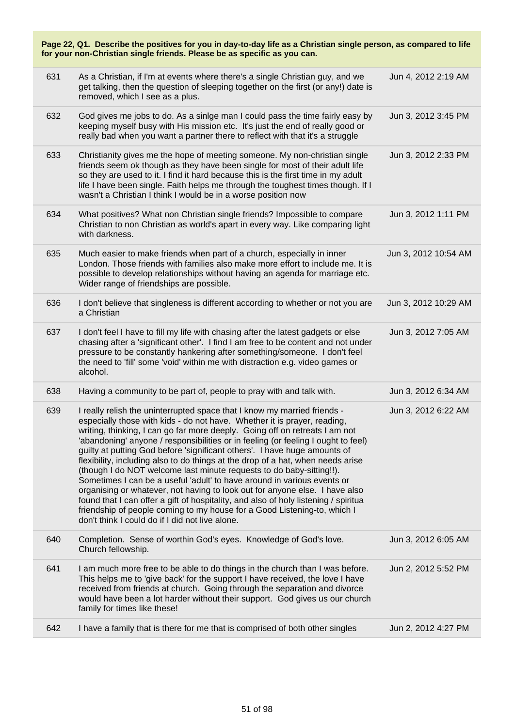| Page 22, Q1. Describe the positives for you in day-to-day life as a Christian single person, as compared to life<br>for your non-Christian single friends. Please be as specific as you can. |                                                                                                                                                                                                                                                                                                                                                                                                                                                                                                                                                                                                                                                                                                                                                                                                                                                                                                                                                  |                      |  |
|----------------------------------------------------------------------------------------------------------------------------------------------------------------------------------------------|--------------------------------------------------------------------------------------------------------------------------------------------------------------------------------------------------------------------------------------------------------------------------------------------------------------------------------------------------------------------------------------------------------------------------------------------------------------------------------------------------------------------------------------------------------------------------------------------------------------------------------------------------------------------------------------------------------------------------------------------------------------------------------------------------------------------------------------------------------------------------------------------------------------------------------------------------|----------------------|--|
| 631                                                                                                                                                                                          | As a Christian, if I'm at events where there's a single Christian guy, and we<br>get talking, then the question of sleeping together on the first (or any!) date is<br>removed, which I see as a plus.                                                                                                                                                                                                                                                                                                                                                                                                                                                                                                                                                                                                                                                                                                                                           | Jun 4, 2012 2:19 AM  |  |
| 632                                                                                                                                                                                          | God gives me jobs to do. As a sinige man I could pass the time fairly easy by<br>keeping myself busy with His mission etc. It's just the end of really good or<br>really bad when you want a partner there to reflect with that it's a struggle                                                                                                                                                                                                                                                                                                                                                                                                                                                                                                                                                                                                                                                                                                  | Jun 3, 2012 3:45 PM  |  |
| 633                                                                                                                                                                                          | Christianity gives me the hope of meeting someone. My non-christian single<br>friends seem ok though as they have been single for most of their adult life<br>so they are used to it. I find it hard because this is the first time in my adult<br>life I have been single. Faith helps me through the toughest times though. If I<br>wasn't a Christian I think I would be in a worse position now                                                                                                                                                                                                                                                                                                                                                                                                                                                                                                                                              | Jun 3, 2012 2:33 PM  |  |
| 634                                                                                                                                                                                          | What positives? What non Christian single friends? Impossible to compare<br>Christian to non Christian as world's apart in every way. Like comparing light<br>with darkness.                                                                                                                                                                                                                                                                                                                                                                                                                                                                                                                                                                                                                                                                                                                                                                     | Jun 3, 2012 1:11 PM  |  |
| 635                                                                                                                                                                                          | Much easier to make friends when part of a church, especially in inner<br>London. Those friends with families also make more effort to include me. It is<br>possible to develop relationships without having an agenda for marriage etc.<br>Wider range of friendships are possible.                                                                                                                                                                                                                                                                                                                                                                                                                                                                                                                                                                                                                                                             | Jun 3, 2012 10:54 AM |  |
| 636                                                                                                                                                                                          | I don't believe that singleness is different according to whether or not you are<br>a Christian                                                                                                                                                                                                                                                                                                                                                                                                                                                                                                                                                                                                                                                                                                                                                                                                                                                  | Jun 3, 2012 10:29 AM |  |
| 637                                                                                                                                                                                          | I don't feel I have to fill my life with chasing after the latest gadgets or else<br>chasing after a 'significant other'. I find I am free to be content and not under<br>pressure to be constantly hankering after something/someone. I don't feel<br>the need to 'fill' some 'void' within me with distraction e.g. video games or<br>alcohol.                                                                                                                                                                                                                                                                                                                                                                                                                                                                                                                                                                                                 | Jun 3, 2012 7:05 AM  |  |
| 638                                                                                                                                                                                          | Having a community to be part of, people to pray with and talk with.                                                                                                                                                                                                                                                                                                                                                                                                                                                                                                                                                                                                                                                                                                                                                                                                                                                                             | Jun 3, 2012 6:34 AM  |  |
| 639                                                                                                                                                                                          | I really relish the uninterrupted space that I know my married friends -<br>especially those with kids - do not have. Whether it is prayer, reading,<br>writing, thinking, I can go far more deeply. Going off on retreats I am not<br>'abandoning' anyone / responsibilities or in feeling (or feeling I ought to feel)<br>guilty at putting God before 'significant others'. I have huge amounts of<br>flexibility, including also to do things at the drop of a hat, when needs arise<br>(though I do NOT welcome last minute requests to do baby-sitting!!).<br>Sometimes I can be a useful 'adult' to have around in various events or<br>organising or whatever, not having to look out for anyone else. I have also<br>found that I can offer a gift of hospitality, and also of holy listening / spiritua<br>friendship of people coming to my house for a Good Listening-to, which I<br>don't think I could do if I did not live alone. | Jun 3, 2012 6:22 AM  |  |
| 640                                                                                                                                                                                          | Completion. Sense of worthin God's eyes. Knowledge of God's love.<br>Church fellowship.                                                                                                                                                                                                                                                                                                                                                                                                                                                                                                                                                                                                                                                                                                                                                                                                                                                          | Jun 3, 2012 6:05 AM  |  |
| 641                                                                                                                                                                                          | I am much more free to be able to do things in the church than I was before.<br>This helps me to 'give back' for the support I have received, the love I have<br>received from friends at church. Going through the separation and divorce<br>would have been a lot harder without their support. God gives us our church<br>family for times like these!                                                                                                                                                                                                                                                                                                                                                                                                                                                                                                                                                                                        | Jun 2, 2012 5:52 PM  |  |
| 642                                                                                                                                                                                          | I have a family that is there for me that is comprised of both other singles                                                                                                                                                                                                                                                                                                                                                                                                                                                                                                                                                                                                                                                                                                                                                                                                                                                                     | Jun 2, 2012 4:27 PM  |  |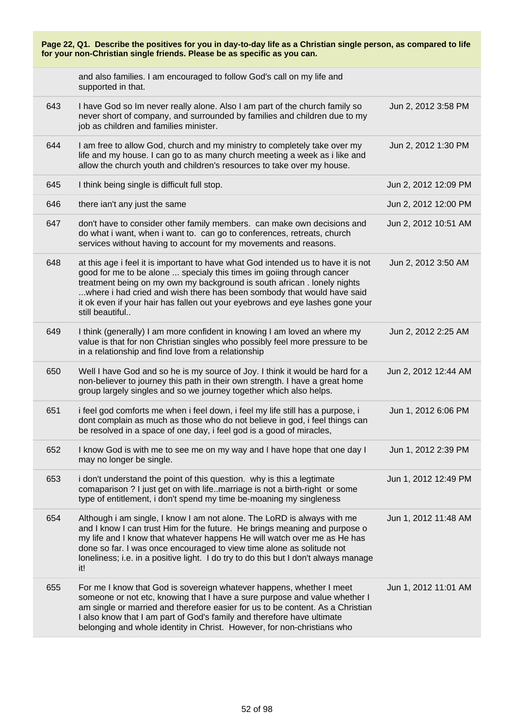| Page 22, Q1. Describe the positives for you in day-to-day life as a Christian single person, as compared to life<br>for your non-Christian single friends. Please be as specific as you can. |                                                                                                                                                                                                                                                                                                                                                                                                                     |                      |
|----------------------------------------------------------------------------------------------------------------------------------------------------------------------------------------------|---------------------------------------------------------------------------------------------------------------------------------------------------------------------------------------------------------------------------------------------------------------------------------------------------------------------------------------------------------------------------------------------------------------------|----------------------|
|                                                                                                                                                                                              | and also families. I am encouraged to follow God's call on my life and<br>supported in that.                                                                                                                                                                                                                                                                                                                        |                      |
| 643                                                                                                                                                                                          | I have God so Im never really alone. Also I am part of the church family so<br>never short of company, and surrounded by families and children due to my<br>job as children and families minister.                                                                                                                                                                                                                  | Jun 2, 2012 3:58 PM  |
| 644                                                                                                                                                                                          | I am free to allow God, church and my ministry to completely take over my<br>life and my house. I can go to as many church meeting a week as i like and<br>allow the church youth and children's resources to take over my house.                                                                                                                                                                                   | Jun 2, 2012 1:30 PM  |
| 645                                                                                                                                                                                          | I think being single is difficult full stop.                                                                                                                                                                                                                                                                                                                                                                        | Jun 2, 2012 12:09 PM |
| 646                                                                                                                                                                                          | there ian't any just the same                                                                                                                                                                                                                                                                                                                                                                                       | Jun 2, 2012 12:00 PM |
| 647                                                                                                                                                                                          | don't have to consider other family members. can make own decisions and<br>do what i want, when i want to. can go to conferences, retreats, church<br>services without having to account for my movements and reasons.                                                                                                                                                                                              | Jun 2, 2012 10:51 AM |
| 648                                                                                                                                                                                          | at this age i feel it is important to have what God intended us to have it is not<br>good for me to be alone  specialy this times im goiing through cancer<br>treatment being on my own my background is south african. lonely nights<br>where i had cried and wish there has been sombody that would have said<br>it ok even if your hair has fallen out your eyebrows and eye lashes gone your<br>still beautiful | Jun 2, 2012 3:50 AM  |
| 649                                                                                                                                                                                          | I think (generally) I am more confident in knowing I am loved an where my<br>value is that for non Christian singles who possibly feel more pressure to be<br>in a relationship and find love from a relationship                                                                                                                                                                                                   | Jun 2, 2012 2:25 AM  |
| 650                                                                                                                                                                                          | Well I have God and so he is my source of Joy. I think it would be hard for a<br>non-believer to journey this path in their own strength. I have a great home<br>group largely singles and so we journey together which also helps.                                                                                                                                                                                 | Jun 2, 2012 12:44 AM |
| 651                                                                                                                                                                                          | i feel god comforts me when i feel down, i feel my life still has a purpose, i<br>dont complain as much as those who do not believe in god, i feel things can<br>be resolved in a space of one day, i feel god is a good of miracles,                                                                                                                                                                               | Jun 1, 2012 6:06 PM  |
| 652                                                                                                                                                                                          | I know God is with me to see me on my way and I have hope that one day I<br>may no longer be single.                                                                                                                                                                                                                                                                                                                | Jun 1, 2012 2:39 PM  |
| 653                                                                                                                                                                                          | i don't understand the point of this question. why is this a legtimate<br>comaparison ? I just get on with life. marriage is not a birth-right or some<br>type of entitlement, i don't spend my time be-moaning my singleness                                                                                                                                                                                       | Jun 1, 2012 12:49 PM |
| 654                                                                                                                                                                                          | Although i am single, I know I am not alone. The LoRD is always with me<br>and I know I can trust Him for the future. He brings meaning and purpose o<br>my life and I know that whatever happens He will watch over me as He has<br>done so far. I was once encouraged to view time alone as solitude not<br>loneliness; i.e. in a positive light. I do try to do this but I don't always manage<br>it!            | Jun 1, 2012 11:48 AM |
| 655                                                                                                                                                                                          | For me I know that God is sovereign whatever happens, whether I meet<br>someone or not etc, knowing that I have a sure purpose and value whether I<br>am single or married and therefore easier for us to be content. As a Christian<br>I also know that I am part of God's family and therefore have ultimate<br>belonging and whole identity in Christ. However, for non-christians who                           | Jun 1, 2012 11:01 AM |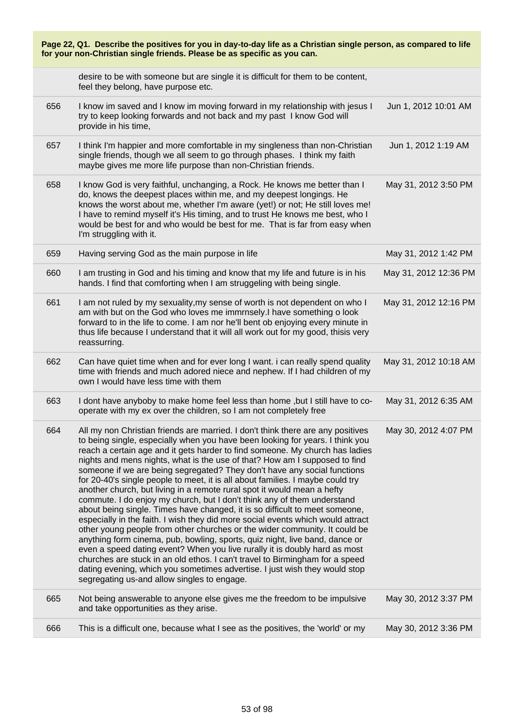| Page 22, Q1. Describe the positives for you in day-to-day life as a Christian single person, as compared to life<br>for your non-Christian single friends. Please be as specific as you can. |                                                                                                                                                                                                                                                                                                                                                                                                                                                                                                                                                                                                                                                                                                                                                                                                                                                                                                                                                                                                                                                                                                                                                                                                                                                                              |                       |
|----------------------------------------------------------------------------------------------------------------------------------------------------------------------------------------------|------------------------------------------------------------------------------------------------------------------------------------------------------------------------------------------------------------------------------------------------------------------------------------------------------------------------------------------------------------------------------------------------------------------------------------------------------------------------------------------------------------------------------------------------------------------------------------------------------------------------------------------------------------------------------------------------------------------------------------------------------------------------------------------------------------------------------------------------------------------------------------------------------------------------------------------------------------------------------------------------------------------------------------------------------------------------------------------------------------------------------------------------------------------------------------------------------------------------------------------------------------------------------|-----------------------|
|                                                                                                                                                                                              | desire to be with someone but are single it is difficult for them to be content,<br>feel they belong, have purpose etc.                                                                                                                                                                                                                                                                                                                                                                                                                                                                                                                                                                                                                                                                                                                                                                                                                                                                                                                                                                                                                                                                                                                                                      |                       |
| 656                                                                                                                                                                                          | I know im saved and I know im moving forward in my relationship with jesus I<br>try to keep looking forwards and not back and my past I know God will<br>provide in his time,                                                                                                                                                                                                                                                                                                                                                                                                                                                                                                                                                                                                                                                                                                                                                                                                                                                                                                                                                                                                                                                                                                | Jun 1, 2012 10:01 AM  |
| 657                                                                                                                                                                                          | I think I'm happier and more comfortable in my singleness than non-Christian<br>single friends, though we all seem to go through phases. I think my faith<br>maybe gives me more life purpose than non-Christian friends.                                                                                                                                                                                                                                                                                                                                                                                                                                                                                                                                                                                                                                                                                                                                                                                                                                                                                                                                                                                                                                                    | Jun 1, 2012 1:19 AM   |
| 658                                                                                                                                                                                          | I know God is very faithful, unchanging, a Rock. He knows me better than I<br>do, knows the deepest places within me, and my deepest longings. He<br>knows the worst about me, whether I'm aware (yet!) or not; He still loves me!<br>I have to remind myself it's His timing, and to trust He knows me best, who I<br>would be best for and who would be best for me. That is far from easy when<br>I'm struggling with it.                                                                                                                                                                                                                                                                                                                                                                                                                                                                                                                                                                                                                                                                                                                                                                                                                                                 | May 31, 2012 3:50 PM  |
| 659                                                                                                                                                                                          | Having serving God as the main purpose in life                                                                                                                                                                                                                                                                                                                                                                                                                                                                                                                                                                                                                                                                                                                                                                                                                                                                                                                                                                                                                                                                                                                                                                                                                               | May 31, 2012 1:42 PM  |
| 660                                                                                                                                                                                          | I am trusting in God and his timing and know that my life and future is in his<br>hands. I find that comforting when I am struggeling with being single.                                                                                                                                                                                                                                                                                                                                                                                                                                                                                                                                                                                                                                                                                                                                                                                                                                                                                                                                                                                                                                                                                                                     | May 31, 2012 12:36 PM |
| 661                                                                                                                                                                                          | I am not ruled by my sexuality, my sense of worth is not dependent on who I<br>am with but on the God who loves me immrnsely.I have something o look<br>forward to in the life to come. I am nor he'll bent ob enjoying every minute in<br>thus life because I understand that it will all work out for my good, thisis very<br>reassurring.                                                                                                                                                                                                                                                                                                                                                                                                                                                                                                                                                                                                                                                                                                                                                                                                                                                                                                                                 | May 31, 2012 12:16 PM |
| 662                                                                                                                                                                                          | Can have quiet time when and for ever long I want. i can really spend quality<br>time with friends and much adored niece and nephew. If I had children of my<br>own I would have less time with them                                                                                                                                                                                                                                                                                                                                                                                                                                                                                                                                                                                                                                                                                                                                                                                                                                                                                                                                                                                                                                                                         | May 31, 2012 10:18 AM |
| 663                                                                                                                                                                                          | I dont have anyboby to make home feel less than home, but I still have to co-<br>operate with my ex over the children, so I am not completely free                                                                                                                                                                                                                                                                                                                                                                                                                                                                                                                                                                                                                                                                                                                                                                                                                                                                                                                                                                                                                                                                                                                           | May 31, 2012 6:35 AM  |
| 664                                                                                                                                                                                          | All my non Christian friends are married. I don't think there are any positives<br>to being single, especially when you have been looking for years. I think you<br>reach a certain age and it gets harder to find someone. My church has ladies<br>nights and mens nights, what is the use of that? How am I supposed to find<br>someone if we are being segregated? They don't have any social functions<br>for 20-40's single people to meet, it is all about families. I maybe could try<br>another church, but living in a remote rural spot it would mean a hefty<br>commute. I do enjoy my church, but I don't think any of them understand<br>about being single. Times have changed, it is so difficult to meet someone,<br>especially in the faith. I wish they did more social events which would attract<br>other young people from other churches or the wider community. It could be<br>anything form cinema, pub, bowling, sports, quiz night, live band, dance or<br>even a speed dating event? When you live rurally it is doubly hard as most<br>churches are stuck in an old ethos. I can't travel to Birmingham for a speed<br>dating evening, which you sometimes advertise. I just wish they would stop<br>segregating us-and allow singles to engage. | May 30, 2012 4:07 PM  |
| 665                                                                                                                                                                                          | Not being answerable to anyone else gives me the freedom to be impulsive<br>and take opportunities as they arise.                                                                                                                                                                                                                                                                                                                                                                                                                                                                                                                                                                                                                                                                                                                                                                                                                                                                                                                                                                                                                                                                                                                                                            | May 30, 2012 3:37 PM  |
| 666                                                                                                                                                                                          | This is a difficult one, because what I see as the positives, the 'world' or my                                                                                                                                                                                                                                                                                                                                                                                                                                                                                                                                                                                                                                                                                                                                                                                                                                                                                                                                                                                                                                                                                                                                                                                              | May 30, 2012 3:36 PM  |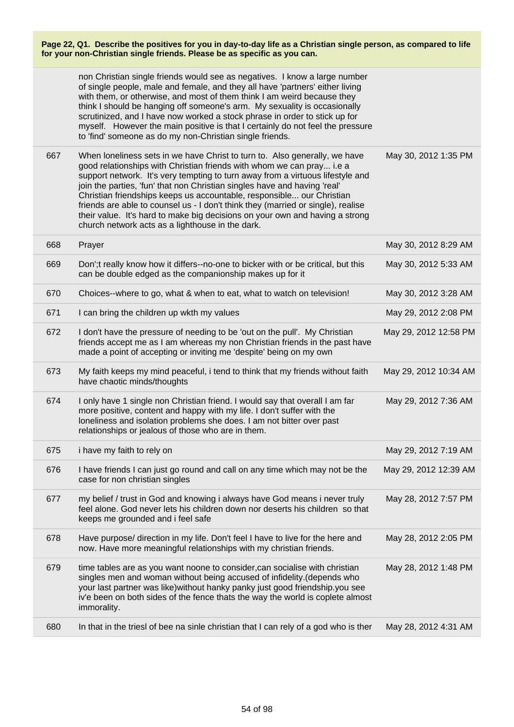|     | non Christian single friends would see as negatives. I know a large number<br>of single people, male and female, and they all have 'partners' either living<br>with them, or otherwise, and most of them think I am weird because they<br>think I should be hanging off someone's arm. My sexuality is occasionally<br>scrutinized, and I have now worked a stock phrase in order to stick up for<br>myself. However the main positive is that I certainly do not feel the pressure<br>to 'find' someone as do my non-Christian single friends.                                                                     |                       |
|-----|---------------------------------------------------------------------------------------------------------------------------------------------------------------------------------------------------------------------------------------------------------------------------------------------------------------------------------------------------------------------------------------------------------------------------------------------------------------------------------------------------------------------------------------------------------------------------------------------------------------------|-----------------------|
| 667 | When loneliness sets in we have Christ to turn to. Also generally, we have<br>good relationships with Christian friends with whom we can pray i.e a<br>support network. It's very tempting to turn away from a virtuous lifestyle and<br>join the parties, 'fun' that non Christian singles have and having 'real'<br>Christian friendships keeps us accountable, responsible our Christian<br>friends are able to counsel us - I don't think they (married or single), realise<br>their value. It's hard to make big decisions on your own and having a strong<br>church network acts as a lighthouse in the dark. | May 30, 2012 1:35 PM  |
| 668 | Prayer                                                                                                                                                                                                                                                                                                                                                                                                                                                                                                                                                                                                              | May 30, 2012 8:29 AM  |
| 669 | Don'; treally know how it differs--no-one to bicker with or be critical, but this<br>can be double edged as the companionship makes up for it                                                                                                                                                                                                                                                                                                                                                                                                                                                                       | May 30, 2012 5:33 AM  |
| 670 | Choices--where to go, what & when to eat, what to watch on television!                                                                                                                                                                                                                                                                                                                                                                                                                                                                                                                                              | May 30, 2012 3:28 AM  |
| 671 | I can bring the children up wkth my values                                                                                                                                                                                                                                                                                                                                                                                                                                                                                                                                                                          | May 29, 2012 2:08 PM  |
| 672 | I don't have the pressure of needing to be 'out on the pull'. My Christian<br>friends accept me as I am whereas my non Christian friends in the past have<br>made a point of accepting or inviting me 'despite' being on my own                                                                                                                                                                                                                                                                                                                                                                                     | May 29, 2012 12:58 PM |
| 673 | My faith keeps my mind peaceful, i tend to think that my friends without faith<br>have chaotic minds/thoughts                                                                                                                                                                                                                                                                                                                                                                                                                                                                                                       | May 29, 2012 10:34 AM |
| 674 | I only have 1 single non Christian friend. I would say that overall I am far<br>more positive, content and happy with my life. I don't suffer with the<br>loneliness and isolation problems she does. I am not bitter over past<br>relationships or jealous of those who are in them.                                                                                                                                                                                                                                                                                                                               | May 29, 2012 7:36 AM  |
| 675 | i have my faith to rely on                                                                                                                                                                                                                                                                                                                                                                                                                                                                                                                                                                                          | May 29, 2012 7:19 AM  |
| 676 | I have friends I can just go round and call on any time which may not be the<br>case for non christian singles                                                                                                                                                                                                                                                                                                                                                                                                                                                                                                      | May 29, 2012 12:39 AM |
| 677 | my belief / trust in God and knowing i always have God means i never truly<br>feel alone. God never lets his children down nor deserts his children so that<br>keeps me grounded and i feel safe                                                                                                                                                                                                                                                                                                                                                                                                                    | May 28, 2012 7:57 PM  |
| 678 | Have purpose/ direction in my life. Don't feel I have to live for the here and<br>now. Have more meaningful relationships with my christian friends.                                                                                                                                                                                                                                                                                                                                                                                                                                                                | May 28, 2012 2:05 PM  |
| 679 | time tables are as you want noone to consider, can socialise with christian<br>singles men and woman without being accused of infidelity. (depends who<br>your last partner was like) without hanky panky just good friendship. you see<br>iv'e been on both sides of the fence thats the way the world is coplete almost<br>immorality.                                                                                                                                                                                                                                                                            | May 28, 2012 1:48 PM  |
| 680 | In that in the triesl of bee na sinle christian that I can rely of a god who is ther                                                                                                                                                                                                                                                                                                                                                                                                                                                                                                                                | May 28, 2012 4:31 AM  |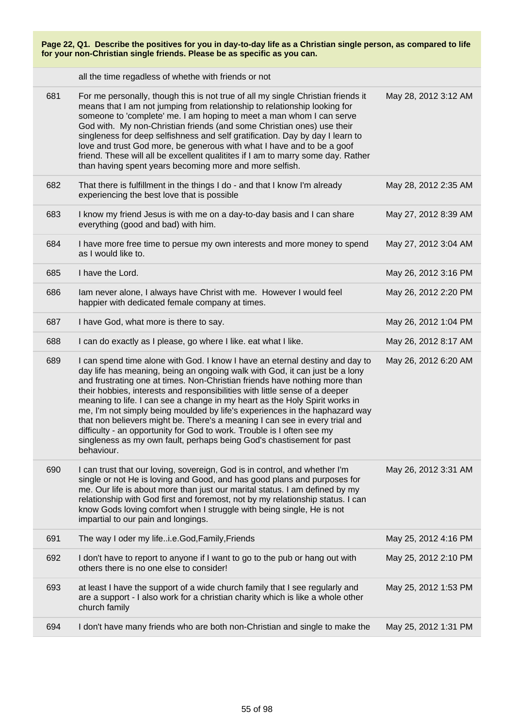| Page 22, Q1. Describe the positives for you in day-to-day life as a Christian single person, as compared to life<br>for your non-Christian single friends. Please be as specific as you can. |                                                                                                                                                                                                                                                                                                                                                                                                                                                                                                                                                                                                                                                                                                                                        |                      |
|----------------------------------------------------------------------------------------------------------------------------------------------------------------------------------------------|----------------------------------------------------------------------------------------------------------------------------------------------------------------------------------------------------------------------------------------------------------------------------------------------------------------------------------------------------------------------------------------------------------------------------------------------------------------------------------------------------------------------------------------------------------------------------------------------------------------------------------------------------------------------------------------------------------------------------------------|----------------------|
|                                                                                                                                                                                              | all the time regadless of whethe with friends or not                                                                                                                                                                                                                                                                                                                                                                                                                                                                                                                                                                                                                                                                                   |                      |
| 681                                                                                                                                                                                          | For me personally, though this is not true of all my single Christian friends it<br>means that I am not jumping from relationship to relationship looking for<br>someone to 'complete' me. I am hoping to meet a man whom I can serve<br>God with. My non-Christian friends (and some Christian ones) use their<br>singleness for deep selfishness and self gratification. Day by day I learn to<br>love and trust God more, be generous with what I have and to be a goof<br>friend. These will all be excellent qualitites if I am to marry some day. Rather<br>than having spent years becoming more and more selfish.                                                                                                              | May 28, 2012 3:12 AM |
| 682                                                                                                                                                                                          | That there is fulfillment in the things I do - and that I know I'm already<br>experiencing the best love that is possible                                                                                                                                                                                                                                                                                                                                                                                                                                                                                                                                                                                                              | May 28, 2012 2:35 AM |
| 683                                                                                                                                                                                          | I know my friend Jesus is with me on a day-to-day basis and I can share<br>everything (good and bad) with him.                                                                                                                                                                                                                                                                                                                                                                                                                                                                                                                                                                                                                         | May 27, 2012 8:39 AM |
| 684                                                                                                                                                                                          | I have more free time to persue my own interests and more money to spend<br>as I would like to.                                                                                                                                                                                                                                                                                                                                                                                                                                                                                                                                                                                                                                        | May 27, 2012 3:04 AM |
| 685                                                                                                                                                                                          | I have the Lord.                                                                                                                                                                                                                                                                                                                                                                                                                                                                                                                                                                                                                                                                                                                       | May 26, 2012 3:16 PM |
| 686                                                                                                                                                                                          | lam never alone, I always have Christ with me. However I would feel<br>happier with dedicated female company at times.                                                                                                                                                                                                                                                                                                                                                                                                                                                                                                                                                                                                                 | May 26, 2012 2:20 PM |
| 687                                                                                                                                                                                          | I have God, what more is there to say.                                                                                                                                                                                                                                                                                                                                                                                                                                                                                                                                                                                                                                                                                                 | May 26, 2012 1:04 PM |
| 688                                                                                                                                                                                          | I can do exactly as I please, go where I like. eat what I like.                                                                                                                                                                                                                                                                                                                                                                                                                                                                                                                                                                                                                                                                        | May 26, 2012 8:17 AM |
| 689                                                                                                                                                                                          | I can spend time alone with God. I know I have an eternal destiny and day to<br>day life has meaning, being an ongoing walk with God, it can just be a lony<br>and frustrating one at times. Non-Christian friends have nothing more than<br>their hobbies, interests and responsibilities with little sense of a deeper<br>meaning to life. I can see a change in my heart as the Holy Spirit works in<br>me, I'm not simply being moulded by life's experiences in the haphazard way<br>that non believers might be. There's a meaning I can see in every trial and<br>difficulty - an opportunity for God to work. Trouble is I often see my<br>singleness as my own fault, perhaps being God's chastisement for past<br>behaviour. | May 26, 2012 6:20 AM |
| 690                                                                                                                                                                                          | I can trust that our loving, sovereign, God is in control, and whether I'm<br>single or not He is loving and Good, and has good plans and purposes for<br>me. Our life is about more than just our marital status. I am defined by my<br>relationship with God first and foremost, not by my relationship status. I can<br>know Gods loving comfort when I struggle with being single, He is not<br>impartial to our pain and longings.                                                                                                                                                                                                                                                                                                | May 26, 2012 3:31 AM |
| 691                                                                                                                                                                                          | The way I oder my lifei.e.God, Family, Friends                                                                                                                                                                                                                                                                                                                                                                                                                                                                                                                                                                                                                                                                                         | May 25, 2012 4:16 PM |
| 692                                                                                                                                                                                          | I don't have to report to anyone if I want to go to the pub or hang out with<br>others there is no one else to consider!                                                                                                                                                                                                                                                                                                                                                                                                                                                                                                                                                                                                               | May 25, 2012 2:10 PM |
| 693                                                                                                                                                                                          | at least I have the support of a wide church family that I see regularly and<br>are a support - I also work for a christian charity which is like a whole other<br>church family                                                                                                                                                                                                                                                                                                                                                                                                                                                                                                                                                       | May 25, 2012 1:53 PM |
| 694                                                                                                                                                                                          | I don't have many friends who are both non-Christian and single to make the                                                                                                                                                                                                                                                                                                                                                                                                                                                                                                                                                                                                                                                            | May 25, 2012 1:31 PM |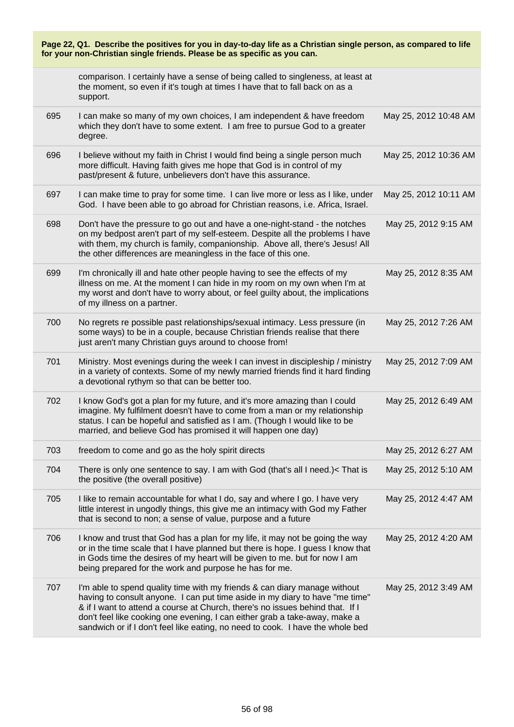| Page 22, Q1. Describe the positives for you in day-to-day life as a Christian single person, as compared to life<br>for your non-Christian single friends. Please be as specific as you can. |                                                                                                                                                                                                                                                                                                                                                                                                            |                       |
|----------------------------------------------------------------------------------------------------------------------------------------------------------------------------------------------|------------------------------------------------------------------------------------------------------------------------------------------------------------------------------------------------------------------------------------------------------------------------------------------------------------------------------------------------------------------------------------------------------------|-----------------------|
|                                                                                                                                                                                              | comparison. I certainly have a sense of being called to singleness, at least at<br>the moment, so even if it's tough at times I have that to fall back on as a<br>support.                                                                                                                                                                                                                                 |                       |
| 695                                                                                                                                                                                          | I can make so many of my own choices, I am independent & have freedom<br>which they don't have to some extent. I am free to pursue God to a greater<br>degree.                                                                                                                                                                                                                                             | May 25, 2012 10:48 AM |
| 696                                                                                                                                                                                          | I believe without my faith in Christ I would find being a single person much<br>more difficult. Having faith gives me hope that God is in control of my<br>past/present & future, unbelievers don't have this assurance.                                                                                                                                                                                   | May 25, 2012 10:36 AM |
| 697                                                                                                                                                                                          | I can make time to pray for some time. I can live more or less as I like, under<br>God. I have been able to go abroad for Christian reasons, i.e. Africa, Israel.                                                                                                                                                                                                                                          | May 25, 2012 10:11 AM |
| 698                                                                                                                                                                                          | Don't have the pressure to go out and have a one-night-stand - the notches<br>on my bedpost aren't part of my self-esteem. Despite all the problems I have<br>with them, my church is family, companionship. Above all, there's Jesus! All<br>the other differences are meaningless in the face of this one.                                                                                               | May 25, 2012 9:15 AM  |
| 699                                                                                                                                                                                          | I'm chronically ill and hate other people having to see the effects of my<br>illness on me. At the moment I can hide in my room on my own when I'm at<br>my worst and don't have to worry about, or feel guilty about, the implications<br>of my illness on a partner.                                                                                                                                     | May 25, 2012 8:35 AM  |
| 700                                                                                                                                                                                          | No regrets re possible past relationships/sexual intimacy. Less pressure (in<br>some ways) to be in a couple, because Christian friends realise that there<br>just aren't many Christian guys around to choose from!                                                                                                                                                                                       | May 25, 2012 7:26 AM  |
| 701                                                                                                                                                                                          | Ministry. Most evenings during the week I can invest in discipleship / ministry<br>in a variety of contexts. Some of my newly married friends find it hard finding<br>a devotional rythym so that can be better too.                                                                                                                                                                                       | May 25, 2012 7:09 AM  |
| 702                                                                                                                                                                                          | I know God's got a plan for my future, and it's more amazing than I could<br>imagine. My fulfilment doesn't have to come from a man or my relationship<br>status. I can be hopeful and satisfied as I am. (Though I would like to be<br>married, and believe God has promised it will happen one day)                                                                                                      | May 25, 2012 6:49 AM  |
| 703                                                                                                                                                                                          | freedom to come and go as the holy spirit directs                                                                                                                                                                                                                                                                                                                                                          | May 25, 2012 6:27 AM  |
| 704                                                                                                                                                                                          | There is only one sentence to say. I am with God (that's all I need.)< That is<br>the positive (the overall positive)                                                                                                                                                                                                                                                                                      | May 25, 2012 5:10 AM  |
| 705                                                                                                                                                                                          | I like to remain accountable for what I do, say and where I go. I have very<br>little interest in ungodly things, this give me an intimacy with God my Father<br>that is second to non; a sense of value, purpose and a future                                                                                                                                                                             | May 25, 2012 4:47 AM  |
| 706                                                                                                                                                                                          | I know and trust that God has a plan for my life, it may not be going the way<br>or in the time scale that I have planned but there is hope. I guess I know that<br>in Gods time the desires of my heart will be given to me. but for now I am<br>being prepared for the work and purpose he has for me.                                                                                                   | May 25, 2012 4:20 AM  |
| 707                                                                                                                                                                                          | I'm able to spend quality time with my friends & can diary manage without<br>having to consult anyone. I can put time aside in my diary to have "me time"<br>& if I want to attend a course at Church, there's no issues behind that. If I<br>don't feel like cooking one evening, I can either grab a take-away, make a<br>sandwich or if I don't feel like eating, no need to cook. I have the whole bed | May 25, 2012 3:49 AM  |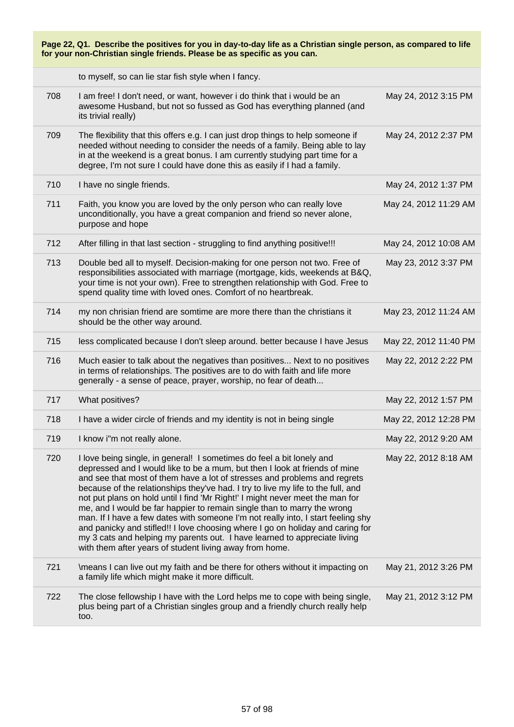| Page 22, Q1. Describe the positives for you in day-to-day life as a Christian single person, as compared to life<br>for your non-Christian single friends. Please be as specific as you can. |                                                                                                                                                                                                                                                                                                                                                                                                                                                                                                                                                                                                                                                                                                                                                                                                |                       |
|----------------------------------------------------------------------------------------------------------------------------------------------------------------------------------------------|------------------------------------------------------------------------------------------------------------------------------------------------------------------------------------------------------------------------------------------------------------------------------------------------------------------------------------------------------------------------------------------------------------------------------------------------------------------------------------------------------------------------------------------------------------------------------------------------------------------------------------------------------------------------------------------------------------------------------------------------------------------------------------------------|-----------------------|
|                                                                                                                                                                                              | to myself, so can lie star fish style when I fancy.                                                                                                                                                                                                                                                                                                                                                                                                                                                                                                                                                                                                                                                                                                                                            |                       |
| 708                                                                                                                                                                                          | I am free! I don't need, or want, however i do think that i would be an<br>awesome Husband, but not so fussed as God has everything planned (and<br>its trivial really)                                                                                                                                                                                                                                                                                                                                                                                                                                                                                                                                                                                                                        | May 24, 2012 3:15 PM  |
| 709                                                                                                                                                                                          | The flexibility that this offers e.g. I can just drop things to help someone if<br>needed without needing to consider the needs of a family. Being able to lay<br>in at the weekend is a great bonus. I am currently studying part time for a<br>degree, I'm not sure I could have done this as easily if I had a family.                                                                                                                                                                                                                                                                                                                                                                                                                                                                      | May 24, 2012 2:37 PM  |
| 710                                                                                                                                                                                          | I have no single friends.                                                                                                                                                                                                                                                                                                                                                                                                                                                                                                                                                                                                                                                                                                                                                                      | May 24, 2012 1:37 PM  |
| 711                                                                                                                                                                                          | Faith, you know you are loved by the only person who can really love<br>unconditionally, you have a great companion and friend so never alone,<br>purpose and hope                                                                                                                                                                                                                                                                                                                                                                                                                                                                                                                                                                                                                             | May 24, 2012 11:29 AM |
| 712                                                                                                                                                                                          | After filling in that last section - struggling to find anything positive!!!                                                                                                                                                                                                                                                                                                                                                                                                                                                                                                                                                                                                                                                                                                                   | May 24, 2012 10:08 AM |
| 713                                                                                                                                                                                          | Double bed all to myself. Decision-making for one person not two. Free of<br>responsibilities associated with marriage (mortgage, kids, weekends at B&Q,<br>your time is not your own). Free to strengthen relationship with God. Free to<br>spend quality time with loved ones. Comfort of no heartbreak.                                                                                                                                                                                                                                                                                                                                                                                                                                                                                     | May 23, 2012 3:37 PM  |
| 714                                                                                                                                                                                          | my non chrisian friend are somtime are more there than the christians it<br>should be the other way around.                                                                                                                                                                                                                                                                                                                                                                                                                                                                                                                                                                                                                                                                                    | May 23, 2012 11:24 AM |
| 715                                                                                                                                                                                          | less complicated because I don't sleep around. better because I have Jesus                                                                                                                                                                                                                                                                                                                                                                                                                                                                                                                                                                                                                                                                                                                     | May 22, 2012 11:40 PM |
| 716                                                                                                                                                                                          | Much easier to talk about the negatives than positives Next to no positives<br>in terms of relationships. The positives are to do with faith and life more<br>generally - a sense of peace, prayer, worship, no fear of death                                                                                                                                                                                                                                                                                                                                                                                                                                                                                                                                                                  | May 22, 2012 2:22 PM  |
| 717                                                                                                                                                                                          | What positives?                                                                                                                                                                                                                                                                                                                                                                                                                                                                                                                                                                                                                                                                                                                                                                                | May 22, 2012 1:57 PM  |
| 718                                                                                                                                                                                          | I have a wider circle of friends and my identity is not in being single                                                                                                                                                                                                                                                                                                                                                                                                                                                                                                                                                                                                                                                                                                                        | May 22, 2012 12:28 PM |
| 719                                                                                                                                                                                          | I know i"m not really alone.                                                                                                                                                                                                                                                                                                                                                                                                                                                                                                                                                                                                                                                                                                                                                                   | May 22, 2012 9:20 AM  |
| 720                                                                                                                                                                                          | I love being single, in general! I sometimes do feel a bit lonely and<br>depressed and I would like to be a mum, but then I look at friends of mine<br>and see that most of them have a lot of stresses and problems and regrets<br>because of the relationships they've had. I try to live my life to the full, and<br>not put plans on hold until I find 'Mr Right!' I might never meet the man for<br>me, and I would be far happier to remain single than to marry the wrong<br>man. If I have a few dates with someone I'm not really into, I start feeling shy<br>and panicky and stifled!! I love choosing where I go on holiday and caring for<br>my 3 cats and helping my parents out. I have learned to appreciate living<br>with them after years of student living away from home. | May 22, 2012 8:18 AM  |
| 721                                                                                                                                                                                          | \means I can live out my faith and be there for others without it impacting on<br>a family life which might make it more difficult.                                                                                                                                                                                                                                                                                                                                                                                                                                                                                                                                                                                                                                                            | May 21, 2012 3:26 PM  |
| 722                                                                                                                                                                                          | The close fellowship I have with the Lord helps me to cope with being single,<br>plus being part of a Christian singles group and a friendly church really help<br>too.                                                                                                                                                                                                                                                                                                                                                                                                                                                                                                                                                                                                                        | May 21, 2012 3:12 PM  |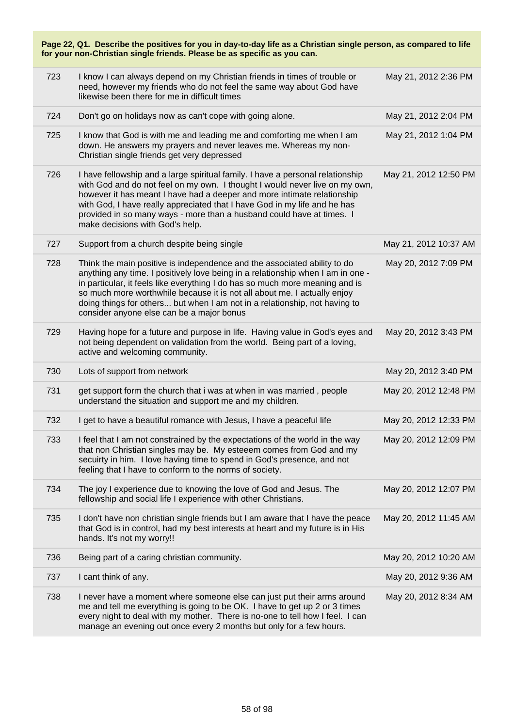| Page 22, Q1. Describe the positives for you in day-to-day life as a Christian single person, as compared to life<br>for your non-Christian single friends. Please be as specific as you can. |                                                                                                                                                                                                                                                                                                                                                                                                                                                    |                       |  |
|----------------------------------------------------------------------------------------------------------------------------------------------------------------------------------------------|----------------------------------------------------------------------------------------------------------------------------------------------------------------------------------------------------------------------------------------------------------------------------------------------------------------------------------------------------------------------------------------------------------------------------------------------------|-----------------------|--|
| 723                                                                                                                                                                                          | I know I can always depend on my Christian friends in times of trouble or<br>need, however my friends who do not feel the same way about God have<br>likewise been there for me in difficult times                                                                                                                                                                                                                                                 | May 21, 2012 2:36 PM  |  |
| 724                                                                                                                                                                                          | Don't go on holidays now as can't cope with going alone.                                                                                                                                                                                                                                                                                                                                                                                           | May 21, 2012 2:04 PM  |  |
| 725                                                                                                                                                                                          | I know that God is with me and leading me and comforting me when I am<br>down. He answers my prayers and never leaves me. Whereas my non-<br>Christian single friends get very depressed                                                                                                                                                                                                                                                           | May 21, 2012 1:04 PM  |  |
| 726                                                                                                                                                                                          | I have fellowship and a large spiritual family. I have a personal relationship<br>with God and do not feel on my own. I thought I would never live on my own,<br>however it has meant I have had a deeper and more intimate relationship<br>with God, I have really appreciated that I have God in my life and he has<br>provided in so many ways - more than a husband could have at times. I<br>make decisions with God's help.                  | May 21, 2012 12:50 PM |  |
| 727                                                                                                                                                                                          | Support from a church despite being single                                                                                                                                                                                                                                                                                                                                                                                                         | May 21, 2012 10:37 AM |  |
| 728                                                                                                                                                                                          | Think the main positive is independence and the associated ability to do<br>anything any time. I positively love being in a relationship when I am in one -<br>in particular, it feels like everything I do has so much more meaning and is<br>so much more worthwhile because it is not all about me. I actually enjoy<br>doing things for others but when I am not in a relationship, not having to<br>consider anyone else can be a major bonus | May 20, 2012 7:09 PM  |  |
| 729                                                                                                                                                                                          | Having hope for a future and purpose in life. Having value in God's eyes and<br>not being dependent on validation from the world. Being part of a loving,<br>active and welcoming community.                                                                                                                                                                                                                                                       | May 20, 2012 3:43 PM  |  |
| 730                                                                                                                                                                                          | Lots of support from network                                                                                                                                                                                                                                                                                                                                                                                                                       | May 20, 2012 3:40 PM  |  |
| 731                                                                                                                                                                                          | get support form the church that i was at when in was married, people<br>understand the situation and support me and my children.                                                                                                                                                                                                                                                                                                                  | May 20, 2012 12:48 PM |  |
| 732                                                                                                                                                                                          | I get to have a beautiful romance with Jesus, I have a peaceful life                                                                                                                                                                                                                                                                                                                                                                               | May 20, 2012 12:33 PM |  |
| 733                                                                                                                                                                                          | I feel that I am not constrained by the expectations of the world in the way<br>that non Christian singles may be. My esteeem comes from God and my<br>secuirty in him. I love having time to spend in God's presence, and not<br>feeling that I have to conform to the norms of society.                                                                                                                                                          | May 20, 2012 12:09 PM |  |
| 734                                                                                                                                                                                          | The joy I experience due to knowing the love of God and Jesus. The<br>fellowship and social life I experience with other Christians.                                                                                                                                                                                                                                                                                                               | May 20, 2012 12:07 PM |  |
| 735                                                                                                                                                                                          | I don't have non christian single friends but I am aware that I have the peace<br>that God is in control, had my best interests at heart and my future is in His<br>hands. It's not my worry!!                                                                                                                                                                                                                                                     | May 20, 2012 11:45 AM |  |
| 736                                                                                                                                                                                          | Being part of a caring christian community.                                                                                                                                                                                                                                                                                                                                                                                                        | May 20, 2012 10:20 AM |  |
| 737                                                                                                                                                                                          | I cant think of any.                                                                                                                                                                                                                                                                                                                                                                                                                               | May 20, 2012 9:36 AM  |  |
| 738                                                                                                                                                                                          | I never have a moment where someone else can just put their arms around<br>me and tell me everything is going to be OK. I have to get up 2 or 3 times<br>every night to deal with my mother. There is no-one to tell how I feel. I can<br>manage an evening out once every 2 months but only for a few hours.                                                                                                                                      | May 20, 2012 8:34 AM  |  |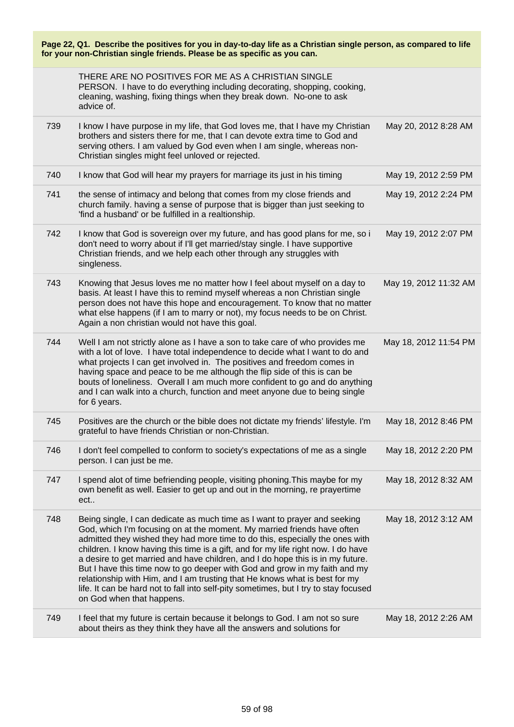|     | THERE ARE NO POSITIVES FOR ME AS A CHRISTIAN SINGLE<br>PERSON. I have to do everything including decorating, shopping, cooking,<br>cleaning, washing, fixing things when they break down. No-one to ask<br>advice of.                                                                                                                                                                                                                                                                                                                                                                                                                                                                        |                       |
|-----|----------------------------------------------------------------------------------------------------------------------------------------------------------------------------------------------------------------------------------------------------------------------------------------------------------------------------------------------------------------------------------------------------------------------------------------------------------------------------------------------------------------------------------------------------------------------------------------------------------------------------------------------------------------------------------------------|-----------------------|
| 739 | I know I have purpose in my life, that God loves me, that I have my Christian<br>brothers and sisters there for me, that I can devote extra time to God and<br>serving others. I am valued by God even when I am single, whereas non-<br>Christian singles might feel unloved or rejected.                                                                                                                                                                                                                                                                                                                                                                                                   | May 20, 2012 8:28 AM  |
| 740 | I know that God will hear my prayers for marriage its just in his timing                                                                                                                                                                                                                                                                                                                                                                                                                                                                                                                                                                                                                     | May 19, 2012 2:59 PM  |
| 741 | the sense of intimacy and belong that comes from my close friends and<br>church family. having a sense of purpose that is bigger than just seeking to<br>'find a husband' or be fulfilled in a realtionship.                                                                                                                                                                                                                                                                                                                                                                                                                                                                                 | May 19, 2012 2:24 PM  |
| 742 | I know that God is sovereign over my future, and has good plans for me, so i<br>don't need to worry about if I'll get married/stay single. I have supportive<br>Christian friends, and we help each other through any struggles with<br>singleness.                                                                                                                                                                                                                                                                                                                                                                                                                                          | May 19, 2012 2:07 PM  |
| 743 | Knowing that Jesus loves me no matter how I feel about myself on a day to<br>basis. At least I have this to remind myself whereas a non Christian single<br>person does not have this hope and encouragement. To know that no matter<br>what else happens (if I am to marry or not), my focus needs to be on Christ.<br>Again a non christian would not have this goal.                                                                                                                                                                                                                                                                                                                      | May 19, 2012 11:32 AM |
| 744 | Well I am not strictly alone as I have a son to take care of who provides me<br>with a lot of love. I have total independence to decide what I want to do and<br>what projects I can get involved in. The positives and freedom comes in<br>having space and peace to be me although the flip side of this is can be<br>bouts of loneliness. Overall I am much more confident to go and do anything<br>and I can walk into a church, function and meet anyone due to being single<br>for 6 years.                                                                                                                                                                                            | May 18, 2012 11:54 PM |
| 745 | Positives are the church or the bible does not dictate my friends' lifestyle. I'm<br>grateful to have friends Christian or non-Christian.                                                                                                                                                                                                                                                                                                                                                                                                                                                                                                                                                    | May 18, 2012 8:46 PM  |
| 746 | I don't feel compelled to conform to society's expectations of me as a single<br>person. I can just be me.                                                                                                                                                                                                                                                                                                                                                                                                                                                                                                                                                                                   | May 18, 2012 2:20 PM  |
| 747 | I spend alot of time befriending people, visiting phoning. This maybe for my<br>own benefit as well. Easier to get up and out in the morning, re prayertime<br>ect                                                                                                                                                                                                                                                                                                                                                                                                                                                                                                                           | May 18, 2012 8:32 AM  |
| 748 | Being single, I can dedicate as much time as I want to prayer and seeking<br>God, which I'm focusing on at the moment. My married friends have often<br>admitted they wished they had more time to do this, especially the ones with<br>children. I know having this time is a gift, and for my life right now. I do have<br>a desire to get married and have children, and I do hope this is in my future.<br>But I have this time now to go deeper with God and grow in my faith and my<br>relationship with Him, and I am trusting that He knows what is best for my<br>life. It can be hard not to fall into self-pity sometimes, but I try to stay focused<br>on God when that happens. | May 18, 2012 3:12 AM  |
| 749 | I feel that my future is certain because it belongs to God. I am not so sure<br>about theirs as they think they have all the answers and solutions for                                                                                                                                                                                                                                                                                                                                                                                                                                                                                                                                       | May 18, 2012 2:26 AM  |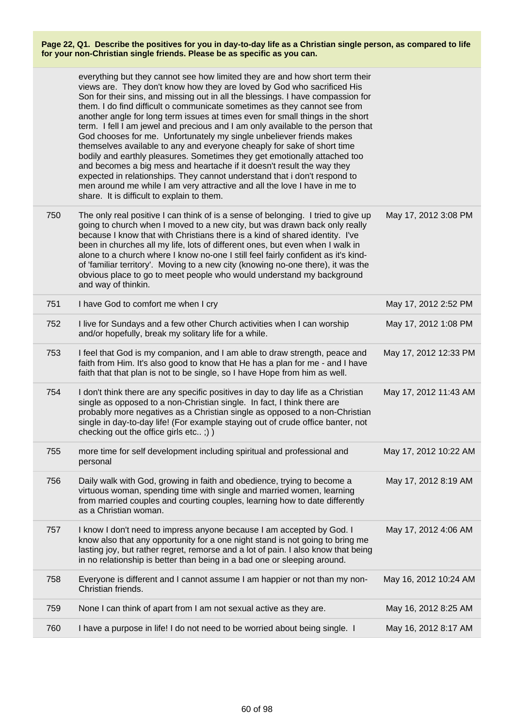|     | everything but they cannot see how limited they are and how short term their<br>views are. They don't know how they are loved by God who sacrificed His<br>Son for their sins, and missing out in all the blessings. I have compassion for<br>them. I do find difficult o communicate sometimes as they cannot see from<br>another angle for long term issues at times even for small things in the short<br>term. I fell I am jewel and precious and I am only available to the person that<br>God chooses for me. Unfortunately my single unbeliever friends makes<br>themselves available to any and everyone cheaply for sake of short time<br>bodily and earthly pleasures. Sometimes they get emotionally attached too<br>and becomes a big mess and heartache if it doesn't result the way they<br>expected in relationships. They cannot understand that i don't respond to<br>men around me while I am very attractive and all the love I have in me to<br>share. It is difficult to explain to them. |                       |
|-----|----------------------------------------------------------------------------------------------------------------------------------------------------------------------------------------------------------------------------------------------------------------------------------------------------------------------------------------------------------------------------------------------------------------------------------------------------------------------------------------------------------------------------------------------------------------------------------------------------------------------------------------------------------------------------------------------------------------------------------------------------------------------------------------------------------------------------------------------------------------------------------------------------------------------------------------------------------------------------------------------------------------|-----------------------|
| 750 | The only real positive I can think of is a sense of belonging. I tried to give up<br>going to church when I moved to a new city, but was drawn back only really<br>because I know that with Christians there is a kind of shared identity. I've<br>been in churches all my life, lots of different ones, but even when I walk in<br>alone to a church where I know no-one I still feel fairly confident as it's kind-<br>of 'familiar territory'. Moving to a new city (knowing no-one there), it was the<br>obvious place to go to meet people who would understand my background<br>and way of thinkin.                                                                                                                                                                                                                                                                                                                                                                                                      | May 17, 2012 3:08 PM  |
| 751 | I have God to comfort me when I cry                                                                                                                                                                                                                                                                                                                                                                                                                                                                                                                                                                                                                                                                                                                                                                                                                                                                                                                                                                            | May 17, 2012 2:52 PM  |
| 752 | I live for Sundays and a few other Church activities when I can worship<br>and/or hopefully, break my solitary life for a while.                                                                                                                                                                                                                                                                                                                                                                                                                                                                                                                                                                                                                                                                                                                                                                                                                                                                               | May 17, 2012 1:08 PM  |
| 753 | I feel that God is my companion, and I am able to draw strength, peace and<br>faith from Him. It's also good to know that He has a plan for me - and I have<br>faith that that plan is not to be single, so I have Hope from him as well.                                                                                                                                                                                                                                                                                                                                                                                                                                                                                                                                                                                                                                                                                                                                                                      | May 17, 2012 12:33 PM |
| 754 | I don't think there are any specific positives in day to day life as a Christian<br>single as opposed to a non-Christian single. In fact, I think there are<br>probably more negatives as a Christian single as opposed to a non-Christian<br>single in day-to-day life! (For example staying out of crude office banter, not<br>checking out the office girls etc;))                                                                                                                                                                                                                                                                                                                                                                                                                                                                                                                                                                                                                                          | May 17, 2012 11:43 AM |
| 755 | more time for self development including spiritual and professional and<br>personal                                                                                                                                                                                                                                                                                                                                                                                                                                                                                                                                                                                                                                                                                                                                                                                                                                                                                                                            | May 17, 2012 10:22 AM |
| 756 | Daily walk with God, growing in faith and obedience, trying to become a<br>virtuous woman, spending time with single and married women, learning<br>from married couples and courting couples, learning how to date differently<br>as a Christian woman.                                                                                                                                                                                                                                                                                                                                                                                                                                                                                                                                                                                                                                                                                                                                                       | May 17, 2012 8:19 AM  |
| 757 | I know I don't need to impress anyone because I am accepted by God. I<br>know also that any opportunity for a one night stand is not going to bring me<br>lasting joy, but rather regret, remorse and a lot of pain. I also know that being<br>in no relationship is better than being in a bad one or sleeping around.                                                                                                                                                                                                                                                                                                                                                                                                                                                                                                                                                                                                                                                                                        | May 17, 2012 4:06 AM  |
| 758 | Everyone is different and I cannot assume I am happier or not than my non-<br>Christian friends.                                                                                                                                                                                                                                                                                                                                                                                                                                                                                                                                                                                                                                                                                                                                                                                                                                                                                                               | May 16, 2012 10:24 AM |
| 759 | None I can think of apart from I am not sexual active as they are.                                                                                                                                                                                                                                                                                                                                                                                                                                                                                                                                                                                                                                                                                                                                                                                                                                                                                                                                             | May 16, 2012 8:25 AM  |
| 760 | I have a purpose in life! I do not need to be worried about being single. I                                                                                                                                                                                                                                                                                                                                                                                                                                                                                                                                                                                                                                                                                                                                                                                                                                                                                                                                    | May 16, 2012 8:17 AM  |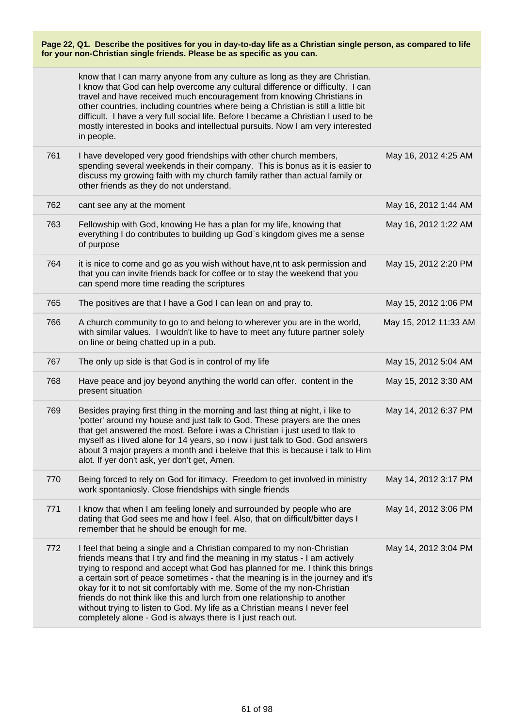|     | for your non-Christian single friends. Please be as specific as you can.                                                                                                                                                                                                                                                                                                                                                                                                                                              |                       |
|-----|-----------------------------------------------------------------------------------------------------------------------------------------------------------------------------------------------------------------------------------------------------------------------------------------------------------------------------------------------------------------------------------------------------------------------------------------------------------------------------------------------------------------------|-----------------------|
|     | know that I can marry anyone from any culture as long as they are Christian.<br>I know that God can help overcome any cultural difference or difficulty. I can<br>travel and have received much encouragement from knowing Christians in<br>other countries, including countries where being a Christian is still a little bit<br>difficult. I have a very full social life. Before I became a Christian I used to be<br>mostly interested in books and intellectual pursuits. Now I am very interested<br>in people. |                       |
| 761 | I have developed very good friendships with other church members,<br>spending several weekends in their company. This is bonus as it is easier to<br>discuss my growing faith with my church family rather than actual family or<br>other friends as they do not understand.                                                                                                                                                                                                                                          | May 16, 2012 4:25 AM  |
| 762 | cant see any at the moment                                                                                                                                                                                                                                                                                                                                                                                                                                                                                            | May 16, 2012 1:44 AM  |
| 763 | Fellowship with God, knowing He has a plan for my life, knowing that<br>everything I do contributes to building up God's kingdom gives me a sense<br>of purpose                                                                                                                                                                                                                                                                                                                                                       | May 16, 2012 1:22 AM  |
| 764 | it is nice to come and go as you wish without have, nt to ask permission and<br>that you can invite friends back for coffee or to stay the weekend that you<br>can spend more time reading the scriptures                                                                                                                                                                                                                                                                                                             | May 15, 2012 2:20 PM  |
| 765 | The positives are that I have a God I can lean on and pray to.                                                                                                                                                                                                                                                                                                                                                                                                                                                        | May 15, 2012 1:06 PM  |
| 766 | A church community to go to and belong to wherever you are in the world,<br>with similar values. I wouldn't like to have to meet any future partner solely<br>on line or being chatted up in a pub.                                                                                                                                                                                                                                                                                                                   | May 15, 2012 11:33 AM |
| 767 | The only up side is that God is in control of my life                                                                                                                                                                                                                                                                                                                                                                                                                                                                 | May 15, 2012 5:04 AM  |
| 768 | Have peace and joy beyond anything the world can offer. content in the<br>present situation                                                                                                                                                                                                                                                                                                                                                                                                                           | May 15, 2012 3:30 AM  |
| 769 | Besides praying first thing in the morning and last thing at night, i like to<br>'potter' around my house and just talk to God. These prayers are the ones<br>that get answered the most. Before i was a Christian i just used to tlak to<br>myself as i lived alone for 14 years, so i now i just talk to God. God answers<br>about 3 major prayers a month and i beleive that this is because i talk to Him<br>alot. If yer don't ask, yer don't get, Amen.                                                         | May 14, 2012 6:37 PM  |
| 770 | Being forced to rely on God for itimacy. Freedom to get involved in ministry<br>work spontaniosly. Close friendships with single friends                                                                                                                                                                                                                                                                                                                                                                              | May 14, 2012 3:17 PM  |
| 771 | I know that when I am feeling lonely and surrounded by people who are<br>dating that God sees me and how I feel. Also, that on difficult/bitter days I<br>remember that he should be enough for me.                                                                                                                                                                                                                                                                                                                   | May 14, 2012 3:06 PM  |
| 772 | I feel that being a single and a Christian compared to my non-Christian<br>friends means that I try and find the meaning in my status - I am actively<br>trying to respond and accept what God has planned for me. I think this brings<br>a certain sort of peace sometimes - that the meaning is in the journey and it's<br>okay for it to not sit comfortably with me. Some of the my non-Christian<br>friends do not think like this and lurch from one relationship to another                                    | May 14, 2012 3:04 PM  |

**Page 22, Q1. Describe the positives for you in day-to-day life as a Christian single person, as compared to life**

without trying to listen to God. My life as a Christian means I never feel completely alone - God is always there is I just reach out.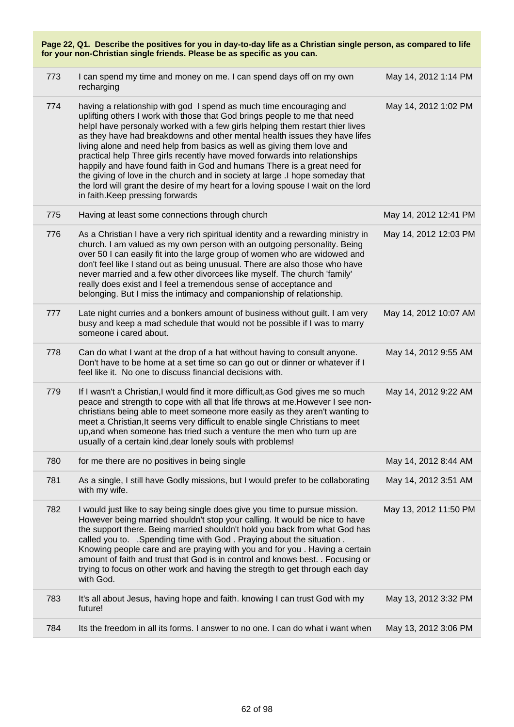| Page 22, Q1. Describe the positives for you in day-to-day life as a Christian single person, as compared to life<br>for your non-Christian single friends. Please be as specific as you can. |                                                                                                                                                                                                                                                                                                                                                                                                                                                                                                                                                                                                                                                                                                                                                               |                       |
|----------------------------------------------------------------------------------------------------------------------------------------------------------------------------------------------|---------------------------------------------------------------------------------------------------------------------------------------------------------------------------------------------------------------------------------------------------------------------------------------------------------------------------------------------------------------------------------------------------------------------------------------------------------------------------------------------------------------------------------------------------------------------------------------------------------------------------------------------------------------------------------------------------------------------------------------------------------------|-----------------------|
| 773                                                                                                                                                                                          | I can spend my time and money on me. I can spend days off on my own<br>recharging                                                                                                                                                                                                                                                                                                                                                                                                                                                                                                                                                                                                                                                                             | May 14, 2012 1:14 PM  |
| 774                                                                                                                                                                                          | having a relationship with god I spend as much time encouraging and<br>uplifting others I work with those that God brings people to me that need<br>helpl have personaly worked with a few girls helping them restart thier lives<br>as they have had breakdowns and other mental health issues they have lifes<br>living alone and need help from basics as well as giving them love and<br>practical help Three girls recently have moved forwards into relationships<br>happily and have found faith in God and humans There is a great need for<br>the giving of love in the church and in society at large .I hope someday that<br>the lord will grant the desire of my heart for a loving spouse I wait on the lord<br>in faith. Keep pressing forwards | May 14, 2012 1:02 PM  |
| 775                                                                                                                                                                                          | Having at least some connections through church                                                                                                                                                                                                                                                                                                                                                                                                                                                                                                                                                                                                                                                                                                               | May 14, 2012 12:41 PM |
| 776                                                                                                                                                                                          | As a Christian I have a very rich spiritual identity and a rewarding ministry in<br>church. I am valued as my own person with an outgoing personality. Being<br>over 50 I can easily fit into the large group of women who are widowed and<br>don't feel like I stand out as being unusual. There are also those who have<br>never married and a few other divorcees like myself. The church 'family'<br>really does exist and I feel a tremendous sense of acceptance and<br>belonging. But I miss the intimacy and companionship of relationship.                                                                                                                                                                                                           | May 14, 2012 12:03 PM |
| 777                                                                                                                                                                                          | Late night curries and a bonkers amount of business without guilt. I am very<br>busy and keep a mad schedule that would not be possible if I was to marry<br>someone i cared about.                                                                                                                                                                                                                                                                                                                                                                                                                                                                                                                                                                           | May 14, 2012 10:07 AM |
| 778                                                                                                                                                                                          | Can do what I want at the drop of a hat without having to consult anyone.<br>Don't have to be home at a set time so can go out or dinner or whatever if I<br>feel like it. No one to discuss financial decisions with.                                                                                                                                                                                                                                                                                                                                                                                                                                                                                                                                        | May 14, 2012 9:55 AM  |
| 779                                                                                                                                                                                          | If I wasn't a Christian, I would find it more difficult, as God gives me so much<br>peace and strength to cope with all that life throws at me. However I see non-<br>christians being able to meet someone more easily as they aren't wanting to<br>meet a Christian, It seems very difficult to enable single Christians to meet<br>up, and when someone has tried such a venture the men who turn up are<br>usually of a certain kind, dear lonely souls with problems!                                                                                                                                                                                                                                                                                    | May 14, 2012 9:22 AM  |
| 780                                                                                                                                                                                          | for me there are no positives in being single                                                                                                                                                                                                                                                                                                                                                                                                                                                                                                                                                                                                                                                                                                                 | May 14, 2012 8:44 AM  |
| 781                                                                                                                                                                                          | As a single, I still have Godly missions, but I would prefer to be collaborating<br>with my wife.                                                                                                                                                                                                                                                                                                                                                                                                                                                                                                                                                                                                                                                             | May 14, 2012 3:51 AM  |
| 782                                                                                                                                                                                          | I would just like to say being single does give you time to pursue mission.<br>However being married shouldn't stop your calling. It would be nice to have<br>the support there. Being married shouldn't hold you back from what God has<br>called you to. .Spending time with God. Praying about the situation.<br>Knowing people care and are praying with you and for you . Having a certain<br>amount of faith and trust that God is in control and knows best. . Focusing or<br>trying to focus on other work and having the stregth to get through each day<br>with God.                                                                                                                                                                                | May 13, 2012 11:50 PM |
| 783                                                                                                                                                                                          | It's all about Jesus, having hope and faith. knowing I can trust God with my<br>future!                                                                                                                                                                                                                                                                                                                                                                                                                                                                                                                                                                                                                                                                       | May 13, 2012 3:32 PM  |
| 784                                                                                                                                                                                          | Its the freedom in all its forms. I answer to no one. I can do what i want when                                                                                                                                                                                                                                                                                                                                                                                                                                                                                                                                                                                                                                                                               | May 13, 2012 3:06 PM  |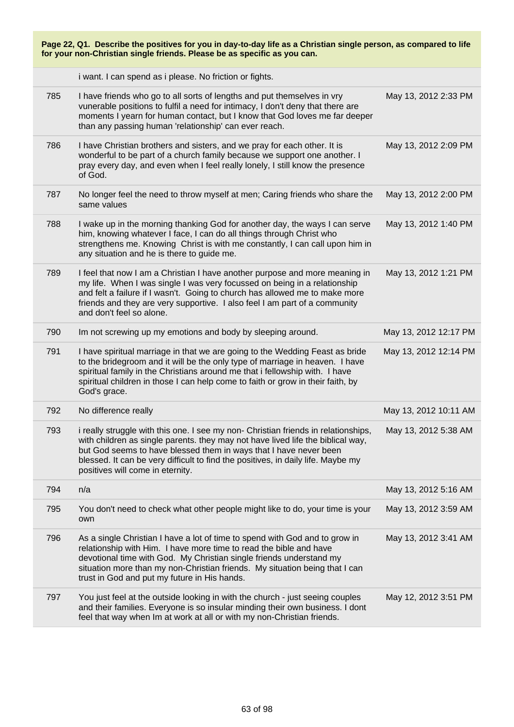| Page 22, Q1. Describe the positives for you in day-to-day life as a Christian single person, as compared to life<br>for your non-Christian single friends. Please be as specific as you can. |                                                                                                                                                                                                                                                                                                                                                                    |                       |  |
|----------------------------------------------------------------------------------------------------------------------------------------------------------------------------------------------|--------------------------------------------------------------------------------------------------------------------------------------------------------------------------------------------------------------------------------------------------------------------------------------------------------------------------------------------------------------------|-----------------------|--|
|                                                                                                                                                                                              | i want. I can spend as i please. No friction or fights.                                                                                                                                                                                                                                                                                                            |                       |  |
| 785                                                                                                                                                                                          | I have friends who go to all sorts of lengths and put themselves in vry<br>vunerable positions to fulfil a need for intimacy, I don't deny that there are<br>moments I yearn for human contact, but I know that God loves me far deeper<br>than any passing human 'relationship' can ever reach.                                                                   | May 13, 2012 2:33 PM  |  |
| 786                                                                                                                                                                                          | I have Christian brothers and sisters, and we pray for each other. It is<br>wonderful to be part of a church family because we support one another. I<br>pray every day, and even when I feel really lonely, I still know the presence<br>of God.                                                                                                                  | May 13, 2012 2:09 PM  |  |
| 787                                                                                                                                                                                          | No longer feel the need to throw myself at men; Caring friends who share the<br>same values                                                                                                                                                                                                                                                                        | May 13, 2012 2:00 PM  |  |
| 788                                                                                                                                                                                          | I wake up in the morning thanking God for another day, the ways I can serve<br>him, knowing whatever I face, I can do all things through Christ who<br>strengthens me. Knowing Christ is with me constantly, I can call upon him in<br>any situation and he is there to guide me.                                                                                  | May 13, 2012 1:40 PM  |  |
| 789                                                                                                                                                                                          | I feel that now I am a Christian I have another purpose and more meaning in<br>my life. When I was single I was very focussed on being in a relationship<br>and felt a failure if I wasn't. Going to church has allowed me to make more<br>friends and they are very supportive. I also feel I am part of a community<br>and don't feel so alone.                  | May 13, 2012 1:21 PM  |  |
| 790                                                                                                                                                                                          | Im not screwing up my emotions and body by sleeping around.                                                                                                                                                                                                                                                                                                        | May 13, 2012 12:17 PM |  |
| 791                                                                                                                                                                                          | I have spiritual marriage in that we are going to the Wedding Feast as bride<br>to the bridegroom and it will be the only type of marriage in heaven. I have<br>spiritual family in the Christians around me that i fellowship with. I have<br>spiritual children in those I can help come to faith or grow in their faith, by<br>God's grace.                     | May 13, 2012 12:14 PM |  |
| 792                                                                                                                                                                                          | No difference really                                                                                                                                                                                                                                                                                                                                               | May 13, 2012 10:11 AM |  |
| 793                                                                                                                                                                                          | i really struggle with this one. I see my non- Christian friends in relationships,<br>with children as single parents. they may not have lived life the biblical way,<br>but God seems to have blessed them in ways that I have never been<br>blessed. It can be very difficult to find the positives, in daily life. Maybe my<br>positives will come in eternity. | May 13, 2012 5:38 AM  |  |
| 794                                                                                                                                                                                          | n/a                                                                                                                                                                                                                                                                                                                                                                | May 13, 2012 5:16 AM  |  |
| 795                                                                                                                                                                                          | You don't need to check what other people might like to do, your time is your<br>own                                                                                                                                                                                                                                                                               | May 13, 2012 3:59 AM  |  |
| 796                                                                                                                                                                                          | As a single Christian I have a lot of time to spend with God and to grow in<br>relationship with Him. I have more time to read the bible and have<br>devotional time with God. My Christian single friends understand my<br>situation more than my non-Christian friends. My situation being that I can<br>trust in God and put my future in His hands.            | May 13, 2012 3:41 AM  |  |
| 797                                                                                                                                                                                          | You just feel at the outside looking in with the church - just seeing couples<br>and their families. Everyone is so insular minding their own business. I dont<br>feel that way when Im at work at all or with my non-Christian friends.                                                                                                                           | May 12, 2012 3:51 PM  |  |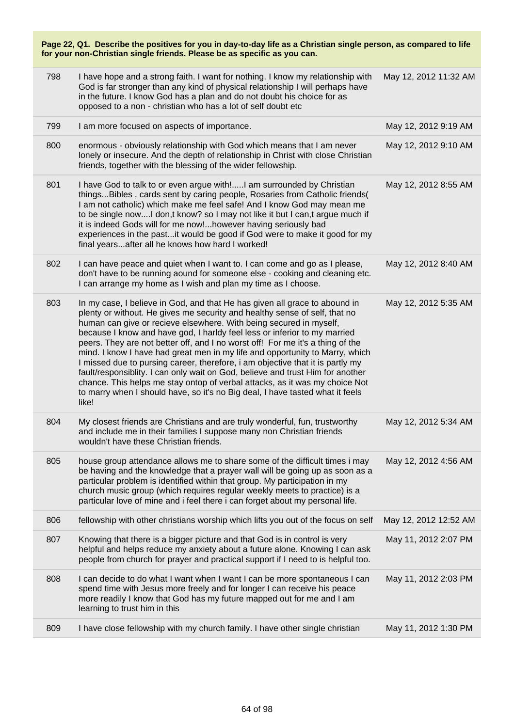| 798 | I have hope and a strong faith. I want for nothing. I know my relationship with<br>God is far stronger than any kind of physical relationship I will perhaps have<br>in the future. I know God has a plan and do not doubt his choice for as<br>opposed to a non - christian who has a lot of self doubt etc                                                                                                                                                                                                                                                                                                                                                                                                                                                                                                               | May 12, 2012 11:32 AM |
|-----|----------------------------------------------------------------------------------------------------------------------------------------------------------------------------------------------------------------------------------------------------------------------------------------------------------------------------------------------------------------------------------------------------------------------------------------------------------------------------------------------------------------------------------------------------------------------------------------------------------------------------------------------------------------------------------------------------------------------------------------------------------------------------------------------------------------------------|-----------------------|
| 799 | I am more focused on aspects of importance.                                                                                                                                                                                                                                                                                                                                                                                                                                                                                                                                                                                                                                                                                                                                                                                | May 12, 2012 9:19 AM  |
| 800 | enormous - obviously relationship with God which means that I am never<br>lonely or insecure. And the depth of relationship in Christ with close Christian<br>friends, together with the blessing of the wider fellowship.                                                                                                                                                                                                                                                                                                                                                                                                                                                                                                                                                                                                 | May 12, 2012 9:10 AM  |
| 801 | I have God to talk to or even argue with!I am surrounded by Christian<br>thingsBibles, cards sent by caring people, Rosaries from Catholic friends(<br>I am not catholic) which make me feel safe! And I know God may mean me<br>to be single nowI don,t know? so I may not like it but I can,t argue much if<br>it is indeed Gods will for me now!however having seriously bad<br>experiences in the pastit would be good if God were to make it good for my<br>final yearsafter all he knows how hard I worked!                                                                                                                                                                                                                                                                                                          | May 12, 2012 8:55 AM  |
| 802 | I can have peace and quiet when I want to. I can come and go as I please,<br>don't have to be running aound for someone else - cooking and cleaning etc.<br>I can arrange my home as I wish and plan my time as I choose.                                                                                                                                                                                                                                                                                                                                                                                                                                                                                                                                                                                                  | May 12, 2012 8:40 AM  |
| 803 | In my case, I believe in God, and that He has given all grace to abound in<br>plenty or without. He gives me security and healthy sense of self, that no<br>human can give or recieve elsewhere. With being secured in myself,<br>because I know and have god, I harldy feel less or inferior to my married<br>peers. They are not better off, and I no worst off! For me it's a thing of the<br>mind. I know I have had great men in my life and opportunity to Marry, which<br>I missed due to pursing career, therefore, i am objective that it is partly my<br>fault/responsiblity. I can only wait on God, believe and trust Him for another<br>chance. This helps me stay ontop of verbal attacks, as it was my choice Not<br>to marry when I should have, so it's no Big deal, I have tasted what it feels<br>like! | May 12, 2012 5:35 AM  |
| 804 | My closest friends are Christians and are truly wonderful, fun, trustworthy<br>and include me in their families I suppose many non Christian friends<br>wouldn't have these Christian friends.                                                                                                                                                                                                                                                                                                                                                                                                                                                                                                                                                                                                                             | May 12, 2012 5:34 AM  |
| 805 | house group attendance allows me to share some of the difficult times i may<br>be having and the knowledge that a prayer wall will be going up as soon as a<br>particular problem is identified within that group. My participation in my<br>church music group (which requires regular weekly meets to practice) is a<br>particular love of mine and i feel there i can forget about my personal life.                                                                                                                                                                                                                                                                                                                                                                                                                    | May 12, 2012 4:56 AM  |
| 806 | fellowship with other christians worship which lifts you out of the focus on self                                                                                                                                                                                                                                                                                                                                                                                                                                                                                                                                                                                                                                                                                                                                          | May 12, 2012 12:52 AM |
| 807 | Knowing that there is a bigger picture and that God is in control is very<br>helpful and helps reduce my anxiety about a future alone. Knowing I can ask<br>people from church for prayer and practical support if I need to is helpful too.                                                                                                                                                                                                                                                                                                                                                                                                                                                                                                                                                                               | May 11, 2012 2:07 PM  |
| 808 | I can decide to do what I want when I want I can be more spontaneous I can<br>spend time with Jesus more freely and for longer I can receive his peace<br>more readily I know that God has my future mapped out for me and I am<br>learning to trust him in this                                                                                                                                                                                                                                                                                                                                                                                                                                                                                                                                                           | May 11, 2012 2:03 PM  |
| 809 | I have close fellowship with my church family. I have other single christian                                                                                                                                                                                                                                                                                                                                                                                                                                                                                                                                                                                                                                                                                                                                               | May 11, 2012 1:30 PM  |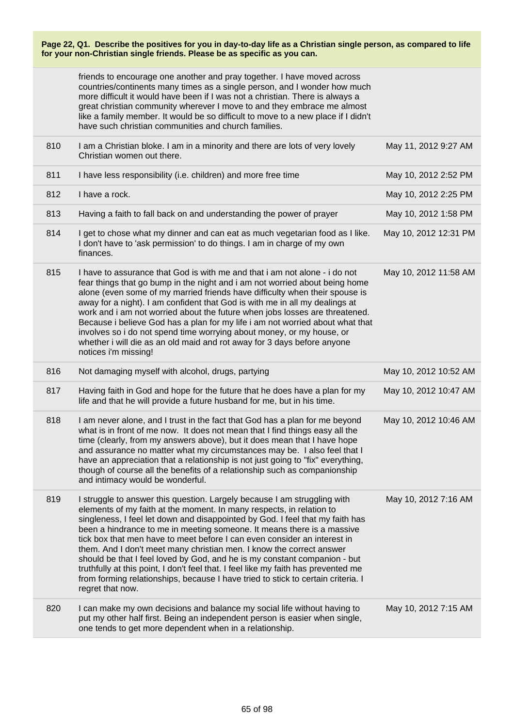friends to encourage one another and pray together. I have moved across countries/continents many times as a single person, and I wonder how much more difficult it would have been if I was not a christian. There is always a great christian community wherever I move to and they embrace me almost like a family member. It would be so difficult to move to a new place if I didn't have such christian communities and church families.

| 810 | I am a Christian bloke. I am in a minority and there are lots of very lovely<br>Christian women out there.                                                                                                                                                                                                                                                                                                                                                                                                                                                                                                                                                                                                                                 | May 11, 2012 9:27 AM  |
|-----|--------------------------------------------------------------------------------------------------------------------------------------------------------------------------------------------------------------------------------------------------------------------------------------------------------------------------------------------------------------------------------------------------------------------------------------------------------------------------------------------------------------------------------------------------------------------------------------------------------------------------------------------------------------------------------------------------------------------------------------------|-----------------------|
| 811 | I have less responsibility (i.e. children) and more free time                                                                                                                                                                                                                                                                                                                                                                                                                                                                                                                                                                                                                                                                              | May 10, 2012 2:52 PM  |
| 812 | I have a rock.                                                                                                                                                                                                                                                                                                                                                                                                                                                                                                                                                                                                                                                                                                                             | May 10, 2012 2:25 PM  |
| 813 | Having a faith to fall back on and understanding the power of prayer                                                                                                                                                                                                                                                                                                                                                                                                                                                                                                                                                                                                                                                                       | May 10, 2012 1:58 PM  |
| 814 | I get to chose what my dinner and can eat as much vegetarian food as I like.<br>I don't have to 'ask permission' to do things. I am in charge of my own<br>finances.                                                                                                                                                                                                                                                                                                                                                                                                                                                                                                                                                                       | May 10, 2012 12:31 PM |
| 815 | I have to assurance that God is with me and that i am not alone - i do not<br>fear things that go bump in the night and i am not worried about being home<br>alone (even some of my married friends have difficulty when their spouse is<br>away for a night). I am confident that God is with me in all my dealings at<br>work and i am not worried about the future when jobs losses are threatened.<br>Because i believe God has a plan for my life i am not worried about what that<br>involves so i do not spend time worrying about money, or my house, or<br>whether i will die as an old maid and rot away for 3 days before anyone<br>notices i'm missing!                                                                        | May 10, 2012 11:58 AM |
| 816 | Not damaging myself with alcohol, drugs, partying                                                                                                                                                                                                                                                                                                                                                                                                                                                                                                                                                                                                                                                                                          | May 10, 2012 10:52 AM |
| 817 | Having faith in God and hope for the future that he does have a plan for my<br>life and that he will provide a future husband for me, but in his time.                                                                                                                                                                                                                                                                                                                                                                                                                                                                                                                                                                                     | May 10, 2012 10:47 AM |
| 818 | I am never alone, and I trust in the fact that God has a plan for me beyond<br>what is in front of me now. It does not mean that I find things easy all the<br>time (clearly, from my answers above), but it does mean that I have hope<br>and assurance no matter what my circumstances may be. I also feel that I<br>have an appreciation that a relationship is not just going to "fix" everything,<br>though of course all the benefits of a relationship such as companionship<br>and intimacy would be wonderful.                                                                                                                                                                                                                    | May 10, 2012 10:46 AM |
| 819 | I struggle to answer this question. Largely because I am struggling with<br>elements of my faith at the moment. In many respects, in relation to<br>singleness, I feel let down and disappointed by God. I feel that my faith has<br>been a hindrance to me in meeting someone. It means there is a massive<br>tick box that men have to meet before I can even consider an interest in<br>them. And I don't meet many christian men. I know the correct answer<br>should be that I feel loved by God, and he is my constant companion - but<br>truthfully at this point, I don't feel that. I feel like my faith has prevented me<br>from forming relationships, because I have tried to stick to certain criteria. I<br>regret that now. | May 10, 2012 7:16 AM  |
| 820 | I can make my own decisions and balance my social life without having to<br>put my other half first. Being an independent person is easier when single,<br>one tends to get more dependent when in a relationship.                                                                                                                                                                                                                                                                                                                                                                                                                                                                                                                         | May 10, 2012 7:15 AM  |
|     |                                                                                                                                                                                                                                                                                                                                                                                                                                                                                                                                                                                                                                                                                                                                            |                       |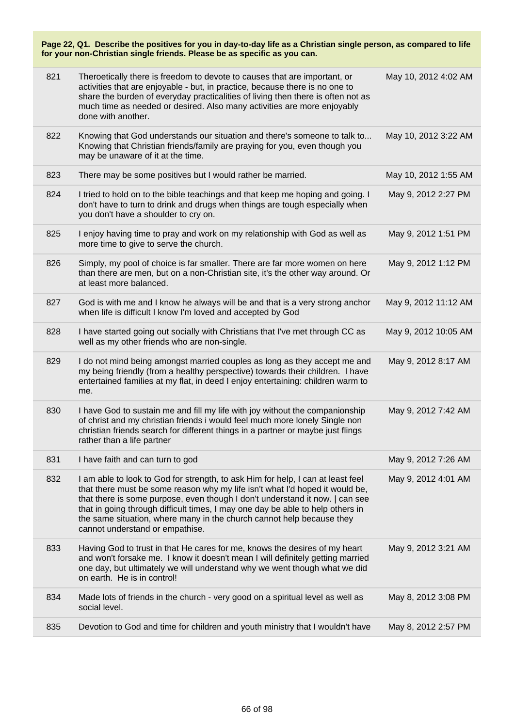| Page 22, Q1. Describe the positives for you in day-to-day life as a Christian single person, as compared to life<br>for your non-Christian single friends. Please be as specific as you can. |                                                                                                                                                                                                                                                                                                                                                                                                                                               |                      |
|----------------------------------------------------------------------------------------------------------------------------------------------------------------------------------------------|-----------------------------------------------------------------------------------------------------------------------------------------------------------------------------------------------------------------------------------------------------------------------------------------------------------------------------------------------------------------------------------------------------------------------------------------------|----------------------|
| 821                                                                                                                                                                                          | Theroetically there is freedom to devote to causes that are important, or<br>activities that are enjoyable - but, in practice, because there is no one to<br>share the burden of everyday practicalities of living then there is often not as<br>much time as needed or desired. Also many activities are more enjoyably<br>done with another.                                                                                                | May 10, 2012 4:02 AM |
| 822                                                                                                                                                                                          | Knowing that God understands our situation and there's someone to talk to<br>Knowing that Christian friends/family are praying for you, even though you<br>may be unaware of it at the time.                                                                                                                                                                                                                                                  | May 10, 2012 3:22 AM |
| 823                                                                                                                                                                                          | There may be some positives but I would rather be married.                                                                                                                                                                                                                                                                                                                                                                                    | May 10, 2012 1:55 AM |
| 824                                                                                                                                                                                          | I tried to hold on to the bible teachings and that keep me hoping and going. I<br>don't have to turn to drink and drugs when things are tough especially when<br>you don't have a shoulder to cry on.                                                                                                                                                                                                                                         | May 9, 2012 2:27 PM  |
| 825                                                                                                                                                                                          | I enjoy having time to pray and work on my relationship with God as well as<br>more time to give to serve the church.                                                                                                                                                                                                                                                                                                                         | May 9, 2012 1:51 PM  |
| 826                                                                                                                                                                                          | Simply, my pool of choice is far smaller. There are far more women on here<br>than there are men, but on a non-Christian site, it's the other way around. Or<br>at least more balanced.                                                                                                                                                                                                                                                       | May 9, 2012 1:12 PM  |
| 827                                                                                                                                                                                          | God is with me and I know he always will be and that is a very strong anchor<br>when life is difficult I know I'm loved and accepted by God                                                                                                                                                                                                                                                                                                   | May 9, 2012 11:12 AM |
| 828                                                                                                                                                                                          | I have started going out socially with Christians that I've met through CC as<br>well as my other friends who are non-single.                                                                                                                                                                                                                                                                                                                 | May 9, 2012 10:05 AM |
| 829                                                                                                                                                                                          | I do not mind being amongst married couples as long as they accept me and<br>my being friendly (from a healthy perspective) towards their children. I have<br>entertained families at my flat, in deed I enjoy entertaining: children warm to<br>me.                                                                                                                                                                                          | May 9, 2012 8:17 AM  |
| 830                                                                                                                                                                                          | I have God to sustain me and fill my life with joy without the companionship<br>of christ and my christian friends i would feel much more lonely Single non<br>christian friends search for different things in a partner or maybe just flings<br>rather than a life partner                                                                                                                                                                  | May 9, 2012 7:42 AM  |
| 831                                                                                                                                                                                          | I have faith and can turn to god                                                                                                                                                                                                                                                                                                                                                                                                              | May 9, 2012 7:26 AM  |
| 832                                                                                                                                                                                          | I am able to look to God for strength, to ask Him for help, I can at least feel<br>that there must be some reason why my life isn't what I'd hoped it would be,<br>that there is some purpose, even though I don't understand it now.   can see<br>that in going through difficult times, I may one day be able to help others in<br>the same situation, where many in the church cannot help because they<br>cannot understand or empathise. | May 9, 2012 4:01 AM  |
| 833                                                                                                                                                                                          | Having God to trust in that He cares for me, knows the desires of my heart<br>and won't forsake me. I know it doesn't mean I will definitely getting married<br>one day, but ultimately we will understand why we went though what we did<br>on earth. He is in control!                                                                                                                                                                      | May 9, 2012 3:21 AM  |
| 834                                                                                                                                                                                          | Made lots of friends in the church - very good on a spiritual level as well as<br>social level.                                                                                                                                                                                                                                                                                                                                               | May 8, 2012 3:08 PM  |
| 835                                                                                                                                                                                          | Devotion to God and time for children and youth ministry that I wouldn't have                                                                                                                                                                                                                                                                                                                                                                 | May 8, 2012 2:57 PM  |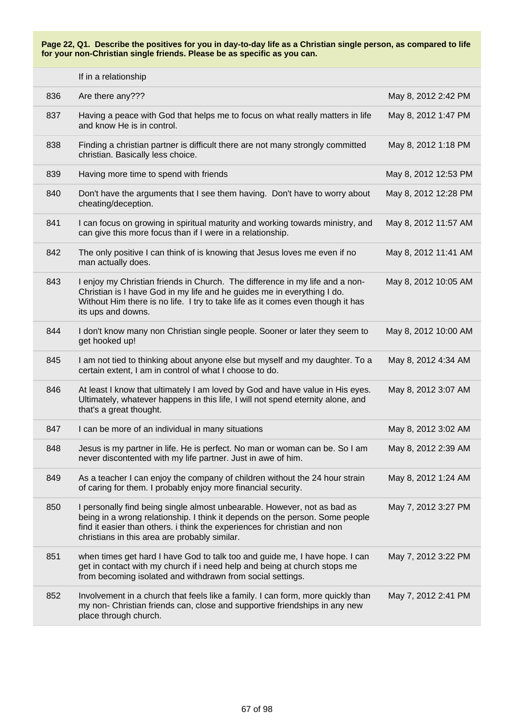|     | If in a relationship                                                                                                                                                                                                                                                                   |                      |
|-----|----------------------------------------------------------------------------------------------------------------------------------------------------------------------------------------------------------------------------------------------------------------------------------------|----------------------|
| 836 | Are there any???                                                                                                                                                                                                                                                                       | May 8, 2012 2:42 PM  |
| 837 | Having a peace with God that helps me to focus on what really matters in life<br>and know He is in control.                                                                                                                                                                            | May 8, 2012 1:47 PM  |
| 838 | Finding a christian partner is difficult there are not many strongly committed<br>christian. Basically less choice.                                                                                                                                                                    | May 8, 2012 1:18 PM  |
| 839 | Having more time to spend with friends                                                                                                                                                                                                                                                 | May 8, 2012 12:53 PM |
| 840 | Don't have the arguments that I see them having. Don't have to worry about<br>cheating/deception.                                                                                                                                                                                      | May 8, 2012 12:28 PM |
| 841 | I can focus on growing in spiritual maturity and working towards ministry, and<br>can give this more focus than if I were in a relationship.                                                                                                                                           | May 8, 2012 11:57 AM |
| 842 | The only positive I can think of is knowing that Jesus loves me even if no<br>man actually does.                                                                                                                                                                                       | May 8, 2012 11:41 AM |
| 843 | I enjoy my Christian friends in Church. The difference in my life and a non-<br>Christian is I have God in my life and he guides me in everything I do.<br>Without Him there is no life. I try to take life as it comes even though it has<br>its ups and downs.                       | May 8, 2012 10:05 AM |
| 844 | I don't know many non Christian single people. Sooner or later they seem to<br>get hooked up!                                                                                                                                                                                          | May 8, 2012 10:00 AM |
| 845 | I am not tied to thinking about anyone else but myself and my daughter. To a<br>certain extent, I am in control of what I choose to do.                                                                                                                                                | May 8, 2012 4:34 AM  |
| 846 | At least I know that ultimately I am loved by God and have value in His eyes.<br>Ultimately, whatever happens in this life, I will not spend eternity alone, and<br>that's a great thought.                                                                                            | May 8, 2012 3:07 AM  |
| 847 | I can be more of an individual in many situations                                                                                                                                                                                                                                      | May 8, 2012 3:02 AM  |
| 848 | Jesus is my partner in life. He is perfect. No man or woman can be. So I am<br>never discontented with my life partner. Just in awe of him.                                                                                                                                            | May 8, 2012 2:39 AM  |
| 849 | As a teacher I can enjoy the company of children without the 24 hour strain<br>of caring for them. I probably enjoy more financial security.                                                                                                                                           | May 8, 2012 1:24 AM  |
| 850 | I personally find being single almost unbearable. However, not as bad as<br>being in a wrong relationship. I think it depends on the person. Some people<br>find it easier than others. i think the experiences for christian and non<br>christians in this area are probably similar. | May 7, 2012 3:27 PM  |
| 851 | when times get hard I have God to talk too and guide me, I have hope. I can<br>get in contact with my church if i need help and being at church stops me<br>from becoming isolated and withdrawn from social settings.                                                                 | May 7, 2012 3:22 PM  |
| 852 | Involvement in a church that feels like a family. I can form, more quickly than<br>my non- Christian friends can, close and supportive friendships in any new<br>place through church.                                                                                                 | May 7, 2012 2:41 PM  |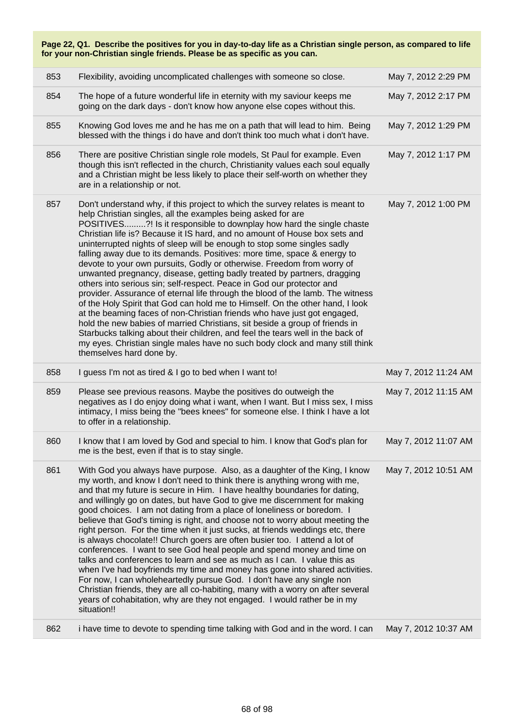|     | Page 22, Q1. Describe the positives for you in day-to-day life as a Christian single person, as compared to life<br>for your non-Christian single friends. Please be as specific as you can.                                                                                                                                                                                                                                                                                                                                                                                                                                                                                                                                                                                                                                                                                                                                                                                                                                                                                                                                                                                                                          |                      |
|-----|-----------------------------------------------------------------------------------------------------------------------------------------------------------------------------------------------------------------------------------------------------------------------------------------------------------------------------------------------------------------------------------------------------------------------------------------------------------------------------------------------------------------------------------------------------------------------------------------------------------------------------------------------------------------------------------------------------------------------------------------------------------------------------------------------------------------------------------------------------------------------------------------------------------------------------------------------------------------------------------------------------------------------------------------------------------------------------------------------------------------------------------------------------------------------------------------------------------------------|----------------------|
| 853 | Flexibility, avoiding uncomplicated challenges with someone so close.                                                                                                                                                                                                                                                                                                                                                                                                                                                                                                                                                                                                                                                                                                                                                                                                                                                                                                                                                                                                                                                                                                                                                 | May 7, 2012 2:29 PM  |
| 854 | The hope of a future wonderful life in eternity with my saviour keeps me<br>going on the dark days - don't know how anyone else copes without this.                                                                                                                                                                                                                                                                                                                                                                                                                                                                                                                                                                                                                                                                                                                                                                                                                                                                                                                                                                                                                                                                   | May 7, 2012 2:17 PM  |
| 855 | Knowing God loves me and he has me on a path that will lead to him. Being<br>blessed with the things i do have and don't think too much what i don't have.                                                                                                                                                                                                                                                                                                                                                                                                                                                                                                                                                                                                                                                                                                                                                                                                                                                                                                                                                                                                                                                            | May 7, 2012 1:29 PM  |
| 856 | There are positive Christian single role models, St Paul for example. Even<br>though this isn't reflected in the church, Christianity values each soul equally<br>and a Christian might be less likely to place their self-worth on whether they<br>are in a relationship or not.                                                                                                                                                                                                                                                                                                                                                                                                                                                                                                                                                                                                                                                                                                                                                                                                                                                                                                                                     | May 7, 2012 1:17 PM  |
| 857 | Don't understand why, if this project to which the survey relates is meant to<br>help Christian singles, all the examples being asked for are<br>POSITIVES?! Is it responsible to downplay how hard the single chaste<br>Christian life is? Because it IS hard, and no amount of House box sets and<br>uninterrupted nights of sleep will be enough to stop some singles sadly<br>falling away due to its demands. Positives: more time, space & energy to<br>devote to your own pursuits, Godly or otherwise. Freedom from worry of<br>unwanted pregnancy, disease, getting badly treated by partners, dragging<br>others into serious sin; self-respect. Peace in God our protector and<br>provider. Assurance of eternal life through the blood of the lamb. The witness<br>of the Holy Spirit that God can hold me to Himself. On the other hand, I look<br>at the beaming faces of non-Christian friends who have just got engaged,<br>hold the new babies of married Christians, sit beside a group of friends in<br>Starbucks talking about their children, and feel the tears well in the back of<br>my eyes. Christian single males have no such body clock and many still think<br>themselves hard done by. | May 7, 2012 1:00 PM  |
| 858 | I guess I'm not as tired & I go to bed when I want to!                                                                                                                                                                                                                                                                                                                                                                                                                                                                                                                                                                                                                                                                                                                                                                                                                                                                                                                                                                                                                                                                                                                                                                | May 7, 2012 11:24 AM |
| 859 | Please see previous reasons. Maybe the positives do outweigh the<br>negatives as I do enjoy doing what i want, when I want. But I miss sex, I miss<br>intimacy, I miss being the "bees knees" for someone else. I think I have a lot<br>to offer in a relationship.                                                                                                                                                                                                                                                                                                                                                                                                                                                                                                                                                                                                                                                                                                                                                                                                                                                                                                                                                   | May 7, 2012 11:15 AM |
| 860 | I know that I am loved by God and special to him. I know that God's plan for<br>me is the best, even if that is to stay single.                                                                                                                                                                                                                                                                                                                                                                                                                                                                                                                                                                                                                                                                                                                                                                                                                                                                                                                                                                                                                                                                                       | May 7, 2012 11:07 AM |
| 861 | With God you always have purpose. Also, as a daughter of the King, I know<br>my worth, and know I don't need to think there is anything wrong with me,<br>and that my future is secure in Him. I have healthy boundaries for dating,<br>and willingly go on dates, but have God to give me discernment for making<br>good choices. I am not dating from a place of loneliness or boredom. I<br>believe that God's timing is right, and choose not to worry about meeting the<br>right person. For the time when it just sucks, at friends weddings etc, there<br>is always chocolate!! Church goers are often busier too. I attend a lot of<br>conferences. I want to see God heal people and spend money and time on<br>talks and conferences to learn and see as much as I can. I value this as<br>when I've had boyfriends my time and money has gone into shared activities.<br>For now, I can wholeheartedly pursue God. I don't have any single non<br>Christian friends, they are all co-habiting, many with a worry on after several<br>years of cohabitation, why are they not engaged. I would rather be in my<br>situation!!                                                                               | May 7, 2012 10:51 AM |
| 862 | i have time to devote to spending time talking with God and in the word. I can                                                                                                                                                                                                                                                                                                                                                                                                                                                                                                                                                                                                                                                                                                                                                                                                                                                                                                                                                                                                                                                                                                                                        | May 7, 2012 10:37 AM |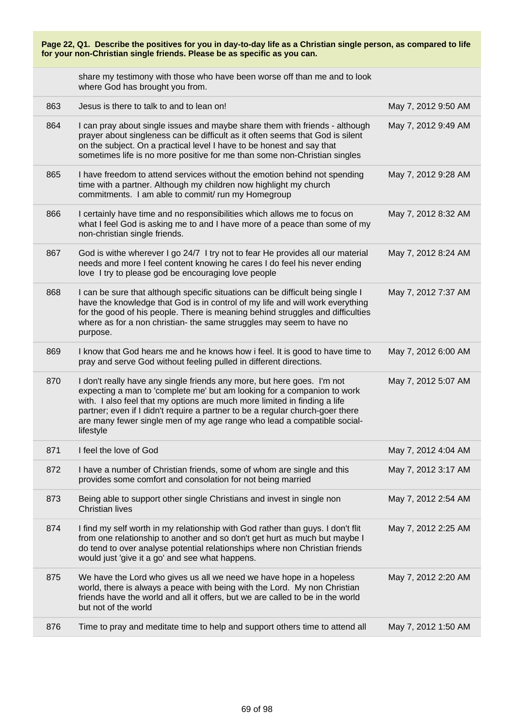| Page 22, Q1. Describe the positives for you in day-to-day life as a Christian single person, as compared to life<br>for your non-Christian single friends. Please be as specific as you can. |                                                                                                                                                                                                                                                                                                                                                                                                          |                     |
|----------------------------------------------------------------------------------------------------------------------------------------------------------------------------------------------|----------------------------------------------------------------------------------------------------------------------------------------------------------------------------------------------------------------------------------------------------------------------------------------------------------------------------------------------------------------------------------------------------------|---------------------|
|                                                                                                                                                                                              | share my testimony with those who have been worse off than me and to look<br>where God has brought you from.                                                                                                                                                                                                                                                                                             |                     |
| 863                                                                                                                                                                                          | Jesus is there to talk to and to lean on!                                                                                                                                                                                                                                                                                                                                                                | May 7, 2012 9:50 AM |
| 864                                                                                                                                                                                          | I can pray about single issues and maybe share them with friends - although<br>prayer about singleness can be difficult as it often seems that God is silent<br>on the subject. On a practical level I have to be honest and say that<br>sometimes life is no more positive for me than some non-Christian singles                                                                                       | May 7, 2012 9:49 AM |
| 865                                                                                                                                                                                          | I have freedom to attend services without the emotion behind not spending<br>time with a partner. Although my children now highlight my church<br>commitments. I am able to commit/ run my Homegroup                                                                                                                                                                                                     | May 7, 2012 9:28 AM |
| 866                                                                                                                                                                                          | I certainly have time and no responsibilities which allows me to focus on<br>what I feel God is asking me to and I have more of a peace than some of my<br>non-christian single friends.                                                                                                                                                                                                                 | May 7, 2012 8:32 AM |
| 867                                                                                                                                                                                          | God is withe wherever I go 24/7 I try not to fear He provides all our material<br>needs and more I feel content knowing he cares I do feel his never ending<br>love I try to please god be encouraging love people                                                                                                                                                                                       | May 7, 2012 8:24 AM |
| 868                                                                                                                                                                                          | I can be sure that although specific situations can be difficult being single I<br>have the knowledge that God is in control of my life and will work everything<br>for the good of his people. There is meaning behind struggles and difficulties<br>where as for a non christian- the same struggles may seem to have no<br>purpose.                                                                   | May 7, 2012 7:37 AM |
| 869                                                                                                                                                                                          | I know that God hears me and he knows how i feel. It is good to have time to<br>pray and serve God without feeling pulled in different directions.                                                                                                                                                                                                                                                       | May 7, 2012 6:00 AM |
| 870                                                                                                                                                                                          | I don't really have any single friends any more, but here goes. I'm not<br>expecting a man to 'complete me' but am looking for a companion to work<br>with. I also feel that my options are much more limited in finding a life<br>partner; even if I didn't require a partner to be a regular church-goer there<br>are many fewer single men of my age range who lead a compatible social-<br>lifestyle | May 7, 2012 5:07 AM |
| 871                                                                                                                                                                                          | I feel the love of God                                                                                                                                                                                                                                                                                                                                                                                   | May 7, 2012 4:04 AM |
| 872                                                                                                                                                                                          | I have a number of Christian friends, some of whom are single and this<br>provides some comfort and consolation for not being married                                                                                                                                                                                                                                                                    | May 7, 2012 3:17 AM |
| 873                                                                                                                                                                                          | Being able to support other single Christians and invest in single non<br><b>Christian lives</b>                                                                                                                                                                                                                                                                                                         | May 7, 2012 2:54 AM |
| 874                                                                                                                                                                                          | I find my self worth in my relationship with God rather than guys. I don't flit<br>from one relationship to another and so don't get hurt as much but maybe I<br>do tend to over analyse potential relationships where non Christian friends<br>would just 'give it a go' and see what happens.                                                                                                          | May 7, 2012 2:25 AM |
| 875                                                                                                                                                                                          | We have the Lord who gives us all we need we have hope in a hopeless<br>world, there is always a peace with being with the Lord. My non Christian<br>friends have the world and all it offers, but we are called to be in the world<br>but not of the world                                                                                                                                              | May 7, 2012 2:20 AM |
| 876                                                                                                                                                                                          | Time to pray and meditate time to help and support others time to attend all                                                                                                                                                                                                                                                                                                                             | May 7, 2012 1:50 AM |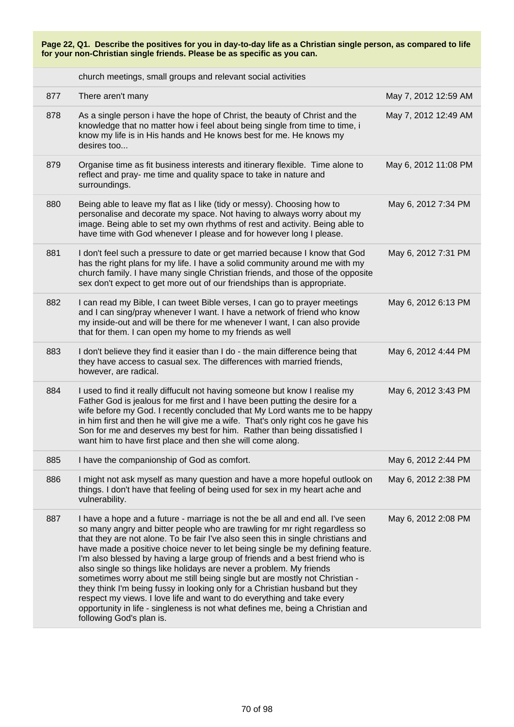church meetings, small groups and relevant social activities

| 877 | There aren't many                                                                                                                                                                                                                                                                                                                                                                                                                                                                                                                                                                                                                                                                                                                                                                                                                              | May 7, 2012 12:59 AM |
|-----|------------------------------------------------------------------------------------------------------------------------------------------------------------------------------------------------------------------------------------------------------------------------------------------------------------------------------------------------------------------------------------------------------------------------------------------------------------------------------------------------------------------------------------------------------------------------------------------------------------------------------------------------------------------------------------------------------------------------------------------------------------------------------------------------------------------------------------------------|----------------------|
| 878 | As a single person i have the hope of Christ, the beauty of Christ and the<br>knowledge that no matter how i feel about being single from time to time, i<br>know my life is in His hands and He knows best for me. He knows my<br>desires too                                                                                                                                                                                                                                                                                                                                                                                                                                                                                                                                                                                                 | May 7, 2012 12:49 AM |
| 879 | Organise time as fit business interests and itinerary flexible. Time alone to<br>reflect and pray- me time and quality space to take in nature and<br>surroundings.                                                                                                                                                                                                                                                                                                                                                                                                                                                                                                                                                                                                                                                                            | May 6, 2012 11:08 PM |
| 880 | Being able to leave my flat as I like (tidy or messy). Choosing how to<br>personalise and decorate my space. Not having to always worry about my<br>image. Being able to set my own rhythms of rest and activity. Being able to<br>have time with God whenever I please and for however long I please.                                                                                                                                                                                                                                                                                                                                                                                                                                                                                                                                         | May 6, 2012 7:34 PM  |
| 881 | I don't feel such a pressure to date or get married because I know that God<br>has the right plans for my life. I have a solid community around me with my<br>church family. I have many single Christian friends, and those of the opposite<br>sex don't expect to get more out of our friendships than is appropriate.                                                                                                                                                                                                                                                                                                                                                                                                                                                                                                                       | May 6, 2012 7:31 PM  |
| 882 | I can read my Bible, I can tweet Bible verses, I can go to prayer meetings<br>and I can sing/pray whenever I want. I have a network of friend who know<br>my inside-out and will be there for me whenever I want, I can also provide<br>that for them. I can open my home to my friends as well                                                                                                                                                                                                                                                                                                                                                                                                                                                                                                                                                | May 6, 2012 6:13 PM  |
| 883 | I don't believe they find it easier than I do - the main difference being that<br>they have access to casual sex. The differences with married friends,<br>however, are radical.                                                                                                                                                                                                                                                                                                                                                                                                                                                                                                                                                                                                                                                               | May 6, 2012 4:44 PM  |
| 884 | I used to find it really diffucult not having someone but know I realise my<br>Father God is jealous for me first and I have been putting the desire for a<br>wife before my God. I recently concluded that My Lord wants me to be happy<br>in him first and then he will give me a wife. That's only right cos he gave his<br>Son for me and deserves my best for him. Rather than being dissatisfied I<br>want him to have first place and then she will come along.                                                                                                                                                                                                                                                                                                                                                                         | May 6, 2012 3:43 PM  |
| 885 | I have the companionship of God as comfort.                                                                                                                                                                                                                                                                                                                                                                                                                                                                                                                                                                                                                                                                                                                                                                                                    | May 6, 2012 2:44 PM  |
| 886 | I might not ask myself as many question and have a more hopeful outlook on<br>things. I don't have that feeling of being used for sex in my heart ache and<br>vulnerability.                                                                                                                                                                                                                                                                                                                                                                                                                                                                                                                                                                                                                                                                   | May 6, 2012 2:38 PM  |
| 887 | I have a hope and a future - marriage is not the be all and end all. I've seen<br>so many angry and bitter people who are trawling for mr right regardless so<br>that they are not alone. To be fair I've also seen this in single christians and<br>have made a positive choice never to let being single be my defining feature.<br>I'm also blessed by having a large group of friends and a best friend who is<br>also single so things like holidays are never a problem. My friends<br>sometimes worry about me still being single but are mostly not Christian -<br>they think I'm being fussy in looking only for a Christian husband but they<br>respect my views. I love life and want to do everything and take every<br>opportunity in life - singleness is not what defines me, being a Christian and<br>following God's plan is. | May 6, 2012 2:08 PM  |
|     |                                                                                                                                                                                                                                                                                                                                                                                                                                                                                                                                                                                                                                                                                                                                                                                                                                                |                      |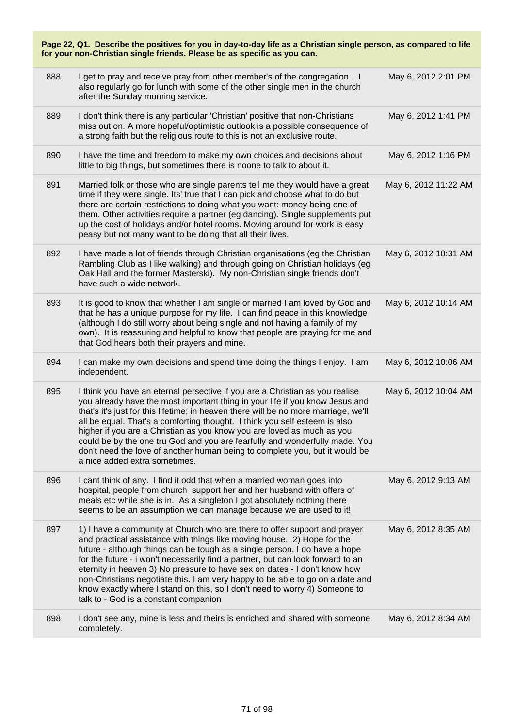| Page 22, Q1. Describe the positives for you in day-to-day life as a Christian single person, as compared to life<br>for your non-Christian single friends. Please be as specific as you can. |                                                                                                                                                                                                                                                                                                                                                                                                                                                                                                                                                                                                            |                      |
|----------------------------------------------------------------------------------------------------------------------------------------------------------------------------------------------|------------------------------------------------------------------------------------------------------------------------------------------------------------------------------------------------------------------------------------------------------------------------------------------------------------------------------------------------------------------------------------------------------------------------------------------------------------------------------------------------------------------------------------------------------------------------------------------------------------|----------------------|
| 888                                                                                                                                                                                          | I get to pray and receive pray from other member's of the congregation. I<br>also regularly go for lunch with some of the other single men in the church<br>after the Sunday morning service.                                                                                                                                                                                                                                                                                                                                                                                                              | May 6, 2012 2:01 PM  |
| 889                                                                                                                                                                                          | I don't think there is any particular 'Christian' positive that non-Christians<br>miss out on. A more hopeful/optimistic outlook is a possible consequence of<br>a strong faith but the religious route to this is not an exclusive route.                                                                                                                                                                                                                                                                                                                                                                 | May 6, 2012 1:41 PM  |
| 890                                                                                                                                                                                          | I have the time and freedom to make my own choices and decisions about<br>little to big things, but sometimes there is noone to talk to about it.                                                                                                                                                                                                                                                                                                                                                                                                                                                          | May 6, 2012 1:16 PM  |
| 891                                                                                                                                                                                          | Married folk or those who are single parents tell me they would have a great<br>time if they were single. Its' true that I can pick and choose what to do but<br>there are certain restrictions to doing what you want: money being one of<br>them. Other activities require a partner (eg dancing). Single supplements put<br>up the cost of holidays and/or hotel rooms. Moving around for work is easy<br>peasy but not many want to be doing that all their lives.                                                                                                                                     | May 6, 2012 11:22 AM |
| 892                                                                                                                                                                                          | I have made a lot of friends through Christian organisations (eg the Christian<br>Rambling Club as I like walking) and through going on Christian holidays (eg<br>Oak Hall and the former Masterski). My non-Christian single friends don't<br>have such a wide network.                                                                                                                                                                                                                                                                                                                                   | May 6, 2012 10:31 AM |
| 893                                                                                                                                                                                          | It is good to know that whether I am single or married I am loved by God and<br>that he has a unique purpose for my life. I can find peace in this knowledge<br>(although I do still worry about being single and not having a family of my<br>own). It is reassuring and helpful to know that people are praying for me and<br>that God hears both their prayers and mine.                                                                                                                                                                                                                                | May 6, 2012 10:14 AM |
| 894                                                                                                                                                                                          | I can make my own decisions and spend time doing the things I enjoy. I am<br>independent.                                                                                                                                                                                                                                                                                                                                                                                                                                                                                                                  | May 6, 2012 10:06 AM |
| 895                                                                                                                                                                                          | I think you have an eternal persective if you are a Christian as you realise<br>you already have the most important thing in your life if you know Jesus and<br>that's it's just for this lifetime; in heaven there will be no more marriage, we'll<br>all be equal. That's a comforting thought. I think you self esteem is also<br>higher if you are a Christian as you know you are loved as much as you<br>could be by the one tru God and you are fearfully and wonderfully made. You<br>don't need the love of another human being to complete you, but it would be<br>a nice added extra sometimes. | May 6, 2012 10:04 AM |
| 896                                                                                                                                                                                          | I cant think of any. I find it odd that when a married woman goes into<br>hospital, people from church support her and her husband with offers of<br>meals etc while she is in. As a singleton I got absolutely nothing there<br>seems to be an assumption we can manage because we are used to it!                                                                                                                                                                                                                                                                                                        | May 6, 2012 9:13 AM  |
| 897                                                                                                                                                                                          | 1) I have a community at Church who are there to offer support and prayer<br>and practical assistance with things like moving house. 2) Hope for the<br>future - although things can be tough as a single person, I do have a hope<br>for the future - i won't necessarily find a partner, but can look forward to an<br>eternity in heaven 3) No pressure to have sex on dates - I don't know how<br>non-Christians negotiate this. I am very happy to be able to go on a date and<br>know exactly where I stand on this, so I don't need to worry 4) Someone to<br>talk to - God is a constant companion | May 6, 2012 8:35 AM  |
| 898                                                                                                                                                                                          | I don't see any, mine is less and theirs is enriched and shared with someone<br>completely.                                                                                                                                                                                                                                                                                                                                                                                                                                                                                                                | May 6, 2012 8:34 AM  |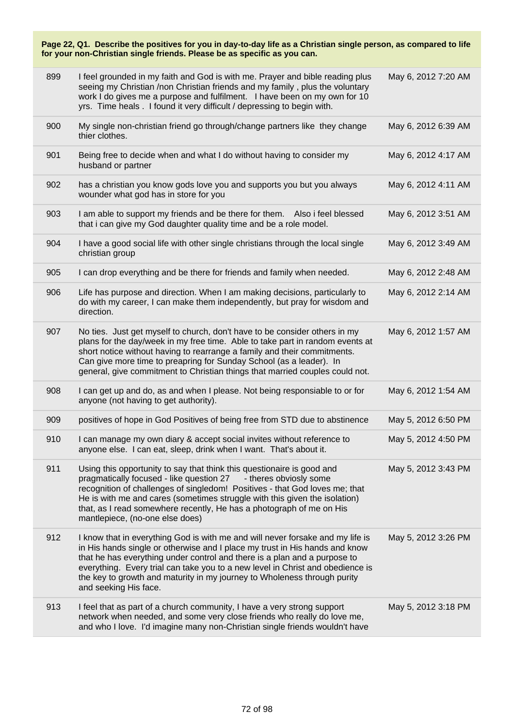| 899 | I feel grounded in my faith and God is with me. Prayer and bible reading plus<br>seeing my Christian /non Christian friends and my family, plus the voluntary<br>work I do gives me a purpose and fulfilment. I have been on my own for 10<br>yrs. Time heals . I found it very difficult / depressing to begin with.                                                                                                             | May 6, 2012 7:20 AM |
|-----|-----------------------------------------------------------------------------------------------------------------------------------------------------------------------------------------------------------------------------------------------------------------------------------------------------------------------------------------------------------------------------------------------------------------------------------|---------------------|
| 900 | My single non-christian friend go through/change partners like they change<br>thier clothes.                                                                                                                                                                                                                                                                                                                                      | May 6, 2012 6:39 AM |
| 901 | Being free to decide when and what I do without having to consider my<br>husband or partner                                                                                                                                                                                                                                                                                                                                       | May 6, 2012 4:17 AM |
| 902 | has a christian you know gods love you and supports you but you always<br>wounder what god has in store for you                                                                                                                                                                                                                                                                                                                   | May 6, 2012 4:11 AM |
| 903 | I am able to support my friends and be there for them. Also i feel blessed<br>that i can give my God daughter quality time and be a role model.                                                                                                                                                                                                                                                                                   | May 6, 2012 3:51 AM |
| 904 | I have a good social life with other single christians through the local single<br>christian group                                                                                                                                                                                                                                                                                                                                | May 6, 2012 3:49 AM |
| 905 | I can drop everything and be there for friends and family when needed.                                                                                                                                                                                                                                                                                                                                                            | May 6, 2012 2:48 AM |
| 906 | Life has purpose and direction. When I am making decisions, particularly to<br>do with my career, I can make them independently, but pray for wisdom and<br>direction.                                                                                                                                                                                                                                                            | May 6, 2012 2:14 AM |
| 907 | No ties. Just get myself to church, don't have to be consider others in my<br>plans for the day/week in my free time. Able to take part in random events at<br>short notice without having to rearrange a family and their commitments.<br>Can give more time to preapring for Sunday School (as a leader). In<br>general, give commitment to Christian things that married couples could not.                                    | May 6, 2012 1:57 AM |
| 908 | I can get up and do, as and when I please. Not being responsiable to or for<br>anyone (not having to get authority).                                                                                                                                                                                                                                                                                                              | May 6, 2012 1:54 AM |
| 909 | positives of hope in God Positives of being free from STD due to abstinence                                                                                                                                                                                                                                                                                                                                                       | May 5, 2012 6:50 PM |
| 910 | I can manage my own diary & accept social invites without reference to<br>anyone else. I can eat, sleep, drink when I want. That's about it.                                                                                                                                                                                                                                                                                      | May 5, 2012 4:50 PM |
| 911 | Using this opportunity to say that think this questionaire is good and<br>pragmatically focused - like question 27<br>- theres obviosly some<br>recognition of challenges of singledom! Positives - that God loves me; that<br>He is with me and cares (sometimes struggle with this given the isolation)<br>that, as I read somewhere recently, He has a photograph of me on His<br>mantlepiece, (no-one else does)              | May 5, 2012 3:43 PM |
| 912 | I know that in everything God is with me and will never forsake and my life is<br>in His hands single or otherwise and I place my trust in His hands and know<br>that he has everything under control and there is a plan and a purpose to<br>everything. Every trial can take you to a new level in Christ and obedience is<br>the key to growth and maturity in my journey to Wholeness through purity<br>and seeking His face. | May 5, 2012 3:26 PM |
| 913 | I feel that as part of a church community, I have a very strong support<br>network when needed, and some very close friends who really do love me,<br>and who I love. I'd imagine many non-Christian single friends wouldn't have                                                                                                                                                                                                 | May 5, 2012 3:18 PM |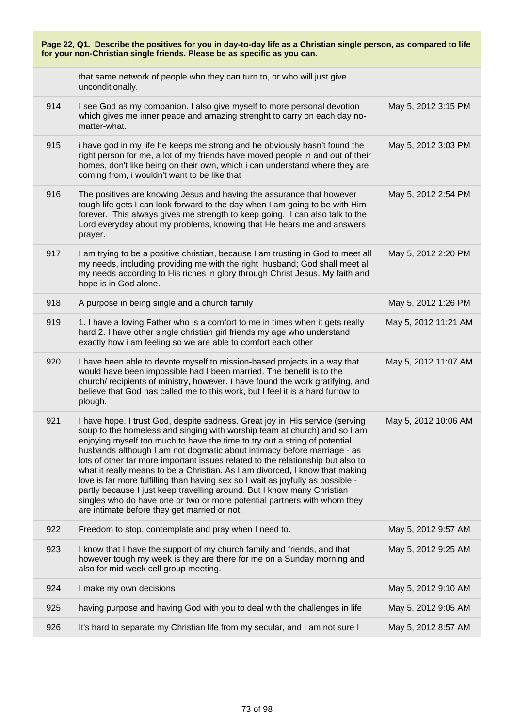| Page 22, Q1. Describe the positives for you in day-to-day life as a Christian single person, as compared to life<br>for your non-Christian single friends. Please be as specific as you can. |                                                                                                                                                                                                                                                                                                                                                                                                                                                                                                                                                                                                                                                                                                                                                                                 |                      |
|----------------------------------------------------------------------------------------------------------------------------------------------------------------------------------------------|---------------------------------------------------------------------------------------------------------------------------------------------------------------------------------------------------------------------------------------------------------------------------------------------------------------------------------------------------------------------------------------------------------------------------------------------------------------------------------------------------------------------------------------------------------------------------------------------------------------------------------------------------------------------------------------------------------------------------------------------------------------------------------|----------------------|
|                                                                                                                                                                                              | that same network of people who they can turn to, or who will just give<br>unconditionally.                                                                                                                                                                                                                                                                                                                                                                                                                                                                                                                                                                                                                                                                                     |                      |
| 914                                                                                                                                                                                          | I see God as my companion. I also give myself to more personal devotion<br>which gives me inner peace and amazing strenght to carry on each day no-<br>matter-what.                                                                                                                                                                                                                                                                                                                                                                                                                                                                                                                                                                                                             | May 5, 2012 3:15 PM  |
| 915                                                                                                                                                                                          | i have god in my life he keeps me strong and he obviously hasn't found the<br>right person for me, a lot of my friends have moved people in and out of their<br>homes, don't like being on their own, which i can understand where they are<br>coming from, i wouldn't want to be like that                                                                                                                                                                                                                                                                                                                                                                                                                                                                                     | May 5, 2012 3:03 PM  |
| 916                                                                                                                                                                                          | The positives are knowing Jesus and having the assurance that however<br>tough life gets I can look forward to the day when I am going to be with Him<br>forever. This always gives me strength to keep going. I can also talk to the<br>Lord everyday about my problems, knowing that He hears me and answers<br>prayer.                                                                                                                                                                                                                                                                                                                                                                                                                                                       | May 5, 2012 2:54 PM  |
| 917                                                                                                                                                                                          | I am trying to be a positive christian, because I am trusting in God to meet all<br>my needs, including providing me with the right husband; God shall meet all<br>my needs according to His riches in glory through Christ Jesus. My faith and<br>hope is in God alone.                                                                                                                                                                                                                                                                                                                                                                                                                                                                                                        | May 5, 2012 2:20 PM  |
| 918                                                                                                                                                                                          | A purpose in being single and a church family                                                                                                                                                                                                                                                                                                                                                                                                                                                                                                                                                                                                                                                                                                                                   | May 5, 2012 1:26 PM  |
| 919                                                                                                                                                                                          | 1. I have a loving Father who is a comfort to me in times when it gets really<br>hard 2. I have other single christian girl friends my age who understand<br>exactly how i am feeling so we are able to comfort each other                                                                                                                                                                                                                                                                                                                                                                                                                                                                                                                                                      | May 5, 2012 11:21 AM |
| 920                                                                                                                                                                                          | I have been able to devote myself to mission-based projects in a way that<br>would have been impossible had I been married. The benefit is to the<br>church/ recipients of ministry, however. I have found the work gratifying, and<br>believe that God has called me to this work, but I feel it is a hard furrow to<br>plough.                                                                                                                                                                                                                                                                                                                                                                                                                                                | May 5, 2012 11:07 AM |
| 921                                                                                                                                                                                          | I have hope. I trust God, despite sadness. Great joy in His service (serving<br>soup to the homeless and singing with worship team at church) and so I am<br>enjoying myself too much to have the time to try out a string of potential<br>husbands although I am not dogmatic about intimacy before marriage - as<br>lots of other far more important issues related to the relationship but also to<br>what it really means to be a Christian. As I am divorced, I know that making<br>love is far more fulfilling than having sex so I wait as joyfully as possible -<br>partly because I just keep travelling around. But I know many Christian<br>singles who do have one or two or more potential partners with whom they<br>are intimate before they get married or not. | May 5, 2012 10:06 AM |
| 922                                                                                                                                                                                          | Freedom to stop, contemplate and pray when I need to.                                                                                                                                                                                                                                                                                                                                                                                                                                                                                                                                                                                                                                                                                                                           | May 5, 2012 9:57 AM  |
| 923                                                                                                                                                                                          | I know that I have the support of my church family and friends, and that<br>however tough my week is they are there for me on a Sunday morning and<br>also for mid week cell group meeting.                                                                                                                                                                                                                                                                                                                                                                                                                                                                                                                                                                                     | May 5, 2012 9:25 AM  |
| 924                                                                                                                                                                                          | I make my own decisions                                                                                                                                                                                                                                                                                                                                                                                                                                                                                                                                                                                                                                                                                                                                                         | May 5, 2012 9:10 AM  |
| 925                                                                                                                                                                                          | having purpose and having God with you to deal with the challenges in life                                                                                                                                                                                                                                                                                                                                                                                                                                                                                                                                                                                                                                                                                                      | May 5, 2012 9:05 AM  |
| 926                                                                                                                                                                                          | It's hard to separate my Christian life from my secular, and I am not sure I                                                                                                                                                                                                                                                                                                                                                                                                                                                                                                                                                                                                                                                                                                    | May 5, 2012 8:57 AM  |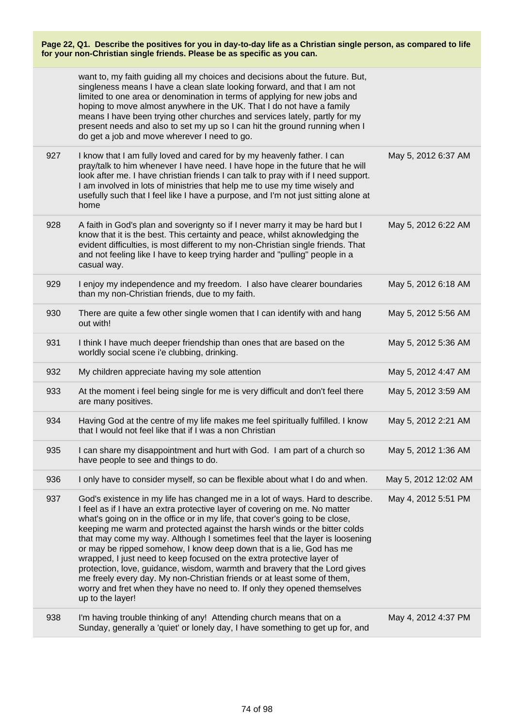|     | want to, my faith guiding all my choices and decisions about the future. But,<br>singleness means I have a clean slate looking forward, and that I am not<br>limited to one area or denomination in terms of applying for new jobs and<br>hoping to move almost anywhere in the UK. That I do not have a family<br>means I have been trying other churches and services lately, partly for my<br>present needs and also to set my up so I can hit the ground running when I<br>do get a job and move wherever I need to go.                                                                                                                                                                                                                                                                                       |                      |
|-----|-------------------------------------------------------------------------------------------------------------------------------------------------------------------------------------------------------------------------------------------------------------------------------------------------------------------------------------------------------------------------------------------------------------------------------------------------------------------------------------------------------------------------------------------------------------------------------------------------------------------------------------------------------------------------------------------------------------------------------------------------------------------------------------------------------------------|----------------------|
| 927 | I know that I am fully loved and cared for by my heavenly father. I can<br>pray/talk to him whenever I have need. I have hope in the future that he will<br>look after me. I have christian friends I can talk to pray with if I need support.<br>I am involved in lots of ministries that help me to use my time wisely and<br>usefully such that I feel like I have a purpose, and I'm not just sitting alone at<br>home                                                                                                                                                                                                                                                                                                                                                                                        | May 5, 2012 6:37 AM  |
| 928 | A faith in God's plan and soverignty so if I never marry it may be hard but I<br>know that it is the best. This certainty and peace, whilst aknowledging the<br>evident difficulties, is most different to my non-Christian single friends. That<br>and not feeling like I have to keep trying harder and "pulling" people in a<br>casual way.                                                                                                                                                                                                                                                                                                                                                                                                                                                                    | May 5, 2012 6:22 AM  |
| 929 | I enjoy my independence and my freedom. I also have clearer boundaries<br>than my non-Christian friends, due to my faith.                                                                                                                                                                                                                                                                                                                                                                                                                                                                                                                                                                                                                                                                                         | May 5, 2012 6:18 AM  |
| 930 | There are quite a few other single women that I can identify with and hang<br>out with!                                                                                                                                                                                                                                                                                                                                                                                                                                                                                                                                                                                                                                                                                                                           | May 5, 2012 5:56 AM  |
| 931 | I think I have much deeper friendship than ones that are based on the<br>worldly social scene i'e clubbing, drinking.                                                                                                                                                                                                                                                                                                                                                                                                                                                                                                                                                                                                                                                                                             | May 5, 2012 5:36 AM  |
| 932 | My children appreciate having my sole attention                                                                                                                                                                                                                                                                                                                                                                                                                                                                                                                                                                                                                                                                                                                                                                   | May 5, 2012 4:47 AM  |
| 933 | At the moment i feel being single for me is very difficult and don't feel there<br>are many positives.                                                                                                                                                                                                                                                                                                                                                                                                                                                                                                                                                                                                                                                                                                            | May 5, 2012 3:59 AM  |
| 934 | Having God at the centre of my life makes me feel spiritually fulfilled. I know<br>that I would not feel like that if I was a non Christian                                                                                                                                                                                                                                                                                                                                                                                                                                                                                                                                                                                                                                                                       | May 5, 2012 2:21 AM  |
| 935 | I can share my disappointment and hurt with God. I am part of a church so<br>have people to see and things to do.                                                                                                                                                                                                                                                                                                                                                                                                                                                                                                                                                                                                                                                                                                 | May 5, 2012 1:36 AM  |
| 936 | I only have to consider myself, so can be flexible about what I do and when.                                                                                                                                                                                                                                                                                                                                                                                                                                                                                                                                                                                                                                                                                                                                      | May 5, 2012 12:02 AM |
| 937 | God's existence in my life has changed me in a lot of ways. Hard to describe.<br>I feel as if I have an extra protective layer of covering on me. No matter<br>what's going on in the office or in my life, that cover's going to be close,<br>keeping me warm and protected against the harsh winds or the bitter colds<br>that may come my way. Although I sometimes feel that the layer is loosening<br>or may be ripped somehow, I know deep down that is a lie, God has me<br>wrapped, I just need to keep focused on the extra protective layer of<br>protection, love, guidance, wisdom, warmth and bravery that the Lord gives<br>me freely every day. My non-Christian friends or at least some of them,<br>worry and fret when they have no need to. If only they opened themselves<br>up to the layer! | May 4, 2012 5:51 PM  |
| 938 | I'm having trouble thinking of any! Attending church means that on a<br>Sunday, generally a 'quiet' or lonely day, I have something to get up for, and                                                                                                                                                                                                                                                                                                                                                                                                                                                                                                                                                                                                                                                            | May 4, 2012 4:37 PM  |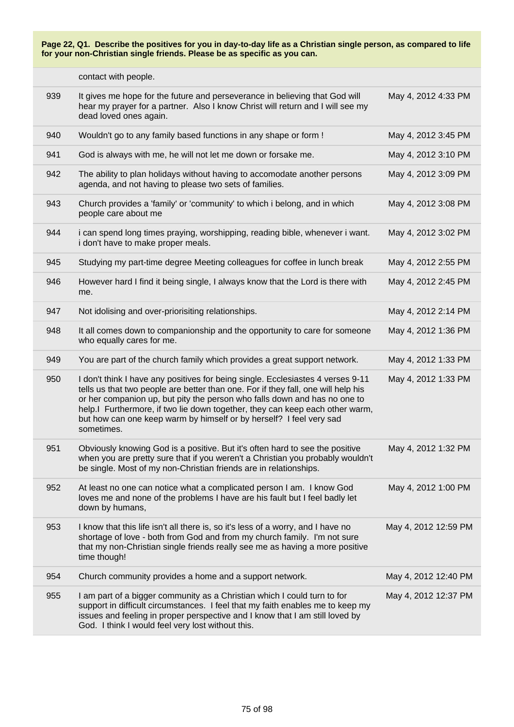|     | contact with people.                                                                                                                                                                                                                                                                                                                                                                                                   |                      |
|-----|------------------------------------------------------------------------------------------------------------------------------------------------------------------------------------------------------------------------------------------------------------------------------------------------------------------------------------------------------------------------------------------------------------------------|----------------------|
| 939 | It gives me hope for the future and perseverance in believing that God will<br>hear my prayer for a partner. Also I know Christ will return and I will see my<br>dead loved ones again.                                                                                                                                                                                                                                | May 4, 2012 4:33 PM  |
| 940 | Wouldn't go to any family based functions in any shape or form !                                                                                                                                                                                                                                                                                                                                                       | May 4, 2012 3:45 PM  |
| 941 | God is always with me, he will not let me down or forsake me.                                                                                                                                                                                                                                                                                                                                                          | May 4, 2012 3:10 PM  |
| 942 | The ability to plan holidays without having to accomodate another persons<br>agenda, and not having to please two sets of families.                                                                                                                                                                                                                                                                                    | May 4, 2012 3:09 PM  |
| 943 | Church provides a 'family' or 'community' to which i belong, and in which<br>people care about me                                                                                                                                                                                                                                                                                                                      | May 4, 2012 3:08 PM  |
| 944 | i can spend long times praying, worshipping, reading bible, whenever i want.<br>i don't have to make proper meals.                                                                                                                                                                                                                                                                                                     | May 4, 2012 3:02 PM  |
| 945 | Studying my part-time degree Meeting colleagues for coffee in lunch break                                                                                                                                                                                                                                                                                                                                              | May 4, 2012 2:55 PM  |
| 946 | However hard I find it being single, I always know that the Lord is there with<br>me.                                                                                                                                                                                                                                                                                                                                  | May 4, 2012 2:45 PM  |
| 947 | Not idolising and over-priorisiting relationships.                                                                                                                                                                                                                                                                                                                                                                     | May 4, 2012 2:14 PM  |
| 948 | It all comes down to companionship and the opportunity to care for someone<br>who equally cares for me.                                                                                                                                                                                                                                                                                                                | May 4, 2012 1:36 PM  |
| 949 | You are part of the church family which provides a great support network.                                                                                                                                                                                                                                                                                                                                              | May 4, 2012 1:33 PM  |
| 950 | I don't think I have any positives for being single. Ecclesiastes 4 verses 9-11<br>tells us that two people are better than one. For if they fall, one will help his<br>or her companion up, but pity the person who falls down and has no one to<br>help.I Furthermore, if two lie down together, they can keep each other warm,<br>but how can one keep warm by himself or by herself? I feel very sad<br>sometimes. | May 4, 2012 1:33 PM  |
| 951 | Obviously knowing God is a positive. But it's often hard to see the positive<br>when you are pretty sure that if you weren't a Christian you probably wouldn't<br>be single. Most of my non-Christian friends are in relationships.                                                                                                                                                                                    | May 4, 2012 1:32 PM  |
| 952 | At least no one can notice what a complicated person I am. I know God<br>loves me and none of the problems I have are his fault but I feel badly let<br>down by humans,                                                                                                                                                                                                                                                | May 4, 2012 1:00 PM  |
| 953 | I know that this life isn't all there is, so it's less of a worry, and I have no<br>shortage of love - both from God and from my church family. I'm not sure<br>that my non-Christian single friends really see me as having a more positive<br>time though!                                                                                                                                                           | May 4, 2012 12:59 PM |
| 954 | Church community provides a home and a support network.                                                                                                                                                                                                                                                                                                                                                                | May 4, 2012 12:40 PM |
| 955 | I am part of a bigger community as a Christian which I could turn to for<br>support in difficult circumstances. I feel that my faith enables me to keep my<br>issues and feeling in proper perspective and I know that I am still loved by<br>God. I think I would feel very lost without this.                                                                                                                        | May 4, 2012 12:37 PM |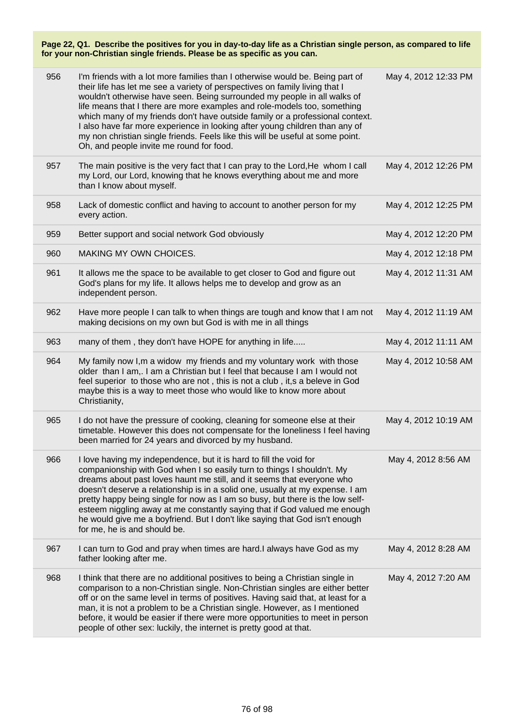| 956 | I'm friends with a lot more families than I otherwise would be. Being part of<br>their life has let me see a variety of perspectives on family living that I<br>wouldn't otherwise have seen. Being surrounded my people in all walks of<br>life means that I there are more examples and role-models too, something<br>which many of my friends don't have outside family or a professional context.<br>I also have far more experience in looking after young children than any of<br>my non christian single friends. Feels like this will be useful at some point.<br>Oh, and people invite me round for food. | May 4, 2012 12:33 PM |
|-----|--------------------------------------------------------------------------------------------------------------------------------------------------------------------------------------------------------------------------------------------------------------------------------------------------------------------------------------------------------------------------------------------------------------------------------------------------------------------------------------------------------------------------------------------------------------------------------------------------------------------|----------------------|
| 957 | The main positive is the very fact that I can pray to the Lord, He whom I call<br>my Lord, our Lord, knowing that he knows everything about me and more<br>than I know about myself.                                                                                                                                                                                                                                                                                                                                                                                                                               | May 4, 2012 12:26 PM |
| 958 | Lack of domestic conflict and having to account to another person for my<br>every action.                                                                                                                                                                                                                                                                                                                                                                                                                                                                                                                          | May 4, 2012 12:25 PM |
| 959 | Better support and social network God obviously                                                                                                                                                                                                                                                                                                                                                                                                                                                                                                                                                                    | May 4, 2012 12:20 PM |
| 960 | MAKING MY OWN CHOICES.                                                                                                                                                                                                                                                                                                                                                                                                                                                                                                                                                                                             | May 4, 2012 12:18 PM |
| 961 | It allows me the space to be available to get closer to God and figure out<br>God's plans for my life. It allows helps me to develop and grow as an<br>independent person.                                                                                                                                                                                                                                                                                                                                                                                                                                         | May 4, 2012 11:31 AM |
| 962 | Have more people I can talk to when things are tough and know that I am not<br>making decisions on my own but God is with me in all things                                                                                                                                                                                                                                                                                                                                                                                                                                                                         | May 4, 2012 11:19 AM |
| 963 | many of them, they don't have HOPE for anything in life                                                                                                                                                                                                                                                                                                                                                                                                                                                                                                                                                            | May 4, 2012 11:11 AM |
| 964 | My family now I, m a widow my friends and my voluntary work with those<br>older than I am,. I am a Christian but I feel that because I am I would not<br>feel superior to those who are not, this is not a club, it,s a beleve in God<br>maybe this is a way to meet those who would like to know more about<br>Christianity,                                                                                                                                                                                                                                                                                      | May 4, 2012 10:58 AM |
| 965 | I do not have the pressure of cooking, cleaning for someone else at their<br>timetable. However this does not compensate for the loneliness I feel having<br>been married for 24 years and divorced by my husband.                                                                                                                                                                                                                                                                                                                                                                                                 | May 4, 2012 10:19 AM |
| 966 | I love having my independence, but it is hard to fill the void for<br>companionship with God when I so easily turn to things I shouldn't. My<br>dreams about past loves haunt me still, and it seems that everyone who<br>doesn't deserve a relationship is in a solid one, usually at my expense. I am<br>pretty happy being single for now as I am so busy, but there is the low self-<br>esteem niggling away at me constantly saying that if God valued me enough<br>he would give me a boyfriend. But I don't like saying that God isn't enough<br>for me, he is and should be.                               | May 4, 2012 8:56 AM  |
| 967 | I can turn to God and pray when times are hard.I always have God as my<br>father looking after me.                                                                                                                                                                                                                                                                                                                                                                                                                                                                                                                 | May 4, 2012 8:28 AM  |
| 968 | I think that there are no additional positives to being a Christian single in<br>comparison to a non-Christian single. Non-Christian singles are either better<br>off or on the same level in terms of positives. Having said that, at least for a<br>man, it is not a problem to be a Christian single. However, as I mentioned<br>before, it would be easier if there were more opportunities to meet in person<br>people of other sex: luckily, the internet is pretty good at that.                                                                                                                            | May 4, 2012 7:20 AM  |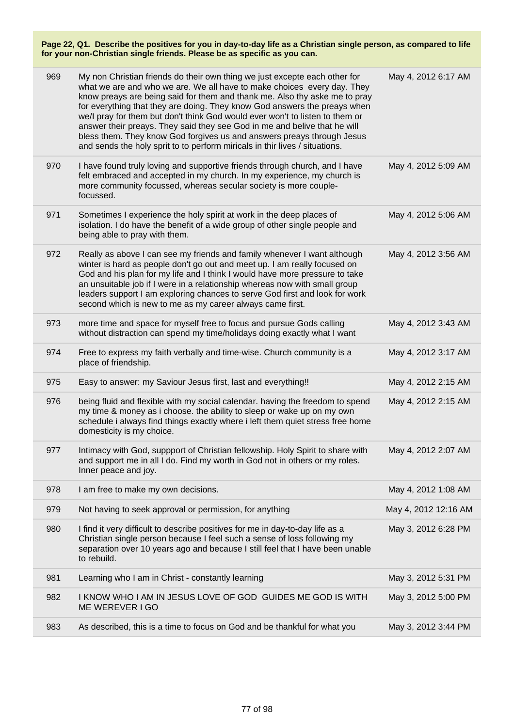| 969 | My non Christian friends do their own thing we just excepte each other for<br>what we are and who we are. We all have to make choices every day. They<br>know preays are being said for them and thank me. Also thy aske me to pray<br>for everything that they are doing. They know God answers the preays when<br>we/l pray for them but don't think God would ever won't to listen to them or<br>answer their preays. They said they see God in me and belive that he will<br>bless them. They know God forgives us and answers preays through Jesus<br>and sends the holy sprit to to perform miricals in thir lives / situations. | May 4, 2012 6:17 AM  |
|-----|----------------------------------------------------------------------------------------------------------------------------------------------------------------------------------------------------------------------------------------------------------------------------------------------------------------------------------------------------------------------------------------------------------------------------------------------------------------------------------------------------------------------------------------------------------------------------------------------------------------------------------------|----------------------|
| 970 | I have found truly loving and supportive friends through church, and I have<br>felt embraced and accepted in my church. In my experience, my church is<br>more community focussed, whereas secular society is more couple-<br>focussed.                                                                                                                                                                                                                                                                                                                                                                                                | May 4, 2012 5:09 AM  |
| 971 | Sometimes I experience the holy spirit at work in the deep places of<br>isolation. I do have the benefit of a wide group of other single people and<br>being able to pray with them.                                                                                                                                                                                                                                                                                                                                                                                                                                                   | May 4, 2012 5:06 AM  |
| 972 | Really as above I can see my friends and family whenever I want although<br>winter is hard as people don't go out and meet up. I am really focused on<br>God and his plan for my life and I think I would have more pressure to take<br>an unsuitable job if I were in a relationship whereas now with small group<br>leaders support I am exploring chances to serve God first and look for work<br>second which is new to me as my career always came first.                                                                                                                                                                         | May 4, 2012 3:56 AM  |
| 973 | more time and space for myself free to focus and pursue Gods calling<br>without distraction can spend my time/holidays doing exactly what I want                                                                                                                                                                                                                                                                                                                                                                                                                                                                                       | May 4, 2012 3:43 AM  |
| 974 | Free to express my faith verbally and time-wise. Church community is a<br>place of friendship.                                                                                                                                                                                                                                                                                                                                                                                                                                                                                                                                         | May 4, 2012 3:17 AM  |
| 975 | Easy to answer: my Saviour Jesus first, last and everything!!                                                                                                                                                                                                                                                                                                                                                                                                                                                                                                                                                                          | May 4, 2012 2:15 AM  |
| 976 | being fluid and flexible with my social calendar. having the freedom to spend<br>my time & money as i choose. the ability to sleep or wake up on my own<br>schedule i always find things exactly where i left them quiet stress free home<br>domesticity is my choice.                                                                                                                                                                                                                                                                                                                                                                 | May 4, 2012 2:15 AM  |
| 977 | Intimacy with God, suppport of Christian fellowship. Holy Spirit to share with<br>and support me in all I do. Find my worth in God not in others or my roles.<br>Inner peace and joy.                                                                                                                                                                                                                                                                                                                                                                                                                                                  | May 4, 2012 2:07 AM  |
| 978 | I am free to make my own decisions.                                                                                                                                                                                                                                                                                                                                                                                                                                                                                                                                                                                                    | May 4, 2012 1:08 AM  |
| 979 | Not having to seek approval or permission, for anything                                                                                                                                                                                                                                                                                                                                                                                                                                                                                                                                                                                | May 4, 2012 12:16 AM |
| 980 | I find it very difficult to describe positives for me in day-to-day life as a<br>Christian single person because I feel such a sense of loss following my<br>separation over 10 years ago and because I still feel that I have been unable<br>to rebuild.                                                                                                                                                                                                                                                                                                                                                                              | May 3, 2012 6:28 PM  |
| 981 | Learning who I am in Christ - constantly learning                                                                                                                                                                                                                                                                                                                                                                                                                                                                                                                                                                                      | May 3, 2012 5:31 PM  |
| 982 | I KNOW WHO I AM IN JESUS LOVE OF GOD GUIDES ME GOD IS WITH<br>ME WEREVER I GO                                                                                                                                                                                                                                                                                                                                                                                                                                                                                                                                                          | May 3, 2012 5:00 PM  |
| 983 | As described, this is a time to focus on God and be thankful for what you                                                                                                                                                                                                                                                                                                                                                                                                                                                                                                                                                              | May 3, 2012 3:44 PM  |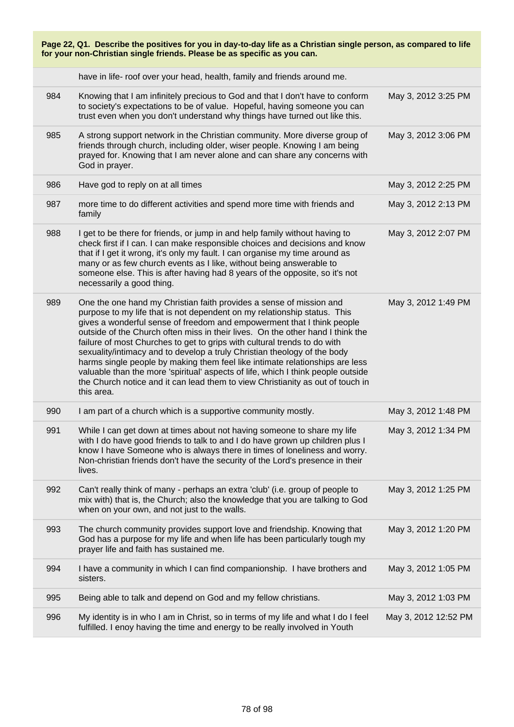| Page 22, Q1. Describe the positives for you in day-to-day life as a Christian single person, as compared to life<br>for your non-Christian single friends. Please be as specific as you can. |                                                                                                                                                                                                                                                                                                                                                                                                                                                                                                                                                                                                                                                                                                                                         |                      |
|----------------------------------------------------------------------------------------------------------------------------------------------------------------------------------------------|-----------------------------------------------------------------------------------------------------------------------------------------------------------------------------------------------------------------------------------------------------------------------------------------------------------------------------------------------------------------------------------------------------------------------------------------------------------------------------------------------------------------------------------------------------------------------------------------------------------------------------------------------------------------------------------------------------------------------------------------|----------------------|
|                                                                                                                                                                                              | have in life- roof over your head, health, family and friends around me.                                                                                                                                                                                                                                                                                                                                                                                                                                                                                                                                                                                                                                                                |                      |
| 984                                                                                                                                                                                          | Knowing that I am infinitely precious to God and that I don't have to conform<br>to society's expectations to be of value. Hopeful, having someone you can<br>trust even when you don't understand why things have turned out like this.                                                                                                                                                                                                                                                                                                                                                                                                                                                                                                | May 3, 2012 3:25 PM  |
| 985                                                                                                                                                                                          | A strong support network in the Christian community. More diverse group of<br>friends through church, including older, wiser people. Knowing I am being<br>prayed for. Knowing that I am never alone and can share any concerns with<br>God in prayer.                                                                                                                                                                                                                                                                                                                                                                                                                                                                                  | May 3, 2012 3:06 PM  |
| 986                                                                                                                                                                                          | Have god to reply on at all times                                                                                                                                                                                                                                                                                                                                                                                                                                                                                                                                                                                                                                                                                                       | May 3, 2012 2:25 PM  |
| 987                                                                                                                                                                                          | more time to do different activities and spend more time with friends and<br>family                                                                                                                                                                                                                                                                                                                                                                                                                                                                                                                                                                                                                                                     | May 3, 2012 2:13 PM  |
| 988                                                                                                                                                                                          | I get to be there for friends, or jump in and help family without having to<br>check first if I can. I can make responsible choices and decisions and know<br>that if I get it wrong, it's only my fault. I can organise my time around as<br>many or as few church events as I like, without being answerable to<br>someone else. This is after having had 8 years of the opposite, so it's not<br>necessarily a good thing.                                                                                                                                                                                                                                                                                                           | May 3, 2012 2:07 PM  |
| 989                                                                                                                                                                                          | One the one hand my Christian faith provides a sense of mission and<br>purpose to my life that is not dependent on my relationship status. This<br>gives a wonderful sense of freedom and empowerment that I think people<br>outside of the Church often miss in their lives. On the other hand I think the<br>failure of most Churches to get to grips with cultural trends to do with<br>sexuality/intimacy and to develop a truly Christian theology of the body<br>harms single people by making them feel like intimate relationships are less<br>valuable than the more 'spiritual' aspects of life, which I think people outside<br>the Church notice and it can lead them to view Christianity as out of touch in<br>this area. | May 3, 2012 1:49 PM  |
| 990                                                                                                                                                                                          | I am part of a church which is a supportive community mostly.                                                                                                                                                                                                                                                                                                                                                                                                                                                                                                                                                                                                                                                                           | May 3, 2012 1:48 PM  |
| 991                                                                                                                                                                                          | While I can get down at times about not having someone to share my life<br>with I do have good friends to talk to and I do have grown up children plus I<br>know I have Someone who is always there in times of loneliness and worry.<br>Non-christian friends don't have the security of the Lord's presence in their<br>lives.                                                                                                                                                                                                                                                                                                                                                                                                        | May 3, 2012 1:34 PM  |
| 992                                                                                                                                                                                          | Can't really think of many - perhaps an extra 'club' (i.e. group of people to<br>mix with) that is, the Church; also the knowledge that you are talking to God<br>when on your own, and not just to the walls.                                                                                                                                                                                                                                                                                                                                                                                                                                                                                                                          | May 3, 2012 1:25 PM  |
| 993                                                                                                                                                                                          | The church community provides support love and friendship. Knowing that<br>God has a purpose for my life and when life has been particularly tough my<br>prayer life and faith has sustained me.                                                                                                                                                                                                                                                                                                                                                                                                                                                                                                                                        | May 3, 2012 1:20 PM  |
| 994                                                                                                                                                                                          | I have a community in which I can find companionship. I have brothers and<br>sisters.                                                                                                                                                                                                                                                                                                                                                                                                                                                                                                                                                                                                                                                   | May 3, 2012 1:05 PM  |
| 995                                                                                                                                                                                          | Being able to talk and depend on God and my fellow christians.                                                                                                                                                                                                                                                                                                                                                                                                                                                                                                                                                                                                                                                                          | May 3, 2012 1:03 PM  |
| 996                                                                                                                                                                                          | My identity is in who I am in Christ, so in terms of my life and what I do I feel<br>fulfilled. I enoy having the time and energy to be really involved in Youth                                                                                                                                                                                                                                                                                                                                                                                                                                                                                                                                                                        | May 3, 2012 12:52 PM |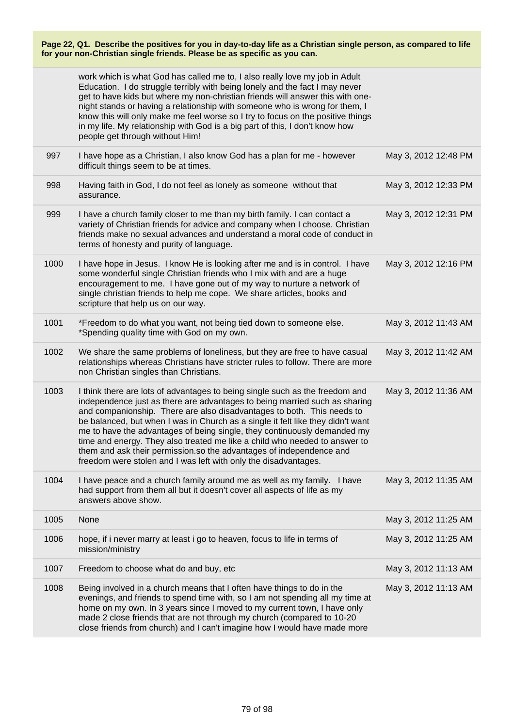|      | work which is what God has called me to, I also really love my job in Adult<br>Education. I do struggle terribly with being lonely and the fact I may never<br>get to have kids but where my non-christian friends will answer this with one-<br>night stands or having a relationship with someone who is wrong for them, I<br>know this will only make me feel worse so I try to focus on the positive things<br>in my life. My relationship with God is a big part of this, I don't know how<br>people get through without Him!                                                                                          |                      |
|------|-----------------------------------------------------------------------------------------------------------------------------------------------------------------------------------------------------------------------------------------------------------------------------------------------------------------------------------------------------------------------------------------------------------------------------------------------------------------------------------------------------------------------------------------------------------------------------------------------------------------------------|----------------------|
| 997  | I have hope as a Christian, I also know God has a plan for me - however<br>difficult things seem to be at times.                                                                                                                                                                                                                                                                                                                                                                                                                                                                                                            | May 3, 2012 12:48 PM |
| 998  | Having faith in God, I do not feel as lonely as someone without that<br>assurance.                                                                                                                                                                                                                                                                                                                                                                                                                                                                                                                                          | May 3, 2012 12:33 PM |
| 999  | I have a church family closer to me than my birth family. I can contact a<br>variety of Christian friends for advice and company when I choose. Christian<br>friends make no sexual advances and understand a moral code of conduct in<br>terms of honesty and purity of language.                                                                                                                                                                                                                                                                                                                                          | May 3, 2012 12:31 PM |
| 1000 | I have hope in Jesus. I know He is looking after me and is in control. I have<br>some wonderful single Christian friends who I mix with and are a huge<br>encouragement to me. I have gone out of my way to nurture a network of<br>single christian friends to help me cope. We share articles, books and<br>scripture that help us on our way.                                                                                                                                                                                                                                                                            | May 3, 2012 12:16 PM |
| 1001 | *Freedom to do what you want, not being tied down to someone else.<br>*Spending quality time with God on my own.                                                                                                                                                                                                                                                                                                                                                                                                                                                                                                            | May 3, 2012 11:43 AM |
| 1002 | We share the same problems of loneliness, but they are free to have casual<br>relationships whereas Christians have stricter rules to follow. There are more<br>non Christian singles than Christians.                                                                                                                                                                                                                                                                                                                                                                                                                      | May 3, 2012 11:42 AM |
| 1003 | I think there are lots of advantages to being single such as the freedom and<br>independence just as there are advantages to being married such as sharing<br>and companionship. There are also disadvantages to both. This needs to<br>be balanced, but when I was in Church as a single it felt like they didn't want<br>me to have the advantages of being single, they continuously demanded my<br>time and energy. They also treated me like a child who needed to answer to<br>them and ask their permission.so the advantages of independence and<br>freedom were stolen and I was left with only the disadvantages. | May 3, 2012 11:36 AM |
| 1004 | I have peace and a church family around me as well as my family. I have<br>had support from them all but it doesn't cover all aspects of life as my<br>answers above show.                                                                                                                                                                                                                                                                                                                                                                                                                                                  | May 3, 2012 11:35 AM |
| 1005 | None                                                                                                                                                                                                                                                                                                                                                                                                                                                                                                                                                                                                                        | May 3, 2012 11:25 AM |
| 1006 | hope, if i never marry at least i go to heaven, focus to life in terms of<br>mission/ministry                                                                                                                                                                                                                                                                                                                                                                                                                                                                                                                               | May 3, 2012 11:25 AM |
| 1007 | Freedom to choose what do and buy, etc                                                                                                                                                                                                                                                                                                                                                                                                                                                                                                                                                                                      | May 3, 2012 11:13 AM |
| 1008 | Being involved in a church means that I often have things to do in the<br>evenings, and friends to spend time with, so I am not spending all my time at<br>home on my own. In 3 years since I moved to my current town, I have only<br>made 2 close friends that are not through my church (compared to 10-20<br>close friends from church) and I can't imagine how I would have made more                                                                                                                                                                                                                                  | May 3, 2012 11:13 AM |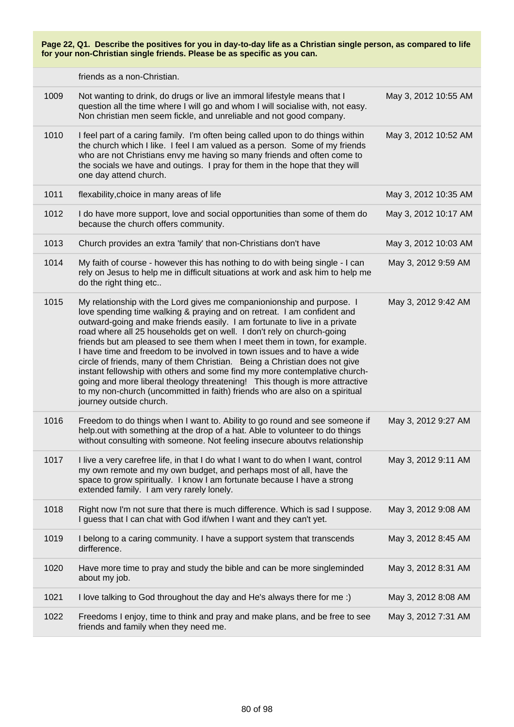friends as a non-Christian.

| 1009 | Not wanting to drink, do drugs or live an immoral lifestyle means that I<br>question all the time where I will go and whom I will socialise with, not easy.<br>Non christian men seem fickle, and unreliable and not good company.                                                                                                                                                                                                                                                                                                                                                                                                                                                                                                                                                                                      | May 3, 2012 10:55 AM |
|------|-------------------------------------------------------------------------------------------------------------------------------------------------------------------------------------------------------------------------------------------------------------------------------------------------------------------------------------------------------------------------------------------------------------------------------------------------------------------------------------------------------------------------------------------------------------------------------------------------------------------------------------------------------------------------------------------------------------------------------------------------------------------------------------------------------------------------|----------------------|
| 1010 | I feel part of a caring family. I'm often being called upon to do things within<br>the church which I like. I feel I am valued as a person. Some of my friends<br>who are not Christians envy me having so many friends and often come to<br>the socials we have and outings. I pray for them in the hope that they will<br>one day attend church.                                                                                                                                                                                                                                                                                                                                                                                                                                                                      | May 3, 2012 10:52 AM |
| 1011 | flexability, choice in many areas of life                                                                                                                                                                                                                                                                                                                                                                                                                                                                                                                                                                                                                                                                                                                                                                               | May 3, 2012 10:35 AM |
| 1012 | I do have more support, love and social opportunities than some of them do<br>because the church offers community.                                                                                                                                                                                                                                                                                                                                                                                                                                                                                                                                                                                                                                                                                                      | May 3, 2012 10:17 AM |
| 1013 | Church provides an extra 'family' that non-Christians don't have                                                                                                                                                                                                                                                                                                                                                                                                                                                                                                                                                                                                                                                                                                                                                        | May 3, 2012 10:03 AM |
| 1014 | My faith of course - however this has nothing to do with being single - I can<br>rely on Jesus to help me in difficult situations at work and ask him to help me<br>do the right thing etc                                                                                                                                                                                                                                                                                                                                                                                                                                                                                                                                                                                                                              | May 3, 2012 9:59 AM  |
| 1015 | My relationship with the Lord gives me companionionship and purpose. I<br>love spending time walking & praying and on retreat. I am confident and<br>outward-going and make friends easily. I am fortunate to live in a private<br>road where all 25 households get on well. I don't rely on church-going<br>friends but am pleased to see them when I meet them in town, for example.<br>I have time and freedom to be involved in town issues and to have a wide<br>circle of friends, many of them Christian. Being a Christian does not give<br>instant fellowship with others and some find my more contemplative church-<br>going and more liberal theology threatening! This though is more attractive<br>to my non-church (uncommitted in faith) friends who are also on a spiritual<br>journey outside church. | May 3, 2012 9:42 AM  |
| 1016 | Freedom to do things when I want to. Ability to go round and see someone if<br>help.out with something at the drop of a hat. Able to volunteer to do things<br>without consulting with someone. Not feeling insecure aboutvs relationship                                                                                                                                                                                                                                                                                                                                                                                                                                                                                                                                                                               | May 3, 2012 9:27 AM  |
| 1017 | I live a very carefree life, in that I do what I want to do when I want, control<br>my own remote and my own budget, and perhaps most of all, have the<br>space to grow spiritually. I know I am fortunate because I have a strong<br>extended family. I am very rarely lonely.                                                                                                                                                                                                                                                                                                                                                                                                                                                                                                                                         | May 3, 2012 9:11 AM  |
| 1018 | Right now I'm not sure that there is much difference. Which is sad I suppose.<br>I guess that I can chat with God if/when I want and they can't yet.                                                                                                                                                                                                                                                                                                                                                                                                                                                                                                                                                                                                                                                                    | May 3, 2012 9:08 AM  |
| 1019 | I belong to a caring community. I have a support system that transcends<br>dirfference.                                                                                                                                                                                                                                                                                                                                                                                                                                                                                                                                                                                                                                                                                                                                 | May 3, 2012 8:45 AM  |
| 1020 | Have more time to pray and study the bible and can be more singleminded<br>about my job.                                                                                                                                                                                                                                                                                                                                                                                                                                                                                                                                                                                                                                                                                                                                | May 3, 2012 8:31 AM  |
| 1021 | I love talking to God throughout the day and He's always there for me :)                                                                                                                                                                                                                                                                                                                                                                                                                                                                                                                                                                                                                                                                                                                                                | May 3, 2012 8:08 AM  |
| 1022 | Freedoms I enjoy, time to think and pray and make plans, and be free to see<br>friends and family when they need me.                                                                                                                                                                                                                                                                                                                                                                                                                                                                                                                                                                                                                                                                                                    | May 3, 2012 7:31 AM  |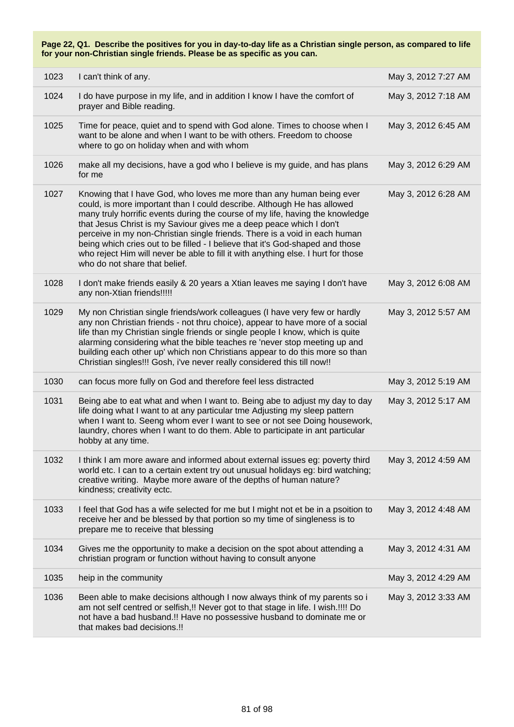| 1023 | I can't think of any.                                                                                                                                                                                                                                                                                                                                                                                                                                                                                                                                                                        | May 3, 2012 7:27 AM |
|------|----------------------------------------------------------------------------------------------------------------------------------------------------------------------------------------------------------------------------------------------------------------------------------------------------------------------------------------------------------------------------------------------------------------------------------------------------------------------------------------------------------------------------------------------------------------------------------------------|---------------------|
| 1024 | I do have purpose in my life, and in addition I know I have the comfort of<br>prayer and Bible reading.                                                                                                                                                                                                                                                                                                                                                                                                                                                                                      | May 3, 2012 7:18 AM |
| 1025 | Time for peace, quiet and to spend with God alone. Times to choose when I<br>want to be alone and when I want to be with others. Freedom to choose<br>where to go on holiday when and with whom                                                                                                                                                                                                                                                                                                                                                                                              | May 3, 2012 6:45 AM |
| 1026 | make all my decisions, have a god who I believe is my guide, and has plans<br>for me                                                                                                                                                                                                                                                                                                                                                                                                                                                                                                         | May 3, 2012 6:29 AM |
| 1027 | Knowing that I have God, who loves me more than any human being ever<br>could, is more important than I could describe. Although He has allowed<br>many truly horrific events during the course of my life, having the knowledge<br>that Jesus Christ is my Saviour gives me a deep peace which I don't<br>perceive in my non-Christian single friends. There is a void in each human<br>being which cries out to be filled - I believe that it's God-shaped and those<br>who reject Him will never be able to fill it with anything else. I hurt for those<br>who do not share that belief. | May 3, 2012 6:28 AM |
| 1028 | I don't make friends easily & 20 years a Xtian leaves me saying I don't have<br>any non-Xtian friends!!!!!                                                                                                                                                                                                                                                                                                                                                                                                                                                                                   | May 3, 2012 6:08 AM |
| 1029 | My non Christian single friends/work colleagues (I have very few or hardly<br>any non Christian friends - not thru choice), appear to have more of a social<br>life than my Christian single friends or single people I know, which is quite<br>alarming considering what the bible teaches re 'never stop meeting up and<br>building each other up' which non Christians appear to do this more so than<br>Christian singles!!! Gosh, i've never really considered this till now!!                                                                                                          | May 3, 2012 5:57 AM |
| 1030 | can focus more fully on God and therefore feel less distracted                                                                                                                                                                                                                                                                                                                                                                                                                                                                                                                               | May 3, 2012 5:19 AM |
| 1031 | Being abe to eat what and when I want to. Being abe to adjust my day to day<br>life doing what I want to at any particular tme Adjusting my sleep pattern<br>when I want to. Seeng whom ever I want to see or not see Doing housework,<br>laundry, chores when I want to do them. Able to participate in ant particular<br>hobby at any time.                                                                                                                                                                                                                                                | May 3, 2012 5:17 AM |
| 1032 | I think I am more aware and informed about external issues eg: poverty third<br>world etc. I can to a certain extent try out unusual holidays eg: bird watching;<br>creative writing. Maybe more aware of the depths of human nature?<br>kindness; creativity ectc.                                                                                                                                                                                                                                                                                                                          | May 3, 2012 4:59 AM |
| 1033 | I feel that God has a wife selected for me but I might not et be in a psoition to<br>receive her and be blessed by that portion so my time of singleness is to<br>prepare me to receive that blessing                                                                                                                                                                                                                                                                                                                                                                                        | May 3, 2012 4:48 AM |
| 1034 | Gives me the opportunity to make a decision on the spot about attending a<br>christian program or function without having to consult anyone                                                                                                                                                                                                                                                                                                                                                                                                                                                  | May 3, 2012 4:31 AM |
| 1035 | heip in the community                                                                                                                                                                                                                                                                                                                                                                                                                                                                                                                                                                        | May 3, 2012 4:29 AM |
| 1036 | Been able to make decisions although I now always think of my parents so i<br>am not self centred or selfish,!! Never got to that stage in life. I wish.!!!! Do<br>not have a bad husband.!! Have no possessive husband to dominate me or<br>that makes bad decisions.!!                                                                                                                                                                                                                                                                                                                     | May 3, 2012 3:33 AM |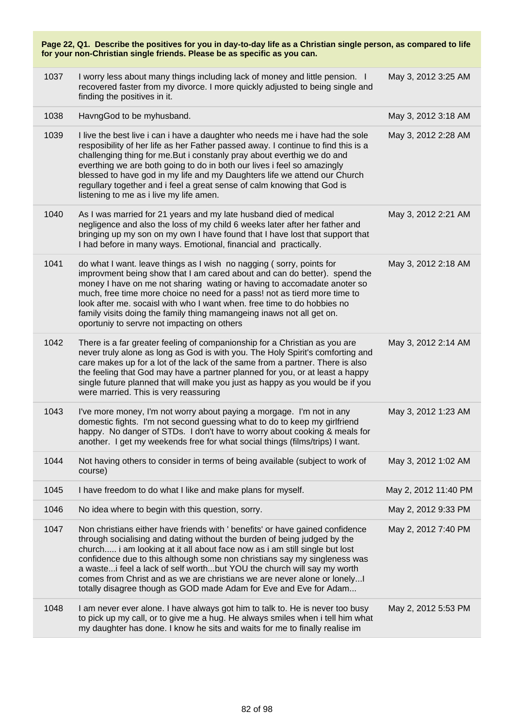| Page 22, Q1. Describe the positives for you in day-to-day life as a Christian single person, as compared to life<br>for your non-Christian single friends. Please be as specific as you can. |                                                                                                                                                                                                                                                                                                                                                                                                                                                                                                                                                   |                      |
|----------------------------------------------------------------------------------------------------------------------------------------------------------------------------------------------|---------------------------------------------------------------------------------------------------------------------------------------------------------------------------------------------------------------------------------------------------------------------------------------------------------------------------------------------------------------------------------------------------------------------------------------------------------------------------------------------------------------------------------------------------|----------------------|
| 1037                                                                                                                                                                                         | I worry less about many things including lack of money and little pension. I<br>recovered faster from my divorce. I more quickly adjusted to being single and<br>finding the positives in it.                                                                                                                                                                                                                                                                                                                                                     | May 3, 2012 3:25 AM  |
| 1038                                                                                                                                                                                         | HavngGod to be myhusband.                                                                                                                                                                                                                                                                                                                                                                                                                                                                                                                         | May 3, 2012 3:18 AM  |
| 1039                                                                                                                                                                                         | I live the best live i can i have a daughter who needs me i have had the sole<br>resposibility of her life as her Father passed away. I continue to find this is a<br>challenging thing for me. But i constanly pray about everthig we do and<br>everthing we are both going to do in both our lives i feel so amazingly<br>blessed to have god in my life and my Daughters life we attend our Church<br>regullary together and i feel a great sense of calm knowing that God is<br>listening to me as i live my life amen.                       | May 3, 2012 2:28 AM  |
| 1040                                                                                                                                                                                         | As I was married for 21 years and my late husband died of medical<br>negligence and also the loss of my child 6 weeks later after her father and<br>bringing up my son on my own I have found that I have lost that support that<br>I had before in many ways. Emotional, financial and practically.                                                                                                                                                                                                                                              | May 3, 2012 2:21 AM  |
| 1041                                                                                                                                                                                         | do what I want. leave things as I wish no nagging (sorry, points for<br>improvment being show that I am cared about and can do better). spend the<br>money I have on me not sharing wating or having to accomadate anoter so<br>much, free time more choice no need for a pass! not as tierd more time to<br>look after me. socaisl with who I want when. free time to do hobbies no<br>family visits doing the family thing mamangeing inaws not all get on.<br>oportuniy to servre not impacting on others                                      | May 3, 2012 2:18 AM  |
| 1042                                                                                                                                                                                         | There is a far greater feeling of companionship for a Christian as you are<br>never truly alone as long as God is with you. The Holy Spirit's comforting and<br>care makes up for a lot of the lack of the same from a partner. There is also<br>the feeling that God may have a partner planned for you, or at least a happy<br>single future planned that will make you just as happy as you would be if you<br>were married. This is very reassuring                                                                                           | May 3, 2012 2:14 AM  |
| 1043                                                                                                                                                                                         | I've more money, I'm not worry about paying a morgage. I'm not in any<br>domestic fights. I'm not second guessing what to do to keep my girlfriend<br>happy. No danger of STDs. I don't have to worry about cooking & meals for<br>another. I get my weekends free for what social things (films/trips) I want.                                                                                                                                                                                                                                   | May 3, 2012 1:23 AM  |
| 1044                                                                                                                                                                                         | Not having others to consider in terms of being available (subject to work of<br>course)                                                                                                                                                                                                                                                                                                                                                                                                                                                          | May 3, 2012 1:02 AM  |
| 1045                                                                                                                                                                                         | I have freedom to do what I like and make plans for myself.                                                                                                                                                                                                                                                                                                                                                                                                                                                                                       | May 2, 2012 11:40 PM |
| 1046                                                                                                                                                                                         | No idea where to begin with this question, sorry.                                                                                                                                                                                                                                                                                                                                                                                                                                                                                                 | May 2, 2012 9:33 PM  |
| 1047                                                                                                                                                                                         | Non christians either have friends with ' benefits' or have gained confidence<br>through socialising and dating without the burden of being judged by the<br>church i am looking at it all about face now as i am still single but lost<br>confidence due to this although some non christians say my singleness was<br>a waste if eel a lack of self worthbut YOU the church will say my worth<br>comes from Christ and as we are christians we are never alone or lonely I<br>totally disagree though as GOD made Adam for Eve and Eve for Adam | May 2, 2012 7:40 PM  |
| 1048                                                                                                                                                                                         | I am never ever alone. I have always got him to talk to. He is never too busy<br>to pick up my call, or to give me a hug. He always smiles when i tell him what<br>my daughter has done. I know he sits and waits for me to finally realise im                                                                                                                                                                                                                                                                                                    | May 2, 2012 5:53 PM  |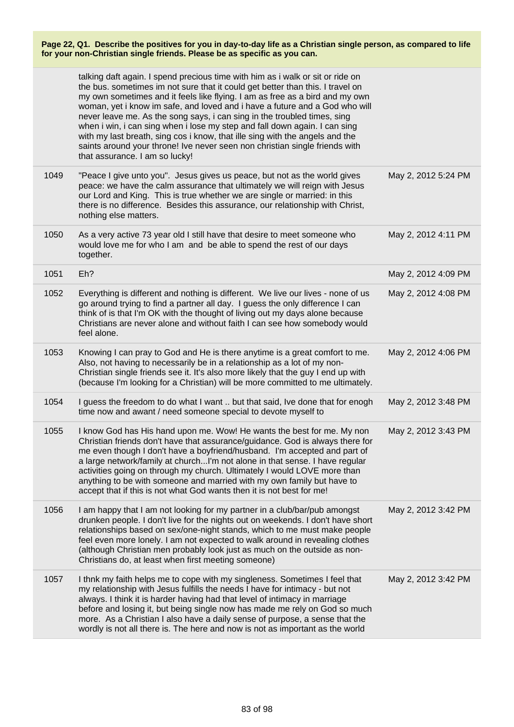|      | talking daft again. I spend precious time with him as i walk or sit or ride on<br>the bus. sometimes im not sure that it could get better than this. I travel on<br>my own sometimes and it feels like flying. I am as free as a bird and my own<br>woman, yet i know im safe, and loved and i have a future and a God who will<br>never leave me. As the song says, i can sing in the troubled times, sing<br>when i win, i can sing when i lose my step and fall down again. I can sing<br>with my last breath, sing cos i know, that ille sing with the angels and the<br>saints around your throne! Ive never seen non christian single friends with<br>that assurance. I am so lucky! |                     |
|------|--------------------------------------------------------------------------------------------------------------------------------------------------------------------------------------------------------------------------------------------------------------------------------------------------------------------------------------------------------------------------------------------------------------------------------------------------------------------------------------------------------------------------------------------------------------------------------------------------------------------------------------------------------------------------------------------|---------------------|
| 1049 | "Peace I give unto you". Jesus gives us peace, but not as the world gives<br>peace: we have the calm assurance that ultimately we will reign with Jesus<br>our Lord and King. This is true whether we are single or married: in this<br>there is no difference. Besides this assurance, our relationship with Christ,<br>nothing else matters.                                                                                                                                                                                                                                                                                                                                             | May 2, 2012 5:24 PM |
| 1050 | As a very active 73 year old I still have that desire to meet someone who<br>would love me for who I am and be able to spend the rest of our days<br>together.                                                                                                                                                                                                                                                                                                                                                                                                                                                                                                                             | May 2, 2012 4:11 PM |
| 1051 | Eh?                                                                                                                                                                                                                                                                                                                                                                                                                                                                                                                                                                                                                                                                                        | May 2, 2012 4:09 PM |
| 1052 | Everything is different and nothing is different. We live our lives - none of us<br>go around trying to find a partner all day. I guess the only difference I can<br>think of is that I'm OK with the thought of living out my days alone because<br>Christians are never alone and without faith I can see how somebody would<br>feel alone.                                                                                                                                                                                                                                                                                                                                              | May 2, 2012 4:08 PM |
| 1053 | Knowing I can pray to God and He is there anytime is a great comfort to me.<br>Also, not having to necessarily be in a relationship as a lot of my non-<br>Christian single friends see it. It's also more likely that the guy I end up with<br>(because I'm looking for a Christian) will be more committed to me ultimately.                                                                                                                                                                                                                                                                                                                                                             | May 2, 2012 4:06 PM |
| 1054 | I guess the freedom to do what I want  but that said, Ive done that for enogh<br>time now and awant / need someone special to devote myself to                                                                                                                                                                                                                                                                                                                                                                                                                                                                                                                                             | May 2, 2012 3:48 PM |
| 1055 | I know God has His hand upon me. Wow! He wants the best for me. My non<br>Christian friends don't have that assurance/guidance. God is always there for<br>me even though I don't have a boyfriend/husband. I'm accepted and part of<br>a large network/family at churchI'm not alone in that sense. I have regular<br>activities going on through my church. Ultimately I would LOVE more than<br>anything to be with someone and married with my own family but have to<br>accept that if this is not what God wants then it is not best for me!                                                                                                                                         | May 2, 2012 3:43 PM |
| 1056 | I am happy that I am not looking for my partner in a club/bar/pub amongst<br>drunken people. I don't live for the nights out on weekends. I don't have short<br>relationships based on sex/one-night stands, which to me must make people<br>feel even more lonely. I am not expected to walk around in revealing clothes<br>(although Christian men probably look just as much on the outside as non-<br>Christians do, at least when first meeting someone)                                                                                                                                                                                                                              | May 2, 2012 3:42 PM |
| 1057 | I thnk my faith helps me to cope with my singleness. Sometimes I feel that<br>my relationship with Jesus fulfills the needs I have for intimacy - but not<br>always. I think it is harder having had that level of intimacy in marriage<br>before and losing it, but being single now has made me rely on God so much<br>more. As a Christian I also have a daily sense of purpose, a sense that the<br>wordly is not all there is. The here and now is not as important as the world                                                                                                                                                                                                      | May 2, 2012 3:42 PM |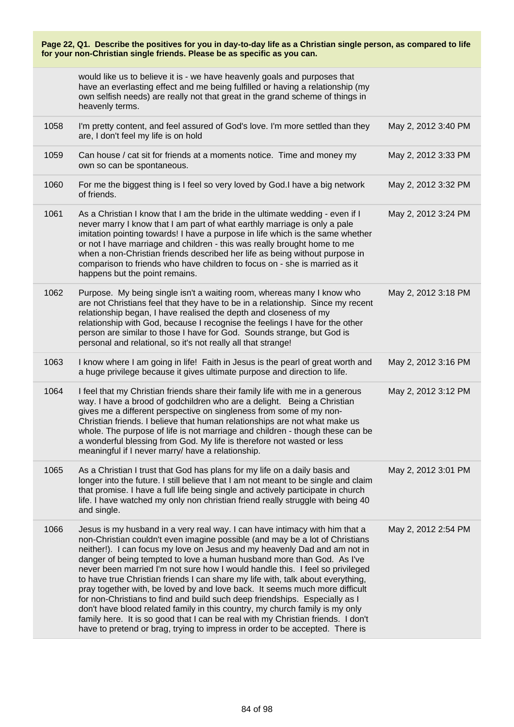| Page 22, Q1. Describe the positives for you in day-to-day life as a Christian single person, as compared to life<br>for your non-Christian single friends. Please be as specific as you can. |                                                                                                                                                                                                                                                                                                                                                                                                                                                                                                                                                                                                                                                                                                                                                                                                                                                                                                          |                     |
|----------------------------------------------------------------------------------------------------------------------------------------------------------------------------------------------|----------------------------------------------------------------------------------------------------------------------------------------------------------------------------------------------------------------------------------------------------------------------------------------------------------------------------------------------------------------------------------------------------------------------------------------------------------------------------------------------------------------------------------------------------------------------------------------------------------------------------------------------------------------------------------------------------------------------------------------------------------------------------------------------------------------------------------------------------------------------------------------------------------|---------------------|
|                                                                                                                                                                                              | would like us to believe it is - we have heavenly goals and purposes that<br>have an everlasting effect and me being fulfilled or having a relationship (my<br>own selfish needs) are really not that great in the grand scheme of things in<br>heavenly terms.                                                                                                                                                                                                                                                                                                                                                                                                                                                                                                                                                                                                                                          |                     |
| 1058                                                                                                                                                                                         | I'm pretty content, and feel assured of God's love. I'm more settled than they<br>are, I don't feel my life is on hold                                                                                                                                                                                                                                                                                                                                                                                                                                                                                                                                                                                                                                                                                                                                                                                   | May 2, 2012 3:40 PM |
| 1059                                                                                                                                                                                         | Can house / cat sit for friends at a moments notice. Time and money my<br>own so can be spontaneous.                                                                                                                                                                                                                                                                                                                                                                                                                                                                                                                                                                                                                                                                                                                                                                                                     | May 2, 2012 3:33 PM |
| 1060                                                                                                                                                                                         | For me the biggest thing is I feel so very loved by God.I have a big network<br>of friends.                                                                                                                                                                                                                                                                                                                                                                                                                                                                                                                                                                                                                                                                                                                                                                                                              | May 2, 2012 3:32 PM |
| 1061                                                                                                                                                                                         | As a Christian I know that I am the bride in the ultimate wedding - even if I<br>never marry I know that I am part of what earthly marriage is only a pale<br>imitation pointing towards! I have a purpose in life which is the same whether<br>or not I have marriage and children - this was really brought home to me<br>when a non-Christian friends described her life as being without purpose in<br>comparison to friends who have children to focus on - she is married as it<br>happens but the point remains.                                                                                                                                                                                                                                                                                                                                                                                  | May 2, 2012 3:24 PM |
| 1062                                                                                                                                                                                         | Purpose. My being single isn't a waiting room, whereas many I know who<br>are not Christians feel that they have to be in a relationship. Since my recent<br>relationship began, I have realised the depth and closeness of my<br>relationship with God, because I recognise the feelings I have for the other<br>person are similar to those I have for God. Sounds strange, but God is<br>personal and relational, so it's not really all that strange!                                                                                                                                                                                                                                                                                                                                                                                                                                                | May 2, 2012 3:18 PM |
| 1063                                                                                                                                                                                         | I know where I am going in life! Faith in Jesus is the pearl of great worth and<br>a huge privilege because it gives ultimate purpose and direction to life.                                                                                                                                                                                                                                                                                                                                                                                                                                                                                                                                                                                                                                                                                                                                             | May 2, 2012 3:16 PM |
| 1064                                                                                                                                                                                         | I feel that my Christian friends share their family life with me in a generous<br>way. I have a brood of godchildren who are a delight. Being a Christian<br>gives me a different perspective on singleness from some of my non-<br>Christian friends. I believe that human relationships are not what make us<br>whole. The purpose of life is not marriage and children - though these can be<br>a wonderful blessing from God. My life is therefore not wasted or less<br>meaningful if I never marry/ have a relationship.                                                                                                                                                                                                                                                                                                                                                                           | May 2, 2012 3:12 PM |
| 1065                                                                                                                                                                                         | As a Christian I trust that God has plans for my life on a daily basis and<br>longer into the future. I still believe that I am not meant to be single and claim<br>that promise. I have a full life being single and actively participate in church<br>life. I have watched my only non christian friend really struggle with being 40<br>and single.                                                                                                                                                                                                                                                                                                                                                                                                                                                                                                                                                   | May 2, 2012 3:01 PM |
| 1066                                                                                                                                                                                         | Jesus is my husband in a very real way. I can have intimacy with him that a<br>non-Christian couldn't even imagine possible (and may be a lot of Christians<br>neither!). I can focus my love on Jesus and my heavenly Dad and am not in<br>danger of being tempted to love a human husband more than God. As I've<br>never been married I'm not sure how I would handle this. I feel so privileged<br>to have true Christian friends I can share my life with, talk about everything,<br>pray together with, be loved by and love back. It seems much more difficult<br>for non-Christians to find and build such deep friendships. Especially as I<br>don't have blood related family in this country, my church family is my only<br>family here. It is so good that I can be real with my Christian friends. I don't<br>have to pretend or brag, trying to impress in order to be accepted. There is | May 2, 2012 2:54 PM |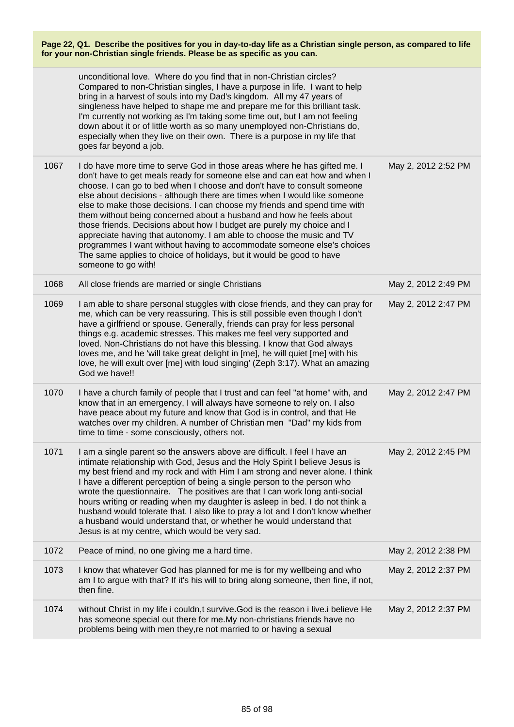|      | unconditional love. Where do you find that in non-Christian circles?<br>Compared to non-Christian singles, I have a purpose in life. I want to help<br>bring in a harvest of souls into my Dad's kingdom. All my 47 years of<br>singleness have helped to shape me and prepare me for this brilliant task.<br>I'm currently not working as I'm taking some time out, but I am not feeling<br>down about it or of little worth as so many unemployed non-Christians do,<br>especially when they live on their own. There is a purpose in my life that<br>goes far beyond a job.                                                                                                                                                                                                                 |                     |
|------|------------------------------------------------------------------------------------------------------------------------------------------------------------------------------------------------------------------------------------------------------------------------------------------------------------------------------------------------------------------------------------------------------------------------------------------------------------------------------------------------------------------------------------------------------------------------------------------------------------------------------------------------------------------------------------------------------------------------------------------------------------------------------------------------|---------------------|
| 1067 | I do have more time to serve God in those areas where he has gifted me. I<br>don't have to get meals ready for someone else and can eat how and when I<br>choose. I can go to bed when I choose and don't have to consult someone<br>else about decisions - although there are times when I would like someone<br>else to make those decisions. I can choose my friends and spend time with<br>them without being concerned about a husband and how he feels about<br>those friends. Decisions about how I budget are purely my choice and I<br>appreciate having that autonomy. I am able to choose the music and TV<br>programmes I want without having to accommodate someone else's choices<br>The same applies to choice of holidays, but it would be good to have<br>someone to go with! | May 2, 2012 2:52 PM |
| 1068 | All close friends are married or single Christians                                                                                                                                                                                                                                                                                                                                                                                                                                                                                                                                                                                                                                                                                                                                             | May 2, 2012 2:49 PM |
| 1069 | I am able to share personal stuggles with close friends, and they can pray for<br>me, which can be very reassuring. This is still possible even though I don't<br>have a girlfriend or spouse. Generally, friends can pray for less personal<br>things e.g. academic stresses. This makes me feel very supported and<br>loved. Non-Christians do not have this blessing. I know that God always<br>loves me, and he 'will take great delight in [me], he will quiet [me] with his<br>love, he will exult over [me] with loud singing' (Zeph 3:17). What an amazing<br>God we have!!                                                                                                                                                                                                            | May 2, 2012 2:47 PM |
| 1070 | I have a church family of people that I trust and can feel "at home" with, and<br>know that in an emergency, I will always have someone to rely on. I also<br>have peace about my future and know that God is in control, and that He<br>watches over my children. A number of Christian men "Dad" my kids from<br>time to time - some consciously, others not.                                                                                                                                                                                                                                                                                                                                                                                                                                | May 2, 2012 2:47 PM |
| 1071 | I am a single parent so the answers above are difficult. I feel I have an<br>intimate relationship with God, Jesus and the Holy Spirit I believe Jesus is<br>my best friend and my rock and with Him I am strong and never alone. I think<br>I have a different perception of being a single person to the person who<br>wrote the questionnaire. The positives are that I can work long anti-social<br>hours writing or reading when my daughter is asleep in bed. I do not think a<br>husband would tolerate that. I also like to pray a lot and I don't know whether<br>a husband would understand that, or whether he would understand that<br>Jesus is at my centre, which would be very sad.                                                                                             | May 2, 2012 2:45 PM |
| 1072 | Peace of mind, no one giving me a hard time.                                                                                                                                                                                                                                                                                                                                                                                                                                                                                                                                                                                                                                                                                                                                                   | May 2, 2012 2:38 PM |
| 1073 | I know that whatever God has planned for me is for my wellbeing and who<br>am I to argue with that? If it's his will to bring along someone, then fine, if not,<br>then fine.                                                                                                                                                                                                                                                                                                                                                                                                                                                                                                                                                                                                                  | May 2, 2012 2:37 PM |
| 1074 | without Christ in my life i couldn,t survive. God is the reason i live i believe He<br>has someone special out there for me.My non-christians friends have no<br>problems being with men they, re not married to or having a sexual                                                                                                                                                                                                                                                                                                                                                                                                                                                                                                                                                            | May 2, 2012 2:37 PM |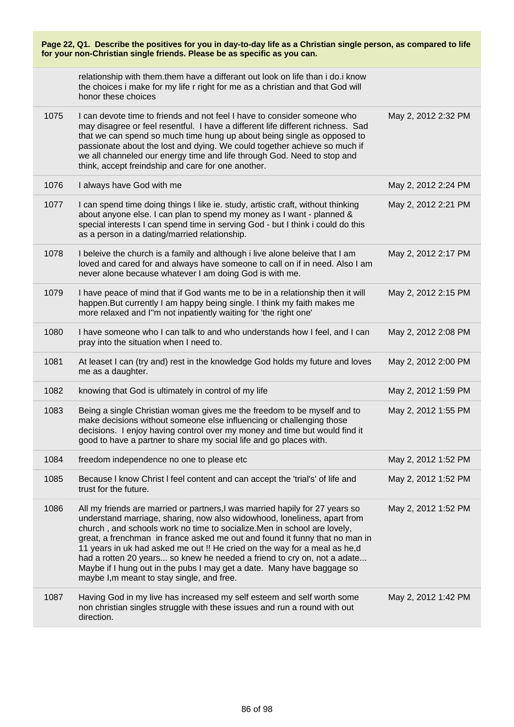| Page 22, Q1. Describe the positives for you in day-to-day life as a Christian single person, as compared to life<br>for your non-Christian single friends. Please be as specific as you can. |                                                                                                                                                                                                                                                                                                                                                                                                                                                                                                                                                                                                     |                     |
|----------------------------------------------------------------------------------------------------------------------------------------------------------------------------------------------|-----------------------------------------------------------------------------------------------------------------------------------------------------------------------------------------------------------------------------------------------------------------------------------------------------------------------------------------------------------------------------------------------------------------------------------------------------------------------------------------------------------------------------------------------------------------------------------------------------|---------------------|
|                                                                                                                                                                                              | relationship with them them have a differant out look on life than i do.i know<br>the choices i make for my life r right for me as a christian and that God will<br>honor these choices                                                                                                                                                                                                                                                                                                                                                                                                             |                     |
| 1075                                                                                                                                                                                         | I can devote time to friends and not feel I have to consider someone who<br>may disagree or feel resentful. I have a different life different richness. Sad<br>that we can spend so much time hung up about being single as opposed to<br>passionate about the lost and dying. We could together achieve so much if<br>we all channeled our energy time and life through God. Need to stop and<br>think, accept freindship and care for one another.                                                                                                                                                | May 2, 2012 2:32 PM |
| 1076                                                                                                                                                                                         | I always have God with me                                                                                                                                                                                                                                                                                                                                                                                                                                                                                                                                                                           | May 2, 2012 2:24 PM |
| 1077                                                                                                                                                                                         | I can spend time doing things I like ie. study, artistic craft, without thinking<br>about anyone else. I can plan to spend my money as I want - planned &<br>special interests I can spend time in serving God - but I think i could do this<br>as a person in a dating/married relationship.                                                                                                                                                                                                                                                                                                       | May 2, 2012 2:21 PM |
| 1078                                                                                                                                                                                         | I beleive the church is a family and although i live alone beleive that I am<br>loved and cared for and always have someone to call on if in need. Also I am<br>never alone because whatever I am doing God is with me.                                                                                                                                                                                                                                                                                                                                                                             | May 2, 2012 2:17 PM |
| 1079                                                                                                                                                                                         | I have peace of mind that if God wants me to be in a relationship then it will<br>happen. But currently I am happy being single. I think my faith makes me<br>more relaxed and I"m not inpatiently waiting for 'the right one'                                                                                                                                                                                                                                                                                                                                                                      | May 2, 2012 2:15 PM |
| 1080                                                                                                                                                                                         | I have someone who I can talk to and who understands how I feel, and I can<br>pray into the situation when I need to.                                                                                                                                                                                                                                                                                                                                                                                                                                                                               | May 2, 2012 2:08 PM |
| 1081                                                                                                                                                                                         | At leaset I can (try and) rest in the knowledge God holds my future and loves<br>me as a daughter.                                                                                                                                                                                                                                                                                                                                                                                                                                                                                                  | May 2, 2012 2:00 PM |
| 1082                                                                                                                                                                                         | knowing that God is ultimately in control of my life                                                                                                                                                                                                                                                                                                                                                                                                                                                                                                                                                | May 2, 2012 1:59 PM |
| 1083                                                                                                                                                                                         | Being a single Christian woman gives me the freedom to be myself and to<br>make decisions without someone else influencing or challenging those<br>decisions. I enjoy having control over my money and time but would find it<br>good to have a partner to share my social life and go places with.                                                                                                                                                                                                                                                                                                 | May 2, 2012 1:55 PM |
| 1084                                                                                                                                                                                         | freedom independence no one to please etc                                                                                                                                                                                                                                                                                                                                                                                                                                                                                                                                                           | May 2, 2012 1:52 PM |
| 1085                                                                                                                                                                                         | Because I know Christ I feel content and can accept the 'trial's' of life and<br>trust for the future.                                                                                                                                                                                                                                                                                                                                                                                                                                                                                              | May 2, 2012 1:52 PM |
| 1086                                                                                                                                                                                         | All my friends are married or partners, I was married hapily for 27 years so<br>understand marriage, sharing, now also widowhood, loneliness, apart from<br>church, and schools work no time to socialize. Men in school are lovely,<br>great, a frenchman in france asked me out and found it funny that no man in<br>11 years in uk had asked me out !! He cried on the way for a meal as he,d<br>had a rotten 20 years so knew he needed a friend to cry on, not a adate<br>Maybe if I hung out in the pubs I may get a date. Many have baggage so<br>maybe I, m meant to stay single, and free. | May 2, 2012 1:52 PM |
| 1087                                                                                                                                                                                         | Having God in my live has increased my self esteem and self worth some<br>non christian singles struggle with these issues and run a round with out<br>direction.                                                                                                                                                                                                                                                                                                                                                                                                                                   | May 2, 2012 1:42 PM |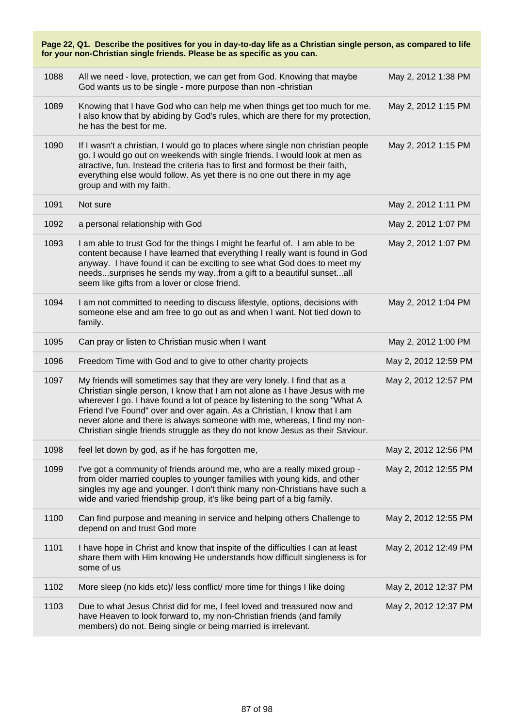| Page 22, Q1. Describe the positives for you in day-to-day life as a Christian single person, as compared to life<br>for your non-Christian single friends. Please be as specific as you can. |                                                                                                                                                                                                                                                                                                                                                                                                                                                                                  |                      |  |
|----------------------------------------------------------------------------------------------------------------------------------------------------------------------------------------------|----------------------------------------------------------------------------------------------------------------------------------------------------------------------------------------------------------------------------------------------------------------------------------------------------------------------------------------------------------------------------------------------------------------------------------------------------------------------------------|----------------------|--|
| 1088                                                                                                                                                                                         | All we need - love, protection, we can get from God. Knowing that maybe<br>God wants us to be single - more purpose than non -christian                                                                                                                                                                                                                                                                                                                                          | May 2, 2012 1:38 PM  |  |
| 1089                                                                                                                                                                                         | Knowing that I have God who can help me when things get too much for me.<br>I also know that by abiding by God's rules, which are there for my protection,<br>he has the best for me.                                                                                                                                                                                                                                                                                            | May 2, 2012 1:15 PM  |  |
| 1090                                                                                                                                                                                         | If I wasn't a christian, I would go to places where single non christian people<br>go. I would go out on weekends with single friends. I would look at men as<br>atractive, fun. Instead the criteria has to first and formost be their faith,<br>everything else would follow. As yet there is no one out there in my age<br>group and with my faith.                                                                                                                           | May 2, 2012 1:15 PM  |  |
| 1091                                                                                                                                                                                         | Not sure                                                                                                                                                                                                                                                                                                                                                                                                                                                                         | May 2, 2012 1:11 PM  |  |
| 1092                                                                                                                                                                                         | a personal relationship with God                                                                                                                                                                                                                                                                                                                                                                                                                                                 | May 2, 2012 1:07 PM  |  |
| 1093                                                                                                                                                                                         | I am able to trust God for the things I might be fearful of. I am able to be<br>content because I have learned that everything I really want is found in God<br>anyway. I have found it can be exciting to see what God does to meet my<br>needssurprises he sends my wayfrom a gift to a beautiful sunsetall<br>seem like gifts from a lover or close friend.                                                                                                                   | May 2, 2012 1:07 PM  |  |
| 1094                                                                                                                                                                                         | I am not committed to needing to discuss lifestyle, options, decisions with<br>someone else and am free to go out as and when I want. Not tied down to<br>family.                                                                                                                                                                                                                                                                                                                | May 2, 2012 1:04 PM  |  |
| 1095                                                                                                                                                                                         | Can pray or listen to Christian music when I want                                                                                                                                                                                                                                                                                                                                                                                                                                | May 2, 2012 1:00 PM  |  |
| 1096                                                                                                                                                                                         | Freedom Time with God and to give to other charity projects                                                                                                                                                                                                                                                                                                                                                                                                                      | May 2, 2012 12:59 PM |  |
| 1097                                                                                                                                                                                         | My friends will sometimes say that they are very lonely. I find that as a<br>Christian single person, I know that I am not alone as I have Jesus with me<br>wherever I go. I have found a lot of peace by listening to the song "What A<br>Friend I've Found" over and over again. As a Christian, I know that I am<br>never alone and there is always someone with me, whereas, I find my non-<br>Christian single friends struggle as they do not know Jesus as their Saviour. | May 2, 2012 12:57 PM |  |
| 1098                                                                                                                                                                                         | feel let down by god, as if he has forgotten me,                                                                                                                                                                                                                                                                                                                                                                                                                                 | May 2, 2012 12:56 PM |  |
| 1099                                                                                                                                                                                         | I've got a community of friends around me, who are a really mixed group -<br>from older married couples to younger families with young kids, and other<br>singles my age and younger. I don't think many non-Christians have such a<br>wide and varied friendship group, it's like being part of a big family.                                                                                                                                                                   | May 2, 2012 12:55 PM |  |
| 1100                                                                                                                                                                                         | Can find purpose and meaning in service and helping others Challenge to<br>depend on and trust God more                                                                                                                                                                                                                                                                                                                                                                          | May 2, 2012 12:55 PM |  |
| 1101                                                                                                                                                                                         | I have hope in Christ and know that inspite of the difficulties I can at least<br>share them with Him knowing He understands how difficult singleness is for<br>some of us                                                                                                                                                                                                                                                                                                       | May 2, 2012 12:49 PM |  |
| 1102                                                                                                                                                                                         | More sleep (no kids etc)/ less conflict/ more time for things I like doing                                                                                                                                                                                                                                                                                                                                                                                                       | May 2, 2012 12:37 PM |  |
| 1103                                                                                                                                                                                         | Due to what Jesus Christ did for me, I feel loved and treasured now and<br>have Heaven to look forward to, my non-Christian friends (and family<br>members) do not. Being single or being married is irrelevant.                                                                                                                                                                                                                                                                 | May 2, 2012 12:37 PM |  |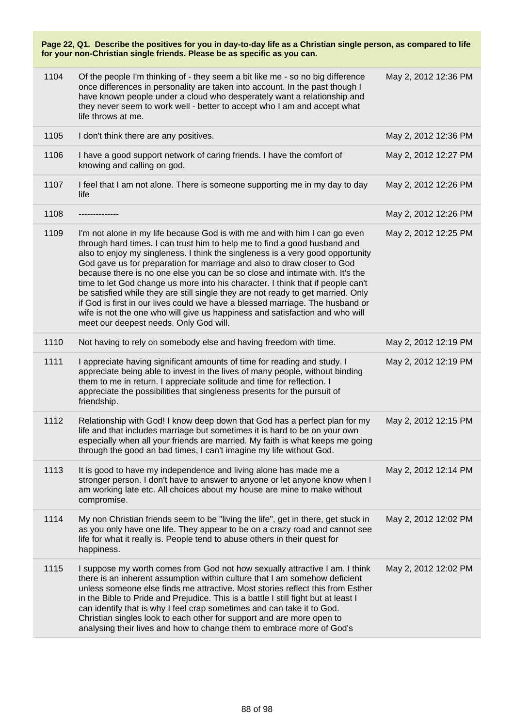| 1104 | Of the people I'm thinking of - they seem a bit like me - so no big difference<br>once differences in personality are taken into account. In the past though I<br>have known people under a cloud who desperately want a relationship and<br>they never seem to work well - better to accept who I am and accept what<br>life throws at me.                                                                                                                                                                                                                                                                                                                                                                                                                                            | May 2, 2012 12:36 PM |
|------|----------------------------------------------------------------------------------------------------------------------------------------------------------------------------------------------------------------------------------------------------------------------------------------------------------------------------------------------------------------------------------------------------------------------------------------------------------------------------------------------------------------------------------------------------------------------------------------------------------------------------------------------------------------------------------------------------------------------------------------------------------------------------------------|----------------------|
| 1105 | I don't think there are any positives.                                                                                                                                                                                                                                                                                                                                                                                                                                                                                                                                                                                                                                                                                                                                                 | May 2, 2012 12:36 PM |
| 1106 | I have a good support network of caring friends. I have the comfort of<br>knowing and calling on god.                                                                                                                                                                                                                                                                                                                                                                                                                                                                                                                                                                                                                                                                                  | May 2, 2012 12:27 PM |
| 1107 | I feel that I am not alone. There is someone supporting me in my day to day<br>life                                                                                                                                                                                                                                                                                                                                                                                                                                                                                                                                                                                                                                                                                                    | May 2, 2012 12:26 PM |
| 1108 |                                                                                                                                                                                                                                                                                                                                                                                                                                                                                                                                                                                                                                                                                                                                                                                        | May 2, 2012 12:26 PM |
| 1109 | I'm not alone in my life because God is with me and with him I can go even<br>through hard times. I can trust him to help me to find a good husband and<br>also to enjoy my singleness. I think the singleness is a very good opportunity<br>God gave us for preparation for marriage and also to draw closer to God<br>because there is no one else you can be so close and intimate with. It's the<br>time to let God change us more into his character. I think that if people can't<br>be satisfied while they are still single they are not ready to get married. Only<br>if God is first in our lives could we have a blessed marriage. The husband or<br>wife is not the one who will give us happiness and satisfaction and who will<br>meet our deepest needs. Only God will. | May 2, 2012 12:25 PM |
| 1110 | Not having to rely on somebody else and having freedom with time.                                                                                                                                                                                                                                                                                                                                                                                                                                                                                                                                                                                                                                                                                                                      | May 2, 2012 12:19 PM |
| 1111 | I appreciate having significant amounts of time for reading and study. I<br>appreciate being able to invest in the lives of many people, without binding<br>them to me in return. I appreciate solitude and time for reflection. I<br>appreciate the possibilities that singleness presents for the pursuit of<br>friendship.                                                                                                                                                                                                                                                                                                                                                                                                                                                          | May 2, 2012 12:19 PM |
| 1112 | Relationship with God! I know deep down that God has a perfect plan for my<br>life and that includes marriage but sometimes it is hard to be on your own<br>especially when all your friends are married. My faith is what keeps me going<br>through the good an bad times, I can't imagine my life without God.                                                                                                                                                                                                                                                                                                                                                                                                                                                                       | May 2, 2012 12:15 PM |
| 1113 | It is good to have my independence and living alone has made me a<br>stronger person. I don't have to answer to anyone or let anyone know when I<br>am working late etc. All choices about my house are mine to make without<br>compromise.                                                                                                                                                                                                                                                                                                                                                                                                                                                                                                                                            | May 2, 2012 12:14 PM |
| 1114 | My non Christian friends seem to be "living the life", get in there, get stuck in<br>as you only have one life. They appear to be on a crazy road and cannot see<br>life for what it really is. People tend to abuse others in their quest for<br>happiness.                                                                                                                                                                                                                                                                                                                                                                                                                                                                                                                           | May 2, 2012 12:02 PM |
| 1115 | I suppose my worth comes from God not how sexually attractive I am. I think<br>there is an inherent assumption within culture that I am somehow deficient<br>unless someone else finds me attractive. Most stories reflect this from Esther<br>in the Bible to Pride and Prejudice. This is a battle I still fight but at least I<br>can identify that is why I feel crap sometimes and can take it to God.<br>Christian singles look to each other for support and are more open to<br>analysing their lives and how to change them to embrace more of God's                                                                                                                                                                                                                          | May 2, 2012 12:02 PM |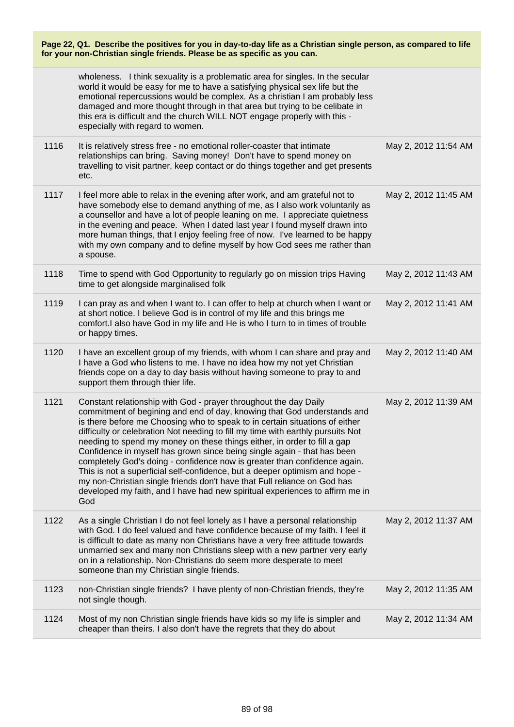| Page 22, Q1. Describe the positives for you in day-to-day life as a Christian single person, as compared to life<br>for your non-Christian single friends. Please be as specific as you can. |                                                                                                                                                                                                                                                                                                                                                                                                                                                                                                                                                                                                                                                                                                                                                                                                     |                      |
|----------------------------------------------------------------------------------------------------------------------------------------------------------------------------------------------|-----------------------------------------------------------------------------------------------------------------------------------------------------------------------------------------------------------------------------------------------------------------------------------------------------------------------------------------------------------------------------------------------------------------------------------------------------------------------------------------------------------------------------------------------------------------------------------------------------------------------------------------------------------------------------------------------------------------------------------------------------------------------------------------------------|----------------------|
|                                                                                                                                                                                              | wholeness. I think sexuality is a problematic area for singles. In the secular<br>world it would be easy for me to have a satisfying physical sex life but the<br>emotional repercussions would be complex. As a christian I am probably less<br>damaged and more thought through in that area but trying to be celibate in<br>this era is difficult and the church WILL NOT engage properly with this -<br>especially with regard to women.                                                                                                                                                                                                                                                                                                                                                        |                      |
| 1116                                                                                                                                                                                         | It is relatively stress free - no emotional roller-coaster that intimate<br>relationships can bring. Saving money! Don't have to spend money on<br>travelling to visit partner, keep contact or do things together and get presents<br>etc.                                                                                                                                                                                                                                                                                                                                                                                                                                                                                                                                                         | May 2, 2012 11:54 AM |
| 1117                                                                                                                                                                                         | I feel more able to relax in the evening after work, and am grateful not to<br>have somebody else to demand anything of me, as I also work voluntarily as<br>a counsellor and have a lot of people leaning on me. I appreciate quietness<br>in the evening and peace. When I dated last year I found myself drawn into<br>more human things, that I enjoy feeling free of now. I've learned to be happy<br>with my own company and to define myself by how God sees me rather than<br>a spouse.                                                                                                                                                                                                                                                                                                     | May 2, 2012 11:45 AM |
| 1118                                                                                                                                                                                         | Time to spend with God Opportunity to regularly go on mission trips Having<br>time to get alongside marginalised folk                                                                                                                                                                                                                                                                                                                                                                                                                                                                                                                                                                                                                                                                               | May 2, 2012 11:43 AM |
| 1119                                                                                                                                                                                         | I can pray as and when I want to. I can offer to help at church when I want or<br>at short notice. I believe God is in control of my life and this brings me<br>comfort.I also have God in my life and He is who I turn to in times of trouble<br>or happy times.                                                                                                                                                                                                                                                                                                                                                                                                                                                                                                                                   | May 2, 2012 11:41 AM |
| 1120                                                                                                                                                                                         | I have an excellent group of my friends, with whom I can share and pray and<br>I have a God who listens to me. I have no idea how my not yet Christian<br>friends cope on a day to day basis without having someone to pray to and<br>support them through thier life.                                                                                                                                                                                                                                                                                                                                                                                                                                                                                                                              | May 2, 2012 11:40 AM |
| 1121                                                                                                                                                                                         | Constant relationship with God - prayer throughout the day Daily<br>commitment of begining and end of day, knowing that God understands and<br>is there before me Choosing who to speak to in certain situations of either<br>difficulty or celebration Not needing to fill my time with earthly pursuits Not<br>needing to spend my money on these things either, in order to fill a gap<br>Confidence in myself has grown since being single again - that has been<br>completely God's doing - confidence now is greater than confidence again.<br>This is not a superficial self-confidence, but a deeper optimism and hope -<br>my non-Christian single friends don't have that Full reliance on God has<br>developed my faith, and I have had new spiritual experiences to affirm me in<br>God | May 2, 2012 11:39 AM |
| 1122                                                                                                                                                                                         | As a single Christian I do not feel lonely as I have a personal relationship<br>with God. I do feel valued and have confidence because of my faith. I feel it<br>is difficult to date as many non Christians have a very free attitude towards<br>unmarried sex and many non Christians sleep with a new partner very early<br>on in a relationship. Non-Christians do seem more desperate to meet<br>someone than my Christian single friends.                                                                                                                                                                                                                                                                                                                                                     | May 2, 2012 11:37 AM |
| 1123                                                                                                                                                                                         | non-Christian single friends? I have plenty of non-Christian friends, they're<br>not single though.                                                                                                                                                                                                                                                                                                                                                                                                                                                                                                                                                                                                                                                                                                 | May 2, 2012 11:35 AM |
| 1124                                                                                                                                                                                         | Most of my non Christian single friends have kids so my life is simpler and<br>cheaper than theirs. I also don't have the regrets that they do about                                                                                                                                                                                                                                                                                                                                                                                                                                                                                                                                                                                                                                                | May 2, 2012 11:34 AM |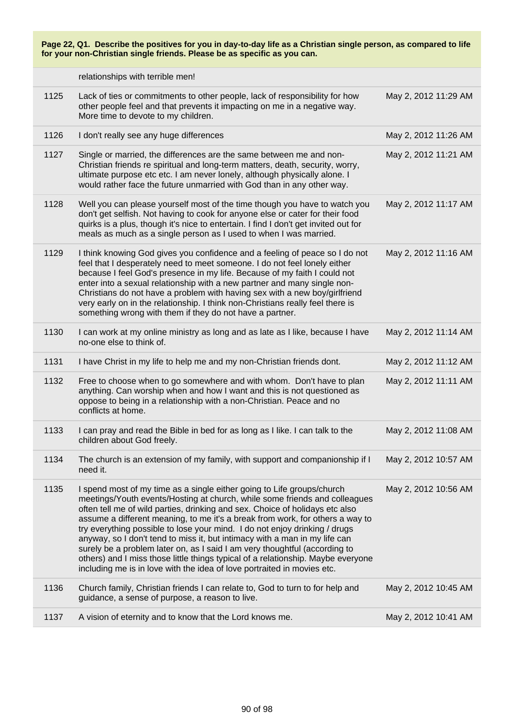relationships with terrible men!

| 1125 | Lack of ties or commitments to other people, lack of responsibility for how<br>other people feel and that prevents it impacting on me in a negative way.<br>More time to devote to my children.                                                                                                                                                                                                                                                                                                                                                                                                                                                                                                                                | May 2, 2012 11:29 AM |
|------|--------------------------------------------------------------------------------------------------------------------------------------------------------------------------------------------------------------------------------------------------------------------------------------------------------------------------------------------------------------------------------------------------------------------------------------------------------------------------------------------------------------------------------------------------------------------------------------------------------------------------------------------------------------------------------------------------------------------------------|----------------------|
| 1126 | I don't really see any huge differences                                                                                                                                                                                                                                                                                                                                                                                                                                                                                                                                                                                                                                                                                        | May 2, 2012 11:26 AM |
| 1127 | Single or married, the differences are the same between me and non-<br>Christian friends re spiritual and long-term matters, death, security, worry,<br>ultimate purpose etc etc. I am never lonely, although physically alone. I<br>would rather face the future unmarried with God than in any other way.                                                                                                                                                                                                                                                                                                                                                                                                                    | May 2, 2012 11:21 AM |
| 1128 | Well you can please yourself most of the time though you have to watch you<br>don't get selfish. Not having to cook for anyone else or cater for their food<br>quirks is a plus, though it's nice to entertain. I find I don't get invited out for<br>meals as much as a single person as I used to when I was married.                                                                                                                                                                                                                                                                                                                                                                                                        | May 2, 2012 11:17 AM |
| 1129 | I think knowing God gives you confidence and a feeling of peace so I do not<br>feel that I desperately need to meet someone. I do not feel lonely either<br>because I feel God's presence in my life. Because of my faith I could not<br>enter into a sexual relationship with a new partner and many single non-<br>Christians do not have a problem with having sex with a new boy/girlfriend<br>very early on in the relationship. I think non-Christians really feel there is<br>something wrong with them if they do not have a partner.                                                                                                                                                                                  | May 2, 2012 11:16 AM |
| 1130 | I can work at my online ministry as long and as late as I like, because I have<br>no-one else to think of.                                                                                                                                                                                                                                                                                                                                                                                                                                                                                                                                                                                                                     | May 2, 2012 11:14 AM |
| 1131 | I have Christ in my life to help me and my non-Christian friends dont.                                                                                                                                                                                                                                                                                                                                                                                                                                                                                                                                                                                                                                                         | May 2, 2012 11:12 AM |
| 1132 | Free to choose when to go somewhere and with whom. Don't have to plan<br>anything. Can worship when and how I want and this is not questioned as<br>oppose to being in a relationship with a non-Christian. Peace and no<br>conflicts at home.                                                                                                                                                                                                                                                                                                                                                                                                                                                                                 | May 2, 2012 11:11 AM |
| 1133 | I can pray and read the Bible in bed for as long as I like. I can talk to the<br>children about God freely.                                                                                                                                                                                                                                                                                                                                                                                                                                                                                                                                                                                                                    | May 2, 2012 11:08 AM |
| 1134 | The church is an extension of my family, with support and companionship if I<br>need it.                                                                                                                                                                                                                                                                                                                                                                                                                                                                                                                                                                                                                                       | May 2, 2012 10:57 AM |
| 1135 | I spend most of my time as a single either going to Life groups/church<br>meetings/Youth events/Hosting at church, while some friends and colleagues<br>often tell me of wild parties, drinking and sex. Choice of holidays etc also<br>assume a different meaning, to me it's a break from work, for others a way to<br>try everything possible to lose your mind. I do not enjoy drinking / drugs<br>anyway, so I don't tend to miss it, but intimacy with a man in my life can<br>surely be a problem later on, as I said I am very thoughtful (according to<br>others) and I miss those little things typical of a relationship. Maybe everyone<br>including me is in love with the idea of love portraited in movies etc. | May 2, 2012 10:56 AM |
| 1136 | Church family, Christian friends I can relate to, God to turn to for help and<br>guidance, a sense of purpose, a reason to live.                                                                                                                                                                                                                                                                                                                                                                                                                                                                                                                                                                                               | May 2, 2012 10:45 AM |
| 1137 | A vision of eternity and to know that the Lord knows me.                                                                                                                                                                                                                                                                                                                                                                                                                                                                                                                                                                                                                                                                       | May 2, 2012 10:41 AM |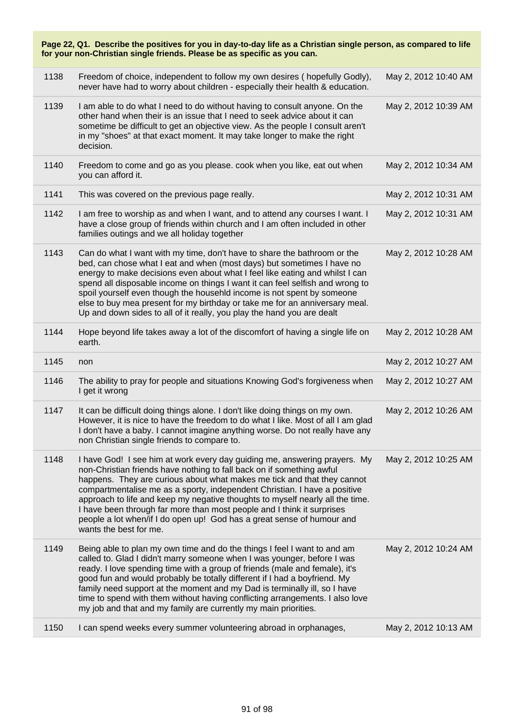| Page 22, Q1. Describe the positives for you in day-to-day life as a Christian single person, as compared to life<br>for your non-Christian single friends. Please be as specific as you can. |                                                                                                                                                                                                                                                                                                                                                                                                                                                                                                                                                                           |                      |
|----------------------------------------------------------------------------------------------------------------------------------------------------------------------------------------------|---------------------------------------------------------------------------------------------------------------------------------------------------------------------------------------------------------------------------------------------------------------------------------------------------------------------------------------------------------------------------------------------------------------------------------------------------------------------------------------------------------------------------------------------------------------------------|----------------------|
| 1138                                                                                                                                                                                         | Freedom of choice, independent to follow my own desires (hopefully Godly),<br>never have had to worry about children - especially their health & education.                                                                                                                                                                                                                                                                                                                                                                                                               | May 2, 2012 10:40 AM |
| 1139                                                                                                                                                                                         | I am able to do what I need to do without having to consult anyone. On the<br>other hand when their is an issue that I need to seek advice about it can<br>sometime be difficult to get an objective view. As the people I consult aren't<br>in my "shoes" at that exact moment. It may take longer to make the right<br>decision.                                                                                                                                                                                                                                        | May 2, 2012 10:39 AM |
| 1140                                                                                                                                                                                         | Freedom to come and go as you please. cook when you like, eat out when<br>you can afford it.                                                                                                                                                                                                                                                                                                                                                                                                                                                                              | May 2, 2012 10:34 AM |
| 1141                                                                                                                                                                                         | This was covered on the previous page really.                                                                                                                                                                                                                                                                                                                                                                                                                                                                                                                             | May 2, 2012 10:31 AM |
| 1142                                                                                                                                                                                         | I am free to worship as and when I want, and to attend any courses I want. I<br>have a close group of friends within church and I am often included in other<br>families outings and we all holiday together                                                                                                                                                                                                                                                                                                                                                              | May 2, 2012 10:31 AM |
| 1143                                                                                                                                                                                         | Can do what I want with my time, don't have to share the bathroom or the<br>bed, can chose what I eat and when (most days) but sometimes I have no<br>energy to make decisions even about what I feel like eating and whilst I can<br>spend all disposable income on things I want it can feel selfish and wrong to<br>spoil yourself even though the househld income is not spent by someone<br>else to buy mea present for my birthday or take me for an anniversary meal.<br>Up and down sides to all of it really, you play the hand you are dealt                    | May 2, 2012 10:28 AM |
| 1144                                                                                                                                                                                         | Hope beyond life takes away a lot of the discomfort of having a single life on<br>earth.                                                                                                                                                                                                                                                                                                                                                                                                                                                                                  | May 2, 2012 10:28 AM |
| 1145                                                                                                                                                                                         | non                                                                                                                                                                                                                                                                                                                                                                                                                                                                                                                                                                       | May 2, 2012 10:27 AM |
| 1146                                                                                                                                                                                         | The ability to pray for people and situations Knowing God's forgiveness when<br>I get it wrong                                                                                                                                                                                                                                                                                                                                                                                                                                                                            | May 2, 2012 10:27 AM |
| 1147                                                                                                                                                                                         | It can be difficult doing things alone. I don't like doing things on my own.<br>However, it is nice to have the freedom to do what I like. Most of all I am glad<br>I don't have a baby. I cannot imagine anything worse. Do not really have any<br>non Christian single friends to compare to.                                                                                                                                                                                                                                                                           | May 2, 2012 10:26 AM |
| 1148                                                                                                                                                                                         | I have God! I see him at work every day guiding me, answering prayers. My<br>non-Christian friends have nothing to fall back on if something awful<br>happens. They are curious about what makes me tick and that they cannot<br>compartmentalise me as a sporty, independent Christian. I have a positive<br>approach to life and keep my negative thoughts to myself nearly all the time.<br>I have been through far more than most people and I think it surprises<br>people a lot when/if I do open up! God has a great sense of humour and<br>wants the best for me. | May 2, 2012 10:25 AM |
| 1149                                                                                                                                                                                         | Being able to plan my own time and do the things I feel I want to and am<br>called to. Glad I didn't marry someone when I was younger, before I was<br>ready. I love spending time with a group of friends (male and female), it's<br>good fun and would probably be totally different if I had a boyfriend. My<br>family need support at the moment and my Dad is terminally ill, so I have<br>time to spend with them without having conflicting arrangements. I also love<br>my job and that and my family are currently my main priorities.                           | May 2, 2012 10:24 AM |
| 1150                                                                                                                                                                                         | I can spend weeks every summer volunteering abroad in orphanages,                                                                                                                                                                                                                                                                                                                                                                                                                                                                                                         | May 2, 2012 10:13 AM |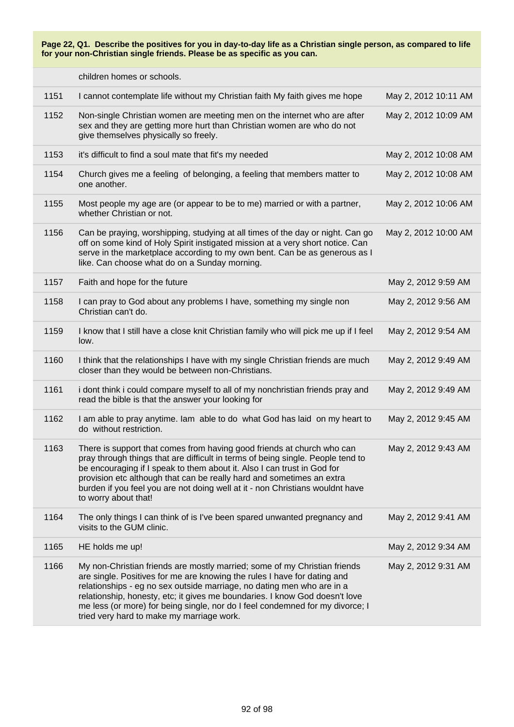children homes or schools.

| 1151 | I cannot contemplate life without my Christian faith My faith gives me hope                                                                                                                                                                                                                                                                                                                                                                  | May 2, 2012 10:11 AM |
|------|----------------------------------------------------------------------------------------------------------------------------------------------------------------------------------------------------------------------------------------------------------------------------------------------------------------------------------------------------------------------------------------------------------------------------------------------|----------------------|
| 1152 | Non-single Christian women are meeting men on the internet who are after<br>sex and they are getting more hurt than Christian women are who do not<br>give themselves physically so freely.                                                                                                                                                                                                                                                  | May 2, 2012 10:09 AM |
| 1153 | it's difficult to find a soul mate that fit's my needed                                                                                                                                                                                                                                                                                                                                                                                      | May 2, 2012 10:08 AM |
| 1154 | Church gives me a feeling of belonging, a feeling that members matter to<br>one another.                                                                                                                                                                                                                                                                                                                                                     | May 2, 2012 10:08 AM |
| 1155 | Most people my age are (or appear to be to me) married or with a partner,<br>whether Christian or not.                                                                                                                                                                                                                                                                                                                                       | May 2, 2012 10:06 AM |
| 1156 | Can be praying, worshipping, studying at all times of the day or night. Can go<br>off on some kind of Holy Spirit instigated mission at a very short notice. Can<br>serve in the marketplace according to my own bent. Can be as generous as I<br>like. Can choose what do on a Sunday morning.                                                                                                                                              | May 2, 2012 10:00 AM |
| 1157 | Faith and hope for the future                                                                                                                                                                                                                                                                                                                                                                                                                | May 2, 2012 9:59 AM  |
| 1158 | I can pray to God about any problems I have, something my single non<br>Christian can't do.                                                                                                                                                                                                                                                                                                                                                  | May 2, 2012 9:56 AM  |
| 1159 | I know that I still have a close knit Christian family who will pick me up if I feel<br>low.                                                                                                                                                                                                                                                                                                                                                 | May 2, 2012 9:54 AM  |
| 1160 | I think that the relationships I have with my single Christian friends are much<br>closer than they would be between non-Christians.                                                                                                                                                                                                                                                                                                         | May 2, 2012 9:49 AM  |
| 1161 | i dont think i could compare myself to all of my nonchristian friends pray and<br>read the bible is that the answer your looking for                                                                                                                                                                                                                                                                                                         | May 2, 2012 9:49 AM  |
| 1162 | I am able to pray anytime. Iam able to do what God has laid on my heart to<br>do without restriction.                                                                                                                                                                                                                                                                                                                                        | May 2, 2012 9:45 AM  |
| 1163 | There is support that comes from having good friends at church who can<br>pray through things that are difficult in terms of being single. People tend to<br>be encouraging if I speak to them about it. Also I can trust in God for<br>provision etc although that can be really hard and sometimes an extra<br>burden if you feel you are not doing well at it - non Christians wouldnt have<br>to worry about that!                       | May 2, 2012 9:43 AM  |
| 1164 | The only things I can think of is I've been spared unwanted pregnancy and<br>visits to the GUM clinic.                                                                                                                                                                                                                                                                                                                                       | May 2, 2012 9:41 AM  |
| 1165 | HE holds me up!                                                                                                                                                                                                                                                                                                                                                                                                                              | May 2, 2012 9:34 AM  |
| 1166 | My non-Christian friends are mostly married; some of my Christian friends<br>are single. Positives for me are knowing the rules I have for dating and<br>relationships - eg no sex outside marriage, no dating men who are in a<br>relationship, honesty, etc; it gives me boundaries. I know God doesn't love<br>me less (or more) for being single, nor do I feel condemned for my divorce; I<br>tried very hard to make my marriage work. | May 2, 2012 9:31 AM  |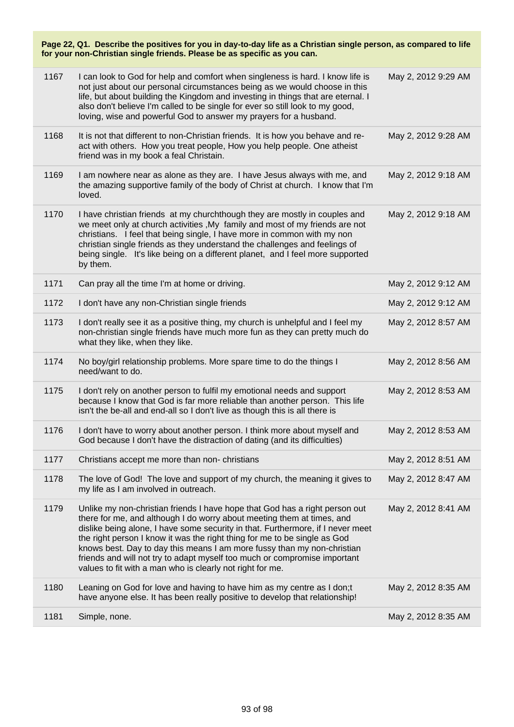| Page 22, Q1. Describe the positives for you in day-to-day life as a Christian single person, as compared to life<br>for your non-Christian single friends. Please be as specific as you can. |                                                                                                                                                                                                                                                                                                                                                                                                                                                                                                                                            |                     |
|----------------------------------------------------------------------------------------------------------------------------------------------------------------------------------------------|--------------------------------------------------------------------------------------------------------------------------------------------------------------------------------------------------------------------------------------------------------------------------------------------------------------------------------------------------------------------------------------------------------------------------------------------------------------------------------------------------------------------------------------------|---------------------|
| 1167                                                                                                                                                                                         | I can look to God for help and comfort when singleness is hard. I know life is<br>not just about our personal circumstances being as we would choose in this<br>life, but about building the Kingdom and investing in things that are eternal. I<br>also don't believe I'm called to be single for ever so still look to my good,<br>loving, wise and powerful God to answer my prayers for a husband.                                                                                                                                     | May 2, 2012 9:29 AM |
| 1168                                                                                                                                                                                         | It is not that different to non-Christian friends. It is how you behave and re-<br>act with others. How you treat people, How you help people. One atheist<br>friend was in my book a feal Christain.                                                                                                                                                                                                                                                                                                                                      | May 2, 2012 9:28 AM |
| 1169                                                                                                                                                                                         | I am nowhere near as alone as they are. I have Jesus always with me, and<br>the amazing supportive family of the body of Christ at church. I know that I'm<br>loved.                                                                                                                                                                                                                                                                                                                                                                       | May 2, 2012 9:18 AM |
| 1170                                                                                                                                                                                         | I have christian friends at my churchthough they are mostly in couples and<br>we meet only at church activities , My family and most of my friends are not<br>christians. I feel that being single, I have more in common with my non<br>christian single friends as they understand the challenges and feelings of<br>being single. It's like being on a different planet, and I feel more supported<br>by them.                                                                                                                          | May 2, 2012 9:18 AM |
| 1171                                                                                                                                                                                         | Can pray all the time I'm at home or driving.                                                                                                                                                                                                                                                                                                                                                                                                                                                                                              | May 2, 2012 9:12 AM |
| 1172                                                                                                                                                                                         | I don't have any non-Christian single friends                                                                                                                                                                                                                                                                                                                                                                                                                                                                                              | May 2, 2012 9:12 AM |
| 1173                                                                                                                                                                                         | I don't really see it as a positive thing, my church is unhelpful and I feel my<br>non-christian single friends have much more fun as they can pretty much do<br>what they like, when they like.                                                                                                                                                                                                                                                                                                                                           | May 2, 2012 8:57 AM |
| 1174                                                                                                                                                                                         | No boy/girl relationship problems. More spare time to do the things I<br>need/want to do.                                                                                                                                                                                                                                                                                                                                                                                                                                                  | May 2, 2012 8:56 AM |
| 1175                                                                                                                                                                                         | I don't rely on another person to fulfil my emotional needs and support<br>because I know that God is far more reliable than another person. This life<br>isn't the be-all and end-all so I don't live as though this is all there is                                                                                                                                                                                                                                                                                                      | May 2, 2012 8:53 AM |
| 1176                                                                                                                                                                                         | I don't have to worry about another person. I think more about myself and<br>God because I don't have the distraction of dating (and its difficulties)                                                                                                                                                                                                                                                                                                                                                                                     | May 2, 2012 8:53 AM |
| 1177                                                                                                                                                                                         | Christians accept me more than non- christians                                                                                                                                                                                                                                                                                                                                                                                                                                                                                             | May 2, 2012 8:51 AM |
| 1178                                                                                                                                                                                         | The love of God! The love and support of my church, the meaning it gives to<br>my life as I am involved in outreach.                                                                                                                                                                                                                                                                                                                                                                                                                       | May 2, 2012 8:47 AM |
| 1179                                                                                                                                                                                         | Unlike my non-christian friends I have hope that God has a right person out<br>there for me, and although I do worry about meeting them at times, and<br>dislike being alone, I have some security in that. Furthermore, if I never meet<br>the right person I know it was the right thing for me to be single as God<br>knows best. Day to day this means I am more fussy than my non-christian<br>friends and will not try to adapt myself too much or compromise important<br>values to fit with a man who is clearly not right for me. | May 2, 2012 8:41 AM |
| 1180                                                                                                                                                                                         | Leaning on God for love and having to have him as my centre as I don;t<br>have anyone else. It has been really positive to develop that relationship!                                                                                                                                                                                                                                                                                                                                                                                      | May 2, 2012 8:35 AM |
| 1181                                                                                                                                                                                         | Simple, none.                                                                                                                                                                                                                                                                                                                                                                                                                                                                                                                              | May 2, 2012 8:35 AM |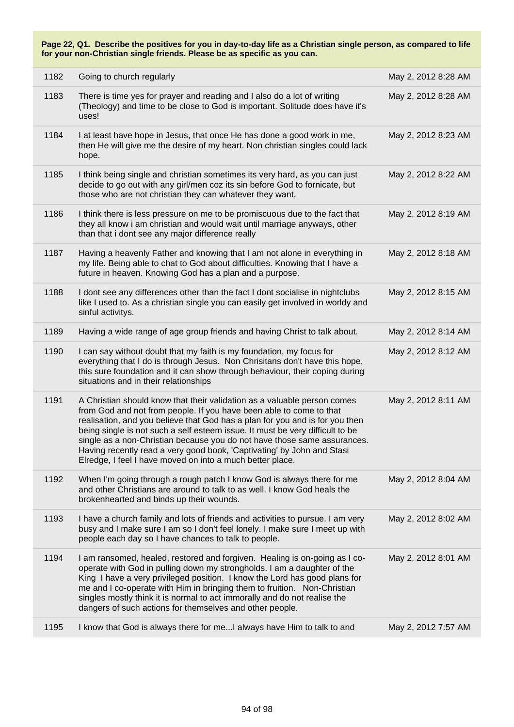| 1182 | Going to church regularly                                                                                                                                                                                                                                                                                                                                                                                                                                                                                                           | May 2, 2012 8:28 AM |
|------|-------------------------------------------------------------------------------------------------------------------------------------------------------------------------------------------------------------------------------------------------------------------------------------------------------------------------------------------------------------------------------------------------------------------------------------------------------------------------------------------------------------------------------------|---------------------|
| 1183 | There is time yes for prayer and reading and I also do a lot of writing<br>(Theology) and time to be close to God is important. Solitude does have it's<br>uses!                                                                                                                                                                                                                                                                                                                                                                    | May 2, 2012 8:28 AM |
| 1184 | I at least have hope in Jesus, that once He has done a good work in me,<br>then He will give me the desire of my heart. Non christian singles could lack<br>hope.                                                                                                                                                                                                                                                                                                                                                                   | May 2, 2012 8:23 AM |
| 1185 | I think being single and christian sometimes its very hard, as you can just<br>decide to go out with any girl/men coz its sin before God to fornicate, but<br>those who are not christian they can whatever they want,                                                                                                                                                                                                                                                                                                              | May 2, 2012 8:22 AM |
| 1186 | I think there is less pressure on me to be promiscuous due to the fact that<br>they all know i am christian and would wait until marriage anyways, other<br>than that i dont see any major difference really                                                                                                                                                                                                                                                                                                                        | May 2, 2012 8:19 AM |
| 1187 | Having a heavenly Father and knowing that I am not alone in everything in<br>my life. Being able to chat to God about difficulties. Knowing that I have a<br>future in heaven. Knowing God has a plan and a purpose.                                                                                                                                                                                                                                                                                                                | May 2, 2012 8:18 AM |
| 1188 | I dont see any differences other than the fact I dont socialise in nightclubs<br>like I used to. As a christian single you can easily get involved in worldy and<br>sinful activitys.                                                                                                                                                                                                                                                                                                                                               | May 2, 2012 8:15 AM |
| 1189 | Having a wide range of age group friends and having Christ to talk about.                                                                                                                                                                                                                                                                                                                                                                                                                                                           | May 2, 2012 8:14 AM |
| 1190 | I can say without doubt that my faith is my foundation, my focus for<br>everything that I do is through Jesus. Non Chrisitans don't have this hope,<br>this sure foundation and it can show through behaviour, their coping during<br>situations and in their relationships                                                                                                                                                                                                                                                         | May 2, 2012 8:12 AM |
| 1191 | A Christian should know that their validation as a valuable person comes<br>from God and not from people. If you have been able to come to that<br>realisation, and you believe that God has a plan for you and is for you then<br>being single is not such a self esteem issue. It must be very difficult to be<br>single as a non-Christian because you do not have those same assurances.<br>Having recently read a very good book, 'Captivating' by John and Stasi<br>Elredge, I feel I have moved on into a much better place. | May 2, 2012 8:11 AM |
| 1192 | When I'm going through a rough patch I know God is always there for me<br>and other Christians are around to talk to as well. I know God heals the<br>brokenhearted and binds up their wounds.                                                                                                                                                                                                                                                                                                                                      | May 2, 2012 8:04 AM |
| 1193 | I have a church family and lots of friends and activities to pursue. I am very<br>busy and I make sure I am so I don't feel lonely. I make sure I meet up with<br>people each day so I have chances to talk to people.                                                                                                                                                                                                                                                                                                              | May 2, 2012 8:02 AM |
| 1194 | I am ransomed, healed, restored and forgiven. Healing is on-going as I co-<br>operate with God in pulling down my strongholds. I am a daughter of the<br>King I have a very privileged position. I know the Lord has good plans for<br>me and I co-operate with Him in bringing them to fruition. Non-Christian<br>singles mostly think it is normal to act immorally and do not realise the<br>dangers of such actions for themselves and other people.                                                                            | May 2, 2012 8:01 AM |
| 1195 | I know that God is always there for me I always have Him to talk to and                                                                                                                                                                                                                                                                                                                                                                                                                                                             | May 2, 2012 7:57 AM |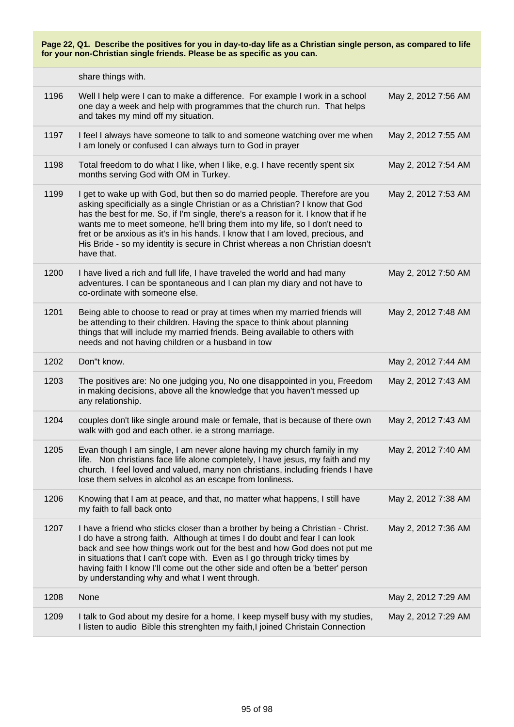|      | share things with.                                                                                                                                                                                                                                                                                                                                                                                                                                                                                                  |                     |
|------|---------------------------------------------------------------------------------------------------------------------------------------------------------------------------------------------------------------------------------------------------------------------------------------------------------------------------------------------------------------------------------------------------------------------------------------------------------------------------------------------------------------------|---------------------|
| 1196 | Well I help were I can to make a difference. For example I work in a school<br>one day a week and help with programmes that the church run. That helps<br>and takes my mind off my situation.                                                                                                                                                                                                                                                                                                                       | May 2, 2012 7:56 AM |
| 1197 | I feel I always have someone to talk to and someone watching over me when<br>I am lonely or confused I can always turn to God in prayer                                                                                                                                                                                                                                                                                                                                                                             | May 2, 2012 7:55 AM |
| 1198 | Total freedom to do what I like, when I like, e.g. I have recently spent six<br>months serving God with OM in Turkey.                                                                                                                                                                                                                                                                                                                                                                                               | May 2, 2012 7:54 AM |
| 1199 | I get to wake up with God, but then so do married people. Therefore are you<br>asking specificially as a single Christian or as a Christian? I know that God<br>has the best for me. So, if I'm single, there's a reason for it. I know that if he<br>wants me to meet someone, he'll bring them into my life, so I don't need to<br>fret or be anxious as it's in his hands. I know that I am loved, precious, and<br>His Bride - so my identity is secure in Christ whereas a non Christian doesn't<br>have that. | May 2, 2012 7:53 AM |
| 1200 | I have lived a rich and full life, I have traveled the world and had many<br>adventures. I can be spontaneous and I can plan my diary and not have to<br>co-ordinate with someone else.                                                                                                                                                                                                                                                                                                                             | May 2, 2012 7:50 AM |
| 1201 | Being able to choose to read or pray at times when my married friends will<br>be attending to their children. Having the space to think about planning<br>things that will include my married friends. Being available to others with<br>needs and not having children or a husband in tow                                                                                                                                                                                                                          | May 2, 2012 7:48 AM |
| 1202 | Don"t know.                                                                                                                                                                                                                                                                                                                                                                                                                                                                                                         | May 2, 2012 7:44 AM |
| 1203 | The positives are: No one judging you, No one disappointed in you, Freedom<br>in making decisions, above all the knowledge that you haven't messed up<br>any relationship.                                                                                                                                                                                                                                                                                                                                          | May 2, 2012 7:43 AM |
| 1204 | couples don't like single around male or female, that is because of there own<br>walk with god and each other. ie a strong marriage.                                                                                                                                                                                                                                                                                                                                                                                | May 2, 2012 7:43 AM |
| 1205 | Evan though I am single, I am never alone having my church family in my<br>life. Non christians face life alone completely, I have jesus, my faith and my<br>church. I feel loved and valued, many non christians, including friends I have<br>lose them selves in alcohol as an escape from lonliness.                                                                                                                                                                                                             | May 2, 2012 7:40 AM |
| 1206 | Knowing that I am at peace, and that, no matter what happens, I still have<br>my faith to fall back onto                                                                                                                                                                                                                                                                                                                                                                                                            | May 2, 2012 7:38 AM |
|      |                                                                                                                                                                                                                                                                                                                                                                                                                                                                                                                     |                     |
| 1207 | I have a friend who sticks closer than a brother by being a Christian - Christ.<br>I do have a strong faith. Although at times I do doubt and fear I can look<br>back and see how things work out for the best and how God does not put me<br>in situations that I can't cope with. Even as I go through tricky times by<br>having faith I know I'll come out the other side and often be a 'better' person<br>by understanding why and what I went through.                                                        | May 2, 2012 7:36 AM |
| 1208 | None                                                                                                                                                                                                                                                                                                                                                                                                                                                                                                                | May 2, 2012 7:29 AM |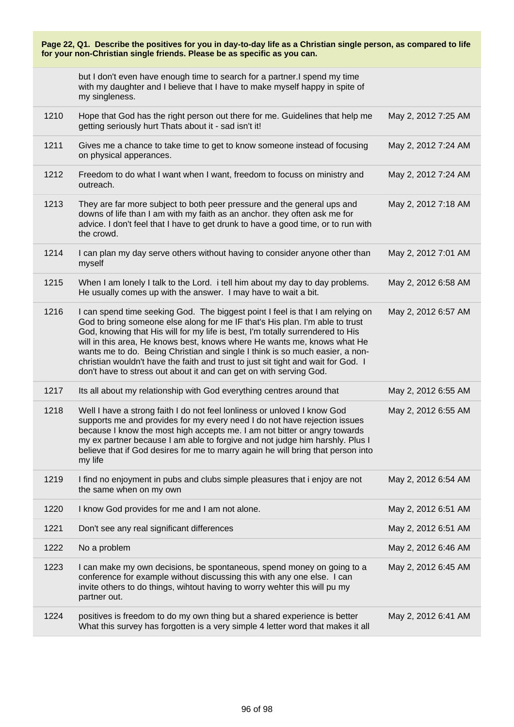| Page 22, Q1. Describe the positives for you in day-to-day life as a Christian single person, as compared to life<br>for your non-Christian single friends. Please be as specific as you can. |                                                                                                                                                                                                                                                                                                                                                                                                                                                                                                                                                                         |                     |
|----------------------------------------------------------------------------------------------------------------------------------------------------------------------------------------------|-------------------------------------------------------------------------------------------------------------------------------------------------------------------------------------------------------------------------------------------------------------------------------------------------------------------------------------------------------------------------------------------------------------------------------------------------------------------------------------------------------------------------------------------------------------------------|---------------------|
|                                                                                                                                                                                              | but I don't even have enough time to search for a partner.I spend my time<br>with my daughter and I believe that I have to make myself happy in spite of<br>my singleness.                                                                                                                                                                                                                                                                                                                                                                                              |                     |
| 1210                                                                                                                                                                                         | Hope that God has the right person out there for me. Guidelines that help me<br>getting seriously hurt Thats about it - sad isn't it!                                                                                                                                                                                                                                                                                                                                                                                                                                   | May 2, 2012 7:25 AM |
| 1211                                                                                                                                                                                         | Gives me a chance to take time to get to know someone instead of focusing<br>on physical apperances.                                                                                                                                                                                                                                                                                                                                                                                                                                                                    | May 2, 2012 7:24 AM |
| 1212                                                                                                                                                                                         | Freedom to do what I want when I want, freedom to focuss on ministry and<br>outreach.                                                                                                                                                                                                                                                                                                                                                                                                                                                                                   | May 2, 2012 7:24 AM |
| 1213                                                                                                                                                                                         | They are far more subject to both peer pressure and the general ups and<br>downs of life than I am with my faith as an anchor. they often ask me for<br>advice. I don't feel that I have to get drunk to have a good time, or to run with<br>the crowd.                                                                                                                                                                                                                                                                                                                 | May 2, 2012 7:18 AM |
| 1214                                                                                                                                                                                         | I can plan my day serve others without having to consider anyone other than<br>myself                                                                                                                                                                                                                                                                                                                                                                                                                                                                                   | May 2, 2012 7:01 AM |
| 1215                                                                                                                                                                                         | When I am lonely I talk to the Lord. i tell him about my day to day problems.<br>He usually comes up with the answer. I may have to wait a bit.                                                                                                                                                                                                                                                                                                                                                                                                                         | May 2, 2012 6:58 AM |
| 1216                                                                                                                                                                                         | I can spend time seeking God. The biggest point I feel is that I am relying on<br>God to bring someone else along for me IF that's His plan. I'm able to trust<br>God, knowing that His will for my life is best, I'm totally surrendered to His<br>will in this area, He knows best, knows where He wants me, knows what He<br>wants me to do. Being Christian and single I think is so much easier, a non-<br>christian wouldn't have the faith and trust to just sit tight and wait for God. I<br>don't have to stress out about it and can get on with serving God. | May 2, 2012 6:57 AM |
| 1217                                                                                                                                                                                         | Its all about my relationship with God everything centres around that                                                                                                                                                                                                                                                                                                                                                                                                                                                                                                   | May 2, 2012 6:55 AM |
| 1218                                                                                                                                                                                         | Well I have a strong faith I do not feel lonliness or unloved I know God<br>supports me and provides for my every need I do not have rejection issues<br>because I know the most high accepts me. I am not bitter or angry towards<br>my ex partner because I am able to forgive and not judge him harshly. Plus I<br>believe that if God desires for me to marry again he will bring that person into<br>my life                                                                                                                                                       | May 2, 2012 6:55 AM |
| 1219                                                                                                                                                                                         | I find no enjoyment in pubs and clubs simple pleasures that i enjoy are not<br>the same when on my own                                                                                                                                                                                                                                                                                                                                                                                                                                                                  | May 2, 2012 6:54 AM |
| 1220                                                                                                                                                                                         | I know God provides for me and I am not alone.                                                                                                                                                                                                                                                                                                                                                                                                                                                                                                                          | May 2, 2012 6:51 AM |
| 1221                                                                                                                                                                                         | Don't see any real significant differences                                                                                                                                                                                                                                                                                                                                                                                                                                                                                                                              | May 2, 2012 6:51 AM |
| 1222                                                                                                                                                                                         | No a problem                                                                                                                                                                                                                                                                                                                                                                                                                                                                                                                                                            | May 2, 2012 6:46 AM |
| 1223                                                                                                                                                                                         | I can make my own decisions, be spontaneous, spend money on going to a<br>conference for example without discussing this with any one else. I can<br>invite others to do things, wihtout having to worry wehter this will pu my<br>partner out.                                                                                                                                                                                                                                                                                                                         | May 2, 2012 6:45 AM |
| 1224                                                                                                                                                                                         | positives is freedom to do my own thing but a shared experience is better<br>What this survey has forgotten is a very simple 4 letter word that makes it all                                                                                                                                                                                                                                                                                                                                                                                                            | May 2, 2012 6:41 AM |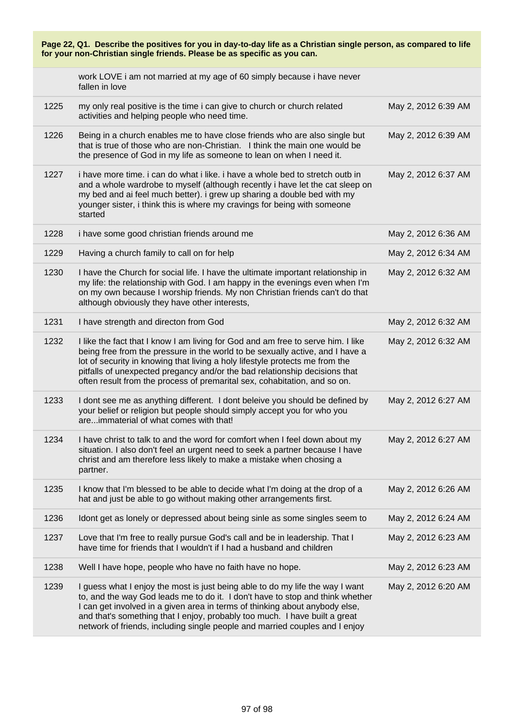| Page 22, Q1. Describe the positives for you in day-to-day life as a Christian single person, as compared to life<br>for your non-Christian single friends. Please be as specific as you can. |                                                                                                                                                                                                                                                                                                                                                                                                              |                     |  |
|----------------------------------------------------------------------------------------------------------------------------------------------------------------------------------------------|--------------------------------------------------------------------------------------------------------------------------------------------------------------------------------------------------------------------------------------------------------------------------------------------------------------------------------------------------------------------------------------------------------------|---------------------|--|
|                                                                                                                                                                                              | work LOVE i am not married at my age of 60 simply because i have never<br>fallen in love                                                                                                                                                                                                                                                                                                                     |                     |  |
| 1225                                                                                                                                                                                         | my only real positive is the time i can give to church or church related<br>activities and helping people who need time.                                                                                                                                                                                                                                                                                     | May 2, 2012 6:39 AM |  |
| 1226                                                                                                                                                                                         | Being in a church enables me to have close friends who are also single but<br>that is true of those who are non-Christian. I think the main one would be<br>the presence of God in my life as someone to lean on when I need it.                                                                                                                                                                             | May 2, 2012 6:39 AM |  |
| 1227                                                                                                                                                                                         | i have more time. i can do what i like. i have a whole bed to stretch outb in<br>and a whole wardrobe to myself (although recently i have let the cat sleep on<br>my bed and ai feel much better). i grew up sharing a double bed with my<br>younger sister, i think this is where my cravings for being with someone<br>started                                                                             | May 2, 2012 6:37 AM |  |
| 1228                                                                                                                                                                                         | i have some good christian friends around me                                                                                                                                                                                                                                                                                                                                                                 | May 2, 2012 6:36 AM |  |
| 1229                                                                                                                                                                                         | Having a church family to call on for help                                                                                                                                                                                                                                                                                                                                                                   | May 2, 2012 6:34 AM |  |
| 1230                                                                                                                                                                                         | I have the Church for social life. I have the ultimate important relationship in<br>my life: the relationship with God. I am happy in the evenings even when I'm<br>on my own because I worship friends. My non Christian friends can't do that<br>although obviously they have other interests,                                                                                                             | May 2, 2012 6:32 AM |  |
| 1231                                                                                                                                                                                         | I have strength and directon from God                                                                                                                                                                                                                                                                                                                                                                        | May 2, 2012 6:32 AM |  |
| 1232                                                                                                                                                                                         | I like the fact that I know I am living for God and am free to serve him. I like<br>being free from the pressure in the world to be sexually active, and I have a<br>lot of security in knowing that living a holy lifestyle protects me from the<br>pitfalls of unexpected pregancy and/or the bad relationship decisions that<br>often result from the process of premarital sex, cohabitation, and so on. | May 2, 2012 6:32 AM |  |
| 1233                                                                                                                                                                                         | I dont see me as anything different. I dont beleive you should be defined by<br>your belief or religion but people should simply accept you for who you<br>areimmaterial of what comes with that!                                                                                                                                                                                                            | May 2, 2012 6:27 AM |  |
| 1234                                                                                                                                                                                         | I have christ to talk to and the word for comfort when I feel down about my<br>situation. I also don't feel an urgent need to seek a partner because I have<br>christ and am therefore less likely to make a mistake when chosing a<br>partner.                                                                                                                                                              | May 2, 2012 6:27 AM |  |
| 1235                                                                                                                                                                                         | I know that I'm blessed to be able to decide what I'm doing at the drop of a<br>hat and just be able to go without making other arrangements first.                                                                                                                                                                                                                                                          | May 2, 2012 6:26 AM |  |
| 1236                                                                                                                                                                                         | Idont get as lonely or depressed about being sinle as some singles seem to                                                                                                                                                                                                                                                                                                                                   | May 2, 2012 6:24 AM |  |
| 1237                                                                                                                                                                                         | Love that I'm free to really pursue God's call and be in leadership. That I<br>have time for friends that I wouldn't if I had a husband and children                                                                                                                                                                                                                                                         | May 2, 2012 6:23 AM |  |
| 1238                                                                                                                                                                                         | Well I have hope, people who have no faith have no hope.                                                                                                                                                                                                                                                                                                                                                     | May 2, 2012 6:23 AM |  |
| 1239                                                                                                                                                                                         | I guess what I enjoy the most is just being able to do my life the way I want<br>to, and the way God leads me to do it. I don't have to stop and think whether<br>I can get involved in a given area in terms of thinking about anybody else,<br>and that's something that I enjoy, probably too much. I have built a great<br>network of friends, including single people and married couples and I enjoy   | May 2, 2012 6:20 AM |  |